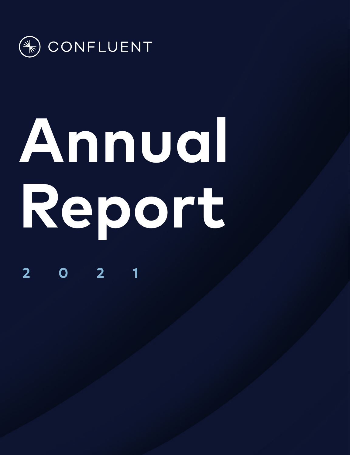

# **Annual Report**

**2021**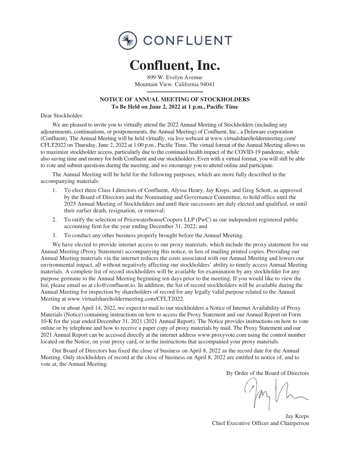

# **Confluent, Inc.**

899 W. Evelyn Avenue Mountain View, California 94041

# **NOTICE OF ANNUAL MEETING OF STOCKHOLDERS To Be Held on June 2, 2022 at 1 p.m., Pacific Time**

Dear Stockholder:

We are pleased to invite you to virtually attend the 2022 Annual Meeting of Stockholders (including any adjournments, continuations, or postponements, the Annual Meeting) of Confluent, Inc., a Delaware corporation (Confluent). The Annual Meeting will be held virtually, via live webcast at www.virtualshareholdermeeting.com/ CFLT2022 on Thursday, June 2, 2022 at 1:00 p.m., Pacific Time. The virtual format of the Annual Meeting allows us to maximize stockholder access, particularly due to the continued health impact of the COVID-19 pandemic, while also saving time and money for both Confluent and our stockholders. Even with a virtual format, you will still be able to vote and submit questions during the meeting, and we encourage you to attend online and participate.

The Annual Meeting will be held for the following purposes, which are more fully described in the accompanying materials:

- 1. To elect three Class I directors of Confluent, Alyssa Henry, Jay Kreps, and Greg Schott, as approved by the Board of Directors and the Nominating and Governance Committee, to hold office until the 2025 Annual Meeting of Stockholders and until their successors are duly elected and qualified, or until their earlier death, resignation, or removal;
- 2. To ratify the selection of PricewaterhouseCoopers LLP (PwC) as our independent registered public accounting firm for the year ending December 31, 2022; and
- 3. To conduct any other business properly brought before the Annual Meeting.

We have elected to provide internet access to our proxy materials, which include the proxy statement for our Annual Meeting (Proxy Statement) accompanying this notice, in lieu of mailing printed copies. Providing our Annual Meeting materials via the internet reduces the costs associated with our Annual Meeting and lowers our environmental impact, all without negatively affecting our stockholders' ability to timely access Annual Meeting materials. A complete list of record stockholders will be available for examination by any stockholder for any purpose germane to the Annual Meeting beginning ten days prior to the meeting. If you would like to view the list, please email us at clo@confluent.io. In addition, the list of record stockholders will be available during the Annual Meeting for inspection by shareholders of record for any legally valid purpose related to the Annual Meeting at www.virtualshareholdermeeting.com/CFLT2022.

On or about April 14, 2022, we expect to mail to our stockholders a Notice of Internet Availability of Proxy Materials (Notice) containing instructions on how to access the Proxy Statement and our Annual Report on Form 10-K for the year ended December 31, 2021 (2021 Annual Report). The Notice provides instructions on how to vote online or by telephone and how to receive a paper copy of proxy materials by mail. The Proxy Statement and our 2021 Annual Report can be accessed directly at the internet address www.proxyvote.com using the control number located on the Notice, on your proxy card, or in the instructions that accompanied your proxy materials.

Our Board of Directors has fixed the close of business on April 8, 2022 as the record date for the Annual Meeting. Only stockholders of record at the close of business on April 8, 2022 are entitled to notice of, and to vote at, the Annual Meeting.

By Order of the Board of Directors

 $O_{\mu}$ 

Jay Kreps Chief Executive Officer and Chairperson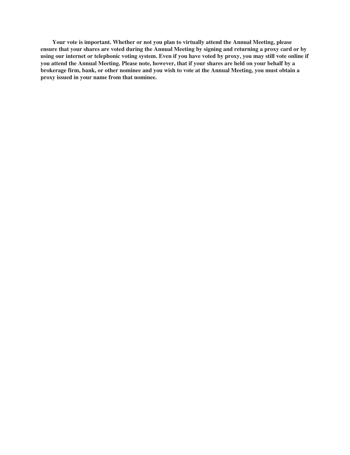**Your vote is important. Whether or not you plan to virtually attend the Annual Meeting, please ensure that your shares are voted during the Annual Meeting by signing and returning a proxy card or by using our internet or telephonic voting system. Even if you have voted by proxy, you may still vote online if you attend the Annual Meeting. Please note, however, that if your shares are held on your behalf by a brokerage firm, bank, or other nominee and you wish to vote at the Annual Meeting, you must obtain a proxy issued in your name from that nominee.**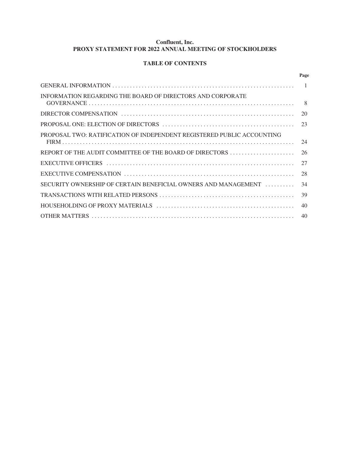# **Confluent, Inc. PROXY STATEMENT FOR 2022 ANNUAL MEETING OF STOCKHOLDERS**

# **TABLE OF CONTENTS**

|                                                                        | Page |
|------------------------------------------------------------------------|------|
|                                                                        |      |
| INFORMATION REGARDING THE BOARD OF DIRECTORS AND CORPORATE             | - 8  |
|                                                                        | 20   |
| PROPOSAL ONE: ELECTION OF DIRECTORS                                    | 23   |
| PROPOSAL TWO: RATIFICATION OF INDEPENDENT REGISTERED PUBLIC ACCOUNTING | 24   |
| REPORT OF THE AUDIT COMMITTEE OF THE BOARD OF DIRECTORS                | 26   |
|                                                                        | 27   |
|                                                                        | 28   |
| SECURITY OWNERSHIP OF CERTAIN BENEFICIAL OWNERS AND MANAGEMENT         | 34   |
|                                                                        | 39   |
|                                                                        | 40   |
|                                                                        | 40   |
|                                                                        |      |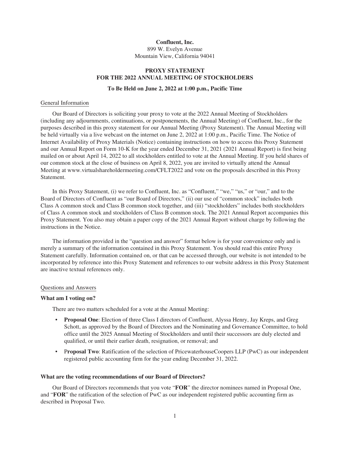## **Confluent, Inc.** 899 W. Evelyn Avenue Mountain View, California 94041

# **PROXY STATEMENT FOR THE 2022 ANNUAL MEETING OF STOCKHOLDERS**

#### **To Be Held on June 2, 2022 at 1:00 p.m., Pacific Time**

#### General Information

Our Board of Directors is soliciting your proxy to vote at the 2022 Annual Meeting of Stockholders (including any adjournments, continuations, or postponements, the Annual Meeting) of Confluent, Inc., for the purposes described in this proxy statement for our Annual Meeting (Proxy Statement). The Annual Meeting will be held virtually via a live webcast on the internet on June 2, 2022 at 1:00 p.m., Pacific Time. The Notice of Internet Availability of Proxy Materials (Notice) containing instructions on how to access this Proxy Statement and our Annual Report on Form 10-K for the year ended December 31, 2021 (2021 Annual Report) is first being mailed on or about April 14, 2022 to all stockholders entitled to vote at the Annual Meeting. If you held shares of our common stock at the close of business on April 8, 2022, you are invited to virtually attend the Annual Meeting at www.virtualshareholdermeeting.com/CFLT2022 and vote on the proposals described in this Proxy Statement.

In this Proxy Statement, (i) we refer to Confluent, Inc. as "Confluent," "we," "us," or "our," and to the Board of Directors of Confluent as "our Board of Directors," (ii) our use of "common stock" includes both Class A common stock and Class B common stock together, and (iii) "stockholders" includes both stockholders of Class A common stock and stockholders of Class B common stock. The 2021 Annual Report accompanies this Proxy Statement. You also may obtain a paper copy of the 2021 Annual Report without charge by following the instructions in the Notice.

The information provided in the "question and answer" format below is for your convenience only and is merely a summary of the information contained in this Proxy Statement. You should read this entire Proxy Statement carefully. Information contained on, or that can be accessed through, our website is not intended to be incorporated by reference into this Proxy Statement and references to our website address in this Proxy Statement are inactive textual references only.

#### Questions and Answers

#### **What am I voting on?**

There are two matters scheduled for a vote at the Annual Meeting:

- **Proposal One**: Election of three Class I directors of Confluent, Alyssa Henry, Jay Kreps, and Greg Schott, as approved by the Board of Directors and the Nominating and Governance Committee, to hold office until the 2025 Annual Meeting of Stockholders and until their successors are duly elected and qualified, or until their earlier death, resignation, or removal; and
- P**roposal Two**: Ratification of the selection of PricewaterhouseCoopers LLP (PwC) as our independent registered public accounting firm for the year ending December 31, 2022.

#### **What are the voting recommendations of our Board of Directors?**

Our Board of Directors recommends that you vote "**FOR**" the director nominees named in Proposal One, and "**FOR**" the ratification of the selection of PwC as our independent registered public accounting firm as described in Proposal Two.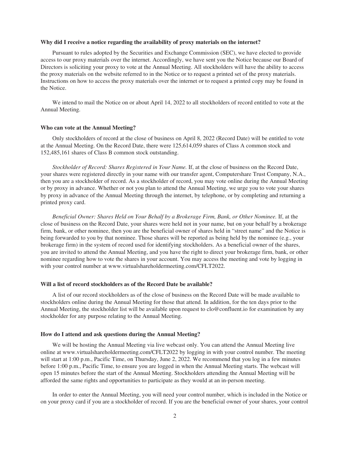#### **Why did I receive a notice regarding the availability of proxy materials on the internet?**

Pursuant to rules adopted by the Securities and Exchange Commission (SEC), we have elected to provide access to our proxy materials over the internet. Accordingly, we have sent you the Notice because our Board of Directors is soliciting your proxy to vote at the Annual Meeting. All stockholders will have the ability to access the proxy materials on the website referred to in the Notice or to request a printed set of the proxy materials. Instructions on how to access the proxy materials over the internet or to request a printed copy may be found in the Notice.

We intend to mail the Notice on or about April 14, 2022 to all stockholders of record entitled to vote at the Annual Meeting.

# **Who can vote at the Annual Meeting?**

Only stockholders of record at the close of business on April 8, 2022 (Record Date) will be entitled to vote at the Annual Meeting. On the Record Date, there were 125,614,059 shares of Class A common stock and 152,485,161 shares of Class B common stock outstanding.

*Stockholder of Record: Shares Registered in Your Name.* If, at the close of business on the Record Date, your shares were registered directly in your name with our transfer agent, Computershare Trust Company, N.A., then you are a stockholder of record. As a stockholder of record, you may vote online during the Annual Meeting or by proxy in advance. Whether or not you plan to attend the Annual Meeting, we urge you to vote your shares by proxy in advance of the Annual Meeting through the internet, by telephone, or by completing and returning a printed proxy card.

*Beneficial Owner: Shares Held on Your Behalf by a Brokerage Firm, Bank, or Other Nominee.* If, at the close of business on the Record Date, your shares were held not in your name, but on your behalf by a brokerage firm, bank, or other nominee, then you are the beneficial owner of shares held in "street name" and the Notice is being forwarded to you by that nominee. Those shares will be reported as being held by the nominee (e.g., your brokerage firm) in the system of record used for identifying stockholders. As a beneficial owner of the shares, you are invited to attend the Annual Meeting, and you have the right to direct your brokerage firm, bank, or other nominee regarding how to vote the shares in your account. You may access the meeting and vote by logging in with your control number at www.virtualshareholdermeeting.com/CFLT2022.

# **Will a list of record stockholders as of the Record Date be available?**

A list of our record stockholders as of the close of business on the Record Date will be made available to stockholders online during the Annual Meeting for those that attend. In addition, for the ten days prior to the Annual Meeting, the stockholder list will be available upon request to clo@confluent.io for examination by any stockholder for any purpose relating to the Annual Meeting.

#### **How do I attend and ask questions during the Annual Meeting?**

We will be hosting the Annual Meeting via live webcast only. You can attend the Annual Meeting live online at www.virtualshareholdermeeting.com/CFLT2022 by logging in with your control number. The meeting will start at 1:00 p.m., Pacific Time, on Thursday, June 2, 2022. We recommend that you log in a few minutes before 1:00 p.m., Pacific Time, to ensure you are logged in when the Annual Meeting starts. The webcast will open 15 minutes before the start of the Annual Meeting. Stockholders attending the Annual Meeting will be afforded the same rights and opportunities to participate as they would at an in-person meeting.

In order to enter the Annual Meeting, you will need your control number, which is included in the Notice or on your proxy card if you are a stockholder of record. If you are the beneficial owner of your shares, your control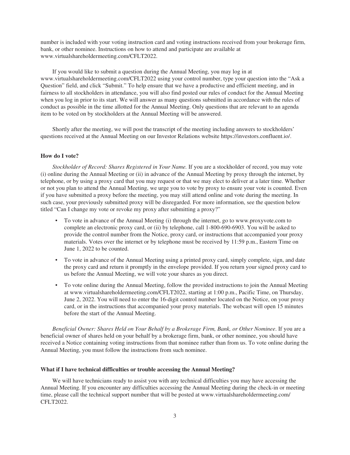number is included with your voting instruction card and voting instructions received from your brokerage firm, bank, or other nominee. Instructions on how to attend and participate are available at www.virtualshareholdermeeting.com/CFLT2022.

If you would like to submit a question during the Annual Meeting, you may log in at www.virtualshareholdermeeting.com/CFLT2022 using your control number, type your question into the "Ask a Question" field, and click "Submit." To help ensure that we have a productive and efficient meeting, and in fairness to all stockholders in attendance, you will also find posted our rules of conduct for the Annual Meeting when you log in prior to its start. We will answer as many questions submitted in accordance with the rules of conduct as possible in the time allotted for the Annual Meeting. Only questions that are relevant to an agenda item to be voted on by stockholders at the Annual Meeting will be answered.

Shortly after the meeting, we will post the transcript of the meeting including answers to stockholders' questions received at the Annual Meeting on our Investor Relations website https://investors.confluent.io/.

#### **How do I vote?**

*Stockholder of Record: Shares Registered in Your Name.* If you are a stockholder of record, you may vote (i) online during the Annual Meeting or (ii) in advance of the Annual Meeting by proxy through the internet, by telephone, or by using a proxy card that you may request or that we may elect to deliver at a later time. Whether or not you plan to attend the Annual Meeting, we urge you to vote by proxy to ensure your vote is counted. Even if you have submitted a proxy before the meeting, you may still attend online and vote during the meeting. In such case, your previously submitted proxy will be disregarded. For more information, see the question below titled "Can I change my vote or revoke my proxy after submitting a proxy?"

- To vote in advance of the Annual Meeting (i) through the internet, go to www.proxyvote.com to complete an electronic proxy card, or (ii) by telephone, call 1-800-690-6903. You will be asked to provide the control number from the Notice, proxy card, or instructions that accompanied your proxy materials. Votes over the internet or by telephone must be received by 11:59 p.m., Eastern Time on June 1, 2022 to be counted.
- To vote in advance of the Annual Meeting using a printed proxy card, simply complete, sign, and date the proxy card and return it promptly in the envelope provided. If you return your signed proxy card to us before the Annual Meeting, we will vote your shares as you direct.
- To vote online during the Annual Meeting, follow the provided instructions to join the Annual Meeting at www.virtualshareholdermeeting.com/CFLT2022, starting at 1:00 p.m., Pacific Time, on Thursday, June 2, 2022. You will need to enter the 16-digit control number located on the Notice, on your proxy card, or in the instructions that accompanied your proxy materials. The webcast will open 15 minutes before the start of the Annual Meeting.

*Beneficial Owner: Shares Held on Your Behalf by a Brokerage Firm, Bank, or Other Nominee*. If you are a beneficial owner of shares held on your behalf by a brokerage firm, bank, or other nominee, you should have received a Notice containing voting instructions from that nominee rather than from us. To vote online during the Annual Meeting, you must follow the instructions from such nominee.

#### **What if I have technical difficulties or trouble accessing the Annual Meeting?**

We will have technicians ready to assist you with any technical difficulties you may have accessing the Annual Meeting. If you encounter any difficulties accessing the Annual Meeting during the check-in or meeting time, please call the technical support number that will be posted at www.virtualshareholdermeeting.com/ CFLT2022.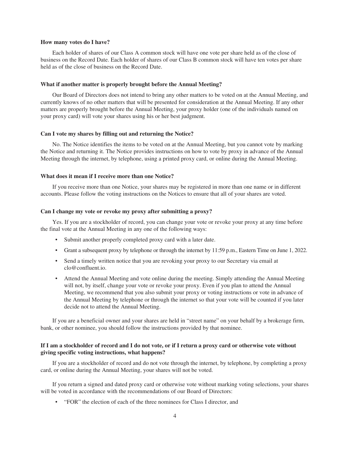#### **How many votes do I have?**

Each holder of shares of our Class A common stock will have one vote per share held as of the close of business on the Record Date. Each holder of shares of our Class B common stock will have ten votes per share held as of the close of business on the Record Date.

#### **What if another matter is properly brought before the Annual Meeting?**

Our Board of Directors does not intend to bring any other matters to be voted on at the Annual Meeting, and currently knows of no other matters that will be presented for consideration at the Annual Meeting. If any other matters are properly brought before the Annual Meeting, your proxy holder (one of the individuals named on your proxy card) will vote your shares using his or her best judgment.

#### **Can I vote my shares by filling out and returning the Notice?**

No. The Notice identifies the items to be voted on at the Annual Meeting, but you cannot vote by marking the Notice and returning it. The Notice provides instructions on how to vote by proxy in advance of the Annual Meeting through the internet, by telephone, using a printed proxy card, or online during the Annual Meeting.

#### **What does it mean if I receive more than one Notice?**

If you receive more than one Notice, your shares may be registered in more than one name or in different accounts. Please follow the voting instructions on the Notices to ensure that all of your shares are voted.

#### **Can I change my vote or revoke my proxy after submitting a proxy?**

Yes. If you are a stockholder of record, you can change your vote or revoke your proxy at any time before the final vote at the Annual Meeting in any one of the following ways:

- Submit another properly completed proxy card with a later date.
- Grant a subsequent proxy by telephone or through the internet by 11:59 p.m., Eastern Time on June 1, 2022.
- Send a timely written notice that you are revoking your proxy to our Secretary via email at clo@confluent.io.
- Attend the Annual Meeting and vote online during the meeting. Simply attending the Annual Meeting will not, by itself, change your vote or revoke your proxy. Even if you plan to attend the Annual Meeting, we recommend that you also submit your proxy or voting instructions or vote in advance of the Annual Meeting by telephone or through the internet so that your vote will be counted if you later decide not to attend the Annual Meeting.

If you are a beneficial owner and your shares are held in "street name" on your behalf by a brokerage firm, bank, or other nominee, you should follow the instructions provided by that nominee.

# **If I am a stockholder of record and I do not vote, or if I return a proxy card or otherwise vote without giving specific voting instructions, what happens?**

If you are a stockholder of record and do not vote through the internet, by telephone, by completing a proxy card, or online during the Annual Meeting, your shares will not be voted.

If you return a signed and dated proxy card or otherwise vote without marking voting selections, your shares will be voted in accordance with the recommendations of our Board of Directors:

• "FOR" the election of each of the three nominees for Class I director, and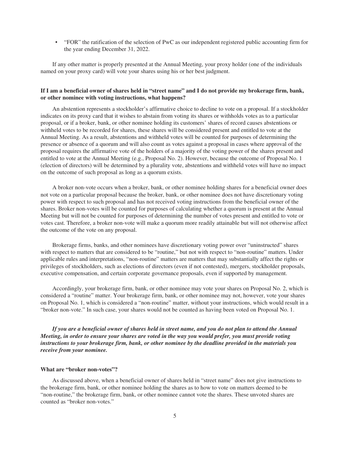• "FOR" the ratification of the selection of PwC as our independent registered public accounting firm for the year ending December 31, 2022.

If any other matter is properly presented at the Annual Meeting, your proxy holder (one of the individuals named on your proxy card) will vote your shares using his or her best judgment.

# **If I am a beneficial owner of shares held in "street name" and I do not provide my brokerage firm, bank, or other nominee with voting instructions, what happens?**

An abstention represents a stockholder's affirmative choice to decline to vote on a proposal. If a stockholder indicates on its proxy card that it wishes to abstain from voting its shares or withholds votes as to a particular proposal, or if a broker, bank, or other nominee holding its customers' shares of record causes abstentions or withheld votes to be recorded for shares, these shares will be considered present and entitled to vote at the Annual Meeting. As a result, abstentions and withheld votes will be counted for purposes of determining the presence or absence of a quorum and will also count as votes against a proposal in cases where approval of the proposal requires the affirmative vote of the holders of a majority of the voting power of the shares present and entitled to vote at the Annual Meeting (e.g., Proposal No. 2). However, because the outcome of Proposal No. 1 (election of directors) will be determined by a plurality vote, abstentions and withheld votes will have no impact on the outcome of such proposal as long as a quorum exists.

A broker non-vote occurs when a broker, bank, or other nominee holding shares for a beneficial owner does not vote on a particular proposal because the broker, bank, or other nominee does not have discretionary voting power with respect to such proposal and has not received voting instructions from the beneficial owner of the shares. Broker non-votes will be counted for purposes of calculating whether a quorum is present at the Annual Meeting but will not be counted for purposes of determining the number of votes present and entitled to vote or votes cast. Therefore, a broker non-vote will make a quorum more readily attainable but will not otherwise affect the outcome of the vote on any proposal.

Brokerage firms, banks, and other nominees have discretionary voting power over "uninstructed" shares with respect to matters that are considered to be "routine," but not with respect to "non-routine" matters. Under applicable rules and interpretations, "non-routine" matters are matters that may substantially affect the rights or privileges of stockholders, such as elections of directors (even if not contested), mergers, stockholder proposals, executive compensation, and certain corporate governance proposals, even if supported by management.

Accordingly, your brokerage firm, bank, or other nominee may vote your shares on Proposal No. 2, which is considered a "routine" matter. Your brokerage firm, bank, or other nominee may not, however, vote your shares on Proposal No. 1, which is considered a "non-routine" matter, without your instructions, which would result in a "broker non-vote." In such case, your shares would not be counted as having been voted on Proposal No. 1.

*If you are a beneficial owner of shares held in street name, and you do not plan to attend the Annual Meeting, in order to ensure your shares are voted in the way you would prefer, you must provide voting instructions to your brokerage firm, bank, or other nominee by the deadline provided in the materials you receive from your nominee.*

# **What are "broker non-votes"?**

As discussed above, when a beneficial owner of shares held in "street name" does not give instructions to the brokerage firm, bank, or other nominee holding the shares as to how to vote on matters deemed to be "non-routine," the brokerage firm, bank, or other nominee cannot vote the shares. These unvoted shares are counted as "broker non-votes."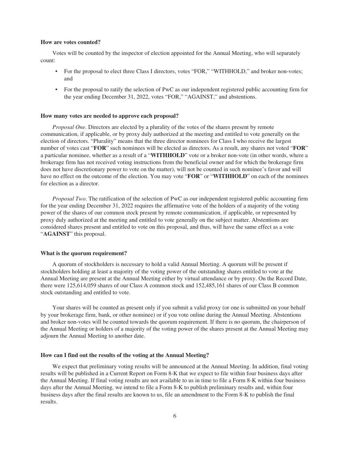#### **How are votes counted?**

Votes will be counted by the inspector of election appointed for the Annual Meeting, who will separately count:

- For the proposal to elect three Class I directors, votes "FOR," "WITHHOLD," and broker non-votes; and
- For the proposal to ratify the selection of PwC as our independent registered public accounting firm for the year ending December 31, 2022, votes "FOR," "AGAINST," and abstentions.

#### **How many votes are needed to approve each proposal?**

*Proposal One*. Directors are elected by a plurality of the votes of the shares present by remote communication, if applicable, or by proxy duly authorized at the meeting and entitled to vote generally on the election of directors. "Plurality" means that the three director nominees for Class I who receive the largest number of votes cast "**FOR**" such nominees will be elected as directors. As a result, any shares not voted "**FOR**" a particular nominee, whether as a result of a "**WITHHOLD**" vote or a broker non-vote (in other words, where a brokerage firm has not received voting instructions from the beneficial owner and for which the brokerage firm does not have discretionary power to vote on the matter), will not be counted in such nominee's favor and will have no effect on the outcome of the election. You may vote "**FOR**" or "**WITHHOLD**" on each of the nominees for election as a director.

*Proposal Two*. The ratification of the selection of PwC as our independent registered public accounting firm for the year ending December 31, 2022 requires the affirmative vote of the holders of a majority of the voting power of the shares of our common stock present by remote communication, if applicable, or represented by proxy duly authorized at the meeting and entitled to vote generally on the subject matter. Abstentions are considered shares present and entitled to vote on this proposal, and thus, will have the same effect as a vote "**AGAINST**" this proposal.

#### **What is the quorum requirement?**

A quorum of stockholders is necessary to hold a valid Annual Meeting. A quorum will be present if stockholders holding at least a majority of the voting power of the outstanding shares entitled to vote at the Annual Meeting are present at the Annual Meeting either by virtual attendance or by proxy. On the Record Date, there were 125,614,059 shares of our Class A common stock and 152,485,161 shares of our Class B common stock outstanding and entitled to vote.

Your shares will be counted as present only if you submit a valid proxy (or one is submitted on your behalf by your brokerage firm, bank, or other nominee) or if you vote online during the Annual Meeting. Abstentions and broker non-votes will be counted towards the quorum requirement. If there is no quorum, the chairperson of the Annual Meeting or holders of a majority of the voting power of the shares present at the Annual Meeting may adjourn the Annual Meeting to another date.

# **How can I find out the results of the voting at the Annual Meeting?**

We expect that preliminary voting results will be announced at the Annual Meeting. In addition, final voting results will be published in a Current Report on Form 8-K that we expect to file within four business days after the Annual Meeting. If final voting results are not available to us in time to file a Form 8-K within four business days after the Annual Meeting, we intend to file a Form 8-K to publish preliminary results and, within four business days after the final results are known to us, file an amendment to the Form 8-K to publish the final results.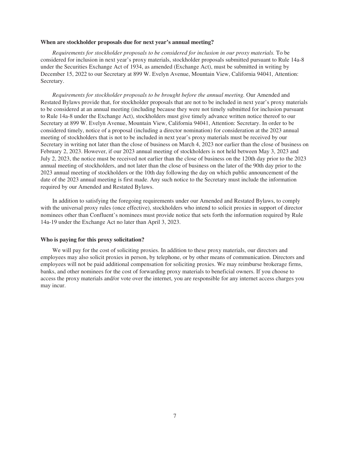#### **When are stockholder proposals due for next year's annual meeting?**

*Requirements for stockholder proposals to be considered for inclusion in our proxy materials.* To be considered for inclusion in next year's proxy materials, stockholder proposals submitted pursuant to Rule 14a-8 under the Securities Exchange Act of 1934, as amended (Exchange Act), must be submitted in writing by December 15, 2022 to our Secretary at 899 W. Evelyn Avenue, Mountain View, California 94041, Attention: Secretary.

*Requirements for stockholder proposals to be brought before the annual meeting.* Our Amended and Restated Bylaws provide that, for stockholder proposals that are not to be included in next year's proxy materials to be considered at an annual meeting (including because they were not timely submitted for inclusion pursuant to Rule 14a-8 under the Exchange Act), stockholders must give timely advance written notice thereof to our Secretary at 899 W. Evelyn Avenue, Mountain View, California 94041, Attention: Secretary. In order to be considered timely, notice of a proposal (including a director nomination) for consideration at the 2023 annual meeting of stockholders that is not to be included in next year's proxy materials must be received by our Secretary in writing not later than the close of business on March 4, 2023 nor earlier than the close of business on February 2, 2023. However, if our 2023 annual meeting of stockholders is not held between May 3, 2023 and July 2, 2023, the notice must be received not earlier than the close of business on the 120th day prior to the 2023 annual meeting of stockholders, and not later than the close of business on the later of the 90th day prior to the 2023 annual meeting of stockholders or the 10th day following the day on which public announcement of the date of the 2023 annual meeting is first made. Any such notice to the Secretary must include the information required by our Amended and Restated Bylaws.

In addition to satisfying the foregoing requirements under our Amended and Restated Bylaws, to comply with the universal proxy rules (once effective), stockholders who intend to solicit proxies in support of director nominees other than Confluent's nominees must provide notice that sets forth the information required by Rule 14a-19 under the Exchange Act no later than April 3, 2023.

#### **Who is paying for this proxy solicitation?**

We will pay for the cost of soliciting proxies. In addition to these proxy materials, our directors and employees may also solicit proxies in person, by telephone, or by other means of communication. Directors and employees will not be paid additional compensation for soliciting proxies. We may reimburse brokerage firms, banks, and other nominees for the cost of forwarding proxy materials to beneficial owners. If you choose to access the proxy materials and/or vote over the internet, you are responsible for any internet access charges you may incur.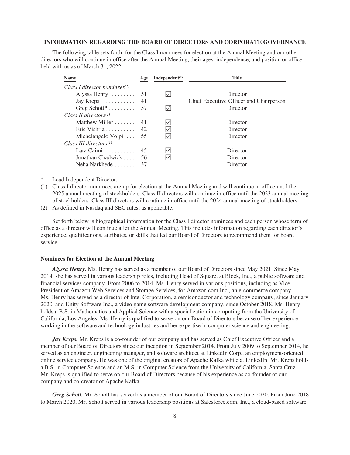#### **INFORMATION REGARDING THE BOARD OF DIRECTORS AND CORPORATE GOVERNANCE**

The following table sets forth, for the Class I nominees for election at the Annual Meeting and our other directors who will continue in office after the Annual Meeting, their ages, independence, and position or office held with us as of March 31, 2022:

| <b>Name</b>                       | Age | Independent <sup><math>(2)</math></sup> | <b>Title</b>                            |
|-----------------------------------|-----|-----------------------------------------|-----------------------------------------|
| Class I director nominees $(1)$   |     |                                         |                                         |
| Alyssa Henry $\dots \dots$ 51     |     |                                         | Director                                |
| Jay Kreps $\dots \dots \dots$ 41  |     |                                         | Chief Executive Officer and Chairperson |
| Greg Schott <sup>*</sup> 57       |     |                                         | Director                                |
| Class II directors $(1)$          |     |                                         |                                         |
| Matthew Miller $\ldots$           | -41 |                                         | Director                                |
|                                   |     |                                         | Director                                |
| Michelangelo Volpi $\ldots$ 55    |     |                                         | Director                                |
| Class III directors $(1)$         |     |                                         |                                         |
| Lara Caimi $\ldots \ldots \ldots$ | 45  |                                         | Director                                |
| Jonathan Chadwick                 | -56 |                                         | Director                                |
| Neha Narkhede                     | -37 |                                         | Director                                |

Lead Independent Director.

(1) Class I director nominees are up for election at the Annual Meeting and will continue in office until the 2025 annual meeting of stockholders. Class II directors will continue in office until the 2023 annual meeting of stockholders. Class III directors will continue in office until the 2024 annual meeting of stockholders.

(2) As defined in Nasdaq and SEC rules, as applicable.

Set forth below is biographical information for the Class I director nominees and each person whose term of office as a director will continue after the Annual Meeting. This includes information regarding each director's experience, qualifications, attributes, or skills that led our Board of Directors to recommend them for board service.

#### **Nominees for Election at the Annual Meeting**

*Alyssa Henry.* Ms. Henry has served as a member of our Board of Directors since May 2021. Since May 2014, she has served in various leadership roles, including Head of Square, at Block, Inc., a public software and financial services company. From 2006 to 2014, Ms. Henry served in various positions, including as Vice President of Amazon Web Services and Storage Services, for Amazon.com Inc., an e-commerce company. Ms. Henry has served as a director of Intel Corporation, a semiconductor and technology company, since January 2020, and Unity Software Inc., a video game software development company, since October 2018. Ms. Henry holds a B.S. in Mathematics and Applied Science with a specialization in computing from the University of California, Los Angeles. Ms. Henry is qualified to serve on our Board of Directors because of her experience working in the software and technology industries and her expertise in computer science and engineering.

*Jay Kreps.* Mr. Kreps is a co-founder of our company and has served as Chief Executive Officer and a member of our Board of Directors since our inception in September 2014. From July 2009 to September 2014, he served as an engineer, engineering manager, and software architect at LinkedIn Corp., an employment-oriented online service company. He was one of the original creators of Apache Kafka while at LinkedIn. Mr. Kreps holds a B.S. in Computer Science and an M.S. in Computer Science from the University of California, Santa Cruz. Mr. Kreps is qualified to serve on our Board of Directors because of his experience as co-founder of our company and co-creator of Apache Kafka.

*Greg Schott.* Mr. Schott has served as a member of our Board of Directors since June 2020. From June 2018 to March 2020, Mr. Schott served in various leadership positions at Salesforce.com, Inc., a cloud-based software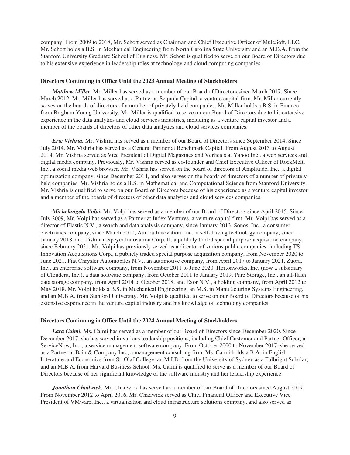company. From 2009 to 2018, Mr. Schott served as Chairman and Chief Executive Officer of MuleSoft, LLC. Mr. Schott holds a B.S. in Mechanical Engineering from North Carolina State University and an M.B.A. from the Stanford University Graduate School of Business. Mr. Schott is qualified to serve on our Board of Directors due to his extensive experience in leadership roles at technology and cloud computing companies*.*

#### **Directors Continuing in Office Until the 2023 Annual Meeting of Stockholders**

*Matthew Miller.* Mr. Miller has served as a member of our Board of Directors since March 2017. Since March 2012, Mr. Miller has served as a Partner at Sequoia Capital, a venture capital firm. Mr. Miller currently serves on the boards of directors of a number of privately-held companies. Mr. Miller holds a B.S. in Finance from Brigham Young University. Mr. Miller is qualified to serve on our Board of Directors due to his extensive experience in the data analytics and cloud services industries, including as a venture capital investor and a member of the boards of directors of other data analytics and cloud services companies.

*Eric Vishria.* Mr. Vishria has served as a member of our Board of Directors since September 2014. Since July 2014, Mr. Vishria has served as a General Partner at Benchmark Capital. From August 2013 to August 2014, Mr. Vishria served as Vice President of Digital Magazines and Verticals at Yahoo Inc., a web services and digital media company. Previously, Mr. Vishria served as co-founder and Chief Executive Officer of RockMelt, Inc., a social media web browser. Mr. Vishria has served on the board of directors of Amplitude, Inc., a digital optimization company, since December 2014, and also serves on the boards of directors of a number of privatelyheld companies. Mr. Vishria holds a B.S. in Mathematical and Computational Science from Stanford University. Mr. Vishria is qualified to serve on our Board of Directors because of his experience as a venture capital investor and a member of the boards of directors of other data analytics and cloud services companies.

*Michelangelo Volpi.* Mr. Volpi has served as a member of our Board of Directors since April 2015. Since July 2009, Mr. Volpi has served as a Partner at Index Ventures, a venture capital firm. Mr. Volpi has served as a director of Elastic N.V., a search and data analysis company, since January 2013, Sonos, Inc., a consumer electronics company, since March 2010, Aurora Innovation, Inc., a self-driving technology company, since January 2018, and Tishman Speyer Innovation Corp. II, a publicly traded special purpose acquisition company, since February 2021. Mr. Volpi has previously served as a director of various public companies, including TS Innovation Acquisitions Corp., a publicly traded special purpose acquisition company, from November 2020 to June 2021, Fiat Chrysler Automobiles N.V., an automotive company, from April 2017 to January 2021, Zuora, Inc., an enterprise software company, from November 2011 to June 2020, Hortonworks, Inc. (now a subsidiary of Cloudera, Inc.), a data software company, from October 2011 to January 2019, Pure Storage, Inc., an all-flash data storage company, from April 2014 to October 2018, and Exor N.V., a holding company, from April 2012 to May 2018. Mr. Volpi holds a B.S. in Mechanical Engineering, an M.S. in Manufacturing Systems Engineering, and an M.B.A. from Stanford University. Mr. Volpi is qualified to serve on our Board of Directors because of his extensive experience in the venture capital industry and his knowledge of technology companies.

#### **Directors Continuing in Office Until the 2024 Annual Meeting of Stockholders**

*Lara Caimi.* Ms. Caimi has served as a member of our Board of Directors since December 2020. Since December 2017, she has served in various leadership positions, including Chief Customer and Partner Officer, at ServiceNow, Inc., a service management software company. From October 2000 to November 2017, she served as a Partner at Bain & Company Inc., a management consulting firm. Ms. Caimi holds a B.A. in English Literature and Economics from St. Olaf College, an M.I.B. from the University of Sydney as a Fulbright Scholar, and an M.B.A. from Harvard Business School. Ms. Caimi is qualified to serve as a member of our Board of Directors because of her significant knowledge of the software industry and her leadership experience.

*Jonathan Chadwick.* Mr. Chadwick has served as a member of our Board of Directors since August 2019. From November 2012 to April 2016, Mr. Chadwick served as Chief Financial Officer and Executive Vice President of VMware, Inc., a virtualization and cloud infrastructure solutions company, and also served as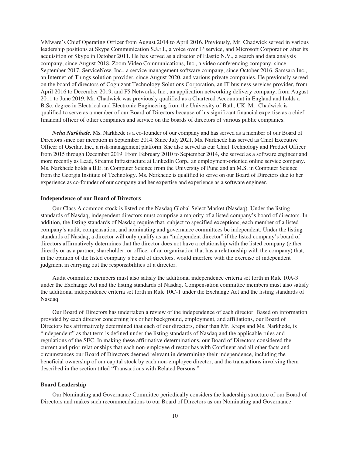VMware's Chief Operating Officer from August 2014 to April 2016. Previously, Mr. Chadwick served in various leadership positions at Skype Communication S.á.r.l., a voice over IP service, and Microsoft Corporation after its acquisition of Skype in October 2011. He has served as a director of Elastic N.V., a search and data analysis company, since August 2018, Zoom Video Communications, Inc., a video conferencing company, since September 2017, ServiceNow, Inc., a service management software company, since October 2016, Samsara Inc., an Internet-of-Things solution provider, since August 2020, and various private companies. He previously served on the board of directors of Cognizant Technology Solutions Corporation, an IT business services provider, from April 2016 to December 2019, and F5 Networks, Inc., an application networking delivery company, from August 2011 to June 2019. Mr. Chadwick was previously qualified as a Chartered Accountant in England and holds a B.Sc. degree in Electrical and Electronic Engineering from the University of Bath, UK. Mr. Chadwick is qualified to serve as a member of our Board of Directors because of his significant financial expertise as a chief financial officer of other companies and service on the boards of directors of various public companies.

*Neha Narkhede.* Ms. Narkhede is a co-founder of our company and has served as a member of our Board of Directors since our inception in September 2014. Since July 2021, Ms. Narkhede has served as Chief Executive Officer of Oscilar, Inc., a risk-management platform. She also served as our Chief Technology and Product Officer from 2015 through December 2019. From February 2010 to September 2014, she served as a software engineer and more recently as Lead, Streams Infrastructure at LinkedIn Corp., an employment-oriented online service company. Ms. Narkhede holds a B.E. in Computer Science from the University of Pune and an M.S. in Computer Science from the Georgia Institute of Technology. Ms. Narkhede is qualified to serve on our Board of Directors due to her experience as co-founder of our company and her expertise and experience as a software engineer.

#### **Independence of our Board of Directors**

Our Class A common stock is listed on the Nasdaq Global Select Market (Nasdaq). Under the listing standards of Nasdaq, independent directors must comprise a majority of a listed company's board of directors. In addition, the listing standards of Nasdaq require that, subject to specified exceptions, each member of a listed company's audit, compensation, and nominating and governance committees be independent. Under the listing standards of Nasdaq, a director will only qualify as an "independent director" if the listed company's board of directors affirmatively determines that the director does not have a relationship with the listed company (either directly or as a partner, shareholder, or officer of an organization that has a relationship with the company) that, in the opinion of the listed company's board of directors, would interfere with the exercise of independent judgment in carrying out the responsibilities of a director.

Audit committee members must also satisfy the additional independence criteria set forth in Rule 10A-3 under the Exchange Act and the listing standards of Nasdaq. Compensation committee members must also satisfy the additional independence criteria set forth in Rule 10C-1 under the Exchange Act and the listing standards of Nasdaq.

Our Board of Directors has undertaken a review of the independence of each director. Based on information provided by each director concerning his or her background, employment, and affiliations, our Board of Directors has affirmatively determined that each of our directors, other than Mr. Kreps and Ms. Narkhede, is "independent" as that term is defined under the listing standards of Nasdaq and the applicable rules and regulations of the SEC. In making these affirmative determinations, our Board of Directors considered the current and prior relationships that each non-employee director has with Confluent and all other facts and circumstances our Board of Directors deemed relevant in determining their independence, including the beneficial ownership of our capital stock by each non-employee director, and the transactions involving them described in the section titled "Transactions with Related Persons."

#### **Board Leadership**

Our Nominating and Governance Committee periodically considers the leadership structure of our Board of Directors and makes such recommendations to our Board of Directors as our Nominating and Governance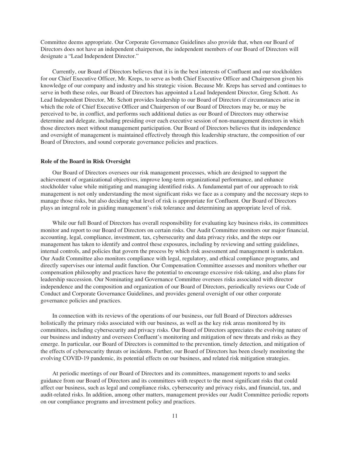Committee deems appropriate. Our Corporate Governance Guidelines also provide that, when our Board of Directors does not have an independent chairperson, the independent members of our Board of Directors will designate a "Lead Independent Director."

Currently, our Board of Directors believes that it is in the best interests of Confluent and our stockholders for our Chief Executive Officer, Mr. Kreps, to serve as both Chief Executive Officer and Chairperson given his knowledge of our company and industry and his strategic vision. Because Mr. Kreps has served and continues to serve in both these roles, our Board of Directors has appointed a Lead Independent Director, Greg Schott. As Lead Independent Director, Mr. Schott provides leadership to our Board of Directors if circumstances arise in which the role of Chief Executive Officer and Chairperson of our Board of Directors may be, or may be perceived to be, in conflict, and performs such additional duties as our Board of Directors may otherwise determine and delegate, including presiding over each executive session of non-management directors in which those directors meet without management participation. Our Board of Directors believes that its independence and oversight of management is maintained effectively through this leadership structure, the composition of our Board of Directors, and sound corporate governance policies and practices.

#### **Role of the Board in Risk Oversight**

Our Board of Directors oversees our risk management processes, which are designed to support the achievement of organizational objectives, improve long-term organizational performance, and enhance stockholder value while mitigating and managing identified risks. A fundamental part of our approach to risk management is not only understanding the most significant risks we face as a company and the necessary steps to manage those risks, but also deciding what level of risk is appropriate for Confluent. Our Board of Directors plays an integral role in guiding management's risk tolerance and determining an appropriate level of risk.

While our full Board of Directors has overall responsibility for evaluating key business risks, its committees monitor and report to our Board of Directors on certain risks. Our Audit Committee monitors our major financial, accounting, legal, compliance, investment, tax, cybersecurity and data privacy risks, and the steps our management has taken to identify and control these exposures, including by reviewing and setting guidelines, internal controls, and policies that govern the process by which risk assessment and management is undertaken. Our Audit Committee also monitors compliance with legal, regulatory, and ethical compliance programs, and directly supervises our internal audit function. Our Compensation Committee assesses and monitors whether our compensation philosophy and practices have the potential to encourage excessive risk-taking, and also plans for leadership succession. Our Nominating and Governance Committee oversees risks associated with director independence and the composition and organization of our Board of Directors, periodically reviews our Code of Conduct and Corporate Governance Guidelines, and provides general oversight of our other corporate governance policies and practices.

In connection with its reviews of the operations of our business, our full Board of Directors addresses holistically the primary risks associated with our business, as well as the key risk areas monitored by its committees, including cybersecurity and privacy risks. Our Board of Directors appreciates the evolving nature of our business and industry and oversees Confluent's monitoring and mitigation of new threats and risks as they emerge. In particular, our Board of Directors is committed to the prevention, timely detection, and mitigation of the effects of cybersecurity threats or incidents. Further, our Board of Directors has been closely monitoring the evolving COVID-19 pandemic, its potential effects on our business, and related risk mitigation strategies.

At periodic meetings of our Board of Directors and its committees, management reports to and seeks guidance from our Board of Directors and its committees with respect to the most significant risks that could affect our business, such as legal and compliance risks, cybersecurity and privacy risks, and financial, tax, and audit-related risks. In addition, among other matters, management provides our Audit Committee periodic reports on our compliance programs and investment policy and practices.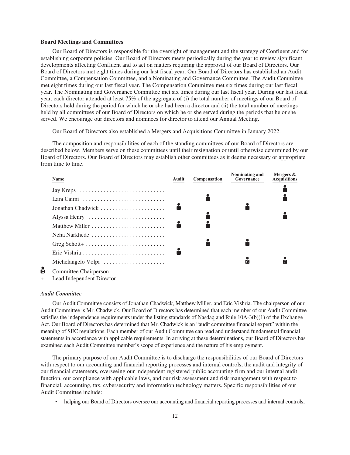#### **Board Meetings and Committees**

Our Board of Directors is responsible for the oversight of management and the strategy of Confluent and for establishing corporate policies. Our Board of Directors meets periodically during the year to review significant developments affecting Confluent and to act on matters requiring the approval of our Board of Directors. Our Board of Directors met eight times during our last fiscal year. Our Board of Directors has established an Audit Committee, a Compensation Committee, and a Nominating and Governance Committee. The Audit Committee met eight times during our last fiscal year. The Compensation Committee met six times during our last fiscal year. The Nominating and Governance Committee met six times during our last fiscal year. During our last fiscal year, each director attended at least 75% of the aggregate of (i) the total number of meetings of our Board of Directors held during the period for which he or she had been a director and (ii) the total number of meetings held by all committees of our Board of Directors on which he or she served during the periods that he or she served. We encourage our directors and nominees for director to attend our Annual Meeting.

Our Board of Directors also established a Mergers and Acquisitions Committee in January 2022.

The composition and responsibilities of each of the standing committees of our Board of Directors are described below. Members serve on these committees until their resignation or until otherwise determined by our Board of Directors. Our Board of Directors may establish other committees as it deems necessary or appropriate from time to time.

| Name                              | Audit                   | Compensation | Nominating and<br>Governance | Mergers &<br><b>Acquisitions</b> |
|-----------------------------------|-------------------------|--------------|------------------------------|----------------------------------|
|                                   |                         |              |                              |                                  |
|                                   |                         |              |                              |                                  |
| Jonathan Chadwick                 | $\overline{\mathsf{C}}$ |              |                              |                                  |
| Alyssa Henry                      |                         |              |                              |                                  |
| Matthew Miller                    |                         |              |                              |                                  |
| Neha Narkhede                     |                         |              |                              |                                  |
| Greg Schott+                      |                         | <b>C</b>     |                              |                                  |
| Eric Vishria                      |                         |              |                              |                                  |
| Michelangelo Volpi                |                         |              | C                            | <b>ici</b>                       |
| $\alpha$ $\beta$ $\alpha$ $\beta$ |                         |              |                              |                                  |

- ă Committee Chairperson
- Lead Independent Director

#### *Audit Committee*

Our Audit Committee consists of Jonathan Chadwick, Matthew Miller, and Eric Vishria. The chairperson of our Audit Committee is Mr. Chadwick. Our Board of Directors has determined that each member of our Audit Committee satisfies the independence requirements under the listing standards of Nasdaq and Rule 10A-3(b)(1) of the Exchange Act. Our Board of Directors has determined that Mr. Chadwick is an "audit committee financial expert" within the meaning of SEC regulations. Each member of our Audit Committee can read and understand fundamental financial statements in accordance with applicable requirements. In arriving at these determinations, our Board of Directors has examined each Audit Committee member's scope of experience and the nature of his employment.

The primary purpose of our Audit Committee is to discharge the responsibilities of our Board of Directors with respect to our accounting and financial reporting processes and internal controls, the audit and integrity of our financial statements, overseeing our independent registered public accounting firm and our internal audit function, our compliance with applicable laws, and our risk assessment and risk management with respect to financial, accounting, tax, cybersecurity and information technology matters. Specific responsibilities of our Audit Committee include:

• helping our Board of Directors oversee our accounting and financial reporting processes and internal controls;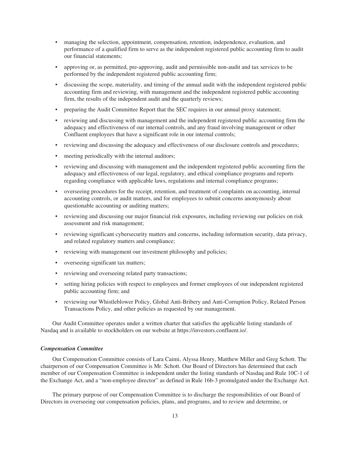- managing the selection, appointment, compensation, retention, independence, evaluation, and performance of a qualified firm to serve as the independent registered public accounting firm to audit our financial statements;
- approving or, as permitted, pre-approving, audit and permissible non-audit and tax services to be performed by the independent registered public accounting firm;
- discussing the scope, materiality, and timing of the annual audit with the independent registered public accounting firm and reviewing, with management and the independent registered public accounting firm, the results of the independent audit and the quarterly reviews;
- preparing the Audit Committee Report that the SEC requires in our annual proxy statement;
- reviewing and discussing with management and the independent registered public accounting firm the adequacy and effectiveness of our internal controls, and any fraud involving management or other Confluent employees that have a significant role in our internal controls;
- reviewing and discussing the adequacy and effectiveness of our disclosure controls and procedures;
- meeting periodically with the internal auditors;
- reviewing and discussing with management and the independent registered public accounting firm the adequacy and effectiveness of our legal, regulatory, and ethical compliance programs and reports regarding compliance with applicable laws, regulations and internal compliance programs;
- overseeing procedures for the receipt, retention, and treatment of complaints on accounting, internal accounting controls, or audit matters, and for employees to submit concerns anonymously about questionable accounting or auditing matters;
- reviewing and discussing our major financial risk exposures, including reviewing our policies on risk assessment and risk management;
- reviewing significant cybersecurity matters and concerns, including information security, data privacy, and related regulatory matters and compliance;
- reviewing with management our investment philosophy and policies;
- overseeing significant tax matters;
- reviewing and overseeing related party transactions;
- setting hiring policies with respect to employees and former employees of our independent registered public accounting firm; and
- reviewing our Whistleblower Policy, Global Anti-Bribery and Anti-Corruption Policy, Related Person Transactions Policy, and other policies as requested by our management.

Our Audit Committee operates under a written charter that satisfies the applicable listing standards of Nasdaq and is available to stockholders on our website at https://investors.confluent.io/.

#### *Compensation Committee*

Our Compensation Committee consists of Lara Caimi, Alyssa Henry, Matthew Miller and Greg Schott. The chairperson of our Compensation Committee is Mr. Schott. Our Board of Directors has determined that each member of our Compensation Committee is independent under the listing standards of Nasdaq and Rule 10C-1 of the Exchange Act, and a "non-employee director" as defined in Rule 16b-3 promulgated under the Exchange Act.

The primary purpose of our Compensation Committee is to discharge the responsibilities of our Board of Directors in overseeing our compensation policies, plans, and programs, and to review and determine, or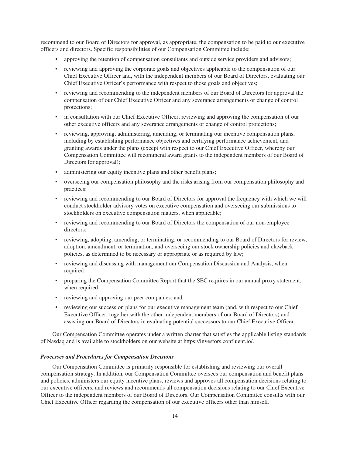recommend to our Board of Directors for approval, as appropriate, the compensation to be paid to our executive officers and directors. Specific responsibilities of our Compensation Committee include:

- approving the retention of compensation consultants and outside service providers and advisors;
- reviewing and approving the corporate goals and objectives applicable to the compensation of our Chief Executive Officer and, with the independent members of our Board of Directors, evaluating our Chief Executive Officer's performance with respect to those goals and objectives;
- reviewing and recommending to the independent members of our Board of Directors for approval the compensation of our Chief Executive Officer and any severance arrangements or change of control protections;
- in consultation with our Chief Executive Officer, reviewing and approving the compensation of our other executive officers and any severance arrangements or change of control protections;
- reviewing, approving, administering, amending, or terminating our incentive compensation plans, including by establishing performance objectives and certifying performance achievement, and granting awards under the plans (except with respect to our Chief Executive Officer, whereby our Compensation Committee will recommend award grants to the independent members of our Board of Directors for approval);
- administering our equity incentive plans and other benefit plans;
- overseeing our compensation philosophy and the risks arising from our compensation philosophy and practices;
- reviewing and recommending to our Board of Directors for approval the frequency with which we will conduct stockholder advisory votes on executive compensation and overseeing our submissions to stockholders on executive compensation matters, when applicable;
- reviewing and recommending to our Board of Directors the compensation of our non-employee directors;
- reviewing, adopting, amending, or terminating, or recommending to our Board of Directors for review, adoption, amendment, or termination, and overseeing our stock ownership policies and clawback policies, as determined to be necessary or appropriate or as required by law;
- reviewing and discussing with management our Compensation Discussion and Analysis, when required;
- preparing the Compensation Committee Report that the SEC requires in our annual proxy statement, when required;
- reviewing and approving our peer companies; and
- reviewing our succession plans for our executive management team (and, with respect to our Chief Executive Officer, together with the other independent members of our Board of Directors) and assisting our Board of Directors in evaluating potential successors to our Chief Executive Officer.

Our Compensation Committee operates under a written charter that satisfies the applicable listing standards of Nasdaq and is available to stockholders on our website at https://investors.confluent.io/.

#### *Processes and Procedures for Compensation Decisions*

Our Compensation Committee is primarily responsible for establishing and reviewing our overall compensation strategy. In addition, our Compensation Committee oversees our compensation and benefit plans and policies, administers our equity incentive plans, reviews and approves all compensation decisions relating to our executive officers, and reviews and recommends all compensation decisions relating to our Chief Executive Officer to the independent members of our Board of Directors. Our Compensation Committee consults with our Chief Executive Officer regarding the compensation of our executive officers other than himself.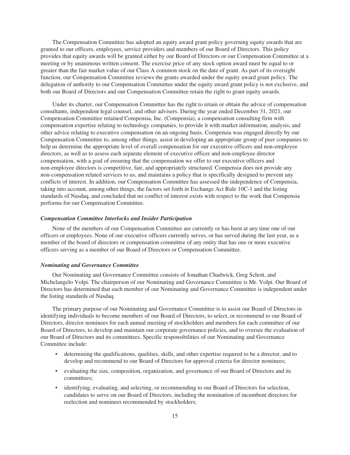The Compensation Committee has adopted an equity award grant policy governing equity awards that are granted to our officers, employees, service providers and members of our Board of Directors. This policy provides that equity awards will be granted either by our Board of Directors or our Compensation Committee at a meeting or by unanimous written consent. The exercise price of any stock option award must be equal to or greater than the fair market value of our Class A common stock on the date of grant. As part of its oversight function, our Compensation Committee reviews the grants awarded under the equity award grant policy. The delegation of authority to our Compensation Committee under the equity award grant policy is not exclusive, and both our Board of Directors and our Compensation Committee retain the right to grant equity awards.

Under its charter, our Compensation Committee has the right to retain or obtain the advice of compensation consultants, independent legal counsel, and other advisers. During the year ended December 31, 2021, our Compensation Committee retained Compensia, Inc. (Compensia), a compensation consulting firm with compensation expertise relating to technology companies, to provide it with market information, analysis, and other advice relating to executive compensation on an ongoing basis. Compensia was engaged directly by our Compensation Committee to, among other things, assist in developing an appropriate group of peer companies to help us determine the appropriate level of overall compensation for our executive officers and non-employee directors, as well as to assess each separate element of executive officer and non-employee director compensation, with a goal of ensuring that the compensation we offer to our executive officers and non-employee directors is competitive, fair, and appropriately structured. Compensia does not provide any non-compensation related services to us, and maintains a policy that is specifically designed to prevent any conflicts of interest. In addition, our Compensation Committee has assessed the independence of Compensia, taking into account, among other things, the factors set forth in Exchange Act Rule 10C-1 and the listing standards of Nasdaq, and concluded that no conflict of interest exists with respect to the work that Compensia performs for our Compensation Committee.

#### *Compensation Committee Interlocks and Insider Participation*

None of the members of our Compensation Committee are currently or has been at any time one of our officers or employees. None of our executive officers currently serves, or has served during the last year, as a member of the board of directors or compensation committee of any entity that has one or more executive officers serving as a member of our Board of Directors or Compensation Committee.

#### *Nominating and Governance Committee*

Our Nominating and Governance Committee consists of Jonathan Chadwick, Greg Schott, and Michelangelo Volpi. The chairperson of our Nominating and Governance Committee is Mr. Volpi. Our Board of Directors has determined that each member of our Nominating and Governance Committee is independent under the listing standards of Nasdaq.

The primary purpose of our Nominating and Governance Committee is to assist our Board of Directors in identifying individuals to become members of our Board of Directors, to select, or recommend to our Board of Directors, director nominees for each annual meeting of stockholders and members for each committee of our Board of Directors, to develop and maintain our corporate governance policies, and to oversee the evaluation of our Board of Directors and its committees. Specific responsibilities of our Nominating and Governance Committee include:

- determining the qualifications, qualities, skills, and other expertise required to be a director, and to develop and recommend to our Board of Directors for approval criteria for director nominees;
- evaluating the size, composition, organization, and governance of our Board of Directors and its committees;
- identifying, evaluating, and selecting, or recommending to our Board of Directors for selection, candidates to serve on our Board of Directors, including the nomination of incumbent directors for reelection and nominees recommended by stockholders;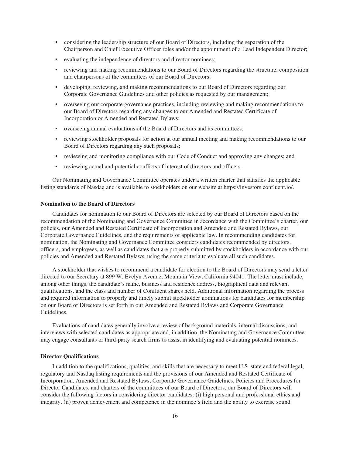- considering the leadership structure of our Board of Directors, including the separation of the Chairperson and Chief Executive Officer roles and/or the appointment of a Lead Independent Director;
- evaluating the independence of directors and director nominees;
- reviewing and making recommendations to our Board of Directors regarding the structure, composition and chairpersons of the committees of our Board of Directors;
- developing, reviewing, and making recommendations to our Board of Directors regarding our Corporate Governance Guidelines and other policies as requested by our management;
- overseeing our corporate governance practices, including reviewing and making recommendations to our Board of Directors regarding any changes to our Amended and Restated Certificate of Incorporation or Amended and Restated Bylaws;
- overseeing annual evaluations of the Board of Directors and its committees;
- reviewing stockholder proposals for action at our annual meeting and making recommendations to our Board of Directors regarding any such proposals;
- reviewing and monitoring compliance with our Code of Conduct and approving any changes; and
- reviewing actual and potential conflicts of interest of directors and officers.

Our Nominating and Governance Committee operates under a written charter that satisfies the applicable listing standards of Nasdaq and is available to stockholders on our website at https://investors.confluent.io/.

## **Nomination to the Board of Directors**

Candidates for nomination to our Board of Directors are selected by our Board of Directors based on the recommendation of the Nominating and Governance Committee in accordance with the Committee's charter, our policies, our Amended and Restated Certificate of Incorporation and Amended and Restated Bylaws, our Corporate Governance Guidelines, and the requirements of applicable law. In recommending candidates for nomination, the Nominating and Governance Committee considers candidates recommended by directors, officers, and employees, as well as candidates that are properly submitted by stockholders in accordance with our policies and Amended and Restated Bylaws, using the same criteria to evaluate all such candidates.

A stockholder that wishes to recommend a candidate for election to the Board of Directors may send a letter directed to our Secretary at 899 W. Evelyn Avenue, Mountain View, California 94041. The letter must include, among other things, the candidate's name, business and residence address, biographical data and relevant qualifications, and the class and number of Confluent shares held. Additional information regarding the process and required information to properly and timely submit stockholder nominations for candidates for membership on our Board of Directors is set forth in our Amended and Restated Bylaws and Corporate Governance Guidelines.

Evaluations of candidates generally involve a review of background materials, internal discussions, and interviews with selected candidates as appropriate and, in addition, the Nominating and Governance Committee may engage consultants or third-party search firms to assist in identifying and evaluating potential nominees.

#### **Director Qualifications**

In addition to the qualifications, qualities, and skills that are necessary to meet U.S. state and federal legal, regulatory and Nasdaq listing requirements and the provisions of our Amended and Restated Certificate of Incorporation, Amended and Restated Bylaws, Corporate Governance Guidelines, Policies and Procedures for Director Candidates, and charters of the committees of our Board of Directors, our Board of Directors will consider the following factors in considering director candidates: (i) high personal and professional ethics and integrity, (ii) proven achievement and competence in the nominee's field and the ability to exercise sound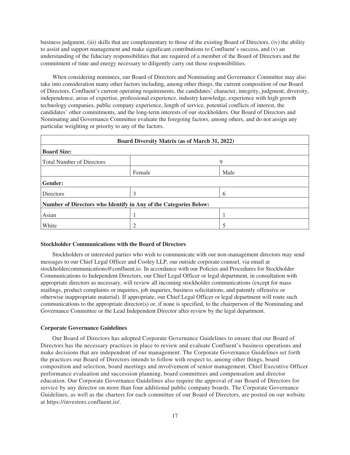business judgment, (iii) skills that are complementary to those of the existing Board of Directors, (iv) the ability to assist and support management and make significant contributions to Confluent's success, and (v) an understanding of the fiduciary responsibilities that are required of a member of the Board of Directors and the commitment of time and energy necessary to diligently carry out those responsibilities.

When considering nominees, our Board of Directors and Nominating and Governance Committee may also take into consideration many other factors including, among other things, the current composition of our Board of Directors, Confluent's current operating requirements, the candidates' character, integrity, judgment, diversity, independence, areas of expertise, professional experience, industry knowledge, experience with high growth technology companies, public company experience, length of service, potential conflicts of interest, the candidates' other commitments, and the long-term interests of our stockholders. Our Board of Directors and Nominating and Governance Committee evaluate the foregoing factors, among others, and do not assign any particular weighting or priority to any of the factors.

| <b>Board Diversity Matrix (as of March 31, 2022)</b>             |        |      |  |  |  |
|------------------------------------------------------------------|--------|------|--|--|--|
| <b>Board Size:</b>                                               |        |      |  |  |  |
| <b>Total Number of Directors</b>                                 |        | 9    |  |  |  |
|                                                                  | Female | Male |  |  |  |
| <b>Gender:</b>                                                   |        |      |  |  |  |
| <b>Directors</b>                                                 | 3      | 6    |  |  |  |
| Number of Directors who Identify in Any of the Categories Below: |        |      |  |  |  |
| Asian                                                            |        |      |  |  |  |
| White                                                            | 2      |      |  |  |  |

#### **Stockholder Communications with the Board of Directors**

Stockholders or interested parties who wish to communicate with our non-management directors may send messages to our Chief Legal Officer and Cooley LLP, our outside corporate counsel, via email at stockholdercommunications@confluent.io. In accordance with our Policies and Procedures for Stockholder Communications to Independent Directors, our Chief Legal Officer or legal department, in consultation with appropriate directors as necessary, will review all incoming stockholder communications (except for mass mailings, product complaints or inquiries, job inquiries, business solicitations, and patently offensive or otherwise inappropriate material). If appropriate, our Chief Legal Officer or legal department will route such communications to the appropriate director(s) or, if none is specified, to the chairperson of the Nominating and Governance Committee or the Lead Independent Director after review by the legal department.

#### **Corporate Governance Guidelines**

Our Board of Directors has adopted Corporate Governance Guidelines to ensure that our Board of Directors has the necessary practices in place to review and evaluate Confluent's business operations and make decisions that are independent of our management. The Corporate Governance Guidelines set forth the practices our Board of Directors intends to follow with respect to, among other things, board composition and selection, board meetings and involvement of senior management, Chief Executive Officer performance evaluation and succession planning, board committees and compensation and director education. Our Corporate Governance Guidelines also require the approval of our Board of Directors for service by any director on more than four additional public company boards. The Corporate Governance Guidelines, as well as the charters for each committee of our Board of Directors, are posted on our website at https://investors.confluent.io/.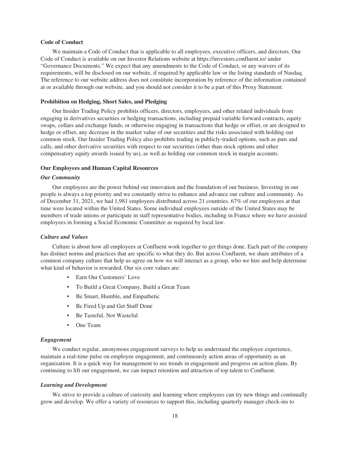#### **Code of Conduct**

We maintain a Code of Conduct that is applicable to all employees, executive officers, and directors. Our Code of Conduct is available on our Investor Relations website at https://investors.confluent.io/ under "Governance Documents." We expect that any amendments to the Code of Conduct, or any waivers of its requirements, will be disclosed on our website, if required by applicable law or the listing standards of Nasdaq. The reference to our website address does not constitute incorporation by reference of the information contained at or available through our website, and you should not consider it to be a part of this Proxy Statement.

#### **Prohibition on Hedging, Short Sales, and Pledging**

Our Insider Trading Policy prohibits officers, directors, employees, and other related individuals from engaging in derivatives securities or hedging transactions, including prepaid variable forward contracts, equity swaps, collars and exchange funds, or otherwise engaging in transactions that hedge or offset, or are designed to hedge or offset, any decrease in the market value of our securities and the risks associated with holding our common stock. Our Insider Trading Policy also prohibits trading in publicly-traded options, such as puts and calls, and other derivative securities with respect to our securities (other than stock options and other compensatory equity awards issued by us), as well as holding our common stock in margin accounts.

#### **Our Employees and Human Capital Resources**

#### *Our Community*

Our employees are the power behind our innovation and the foundation of our business. Investing in our people is always a top priority and we constantly strive to enhance and advance our culture and community. As of December 31, 2021, we had 1,981 employees distributed across 21 countries. 67% of our employees at that time were located within the United States. Some individual employees outside of the United States may be members of trade unions or participate in staff representative bodies, including in France where we have assisted employees in forming a Social Economic Committee as required by local law.

### *Culture and Values*

Culture is about how all employees at Confluent work together to get things done. Each part of the company has distinct norms and practices that are specific to what they do. But across Confluent, we share attributes of a common company culture that help us agree on how we will interact as a group, who we hire and help determine what kind of behavior is rewarded. Our six core values are:

- Earn Our Customers' Love
- To Build a Great Company, Build a Great Team
- Be Smart, Humble, and Empathetic
- Be Fired Up and Get Stuff Done
- Be Tasteful, Not Wasteful
- One Team

#### *Engagement*

We conduct regular, anonymous engagement surveys to help us understand the employee experience, maintain a real-time pulse on employee engagement, and continuously action areas of opportunity as an organization. It is a quick way for management to see trends in engagement and progress on action plans. By continuing to lift our engagement, we can impact retention and attraction of top talent to Confluent.

#### *Learning and Development*

We strive to provide a culture of curiosity and learning where employees can try new things and continually grow and develop. We offer a variety of resources to support this, including quarterly manager check-ins to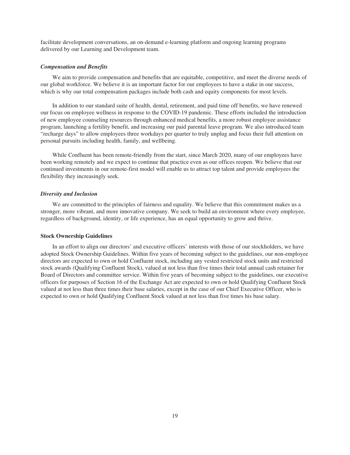facilitate development conversations, an on-demand e-learning platform and ongoing learning programs delivered by our Learning and Development team.

#### *Compensation and Benefits*

We aim to provide compensation and benefits that are equitable, competitive, and meet the diverse needs of our global workforce. We believe it is an important factor for our employees to have a stake in our success, which is why our total compensation packages include both cash and equity components for most levels.

In addition to our standard suite of health, dental, retirement, and paid time off benefits, we have renewed our focus on employee wellness in response to the COVID-19 pandemic. These efforts included the introduction of new employee counseling resources through enhanced medical benefits, a more robust employee assistance program, launching a fertility benefit, and increasing our paid parental leave program. We also introduced team "recharge days" to allow employees three workdays per quarter to truly unplug and focus their full attention on personal pursuits including health, family, and wellbeing.

While Confluent has been remote-friendly from the start, since March 2020, many of our employees have been working remotely and we expect to continue that practice even as our offices reopen. We believe that our continued investments in our remote-first model will enable us to attract top talent and provide employees the flexibility they increasingly seek.

#### *Diversity and Inclusion*

We are committed to the principles of fairness and equality. We believe that this commitment makes us a stronger, more vibrant, and more innovative company. We seek to build an environment where every employee, regardless of background, identity, or life experience, has an equal opportunity to grow and thrive.

#### **Stock Ownership Guidelines**

In an effort to align our directors' and executive officers' interests with those of our stockholders, we have adopted Stock Ownership Guidelines. Within five years of becoming subject to the guidelines, our non-employee directors are expected to own or hold Confluent stock, including any vested restricted stock units and restricted stock awards (Qualifying Confluent Stock), valued at not less than five times their total annual cash retainer for Board of Directors and committee service. Within five years of becoming subject to the guidelines, our executive officers for purposes of Section 16 of the Exchange Act are expected to own or hold Qualifying Confluent Stock valued at not less than three times their base salaries, except in the case of our Chief Executive Officer, who is expected to own or hold Qualifying Confluent Stock valued at not less than five times his base salary.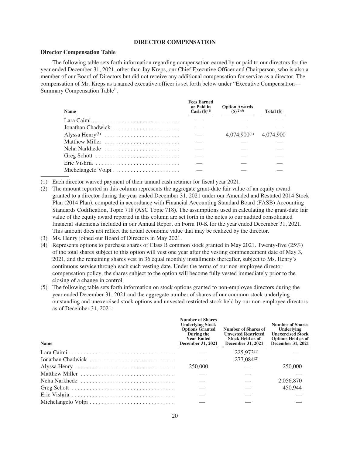#### **DIRECTOR COMPENSATION**

#### **Director Compensation Table**

The following table sets forth information regarding compensation earned by or paid to our directors for the year ended December 31, 2021, other than Jay Kreps, our Chief Executive Officer and Chairperson, who is also a member of our Board of Directors but did not receive any additional compensation for service as a director. The compensation of Mr. Kreps as a named executive officer is set forth below under "Executive Compensation— Summary Compensation Table".

| <b>Name</b>                                                    | <b>Fees Earned</b><br>or Paid in<br><b>Cash</b> $({\bf 8})^{(1)}$ | <b>Option Awards</b><br>$({\bf S})^{(2)(5)}$ | Total $(\$)$ |
|----------------------------------------------------------------|-------------------------------------------------------------------|----------------------------------------------|--------------|
|                                                                |                                                                   |                                              |              |
| Jonathan Chadwick                                              |                                                                   |                                              |              |
|                                                                | $\overline{\phantom{a}}$                                          | $4.074.900^{(4)}$ $4.074.900$                |              |
| Matthew Miller                                                 |                                                                   |                                              |              |
| Neha Narkhede $\ldots, \ldots, \ldots, \ldots, \ldots, \ldots$ |                                                                   |                                              |              |
| Greg Schott                                                    |                                                                   |                                              |              |
| Eric Vishria                                                   |                                                                   |                                              |              |
| Michelangelo Volpi                                             |                                                                   |                                              |              |

(1) Each director waived payment of their annual cash retainer for fiscal year 2021.

- (2) The amount reported in this column represents the aggregate grant-date fair value of an equity award granted to a director during the year ended December 31, 2021 under our Amended and Restated 2014 Stock Plan (2014 Plan), computed in accordance with Financial Accounting Standard Board (FASB) Accounting Standards Codification, Topic 718 (ASC Topic 718). The assumptions used in calculating the grant-date fair value of the equity award reported in this column are set forth in the notes to our audited consolidated financial statements included in our Annual Report on Form 10-K for the year ended December 31, 2021. This amount does not reflect the actual economic value that may be realized by the director.
- (3) Ms. Henry joined our Board of Directors in May 2021.
- (4) Represents options to purchase shares of Class B common stock granted in May 2021. Twenty-five (25%) of the total shares subject to this option will vest one year after the vesting commencement date of May 3, 2021, and the remaining shares vest in 36 equal monthly installments thereafter, subject to Ms. Henry's continuous service through each such vesting date. Under the terms of our non-employee director compensation policy, the shares subject to the option will become fully vested immediately prior to the closing of a change in control.
- (5) The following table sets forth information on stock options granted to non-employee directors during the year ended December 31, 2021 and the aggregate number of shares of our common stock underlying outstanding and unexercised stock options and unvested restricted stock held by our non-employee directors as of December 31, 2021:

| Name              | <b>Number of Shares</b><br><b>Underlying Stock</b><br><b>Options Granted</b><br>During the<br><b>Year Ended</b><br>December 31, 2021 | Number of Shares of<br><b>Unvested Restricted</b><br><b>Stock Held as of</b><br><b>December 31, 2021</b> | <b>Number of Shares</b><br>Underlying<br><b>Unexercised Stock</b><br><b>Options Held as of</b><br><b>December 31, 2021</b> |
|-------------------|--------------------------------------------------------------------------------------------------------------------------------------|----------------------------------------------------------------------------------------------------------|----------------------------------------------------------------------------------------------------------------------------|
|                   |                                                                                                                                      | $225,973^{(1)}$                                                                                          |                                                                                                                            |
| Jonathan Chadwick |                                                                                                                                      | 277,084(2)                                                                                               |                                                                                                                            |
|                   | 250,000                                                                                                                              |                                                                                                          | 250,000                                                                                                                    |
| Matthew Miller    |                                                                                                                                      |                                                                                                          |                                                                                                                            |
| Neha Narkhede     |                                                                                                                                      |                                                                                                          | 2,056,870                                                                                                                  |
|                   |                                                                                                                                      |                                                                                                          | 450,944                                                                                                                    |
|                   |                                                                                                                                      |                                                                                                          |                                                                                                                            |
|                   |                                                                                                                                      |                                                                                                          |                                                                                                                            |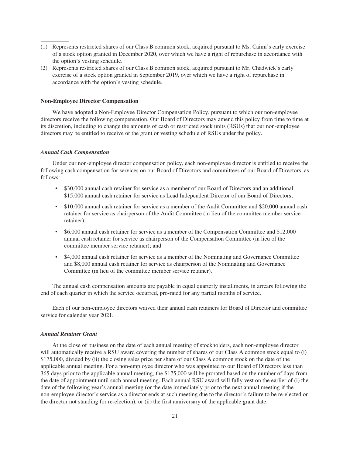- (1) Represents restricted shares of our Class B common stock, acquired pursuant to Ms. Caimi's early exercise of a stock option granted in December 2020, over which we have a right of repurchase in accordance with the option's vesting schedule.
- (2) Represents restricted shares of our Class B common stock, acquired pursuant to Mr. Chadwick's early exercise of a stock option granted in September 2019, over which we have a right of repurchase in accordance with the option's vesting schedule.

#### **Non-Employee Director Compensation**

We have adopted a Non-Employee Director Compensation Policy, pursuant to which our non-employee directors receive the following compensation. Our Board of Directors may amend this policy from time to time at its discretion, including to change the amounts of cash or restricted stock units (RSUs) that our non-employee directors may be entitled to receive or the grant or vesting schedule of RSUs under the policy.

#### *Annual Cash Compensation*

Under our non-employee director compensation policy, each non-employee director is entitled to receive the following cash compensation for services on our Board of Directors and committees of our Board of Directors, as follows:

- \$30,000 annual cash retainer for service as a member of our Board of Directors and an additional \$15,000 annual cash retainer for service as Lead Independent Director of our Board of Directors;
- \$10,000 annual cash retainer for service as a member of the Audit Committee and \$20,000 annual cash retainer for service as chairperson of the Audit Committee (in lieu of the committee member service retainer);
- \$6,000 annual cash retainer for service as a member of the Compensation Committee and \$12,000 annual cash retainer for service as chairperson of the Compensation Committee (in lieu of the committee member service retainer); and
- \$4,000 annual cash retainer for service as a member of the Nominating and Governance Committee and \$8,000 annual cash retainer for service as chairperson of the Nominating and Governance Committee (in lieu of the committee member service retainer).

The annual cash compensation amounts are payable in equal quarterly installments, in arrears following the end of each quarter in which the service occurred, pro-rated for any partial months of service.

Each of our non-employee directors waived their annual cash retainers for Board of Director and committee service for calendar year 2021.

#### *Annual Retainer Grant*

At the close of business on the date of each annual meeting of stockholders, each non-employee director will automatically receive a RSU award covering the number of shares of our Class A common stock equal to (i) \$175,000, divided by (ii) the closing sales price per share of our Class A common stock on the date of the applicable annual meeting. For a non-employee director who was appointed to our Board of Directors less than 365 days prior to the applicable annual meeting, the \$175,000 will be prorated based on the number of days from the date of appointment until such annual meeting. Each annual RSU award will fully vest on the earlier of (i) the date of the following year's annual meeting (or the date immediately prior to the next annual meeting if the non-employee director's service as a director ends at such meeting due to the director's failure to be re-elected or the director not standing for re-election), or (ii) the first anniversary of the applicable grant date.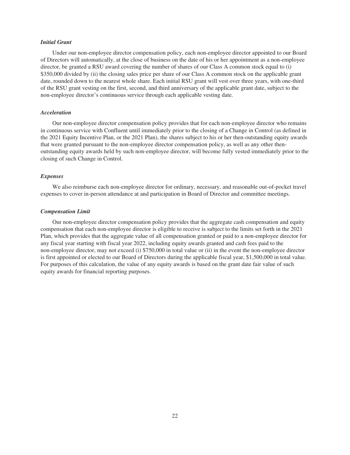#### *Initial Grant*

Under our non-employee director compensation policy, each non-employee director appointed to our Board of Directors will automatically, at the close of business on the date of his or her appointment as a non-employee director, be granted a RSU award covering the number of shares of our Class A common stock equal to (i) \$350,000 divided by (ii) the closing sales price per share of our Class A common stock on the applicable grant date, rounded down to the nearest whole share. Each initial RSU grant will vest over three years, with one-third of the RSU grant vesting on the first, second, and third anniversary of the applicable grant date, subject to the non-employee director's continuous service through each applicable vesting date.

#### *Acceleration*

Our non-employee director compensation policy provides that for each non-employee director who remains in continuous service with Confluent until immediately prior to the closing of a Change in Control (as defined in the 2021 Equity Incentive Plan, or the 2021 Plan), the shares subject to his or her then-outstanding equity awards that were granted pursuant to the non-employee director compensation policy, as well as any other thenoutstanding equity awards held by such non-employee director, will become fully vested immediately prior to the closing of such Change in Control.

# *Expenses*

We also reimburse each non-employee director for ordinary, necessary, and reasonable out-of-pocket travel expenses to cover in-person attendance at and participation in Board of Director and committee meetings.

## *Compensation Limit*

Our non-employee director compensation policy provides that the aggregate cash compensation and equity compensation that each non-employee director is eligible to receive is subject to the limits set forth in the 2021 Plan, which provides that the aggregate value of all compensation granted or paid to a non-employee director for any fiscal year starting with fiscal year 2022, including equity awards granted and cash fees paid to the non-employee director, may not exceed (i) \$750,000 in total value or (ii) in the event the non-employee director is first appointed or elected to our Board of Directors during the applicable fiscal year, \$1,500,000 in total value. For purposes of this calculation, the value of any equity awards is based on the grant date fair value of such equity awards for financial reporting purposes.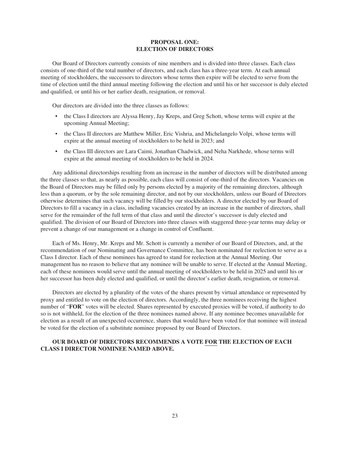#### **PROPOSAL ONE: ELECTION OF DIRECTORS**

Our Board of Directors currently consists of nine members and is divided into three classes. Each class consists of one-third of the total number of directors, and each class has a three-year term. At each annual meeting of stockholders, the successors to directors whose terms then expire will be elected to serve from the time of election until the third annual meeting following the election and until his or her successor is duly elected and qualified, or until his or her earlier death, resignation, or removal.

Our directors are divided into the three classes as follows:

- the Class I directors are Alyssa Henry, Jay Kreps, and Greg Schott, whose terms will expire at the upcoming Annual Meeting;
- the Class II directors are Matthew Miller, Eric Vishria, and Michelangelo Volpi, whose terms will expire at the annual meeting of stockholders to be held in 2023; and
- the Class III directors are Lara Caimi, Jonathan Chadwick, and Neha Narkhede, whose terms will expire at the annual meeting of stockholders to be held in 2024.

Any additional directorships resulting from an increase in the number of directors will be distributed among the three classes so that, as nearly as possible, each class will consist of one-third of the directors. Vacancies on the Board of Directors may be filled only by persons elected by a majority of the remaining directors, although less than a quorum, or by the sole remaining director, and not by our stockholders, unless our Board of Directors otherwise determines that such vacancy will be filled by our stockholders. A director elected by our Board of Directors to fill a vacancy in a class, including vacancies created by an increase in the number of directors, shall serve for the remainder of the full term of that class and until the director's successor is duly elected and qualified. The division of our Board of Directors into three classes with staggered three-year terms may delay or prevent a change of our management or a change in control of Confluent.

Each of Ms. Henry, Mr. Kreps and Mr. Schott is currently a member of our Board of Directors, and, at the recommendation of our Nominating and Governance Committee, has been nominated for reelection to serve as a Class I director. Each of these nominees has agreed to stand for reelection at the Annual Meeting. Our management has no reason to believe that any nominee will be unable to serve. If elected at the Annual Meeting, each of these nominees would serve until the annual meeting of stockholders to be held in 2025 and until his or her successor has been duly elected and qualified, or until the director's earlier death, resignation, or removal.

Directors are elected by a plurality of the votes of the shares present by virtual attendance or represented by proxy and entitled to vote on the election of directors. Accordingly, the three nominees receiving the highest number of "**FOR**" votes will be elected. Shares represented by executed proxies will be voted, if authority to do so is not withheld, for the election of the three nominees named above. If any nominee becomes unavailable for election as a result of an unexpected occurrence, shares that would have been voted for that nominee will instead be voted for the election of a substitute nominee proposed by our Board of Directors.

# **OUR BOARD OF DIRECTORS RECOMMENDS A VOTE FOR THE ELECTION OF EACH CLASS I DIRECTOR NOMINEE NAMED ABOVE.**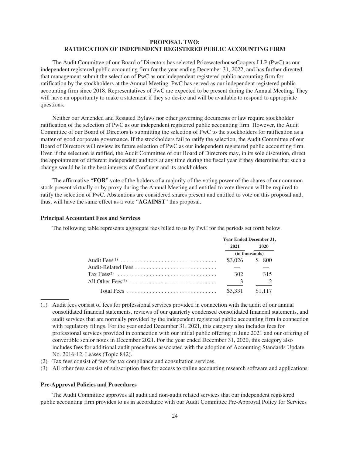# **PROPOSAL TWO: RATIFICATION OF INDEPENDENT REGISTERED PUBLIC ACCOUNTING FIRM**

The Audit Committee of our Board of Directors has selected PricewaterhouseCoopers LLP (PwC) as our independent registered public accounting firm for the year ending December 31, 2022, and has further directed that management submit the selection of PwC as our independent registered public accounting firm for ratification by the stockholders at the Annual Meeting. PwC has served as our independent registered public accounting firm since 2018. Representatives of PwC are expected to be present during the Annual Meeting. They will have an opportunity to make a statement if they so desire and will be available to respond to appropriate questions.

Neither our Amended and Restated Bylaws nor other governing documents or law require stockholder ratification of the selection of PwC as our independent registered public accounting firm. However, the Audit Committee of our Board of Directors is submitting the selection of PwC to the stockholders for ratification as a matter of good corporate governance. If the stockholders fail to ratify the selection, the Audit Committee of our Board of Directors will review its future selection of PwC as our independent registered public accounting firm. Even if the selection is ratified, the Audit Committee of our Board of Directors may, in its sole discretion, direct the appointment of different independent auditors at any time during the fiscal year if they determine that such a change would be in the best interests of Confluent and its stockholders.

The affirmative "**FOR**" vote of the holders of a majority of the voting power of the shares of our common stock present virtually or by proxy during the Annual Meeting and entitled to vote thereon will be required to ratify the selection of PwC. Abstentions are considered shares present and entitled to vote on this proposal and, thus, will have the same effect as a vote "**AGAINST**" this proposal.

#### **Principal Accountant Fees and Services**

The following table represents aggregate fees billed to us by PwC for the periods set forth below.

|                         | <b>Year Ended December 31,</b> |  |
|-------------------------|--------------------------------|--|
| 2021                    | 2020                           |  |
|                         | (in thousands)                 |  |
|                         | \$3,026 \$ 800                 |  |
|                         |                                |  |
| 302                     | 315                            |  |
| $\overline{\mathbf{3}}$ |                                |  |
| $$3,331$ $$1,117$       |                                |  |

(1) Audit fees consist of fees for professional services provided in connection with the audit of our annual consolidated financial statements, reviews of our quarterly condensed consolidated financial statements, and audit services that are normally provided by the independent registered public accounting firm in connection with regulatory filings. For the year ended December 31, 2021, this category also includes fees for professional services provided in connection with our initial public offering in June 2021 and our offering of convertible senior notes in December 2021. For the year ended December 31, 2020, this category also includes fees for additional audit procedures associated with the adoption of Accounting Standards Update No. 2016-12, Leases (Topic 842).

- (2) Tax fees consist of fees for tax compliance and consultation services.
- (3) All other fees consist of subscription fees for access to online accounting research software and applications.

#### **Pre-Approval Policies and Procedures**

The Audit Committee approves all audit and non-audit related services that our independent registered public accounting firm provides to us in accordance with our Audit Committee Pre-Approval Policy for Services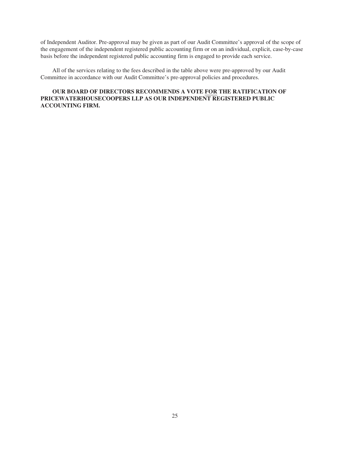of Independent Auditor. Pre-approval may be given as part of our Audit Committee's approval of the scope of the engagement of the independent registered public accounting firm or on an individual, explicit, case-by-case basis before the independent registered public accounting firm is engaged to provide each service.

All of the services relating to the fees described in the table above were pre-approved by our Audit Committee in accordance with our Audit Committee's pre-approval policies and procedures.

# **OUR BOARD OF DIRECTORS RECOMMENDS A VOTE FOR THE RATIFICATION OF PRICEWATERHOUSECOOPERS LLP AS OUR INDEPENDENT REGISTERED PUBLIC ACCOUNTING FIRM.**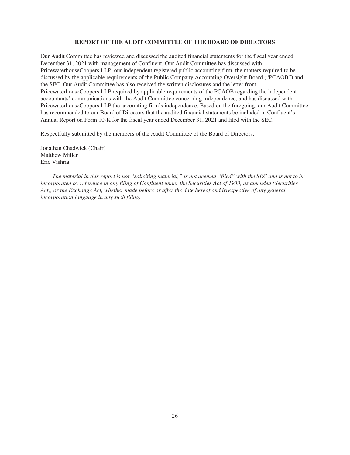#### **REPORT OF THE AUDIT COMMITTEE OF THE BOARD OF DIRECTORS**

Our Audit Committee has reviewed and discussed the audited financial statements for the fiscal year ended December 31, 2021 with management of Confluent. Our Audit Committee has discussed with PricewaterhouseCoopers LLP, our independent registered public accounting firm, the matters required to be discussed by the applicable requirements of the Public Company Accounting Oversight Board ("PCAOB") and the SEC. Our Audit Committee has also received the written disclosures and the letter from PricewaterhouseCoopers LLP required by applicable requirements of the PCAOB regarding the independent accountants' communications with the Audit Committee concerning independence, and has discussed with PricewaterhouseCoopers LLP the accounting firm's independence. Based on the foregoing, our Audit Committee has recommended to our Board of Directors that the audited financial statements be included in Confluent's Annual Report on Form 10-K for the fiscal year ended December 31, 2021 and filed with the SEC.

Respectfully submitted by the members of the Audit Committee of the Board of Directors.

Jonathan Chadwick (Chair) Matthew Miller Eric Vishria

*The material in this report is not "soliciting material," is not deemed "filed" with the SEC and is not to be incorporated by reference in any filing of Confluent under the Securities Act of 1933, as amended (Securities Act), or the Exchange Act, whether made before or after the date hereof and irrespective of any general incorporation language in any such filing.*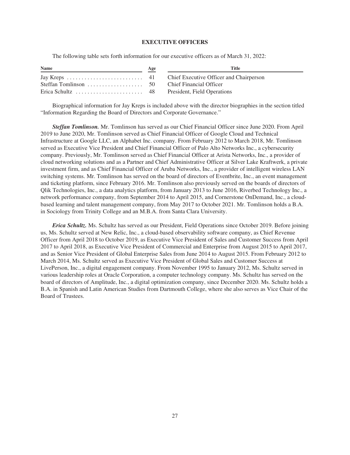#### **EXECUTIVE OFFICERS**

The following table sets forth information for our executive officers as of March 31, 2022:

| <b>Name</b> | Age | Title |
|-------------|-----|-------|
|             |     |       |
|             |     |       |
|             |     |       |

Biographical information for Jay Kreps is included above with the director biographies in the section titled "Information Regarding the Board of Directors and Corporate Governance."

*Steffan Tomlinson.* Mr. Tomlinson has served as our Chief Financial Officer since June 2020. From April 2019 to June 2020, Mr. Tomlinson served as Chief Financial Officer of Google Cloud and Technical Infrastructure at Google LLC, an Alphabet Inc. company. From February 2012 to March 2018, Mr. Tomlinson served as Executive Vice President and Chief Financial Officer of Palo Alto Networks Inc., a cybersecurity company. Previously, Mr. Tomlinson served as Chief Financial Officer at Arista Networks, Inc., a provider of cloud networking solutions and as a Partner and Chief Administrative Officer at Silver Lake Kraftwerk, a private investment firm, and as Chief Financial Officer of Aruba Networks, Inc., a provider of intelligent wireless LAN switching systems. Mr. Tomlinson has served on the board of directors of Eventbrite, Inc., an event management and ticketing platform, since February 2016. Mr. Tomlinson also previously served on the boards of directors of Qlik Technologies, Inc., a data analytics platform, from January 2013 to June 2016, Riverbed Technology Inc., a network performance company, from September 2014 to April 2015, and Cornerstone OnDemand, Inc., a cloudbased learning and talent management company, from May 2017 to October 2021. Mr. Tomlinson holds a B.A. in Sociology from Trinity College and an M.B.A. from Santa Clara University.

*Erica Schultz.* Ms. Schultz has served as our President, Field Operations since October 2019. Before joining us, Ms. Schultz served at New Relic, Inc., a cloud-based observability software company, as Chief Revenue Officer from April 2018 to October 2019, as Executive Vice President of Sales and Customer Success from April 2017 to April 2018, as Executive Vice President of Commercial and Enterprise from August 2015 to April 2017, and as Senior Vice President of Global Enterprise Sales from June 2014 to August 2015. From February 2012 to March 2014, Ms. Schultz served as Executive Vice President of Global Sales and Customer Success at LivePerson, Inc., a digital engagement company. From November 1995 to January 2012, Ms. Schultz served in various leadership roles at Oracle Corporation, a computer technology company. Ms. Schultz has served on the board of directors of Amplitude, Inc., a digital optimization company, since December 2020. Ms. Schultz holds a B.A. in Spanish and Latin American Studies from Dartmouth College, where she also serves as Vice Chair of the Board of Trustees.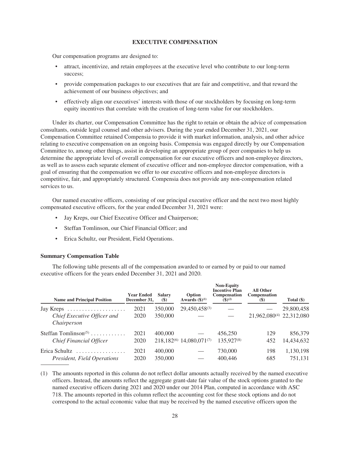#### **EXECUTIVE COMPENSATION**

Our compensation programs are designed to:

- attract, incentivize, and retain employees at the executive level who contribute to our long-term success;
- provide compensation packages to our executives that are fair and competitive, and that reward the achievement of our business objectives; and
- effectively align our executives' interests with those of our stockholders by focusing on long-term equity incentives that correlate with the creation of long-term value for our stockholders.

Under its charter, our Compensation Committee has the right to retain or obtain the advice of compensation consultants, outside legal counsel and other advisers. During the year ended December 31, 2021, our Compensation Committee retained Compensia to provide it with market information, analysis, and other advice relating to executive compensation on an ongoing basis. Compensia was engaged directly by our Compensation Committee to, among other things, assist in developing an appropriate group of peer companies to help us determine the appropriate level of overall compensation for our executive officers and non-employee directors, as well as to assess each separate element of executive officer and non-employee director compensation, with a goal of ensuring that the compensation we offer to our executive officers and non-employee directors is competitive, fair, and appropriately structured. Compensia does not provide any non-compensation related services to us.

Our named executive officers, consisting of our principal executive officer and the next two most highly compensated executive officers, for the year ended December 31, 2021 were:

- Jay Kreps, our Chief Executive Officer and Chairperson;
- Steffan Tomlinson, our Chief Financial Officer; and
- Erica Schultz, our President, Field Operations.

#### **Summary Compensation Table**

The following table presents all of the compensation awarded to or earned by or paid to our named executive officers for the years ended December 31, 2021 and 2020.

| <b>Name and Principal Position</b>              | <b>Year Ended</b><br>December 31. | <b>Salary</b><br>$(\$)$ | Option<br>Awards $(\text{$}^{\circ})^{(1)}$ | <b>Non-Equity</b><br><b>Incentive Plan</b><br><b>Compensation</b><br>$($ \$) <sup>(2)</sup> | <b>All Other</b><br><b>Compensation</b><br><b>(\$)</b> | Total $(\$)$ |
|-------------------------------------------------|-----------------------------------|-------------------------|---------------------------------------------|---------------------------------------------------------------------------------------------|--------------------------------------------------------|--------------|
| Jay Kreps $\dots \dots \dots \dots \dots \dots$ | 2021                              | 350,000                 | 29,450,458(3)                               |                                                                                             |                                                        | 29,800,458   |
| Chief Executive Officer and<br>Chairperson      | 2020                              | 350,000                 |                                             |                                                                                             | 21,962,080 <sup>(4)</sup> 22,312,080                   |              |
| Steffan Tomlinson <sup><math>(5)</math></sup>   | 2021                              | 400,000                 |                                             | 456,250                                                                                     | 129                                                    | 856,379      |
| <b>Chief Financial Officer</b>                  | 2020                              |                         | $218.182^{(6)}$ 14,080,071 <sup>(7)</sup>   | 135,927 <sup>(8)</sup>                                                                      | 452                                                    | 14,434,632   |
| Erica Schultz<br>.                              | 2021                              | 400,000                 |                                             | 730,000                                                                                     | 198                                                    | 1,130,198    |
| President, Field Operations                     | 2020                              | 350,000                 |                                             | 400,446                                                                                     | 685                                                    | 751.131      |

(1) The amounts reported in this column do not reflect dollar amounts actually received by the named executive officers. Instead, the amounts reflect the aggregate grant-date fair value of the stock options granted to the named executive officers during 2021 and 2020 under our 2014 Plan, computed in accordance with ASC 718. The amounts reported in this column reflect the accounting cost for these stock options and do not correspond to the actual economic value that may be received by the named executive officers upon the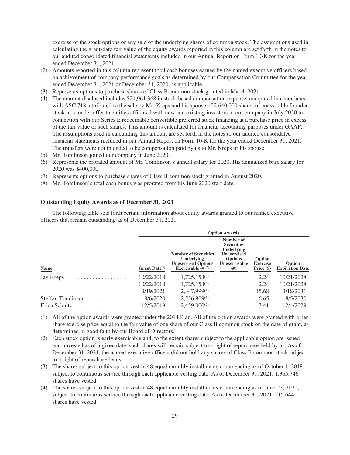exercise of the stock options or any sale of the underlying shares of common stock. The assumptions used in calculating the grant-date fair value of the equity awards reported in this column are set forth in the notes to our audited consolidated financial statements included in our Annual Report on Form 10-K for the year ended December 31, 2021.

- (2) Amounts reported in this column represent total cash bonuses earned by the named executive officers based on achievement of company performance goals as determined by our Compensation Committee for the year ended December 31, 2021 or December 31, 2020, as applicable.
- (3) Represents options to purchase shares of Class B common stock granted in March 2021.
- (4) The amount disclosed includes \$21,961,368 in stock-based compensation expense, computed in accordance with ASC 718, attributed to the sale by Mr. Kreps and his spouse of 2,640,000 shares of convertible founder stock in a tender offer to entities affiliated with new and existing investors in our company in July 2020 in connection with our Series E redeemable convertible preferred stock financing at a purchase price in excess of the fair value of such shares. This amount is calculated for financial accounting purposes under GAAP. The assumptions used in calculating this amount are set forth in the notes to our audited consolidated financial statements included in our Annual Report on Form 10-K for the year ended December 31, 2021. The transfers were not intended to be compensation paid by us to Mr. Kreps or his spouse.
- (5) Mr. Tomlinson joined our company in June 2020.
- (6) Represents the prorated amount of Mr. Tomlinson's annual salary for 2020. His annualized base salary for 2020 was \$400,000.
- (7) Represents options to purchase shares of Class B common stock granted in August 2020.
- (8) Mr. Tomlinson's total cash bonus was prorated from his June 2020 start date.

#### **Outstanding Equity Awards as of December 31, 2021**

The following table sets forth certain information about equity awards granted to our named executive officers that remain outstanding as of December 31, 2021.

|                   | <b>Option Awards</b> |                                                                                                 |                                                                                                                 |                                           |                                  |  |
|-------------------|----------------------|-------------------------------------------------------------------------------------------------|-----------------------------------------------------------------------------------------------------------------|-------------------------------------------|----------------------------------|--|
| <b>Name</b>       | Grant Date $(1)$     | <b>Number of Securities</b><br>Underlying<br><b>Unexercised Options</b><br>Exercisable $(H)(2)$ | Number of<br><b>Securities</b><br>Underlying<br><b>Unexercised</b><br><b>Options</b><br>Unexercisable<br>$(\#)$ | Option<br><b>Exercise</b><br>Price $(\$)$ | Option<br><b>Expiration Date</b> |  |
|                   | 10/22/2018           | $1,725,153^{(3)}$                                                                               |                                                                                                                 | 2.24                                      | 10/21/2028                       |  |
|                   | 10/22/2018           | $1,725,153^{(4)}$                                                                               |                                                                                                                 | 2.24                                      | 10/21/2028                       |  |
|                   | 3/19/2021            | 2,347,999(5)                                                                                    |                                                                                                                 | 15.68                                     | 3/18/2031                        |  |
| Steffan Tomlinson | 8/6/2020             | 2,556,809(6)                                                                                    |                                                                                                                 | 6.65                                      | 8/5/2030                         |  |
|                   | 12/5/2019            | 2,459,000(7)                                                                                    |                                                                                                                 | 3.41                                      | 12/4/2029                        |  |

(1) All of the option awards were granted under the 2014 Plan. All of the option awards were granted with a per share exercise price equal to the fair value of one share of our Class B common stock on the date of grant, as determined in good faith by our Board of Directors.

- (2) Each stock option is early exercisable and, to the extent shares subject to the applicable option are issued and unvested as of a given date, such shares will remain subject to a right of repurchase held by us. As of December 31, 2021, the named executive officers did not hold any shares of Class B common stock subject to a right of repurchase by us.
- (3) The shares subject to this option vest in 48 equal monthly installments commencing as of October 1, 2018, subject to continuous service through each applicable vesting date. As of December 31, 2021, 1,365,746 shares have vested.
- (4) The shares subject to this option vest in 48 equal monthly installments commencing as of June 23, 2021, subject to continuous service through each applicable vesting date. As of December 31, 2021, 215,644 shares have vested.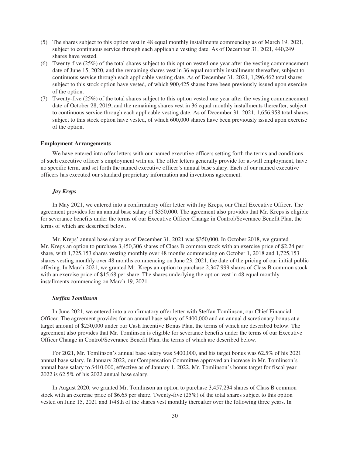- (5) The shares subject to this option vest in 48 equal monthly installments commencing as of March 19, 2021, subject to continuous service through each applicable vesting date. As of December 31, 2021, 440,249 shares have vested.
- (6) Twenty-five (25%) of the total shares subject to this option vested one year after the vesting commencement date of June 15, 2020, and the remaining shares vest in 36 equal monthly installments thereafter, subject to continuous service through each applicable vesting date. As of December 31, 2021, 1,296,462 total shares subject to this stock option have vested, of which 900,425 shares have been previously issued upon exercise of the option.
- (7) Twenty-five (25%) of the total shares subject to this option vested one year after the vesting commencement date of October 28, 2019, and the remaining shares vest in 36 equal monthly installments thereafter, subject to continuous service through each applicable vesting date. As of December 31, 2021, 1,656,958 total shares subject to this stock option have vested, of which 600,000 shares have been previously issued upon exercise of the option.

#### **Employment Arrangements**

We have entered into offer letters with our named executive officers setting forth the terms and conditions of such executive officer's employment with us. The offer letters generally provide for at-will employment, have no specific term, and set forth the named executive officer's annual base salary. Each of our named executive officers has executed our standard proprietary information and inventions agreement.

#### *Jay Kreps*

In May 2021, we entered into a confirmatory offer letter with Jay Kreps, our Chief Executive Officer. The agreement provides for an annual base salary of \$350,000. The agreement also provides that Mr. Kreps is eligible for severance benefits under the terms of our Executive Officer Change in Control/Severance Benefit Plan, the terms of which are described below.

Mr. Kreps' annual base salary as of December 31, 2021 was \$350,000. In October 2018, we granted Mr. Kreps an option to purchase 3,450,306 shares of Class B common stock with an exercise price of \$2.24 per share, with 1,725,153 shares vesting monthly over 48 months commencing on October 1, 2018 and 1,725,153 shares vesting monthly over 48 months commencing on June 23, 2021, the date of the pricing of our initial public offering. In March 2021, we granted Mr. Kreps an option to purchase 2,347,999 shares of Class B common stock with an exercise price of \$15.68 per share. The shares underlying the option vest in 48 equal monthly installments commencing on March 19, 2021.

#### *Steffan Tomlinson*

In June 2021, we entered into a confirmatory offer letter with Steffan Tomlinson, our Chief Financial Officer. The agreement provides for an annual base salary of \$400,000 and an annual discretionary bonus at a target amount of \$250,000 under our Cash Incentive Bonus Plan, the terms of which are described below. The agreement also provides that Mr. Tomlinson is eligible for severance benefits under the terms of our Executive Officer Change in Control/Severance Benefit Plan, the terms of which are described below.

For 2021, Mr. Tomlinson's annual base salary was \$400,000, and his target bonus was 62.5% of his 2021 annual base salary. In January 2022, our Compensation Committee approved an increase in Mr. Tomlinson's annual base salary to \$410,000, effective as of January 1, 2022. Mr. Tomlinson's bonus target for fiscal year 2022 is 62.5% of his 2022 annual base salary.

In August 2020, we granted Mr. Tomlinson an option to purchase 3,457,234 shares of Class B common stock with an exercise price of \$6.65 per share. Twenty-five (25%) of the total shares subject to this option vested on June 15, 2021 and 1/48th of the shares vest monthly thereafter over the following three years. In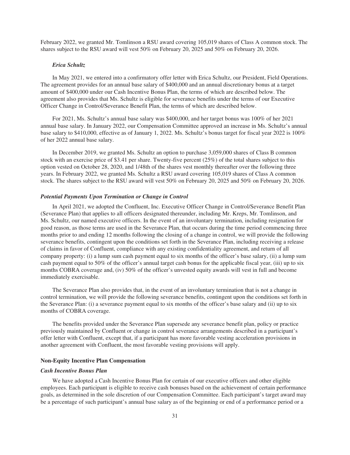February 2022, we granted Mr. Tomlinson a RSU award covering 105,019 shares of Class A common stock. The shares subject to the RSU award will vest 50% on February 20, 2025 and 50% on February 20, 2026.

#### *Erica Schultz*

In May 2021, we entered into a confirmatory offer letter with Erica Schultz, our President, Field Operations. The agreement provides for an annual base salary of \$400,000 and an annual discretionary bonus at a target amount of \$400,000 under our Cash Incentive Bonus Plan, the terms of which are described below. The agreement also provides that Ms. Schultz is eligible for severance benefits under the terms of our Executive Officer Change in Control/Severance Benefit Plan, the terms of which are described below.

For 2021, Ms. Schultz's annual base salary was \$400,000, and her target bonus was 100% of her 2021 annual base salary. In January 2022, our Compensation Committee approved an increase in Ms. Schultz's annual base salary to \$410,000, effective as of January 1, 2022. Ms. Schultz's bonus target for fiscal year 2022 is 100% of her 2022 annual base salary.

In December 2019, we granted Ms. Schultz an option to purchase 3,059,000 shares of Class B common stock with an exercise price of \$3.41 per share. Twenty-five percent (25%) of the total shares subject to this option vested on October 28, 2020, and 1/48th of the shares vest monthly thereafter over the following three years. In February 2022, we granted Ms. Schultz a RSU award covering 105,019 shares of Class A common stock. The shares subject to the RSU award will vest 50% on February 20, 2025 and 50% on February 20, 2026.

#### *Potential Payments Upon Termination or Change in Control*

In April 2021, we adopted the Confluent, Inc. Executive Officer Change in Control/Severance Benefit Plan (Severance Plan) that applies to all officers designated thereunder, including Mr. Kreps, Mr. Tomlinson, and Ms. Schultz, our named executive officers. In the event of an involuntary termination, including resignation for good reason, as those terms are used in the Severance Plan, that occurs during the time period commencing three months prior to and ending 12 months following the closing of a change in control, we will provide the following severance benefits, contingent upon the conditions set forth in the Severance Plan, including receiving a release of claims in favor of Confluent, compliance with any existing confidentiality agreement, and return of all company property: (i) a lump sum cash payment equal to six months of the officer's base salary, (ii) a lump sum cash payment equal to 50% of the officer's annual target cash bonus for the applicable fiscal year, (iii) up to six months COBRA coverage and, (iv) 50% of the officer's unvested equity awards will vest in full and become immediately exercisable.

The Severance Plan also provides that, in the event of an involuntary termination that is not a change in control termination, we will provide the following severance benefits, contingent upon the conditions set forth in the Severance Plan: (i) a severance payment equal to six months of the officer's base salary and (ii) up to six months of COBRA coverage.

The benefits provided under the Severance Plan supersede any severance benefit plan, policy or practice previously maintained by Confluent or change in control severance arrangements described in a participant's offer letter with Confluent, except that, if a participant has more favorable vesting acceleration provisions in another agreement with Confluent, the most favorable vesting provisions will apply.

#### **Non-Equity Incentive Plan Compensation**

#### *Cash Incentive Bonus Plan*

We have adopted a Cash Incentive Bonus Plan for certain of our executive officers and other eligible employees. Each participant is eligible to receive cash bonuses based on the achievement of certain performance goals, as determined in the sole discretion of our Compensation Committee. Each participant's target award may be a percentage of such participant's annual base salary as of the beginning or end of a performance period or a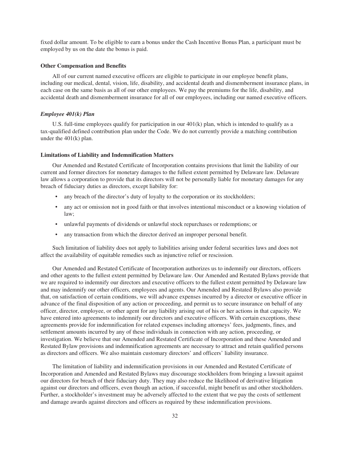fixed dollar amount. To be eligible to earn a bonus under the Cash Incentive Bonus Plan, a participant must be employed by us on the date the bonus is paid.

#### **Other Compensation and Benefits**

All of our current named executive officers are eligible to participate in our employee benefit plans, including our medical, dental, vision, life, disability, and accidental death and dismemberment insurance plans, in each case on the same basis as all of our other employees. We pay the premiums for the life, disability, and accidental death and dismemberment insurance for all of our employees, including our named executive officers.

#### *Employee 401(k) Plan*

U.S. full-time employees qualify for participation in our 401(k) plan, which is intended to qualify as a tax-qualified defined contribution plan under the Code. We do not currently provide a matching contribution under the 401(k) plan.

#### **Limitations of Liability and Indemnification Matters**

Our Amended and Restated Certificate of Incorporation contains provisions that limit the liability of our current and former directors for monetary damages to the fullest extent permitted by Delaware law. Delaware law allows a corporation to provide that its directors will not be personally liable for monetary damages for any breach of fiduciary duties as directors, except liability for:

- any breach of the director's duty of loyalty to the corporation or its stockholders;
- any act or omission not in good faith or that involves intentional misconduct or a knowing violation of law;
- unlawful payments of dividends or unlawful stock repurchases or redemptions; or
- any transaction from which the director derived an improper personal benefit.

Such limitation of liability does not apply to liabilities arising under federal securities laws and does not affect the availability of equitable remedies such as injunctive relief or rescission.

Our Amended and Restated Certificate of Incorporation authorizes us to indemnify our directors, officers and other agents to the fullest extent permitted by Delaware law. Our Amended and Restated Bylaws provide that we are required to indemnify our directors and executive officers to the fullest extent permitted by Delaware law and may indemnify our other officers, employees and agents. Our Amended and Restated Bylaws also provide that, on satisfaction of certain conditions, we will advance expenses incurred by a director or executive officer in advance of the final disposition of any action or proceeding, and permit us to secure insurance on behalf of any officer, director, employee, or other agent for any liability arising out of his or her actions in that capacity. We have entered into agreements to indemnify our directors and executive officers. With certain exceptions, these agreements provide for indemnification for related expenses including attorneys' fees, judgments, fines, and settlement amounts incurred by any of these individuals in connection with any action, proceeding, or investigation. We believe that our Amended and Restated Certificate of Incorporation and these Amended and Restated Bylaw provisions and indemnification agreements are necessary to attract and retain qualified persons as directors and officers. We also maintain customary directors' and officers' liability insurance.

The limitation of liability and indemnification provisions in our Amended and Restated Certificate of Incorporation and Amended and Restated Bylaws may discourage stockholders from bringing a lawsuit against our directors for breach of their fiduciary duty. They may also reduce the likelihood of derivative litigation against our directors and officers, even though an action, if successful, might benefit us and other stockholders. Further, a stockholder's investment may be adversely affected to the extent that we pay the costs of settlement and damage awards against directors and officers as required by these indemnification provisions.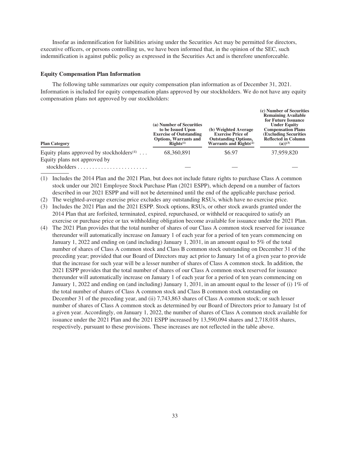Insofar as indemnification for liabilities arising under the Securities Act may be permitted for directors, executive officers, or persons controlling us, we have been informed that, in the opinion of the SEC, such indemnification is against public policy as expressed in the Securities Act and is therefore unenforceable.

#### **Equity Compensation Plan Information**

The following table summarizes our equity compensation plan information as of December 31, 2021. Information is included for equity compensation plans approved by our stockholders. We do not have any equity compensation plans not approved by our stockholders:

| <b>Plan Category</b>                                              | (a) Number of Securities<br>to be Issued Upon<br><b>Exercise of Outstanding</b><br><b>Options, Warrants and</b><br>$\mathbf{RightS}^{(1)}$ | (b) Weighted Average<br><b>Exercise Price of</b><br><b>Outstanding Options,</b><br>Warrants and Rights <sup>(2)</sup> | (c) Number of Securities<br><b>Remaining Available</b><br>for Future Issuance<br><b>Under Equity</b><br><b>Compensation Plans</b><br><b>(Excluding Securities)</b><br><b>Reflected in Column</b><br>$(a)$ <sup>(3)</sup> |
|-------------------------------------------------------------------|--------------------------------------------------------------------------------------------------------------------------------------------|-----------------------------------------------------------------------------------------------------------------------|--------------------------------------------------------------------------------------------------------------------------------------------------------------------------------------------------------------------------|
| Equity plans approved by stockholders <sup><math>(4)</math></sup> | 68.360.891                                                                                                                                 | \$6.97                                                                                                                | 37,959,820                                                                                                                                                                                                               |
| Equity plans not approved by                                      |                                                                                                                                            |                                                                                                                       |                                                                                                                                                                                                                          |
|                                                                   |                                                                                                                                            |                                                                                                                       |                                                                                                                                                                                                                          |

(1) Includes the 2014 Plan and the 2021 Plan, but does not include future rights to purchase Class A common stock under our 2021 Employee Stock Purchase Plan (2021 ESPP), which depend on a number of factors described in our 2021 ESPP and will not be determined until the end of the applicable purchase period.

(2) The weighted-average exercise price excludes any outstanding RSUs, which have no exercise price.

- (3) Includes the 2021 Plan and the 2021 ESPP. Stock options, RSUs, or other stock awards granted under the 2014 Plan that are forfeited, terminated, expired, repurchased, or withheld or reacquired to satisfy an exercise or purchase price or tax withholding obligation become available for issuance under the 2021 Plan.
- (4) The 2021 Plan provides that the total number of shares of our Class A common stock reserved for issuance thereunder will automatically increase on January 1 of each year for a period of ten years commencing on January 1, 2022 and ending on (and including) January 1, 2031, in an amount equal to 5% of the total number of shares of Class A common stock and Class B common stock outstanding on December 31 of the preceding year; provided that our Board of Directors may act prior to January 1st of a given year to provide that the increase for such year will be a lesser number of shares of Class A common stock. In addition, the 2021 ESPP provides that the total number of shares of our Class A common stock reserved for issuance thereunder will automatically increase on January 1 of each year for a period of ten years commencing on January 1, 2022 and ending on (and including) January 1, 2031, in an amount equal to the lesser of (i) 1% of the total number of shares of Class A common stock and Class B common stock outstanding on December 31 of the preceding year, and (ii) 7,743,863 shares of Class A common stock; or such lesser number of shares of Class A common stock as determined by our Board of Directors prior to January 1st of a given year. Accordingly, on January 1, 2022, the number of shares of Class A common stock available for issuance under the 2021 Plan and the 2021 ESPP increased by 13,590,094 shares and 2,718,018 shares, respectively, pursuant to these provisions. These increases are not reflected in the table above.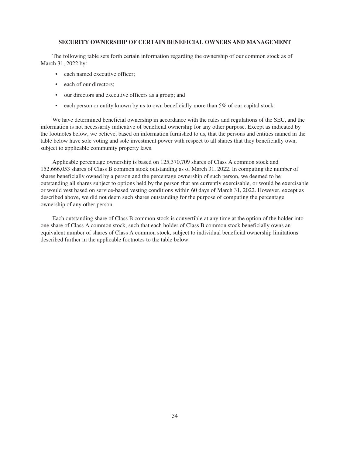#### **SECURITY OWNERSHIP OF CERTAIN BENEFICIAL OWNERS AND MANAGEMENT**

The following table sets forth certain information regarding the ownership of our common stock as of March 31, 2022 by:

- each named executive officer:
- each of our directors:
- our directors and executive officers as a group; and
- each person or entity known by us to own beneficially more than 5% of our capital stock.

We have determined beneficial ownership in accordance with the rules and regulations of the SEC, and the information is not necessarily indicative of beneficial ownership for any other purpose. Except as indicated by the footnotes below, we believe, based on information furnished to us, that the persons and entities named in the table below have sole voting and sole investment power with respect to all shares that they beneficially own, subject to applicable community property laws.

Applicable percentage ownership is based on 125,370,709 shares of Class A common stock and 152,666,053 shares of Class B common stock outstanding as of March 31, 2022. In computing the number of shares beneficially owned by a person and the percentage ownership of such person, we deemed to be outstanding all shares subject to options held by the person that are currently exercisable, or would be exercisable or would vest based on service-based vesting conditions within 60 days of March 31, 2022. However, except as described above, we did not deem such shares outstanding for the purpose of computing the percentage ownership of any other person.

Each outstanding share of Class B common stock is convertible at any time at the option of the holder into one share of Class A common stock, such that each holder of Class B common stock beneficially owns an equivalent number of shares of Class A common stock, subject to individual beneficial ownership limitations described further in the applicable footnotes to the table below.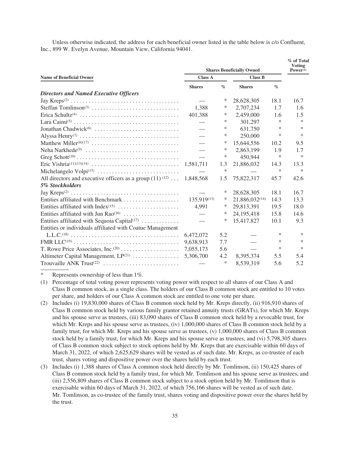Unless otherwise indicated, the address for each beneficial owner listed in the table below is c/o Confluent, Inc., 899 W. Evelyn Avenue, Mountain View, California 94041.

|                                                                     |                          |                  | <b>Shares Beneficially Owned</b> |                  | % of Total<br><b>Voting</b><br>$Power^{(1)}$ |
|---------------------------------------------------------------------|--------------------------|------------------|----------------------------------|------------------|----------------------------------------------|
| <b>Name of Beneficial Owner</b>                                     | <b>Class A</b>           |                  | <b>Class B</b>                   |                  |                                              |
|                                                                     | <b>Shares</b>            | $\mathcal{O}'_0$ | <b>Shares</b>                    | $\mathcal{O}'_0$ |                                              |
| <b>Directors and Named Executive Officers</b>                       |                          |                  |                                  |                  |                                              |
|                                                                     |                          | ∗                | 28,628,305                       | 18.1             | 16.7                                         |
|                                                                     | 1.388                    | ∗                | 2,707,234                        | 1.7              | 1.6                                          |
|                                                                     | 401,388                  | *                | 2,459,000                        | 1.6              | 1.5                                          |
|                                                                     |                          | $\ast$           | 301.297                          | $\ast$           | $\ast$                                       |
|                                                                     |                          | *                | 631,750                          | $\ast$           | $\ast$                                       |
|                                                                     | $\overline{\phantom{0}}$ | $\ast$           | 250,000                          | $\ast$           | *                                            |
|                                                                     |                          | ∗                | 15,644,556                       | 10.2             | 9.5                                          |
| Neha Narkhede <sup>(9)</sup>                                        |                          | $\ast$           | 2,863,199                        | 1.9              | 1.7                                          |
|                                                                     |                          | $\ast$           | 450,944                          | ∗                | $\ast$                                       |
|                                                                     | 1,581,711                | 1.3              | 21,886,032                       | 14.3             | 13.3                                         |
|                                                                     |                          | $\ast$           |                                  | $\ast$           | $\ast$                                       |
| All directors and executive officers as a group $(11)^{(12)} \dots$ | 1,848,568                | 1.5              | 75,822,317                       | 45.7             | 42.6                                         |
| 5% Stockholders                                                     |                          |                  |                                  |                  |                                              |
|                                                                     |                          | ∗                | 28,628,305                       | 18.1             | 16.7                                         |
| Entities affiliated with Benchmark                                  | 135,919(13)              | ∗                | 21,886,032(14)                   | 14.3             | 13.3                                         |
|                                                                     | 4,991                    | ∗                | 29,813,391                       | 19.5             | 18.0                                         |
| Entities affiliated with Jun Rao <sup>(16)</sup>                    |                          | ∗                | 24,195,418                       | 15.8             | 14.6                                         |
| Entities affiliated with Sequoia Capital <sup>(17)</sup>            |                          | $\ast$           | 15,417,827                       | 10.1             | 9.3                                          |
| Entities or individuals affiliated with Coatue Management           |                          |                  |                                  |                  |                                              |
|                                                                     | 6,472,072                | 5.2              |                                  | ∗                | $\ast$                                       |
|                                                                     | 9,638,913                | 7.7              |                                  | $\ast$           | $\ast$                                       |
|                                                                     | 7,055,173                | 5.6              |                                  | $\ast$           | $\ast$                                       |
| Altimeter Capital Management, LP(21)                                | 5,306,700                | 4.2              | 8,395,374                        | 5.5              | 5.4                                          |
| Trouvaille ANK Trust <sup>(22)</sup>                                |                          | $\ast$           | 8,539,319                        | 5.6              | 5.2                                          |

Represents ownership of less than 1%.

- (1) Percentage of total voting power represents voting power with respect to all shares of our Class A and Class B common stock, as a single class. The holders of our Class B common stock are entitled to 10 votes per share, and holders of our Class A common stock are entitled to one vote per share.
- (2) Includes (i) 19,830,000 shares of Class B common stock held by Mr. Kreps directly, (ii) 916,910 shares of Class B common stock held by various family grantor retained annuity trusts (GRATs), for which Mr. Kreps and his spouse serve as trustees, (iii) 83,090 shares of Class B common stock held by a revocable trust, for which Mr. Kreps and his spouse serve as trustees, (iv) 1,000,000 shares of Class B common stock held by a family trust, for which Mr. Kreps and his spouse serve as trustees, (v) 1,000,000 shares of Class B common stock held by a family trust, for which Mr. Kreps and his spouse serve as trustees, and (vi) 5,798,305 shares of Class B common stock subject to stock options held by Mr. Kreps that are exercisable within 60 days of March 31, 2022, of which 2,625,629 shares will be vested as of such date. Mr. Kreps, as co-trustee of each trust, shares voting and dispositive power over the shares held by each trust.
- (3) Includes (i) 1,388 shares of Class A common stock held directly by Mr. Tomlinson, (ii) 150,425 shares of Class B common stock held by a family trust, for which Mr. Tomlinson and his spouse serve as trustees, and (iii) 2,556,809 shares of Class B common stock subject to a stock option held by Mr. Tomlinson that is exercisable within 60 days of March 31, 2022, of which 756,166 shares will be vested as of such date. Mr. Tomlinson, as co-trustee of the family trust, shares voting and dispositive power over the shares held by the trust.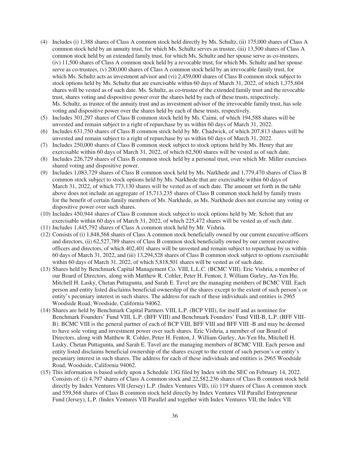- (4) Includes (i) 1,388 shares of Class A common stock held directly by Ms. Schultz, (ii) 175,000 shares of Class A common stock held by an annuity trust, for which Ms. Schultz serves as trustee, (iii) 13,500 shares of Class A common stock held by an extended family trust, for which Ms. Schultz and her spouse serve as co-trustees, (iv) 11,500 shares of Class A common stock held by a revocable trust, for which Ms. Schultz and her spouse serve as co-trustees, (v) 200,000 shares of Class A common stock held by an irrevocable family trust, for which Ms. Schultz acts as investment advisor and (vi) 2,459,000 shares of Class B common stock subject to stock options held by Ms. Schultz that are exercisable within 60 days of March 31, 2022, of which 1,375,604 shares will be vested as of such date. Ms. Schultz, as co-trustee of the extended family trust and the revocable trust, shares voting and dispositive power over the shares held by each of these trusts, respectively. Ms. Schultz, as trustee of the annuity trust and as investment advisor of the irrevocable family trust, has sole voting and dispositive power over the shares held by each of these trusts, respectively.
- (5) Includes 301,297 shares of Class B common stock held by Ms. Caimi, of which 194,588 shares will be unvested and remain subject to a right of repurchase by us within 60 days of March 31, 2022.
- (6) Includes 631,750 shares of Class B common stock held by Mr. Chadwick, of which 207,813 shares will be unvested and remain subject to a right of repurchase by us within 60 days of March 31, 2022.
- (7) Includes 250,000 shares of Class B common stock subject to stock options held by Ms. Henry that are exercisable within 60 days of March 31, 2022, of which 62,500 shares will be vested as of such date.
- (8) Includes 226,729 shares of Class B common stock held by a personal trust, over which Mr. Miller exercises shared voting and dispositive power.
- (9) Includes 1,083,729 shares of Class B common stock held by Ms. Narkhede and 1,779,470 shares of Class B common stock subject to stock options held by Ms. Narkhede that are exercisable within 60 days of March 31, 2022, of which 773,130 shares will be vested as of such date. The amount set forth in the table above does not include an aggregate of 15,713,235 shares of Class B common stock held by family trusts for the benefit of certain family members of Ms. Narkhede, as Ms. Narkhede does not exercise any voting or dispositive power over such shares.
- (10) Includes 450,944 shares of Class B common stock subject to stock options held by Mr. Schott that are exercisable within 60 days of March 31, 2022, of which 225,472 shares will be vested as of such date.
- (11) Includes 1,445,792 shares of Class A common stock held by Mr. Vishria.
- (12) Consists of (i) 1,848,568 shares of Class A common stock beneficially owned by our current executive officers and directors, (ii) 62,527,789 shares of Class B common stock beneficially owned by our current executive officers and directors, of which 402,401 shares will be unvested and remain subject to repurchase by us within 60 days of March 31, 2022, and (iii) 13,294,528 shares of Class B common stock subject to options exercisable within 60 days of March 31, 2022, of which 5,818,501 shares will be vested as of such date.
- (13) Shares held by Benchmark Capital Management Co. VIII, L.L.C. (BCMC VIII). Eric Vishria, a member of our Board of Directors, along with Matthew R. Cohler, Peter H. Fenton, J. William Gurley, An-Yen Hu, Mitchell H. Lasky, Chetan Puttagunta, and Sarah E. Tavel are the managing members of BCMC VIII. Each person and entity listed disclaims beneficial ownership of the shares except to the extent of such person's or entity's pecuniary interest in such shares. The address for each of these individuals and entities is 2965 Woodside Road, Woodside, California 94062.
- (14) Shares are held by Benchmark Capital Partners VIII, L.P. (BCP VIII), for itself and as nominee for Benchmark Founders' Fund VIII, L.P. (BFF VIII) and Benchmark Founders' Fund VIII-B, L.P. (BFF VIII-B). BCMC VIII is the general partner of each of BCP VIII, BFF VIII and BFF VIII -B and may be deemed to have sole voting and investment power over such shares. Eric Vishria, a member of our Board of Directors, along with Matthew R. Cohler, Peter H. Fenton, J. William Gurley, An-Yen Hu, Mitchell H. Lasky, Chetan Puttagunta, and Sarah E. Tavel are the managing members of BCMC VIII. Each person and entity listed disclaims beneficial ownership of the shares except to the extent of such person's or entity's pecuniary interest in such shares. The address for each of these individuals and entities is 2965 Woodside Road, Woodside, California 94062.
- (15) This information is based solely upon a Schedule 13G filed by Index with the SEC on February 14, 2022. Consists of: (i) 4,797 shares of Class A common stock and 22,582,236 shares of Class B common stock held directly by Index Ventures VII (Jersey) L.P. (Index Ventures VII), (ii) 119 shares of Class A common stock and 559,568 shares of Class B common stock held directly by Index Ventures VII Parallel Entrepreneur Fund (Jersey), L.P. (Index Ventures VII Parallel and together with Index Ventures VII, the Index VII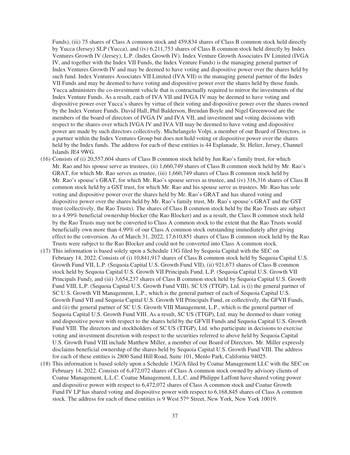Funds), (iii) 75 shares of Class A common stock and 459,834 shares of Class B common stock held directly by Yucca (Jersey) SLP (Yucca), and (iv) 6,211,753 shares of Class B common stock held directly by Index Ventures Growth IV (Jersey), L.P. (Index Growth IV). Index Venture Growth Associates IV Limited (IVGA IV, and together with the Index VII Funds, the Index Venture Funds) is the managing general partner of Index Ventures Growth IV and may be deemed to have voting and dispositive power over the shares held by such fund. Index Ventures Associates VII Limited (IVA VII) is the managing general partner of the Index VII Funds and may be deemed to have voting and dispositive power over the shares held by those funds. Yucca administers the co-investment vehicle that is contractually required to mirror the investments of the Index Venture Funds. As a result, each of IVA VII and IVGA IV may be deemed to have voting and dispositive power over Yucca's shares by virtue of their voting and dispositive power over the shares owned by the Index Venture Funds. David Hall, Phil Balderson, Brendan Boyle and Nigel Greenwood are the members of the board of directors of IVGA IV and IVA VII, and investment and voting decisions with respect to the shares over which IVGA IV and IVA VII may be deemed to have voting and dispositive power are made by such directors collectively. Michelangelo Volpi, a member of our Board of Directors, is a partner within the Index Ventures Group but does not hold voting or dispositive power over the shares held by the Index funds. The address for each of these entities is 44 Esplanade, St. Helier, Jersey, Channel Islands JE4 9WG.

- (16) Consists of (i) 20,557,604 shares of Class B common stock held by Jun Rao's family trust, for which Mr. Rao and his spouse serve as trustees, (ii) 1,660,749 shares of Class B common stock held by Mr. Rao's GRAT, for which Mr. Rao serves as trustee, (iii) 1,660,749 shares of Class B common stock held by Mr. Rao's spouse's GRAT, for which Mr. Rao's spouse serves as trustee, and (iv) 316,316 shares of Class B common stock held by a GST trust, for which Mr. Rao and his spouse serve as trustees. Mr. Rao has sole voting and dispositive power over the shares held by Mr. Rao's GRAT and has shared voting and dispositive power over the shares held by Mr. Rao's family trust, Mr. Rao's spouse's GRAT and the GST trust (collectively, the Rao Trusts). The shares of Class B common stock held by the Rao Trusts are subject to a 4.99% beneficial ownership blocker (the Rao Blocker) and as a result, the Class B common stock held by the Rao Trusts may not be converted to Class A common stock to the extent that the Rao Trusts would beneficially own more than 4.99% of our Class A common stock outstanding immediately after giving effect to the conversion. As of March 31, 2022, 17,610,851 shares of Class B common stock held by the Rao Trusts were subject to the Rao Blocker and could not be converted into Class A common stock.
- (17) This information is based solely upon a Schedule 13G filed by Sequoia Capital with the SEC on February 14, 2022. Consists of (i) 10,841,917 shares of Class B common stock held by Sequoia Capital U.S. Growth Fund VII, L.P. (Sequoia Capital U.S. Growth Fund VII), (ii) 921,673 shares of Class B common stock held by Sequoia Capital U.S. Growth VII Principals Fund, L.P. (Sequoia Capital U.S. Growth VII Principals Fund), and (iii) 3,654,237 shares of Class B common stock held by Sequoia Capital U.S. Growth Fund VIII, L.P. (Sequoia Capital U.S. Growth Fund VIII). SC US (TTGP), Ltd. is (i) the general partner of SC U.S. Growth VII Management, L.P., which is the general partner of each of Sequoia Capital U.S. Growth Fund VII and Sequoia Capital U.S. Growth VII Principals Fund, or collectively, the GFVII Funds, and (ii) the general partner of SC U.S. Growth VIII Management, L.P., which is the general partner of Sequoia Capital U.S. Growth Fund VIII. As a result, SC US (TTGP), Ltd. may be deemed to share voting and dispositive power with respect to the shares held by the GFVII Funds and Sequoia Capital U.S. Growth Fund VIII. The directors and stockholders of SC US (TTGP), Ltd. who participate in decisions to exercise voting and investment discretion with respect to the securities referred to above held by Sequoia Capital U.S. Growth Fund VIII include Matthew Miller, a member of our Board of Directors. Mr. Miller expressly disclaims beneficial ownership of the shares held by Sequoia Capital U.S. Growth Fund VIII. The address for each of these entities is 2800 Sand Hill Road, Suite 101, Menlo Park, California 94025.
- (18) This information is based solely upon a Schedule 13G/A filed by Coatue Management LLC with the SEC on February 14, 2022. Consists of 6,472,072 shares of Class A common stock owned by advisory clients of Coatue Management, L.L.C. Coatue Management, L.L.C. and Philippe Laffont have shared voting power and dispositive power with respect to 6,472,072 shares of Class A common stock and Coatue Growth Fund IV LP has shared voting and dispositive power with respect to 6,168,845 shares of Class A common stock. The address for each of these entities is 9 West 57<sup>th</sup> Street, New York, New York 10019.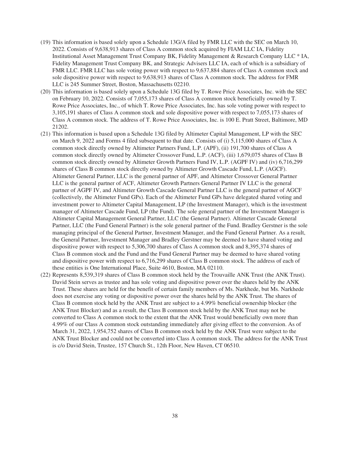- (19) This information is based solely upon a Schedule 13G/A filed by FMR LLC with the SEC on March 10, 2022. Consists of 9,638,913 shares of Class A common stock acquired by FIAM LLC IA, Fidelity Institutional Asset Management Trust Company BK, Fidelity Management & Research Company LLC \* IA, Fidelity Management Trust Company BK, and Strategic Advisers LLC IA, each of which is a subsidiary of FMR LLC. FMR LLC has sole voting power with respect to 9,637,884 shares of Class A common stock and sole dispositive power with respect to 9,638,913 shares of Class A common stock. The address for FMR LLC is 245 Summer Street, Boston, Massachusetts 02210.
- (20) This information is based solely upon a Schedule 13G filed by T. Rowe Price Associates, Inc. with the SEC on February 10, 2022. Consists of 7,055,173 shares of Class A common stock beneficially owned by T. Rowe Price Associates, Inc., of which T. Rowe Price Associates, Inc. has sole voting power with respect to 3,105,191 shares of Class A common stock and sole dispositive power with respect to 7,055,173 shares of Class A common stock. The address of T. Rowe Price Associates, Inc. is 100 E. Pratt Street, Baltimore, MD 21202.
- (21) This information is based upon a Schedule 13G filed by Altimeter Capital Management, LP with the SEC on March 9, 2022 and Forms 4 filed subsequent to that date. Consists of (i) 5,115,000 shares of Class A common stock directly owned by Altimeter Partners Fund, L.P. (APF), (ii) 191,700 shares of Class A common stock directly owned by Altimeter Crossover Fund, L.P. (ACF), (iii) 1,679,075 shares of Class B common stock directly owned by Altimeter Growth Partners Fund IV, L.P. (AGPF IV) and (iv) 6,716,299 shares of Class B common stock directly owned by Altimeter Growth Cascade Fund, L.P. (AGCF). Altimeter General Partner, LLC is the general partner of APF, and Altimeter Crossover General Partner LLC is the general partner of ACF, Altimeter Growth Partners General Partner IV LLC is the general partner of AGPF IV, and Altimeter Growth Cascade General Partner LLC is the general partner of AGCF (collectively, the Altimeter Fund GPs). Each of the Altimeter Fund GPs have delegated shared voting and investment power to Altimeter Capital Management, LP (the Investment Manager), which is the investment manager of Altimeter Cascade Fund, LP (the Fund). The sole general partner of the Investment Manager is Altimeter Capital Management General Partner, LLC (the General Partner). Altimeter Cascade General Partner, LLC (the Fund General Partner) is the sole general partner of the Fund. Bradley Gerstner is the sole managing principal of the General Partner, Investment Manager, and the Fund General Partner. As a result, the General Partner, Investment Manager and Bradley Gerstner may be deemed to have shared voting and dispositive power with respect to 5,306,700 shares of Class A common stock and 8,395,374 shares of Class B common stock and the Fund and the Fund General Partner may be deemed to have shared voting and dispositive power with respect to 6,716,299 shares of Class B common stock. The address of each of these entities is One International Place, Suite 4610, Boston, MA 02110.
- (22) Represents 8,539,319 shares of Class B common stock held by the Trouvaille ANK Trust (the ANK Trust). David Stein serves as trustee and has sole voting and dispositive power over the shares held by the ANK Trust. These shares are held for the benefit of certain family members of Ms. Narkhede, but Ms. Narkhede does not exercise any voting or dispositive power over the shares held by the ANK Trust. The shares of Class B common stock held by the ANK Trust are subject to a 4.99% beneficial ownership blocker (the ANK Trust Blocker) and as a result, the Class B common stock held by the ANK Trust may not be converted to Class A common stock to the extent that the ANK Trust would beneficially own more than 4.99% of our Class A common stock outstanding immediately after giving effect to the conversion. As of March 31, 2022, 1,954,752 shares of Class B common stock held by the ANK Trust were subject to the ANK Trust Blocker and could not be converted into Class A common stock. The address for the ANK Trust is c/o David Stein, Trustee, 157 Church St., 12th Floor, New Haven, CT 06510.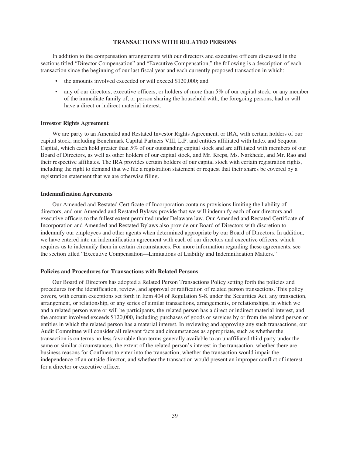#### **TRANSACTIONS WITH RELATED PERSONS**

In addition to the compensation arrangements with our directors and executive officers discussed in the sections titled "Director Compensation" and "Executive Compensation," the following is a description of each transaction since the beginning of our last fiscal year and each currently proposed transaction in which:

- the amounts involved exceeded or will exceed \$120,000; and
- any of our directors, executive officers, or holders of more than 5% of our capital stock, or any member of the immediate family of, or person sharing the household with, the foregoing persons, had or will have a direct or indirect material interest.

#### **Investor Rights Agreement**

We are party to an Amended and Restated Investor Rights Agreement, or IRA, with certain holders of our capital stock, including Benchmark Capital Partners VIII, L.P. and entities affiliated with Index and Sequoia Capital, which each hold greater than 5% of our outstanding capital stock and are affiliated with members of our Board of Directors, as well as other holders of our capital stock, and Mr. Kreps, Ms. Narkhede, and Mr. Rao and their respective affiliates. The IRA provides certain holders of our capital stock with certain registration rights, including the right to demand that we file a registration statement or request that their shares be covered by a registration statement that we are otherwise filing.

#### **Indemnification Agreements**

Our Amended and Restated Certificate of Incorporation contains provisions limiting the liability of directors, and our Amended and Restated Bylaws provide that we will indemnify each of our directors and executive officers to the fullest extent permitted under Delaware law. Our Amended and Restated Certificate of Incorporation and Amended and Restated Bylaws also provide our Board of Directors with discretion to indemnify our employees and other agents when determined appropriate by our Board of Directors. In addition, we have entered into an indemnification agreement with each of our directors and executive officers, which requires us to indemnify them in certain circumstances. For more information regarding these agreements, see the section titled "Executive Compensation—Limitations of Liability and Indemnification Matters."

# **Policies and Procedures for Transactions with Related Persons**

Our Board of Directors has adopted a Related Person Transactions Policy setting forth the policies and procedures for the identification, review, and approval or ratification of related person transactions. This policy covers, with certain exceptions set forth in Item 404 of Regulation S-K under the Securities Act, any transaction, arrangement, or relationship, or any series of similar transactions, arrangements, or relationships, in which we and a related person were or will be participants, the related person has a direct or indirect material interest, and the amount involved exceeds \$120,000, including purchases of goods or services by or from the related person or entities in which the related person has a material interest. In reviewing and approving any such transactions, our Audit Committee will consider all relevant facts and circumstances as appropriate, such as whether the transaction is on terms no less favorable than terms generally available to an unaffiliated third party under the same or similar circumstances, the extent of the related person's interest in the transaction, whether there are business reasons for Confluent to enter into the transaction, whether the transaction would impair the independence of an outside director, and whether the transaction would present an improper conflict of interest for a director or executive officer.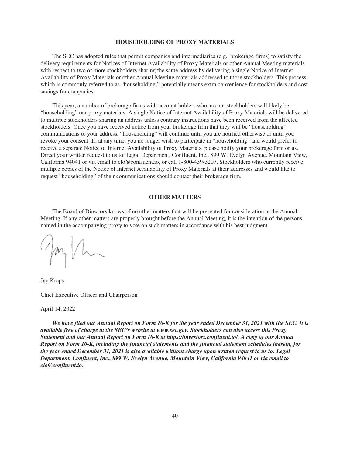#### **HOUSEHOLDING OF PROXY MATERIALS**

The SEC has adopted rules that permit companies and intermediaries (e.g., brokerage firms) to satisfy the delivery requirements for Notices of Internet Availability of Proxy Materials or other Annual Meeting materials with respect to two or more stockholders sharing the same address by delivering a single Notice of Internet Availability of Proxy Materials or other Annual Meeting materials addressed to those stockholders. This process, which is commonly referred to as "householding," potentially means extra convenience for stockholders and cost savings for companies.

This year, a number of brokerage firms with account holders who are our stockholders will likely be "householding" our proxy materials. A single Notice of Internet Availability of Proxy Materials will be delivered to multiple stockholders sharing an address unless contrary instructions have been received from the affected stockholders. Once you have received notice from your brokerage firm that they will be "householding" communications to your address, "householding" will continue until you are notified otherwise or until you revoke your consent. If, at any time, you no longer wish to participate in "householding" and would prefer to receive a separate Notice of Internet Availability of Proxy Materials, please notify your brokerage firm or us. Direct your written request to us to: Legal Department, Confluent, Inc., 899 W. Evelyn Avenue, Mountain View, California 94041 or via email to clo@confluent.io, or call 1-800-439-3207. Stockholders who currently receive multiple copies of the Notice of Internet Availability of Proxy Materials at their addresses and would like to request "householding" of their communications should contact their brokerage firm.

#### **OTHER MATTERS**

The Board of Directors knows of no other matters that will be presented for consideration at the Annual Meeting. If any other matters are properly brought before the Annual Meeting, it is the intention of the persons named in the accompanying proxy to vote on such matters in accordance with his best judgment.

gayla

Jay Kreps Chief Executive Officer and Chairperson

April 14, 2022

*We have filed our Annual Report on Form 10-K for the year ended December 31, 2021 with the SEC. It is available free of charge at the SEC's website at www.sec.gov. Stockholders can also access this Proxy Statement and our Annual Report on Form 10-K at https://investors.confluent.io/. A copy of our Annual Report on Form 10-K, including the financial statements and the financial statement schedules therein, for the year ended December 31, 2021 is also available without charge upon written request to us to: Legal Department, Confluent, Inc., 899 W. Evelyn Avenue, Mountain View, California 94041 or via email to clo@confluent.io.*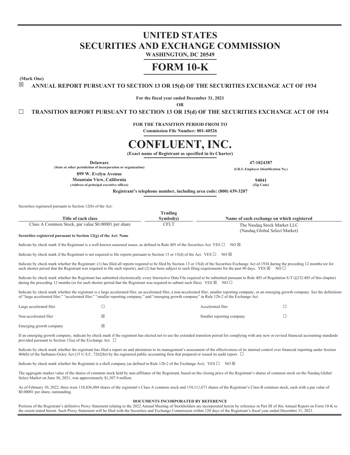# **UNITED STATES SECURITIES AND EXCHANGE COMMISSION**

**WASHINGTON, DC 20549**

# **FORM 10-K**

**(Mark One)**

**☒ ANNUAL REPORT PURSUANT TO SECTION 13 OR 15(d) OF THE SECURITIES EXCHANGE ACT OF 1934**

**For the fiscal year ended December 31, 2021**

**OR**

**☐ TRANSITION REPORT PURSUANT TO SECTION 13 OR 15(d) OF THE SECURITIES EXCHANGE ACT OF 1934**

**FOR THE TRANSITION PERIOD FROM TO Commission File Number: 001-40526**

# **CONFLUENT, INC.**

**(Exact name of Registrant as specified in its Charter)**

**Delaware 47-1824387 (State or other jurisdiction of incorporation or organization) (I.R.S. Employer Identification No.)**

**899 W. Evelyn Avenue**

**Mountain View, California 94041 (Address of principal executive offices) (Zip Code)**

**Registrant's telephone number, including area code: (800) 439-3207**

Securities registered pursuant to Section 12(b) of the Act:

| Frading                                             |           |                                                              |  |
|-----------------------------------------------------|-----------|--------------------------------------------------------------|--|
| Title of each class                                 | Svmbol(s) | Name of each exchange on which registered                    |  |
| Class A Common Stock, par value \$0,00001 per share | CFLT      | The Nasdaq Stock Market LLC<br>(Nasdag Global Select Market) |  |

**Securities registered pursuant to Section 12(g) of the Act: None**

Indicate by check mark if the Registrant is a well-known seasoned issuer, as defined in Rule 405 of the Securities Act. YES  $\Box$  NO  $\boxtimes$ 

Indicate by check mark if the Registrant is not required to file reports pursuant to Section 13 or 15(d) of the Act. YES  $\square$  NO  $\boxtimes$ 

Indicate by check mark whether the Registrant: (1) has filed all reports required to be filed by Section 13 or 15(d) of the Securities Exchange Act of 1934 during the preceding 12 months (or for such shorter period that the Registrant was required to file such reports), and (2) has been subject to such filing requirements for the past 90 days. YES  $\boxtimes$  NO  $\Box$ 

Indicate by check mark whether the Registrant has submitted electronically every Interactive Data File required to be submitted pursuant to Rule 405 of Regulation S-T (§232.405 of this chapter) during the preceding 12 months (or for such shorter period that the Registrant was required to submit such files). YES  $\boxtimes$  NO  $\Box$ 

Indicate by check mark whether the registrant is a large accelerated filer, an accelerated filer, a non-accelerated filer, smaller reporting company, or an emerging growth company. See the definitions of "large accelerated filer," "accelerated filer," "smaller reporting company," and "emerging growth company" in Rule 12b-2 of the Exchange Act.

| Large accelerated filer |                         | Accelerated filer         |  |
|-------------------------|-------------------------|---------------------------|--|
| Non-accelerated filer   | $\overline{\mathsf{x}}$ | Smaller reporting company |  |
| Emerging growth company | ⊠                       |                           |  |

If an emerging growth company, indicate by check mark if the registrant has elected not to use the extended transition period for complying with any new or revised financial accounting standards provided pursuant to Section 13(a) of the Exchange Act.  $\Box$ 

Indicate by check mark whether the registrant has filed a report on and attestation to its management's assessment of the effectiveness of its internal control over financial reporting under Section 404(b) of the Sarbanes-Oxley Act (15 U.S.C. 7262(b)) by the registered public accounting firm that prepared or issued its audit report. ☐

Indicate by check mark whether the Registrant is a shell company (as defined in Rule 12b-2 of the Exchange Act). YES  $\square$  NO  $\boxtimes$ 

The aggregate market value of the shares of common stock held by non-affiliates of the Registrant, based on the closing price of the Registrant's shares of common stock on the Nasdaq Global Select Market on June 30, 2021, was approximately \$1,307.9 million.

As of February 10, 2022, there were 118,836,804 shares of the registrant's Class A common stock and 154,111,671 shares of the Registrant's Class B common stock, each with a par value of \$0.00001 per share, outstanding.

#### **DOCUMENTS INCORPORATED BY REFERENCE**

Portions of the Registrant's definitive Proxy Statement relating to the 2022 Annual Meeting of Stockholders are incorporated herein by reference in Part III of this Annual Report on Form 10-K to the extent stated herein. Such Proxy Statement will be filed with the Securities and Exchange Commission within 120 days of the Registrant's fiscal year ended December 31, 2021.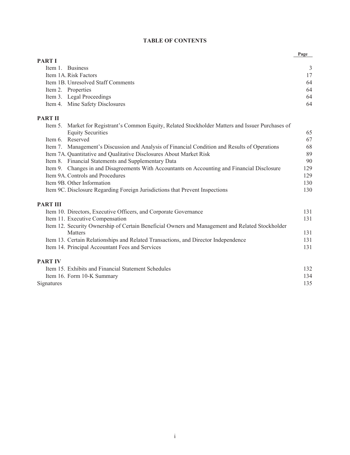# **TABLE OF CONTENTS**

|                 |                                                                                                                                | Page |
|-----------------|--------------------------------------------------------------------------------------------------------------------------------|------|
| <b>PART I</b>   |                                                                                                                                |      |
|                 | Item 1. Business                                                                                                               | 3    |
|                 | Item 1A. Risk Factors                                                                                                          | 17   |
|                 | Item 1B. Unresolved Staff Comments                                                                                             | 64   |
|                 | Item 2. Properties                                                                                                             | 64   |
|                 | Item 3. Legal Proceedings                                                                                                      | 64   |
|                 | Item 4. Mine Safety Disclosures                                                                                                | 64   |
| <b>PART II</b>  |                                                                                                                                |      |
|                 | Item 5. Market for Registrant's Common Equity, Related Stockholder Matters and Issuer Purchases of<br><b>Equity Securities</b> | 65   |
|                 | Item 6. Reserved                                                                                                               | 67   |
|                 | Item 7. Management's Discussion and Analysis of Financial Condition and Results of Operations                                  | 68   |
|                 | Item 7A. Quantitative and Qualitative Disclosures About Market Risk                                                            | 89   |
|                 | Item 8. Financial Statements and Supplementary Data                                                                            | 90   |
|                 | Item 9. Changes in and Disagreements With Accountants on Accounting and Financial Disclosure                                   | 129  |
|                 | Item 9A. Controls and Procedures                                                                                               | 129  |
|                 | Item 9B. Other Information                                                                                                     | 130  |
|                 | Item 9C. Disclosure Regarding Foreign Jurisdictions that Prevent Inspections                                                   | 130  |
| <b>PART III</b> |                                                                                                                                |      |
|                 | Item 10. Directors, Executive Officers, and Corporate Governance                                                               | 131  |
|                 | Item 11. Executive Compensation                                                                                                | 131  |
|                 | Item 12. Security Ownership of Certain Beneficial Owners and Management and Related Stockholder                                |      |
|                 | <b>Matters</b>                                                                                                                 | 131  |
|                 | Item 13. Certain Relationships and Related Transactions, and Director Independence                                             | 131  |
|                 | Item 14. Principal Accountant Fees and Services                                                                                | 131  |
| <b>PART IV</b>  |                                                                                                                                |      |
|                 | Item 15. Exhibits and Financial Statement Schedules                                                                            | 132  |
|                 | Item 16. Form 10-K Summary                                                                                                     | 134  |
| Signatures      |                                                                                                                                | 135  |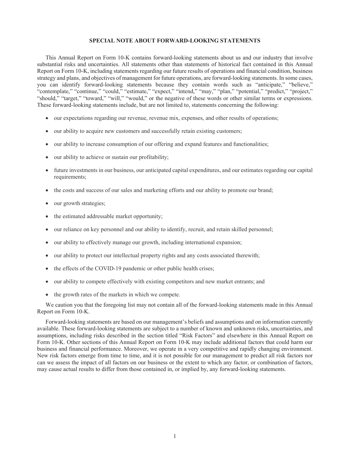#### **SPECIAL NOTE ABOUT FORWARD-LOOKING STATEMENTS**

This Annual Report on Form 10-K contains forward-looking statements about us and our industry that involve substantial risks and uncertainties. All statements other than statements of historical fact contained in this Annual Report on Form 10-K, including statements regarding our future results of operations and financial condition, business strategy and plans, and objectives of management for future operations, are forward-looking statements. In some cases, you can identify forward-looking statements because they contain words such as "anticipate," "believe," "contemplate," "continue," "could," "estimate," "expect," "intend," "may," "plan," "potential," "predict," "project," "should," "target," "toward," "will," "would," or the negative of these words or other similar terms or expressions. These forward-looking statements include, but are not limited to, statements concerning the following:

- our expectations regarding our revenue, revenue mix, expenses, and other results of operations;
- our ability to acquire new customers and successfully retain existing customers;
- our ability to increase consumption of our offering and expand features and functionalities;
- our ability to achieve or sustain our profitability;
- future investments in our business, our anticipated capital expenditures, and our estimates regarding our capital requirements;
- the costs and success of our sales and marketing efforts and our ability to promote our brand;
- our growth strategies;
- the estimated addressable market opportunity;
- our reliance on key personnel and our ability to identify, recruit, and retain skilled personnel;
- our ability to effectively manage our growth, including international expansion;
- our ability to protect our intellectual property rights and any costs associated therewith;
- the effects of the COVID-19 pandemic or other public health crises;
- our ability to compete effectively with existing competitors and new market entrants; and
- the growth rates of the markets in which we compete.

We caution you that the foregoing list may not contain all of the forward-looking statements made in this Annual Report on Form 10-K.

Forward-looking statements are based on our management's beliefs and assumptions and on information currently available. These forward-looking statements are subject to a number of known and unknown risks, uncertainties, and assumptions, including risks described in the section titled "Risk Factors" and elsewhere in this Annual Report on Form 10-K. Other sections of this Annual Report on Form 10-K may include additional factors that could harm our business and financial performance. Moreover, we operate in a very competitive and rapidly changing environment. New risk factors emerge from time to time, and it is not possible for our management to predict all risk factors nor can we assess the impact of all factors on our business or the extent to which any factor, or combination of factors, may cause actual results to differ from those contained in, or implied by, any forward-looking statements.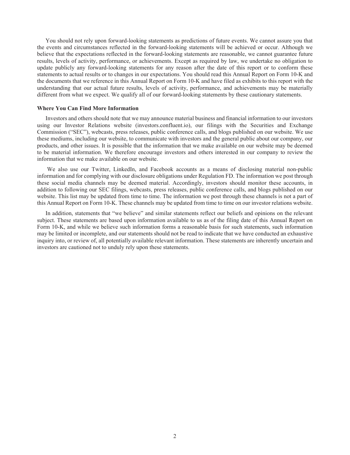You should not rely upon forward-looking statements as predictions of future events. We cannot assure you that the events and circumstances reflected in the forward-looking statements will be achieved or occur. Although we believe that the expectations reflected in the forward-looking statements are reasonable, we cannot guarantee future results, levels of activity, performance, or achievements. Except as required by law, we undertake no obligation to update publicly any forward-looking statements for any reason after the date of this report or to conform these statements to actual results or to changes in our expectations. You should read this Annual Report on Form 10-K and the documents that we reference in this Annual Report on Form 10-K and have filed as exhibits to this report with the understanding that our actual future results, levels of activity, performance, and achievements may be materially different from what we expect. We qualify all of our forward-looking statements by these cautionary statements.

#### **Where You Can Find More Information**

Investors and others should note that we may announce material business and financial information to our investors using our Investor Relations website (investors.confluent.io), our filings with the Securities and Exchange Commission ("SEC"), webcasts, press releases, public conference calls, and blogs published on our website. We use these mediums, including our website, to communicate with investors and the general public about our company, our products, and other issues. It is possible that the information that we make available on our website may be deemed to be material information. We therefore encourage investors and others interested in our company to review the information that we make available on our website.

We also use our Twitter, LinkedIn, and Facebook accounts as a means of disclosing material non-public information and for complying with our disclosure obligations under Regulation FD. The information we post through these social media channels may be deemed material. Accordingly, investors should monitor these accounts, in addition to following our SEC filings, webcasts, press releases, public conference calls, and blogs published on our website. This list may be updated from time to time. The information we post through these channels is not a part of this Annual Report on Form 10-K. These channels may be updated from time to time on our investor relations website.

In addition, statements that "we believe" and similar statements reflect our beliefs and opinions on the relevant subject. These statements are based upon information available to us as of the filing date of this Annual Report on Form 10-K, and while we believe such information forms a reasonable basis for such statements, such information may be limited or incomplete, and our statements should not be read to indicate that we have conducted an exhaustive inquiry into, or review of, all potentially available relevant information. These statements are inherently uncertain and investors are cautioned not to unduly rely upon these statements.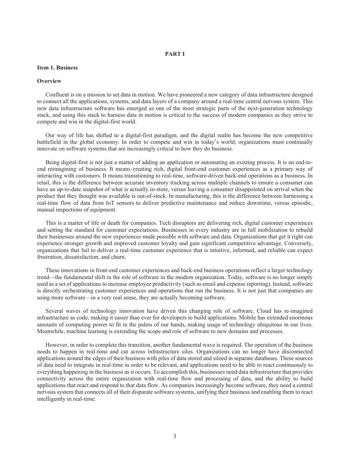# **PART I**

#### **Item 1. Business**

#### **Overview**

Confluent is on a mission to set data in motion. We have pioneered a new category of data infrastructure designed to connect all the applications, systems, and data layers of a company around a real-time central nervous system. This new data infrastructure software has emerged as one of the most strategic parts of the next-generation technology stack, and using this stack to harness data in motion is critical to the success of modern companies as they strive to compete and win in the digital-first world.

Our way of life has shifted to a digital-first paradigm, and the digital realm has become the new competitive battlefield in the global economy. In order to compete and win in today's world, organizations must continually innovate on software systems that are increasingly critical to how they do business.

Being digital-first is not just a matter of adding an application or automating an existing process. It is an end-toend reimagining of business. It means creating rich, digital front-end customer experiences as a primary way of interacting with customers. It means transitioning to real-time, software-driven back-end operations as a business. In retail, this is the difference between accurate inventory tracking across multiple channels to ensure a consumer can have an up-to-date snapshot of what is actually in-store, versus leaving a consumer disappointed on arrival when the product that they thought was available is out-of-stock. In manufacturing, this is the difference between harnessing a real-time flow of data from IoT sensors to deliver predictive maintenance and reduce downtime, versus episodic, manual inspections of equipment.

This is a matter of life or death for companies. Tech disruptors are delivering rich, digital customer experiences and setting the standard for customer expectations. Businesses in every industry are in full mobilization to rebuild their businesses around the new experiences made possible with software and data. Organizations that get it right can experience stronger growth and improved customer loyalty and gain significant competitive advantage. Conversely, organizations that fail to deliver a real-time customer experience that is intuitive, informed, and reliable can expect frustration, dissatisfaction, and churn.

These innovations in front-end customer experiences and back-end business operations reflect a larger technology trend—the fundamental shift in the role of software in the modern organization. Today, software is no longer simply used as a set of applications to increase employee productivity (such as email and expense reporting). Instead, software is directly orchestrating customer experiences and operations that run the business. It is not just that companies are using more software—in a very real sense, they are actually becoming software.

Several waves of technology innovation have driven this changing role of software. Cloud has re-imagined infrastructure as code, making it easier than ever for developers to build applications. Mobile has extended enormous amounts of computing power to fit in the palms of our hands, making usage of technology ubiquitous in our lives. Meanwhile, machine learning is extending the scope and role of software to new domains and processes.

However, in order to complete this transition, another fundamental wave is required. The operation of the business needs to happen in real-time and cut across infrastructure silos. Organizations can no longer have disconnected applications around the edges of their business with piles of data stored and siloed in separate databases. These sources of data need to integrate in real-time in order to be relevant, and applications need to be able to react continuously to everything happening in the business as it occurs. To accomplish this, businesses need data infrastructure that provides connectivity across the entire organization with real-time flow and processing of data, and the ability to build applications that react and respond to that data flow. As companies increasingly become software, they need a central nervous system that connects all of their disparate software systems, unifying their business and enabling them to react intelligently in real-time.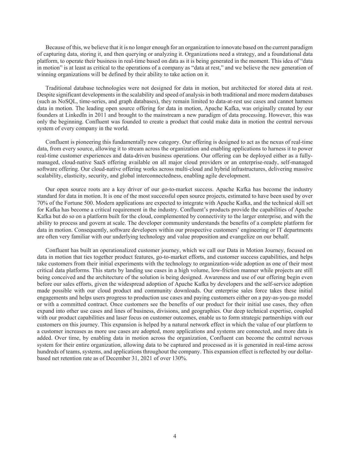Because of this, we believe that it is no longer enough for an organization to innovate based on the current paradigm of capturing data, storing it, and then querying or analyzing it. Organizations need a strategy, and a foundational data platform, to operate their business in real-time based on data as it is being generated in the moment. This idea of "data in motion" is at least as critical to the operations of a company as "data at rest," and we believe the new generation of winning organizations will be defined by their ability to take action on it.

Traditional database technologies were not designed for data in motion, but architected for stored data at rest. Despite significant developments in the scalability and speed of analysis in both traditional and more modern databases (such as NoSQL, time-series, and graph databases), they remain limited to data-at-rest use cases and cannot harness data in motion. The leading open source offering for data in motion, Apache Kafka, was originally created by our founders at LinkedIn in 2011 and brought to the mainstream a new paradigm of data processing. However, this was only the beginning. Confluent was founded to create a product that could make data in motion the central nervous system of every company in the world.

Confluent is pioneering this fundamentally new category. Our offering is designed to act as the nexus of real-time data, from every source, allowing it to stream across the organization and enabling applications to harness it to power real-time customer experiences and data-driven business operations. Our offering can be deployed either as a fullymanaged, cloud-native SaaS offering available on all major cloud providers or an enterprise-ready, self-managed software offering. Our cloud-native offering works across multi-cloud and hybrid infrastructures, delivering massive scalability, elasticity, security, and global interconnectedness, enabling agile development.

Our open source roots are a key driver of our go-to-market success. Apache Kafka has become the industry standard for data in motion. It is one of the most successful open source projects, estimated to have been used by over 70% of the Fortune 500. Modern applications are expected to integrate with Apache Kafka, and the technical skill set for Kafka has become a critical requirement in the industry. Confluent's products provide the capabilities of Apache Kafka but do so on a platform built for the cloud, complemented by connectivity to the larger enterprise, and with the ability to process and govern at scale. The developer community understands the benefits of a complete platform for data in motion. Consequently, software developers within our prospective customers' engineering or IT departments are often very familiar with our underlying technology and value proposition and evangelize on our behalf.

Confluent has built an operationalized customer journey, which we call our Data in Motion Journey, focused on data in motion that ties together product features, go-to-market efforts, and customer success capabilities, and helps take customers from their initial experiments with the technology to organization-wide adoption as one of their most critical data platforms. This starts by landing use cases in a high volume, low-friction manner while projects are still being conceived and the architecture of the solution is being designed. Awareness and use of our offering begin even before our sales efforts, given the widespread adoption of Apache Kafka by developers and the self-service adoption made possible with our cloud product and community downloads. Our enterprise sales force takes these initial engagements and helps users progress to production use cases and paying customers either on a pay-as-you-go model or with a committed contract. Once customers see the benefits of our product for their initial use cases, they often expand into other use cases and lines of business, divisions, and geographies. Our deep technical expertise, coupled with our product capabilities and laser focus on customer outcomes, enable us to form strategic partnerships with our customers on this journey. This expansion is helped by a natural network effect in which the value of our platform to a customer increases as more use cases are adopted, more applications and systems are connected, and more data is added. Over time, by enabling data in motion across the organization, Confluent can become the central nervous system for their entire organization, allowing data to be captured and processed as it is generated in real-time across hundreds of teams, systems, and applications throughout the company. This expansion effect is reflected by our dollarbased net retention rate as of December 31, 2021 of over 130%.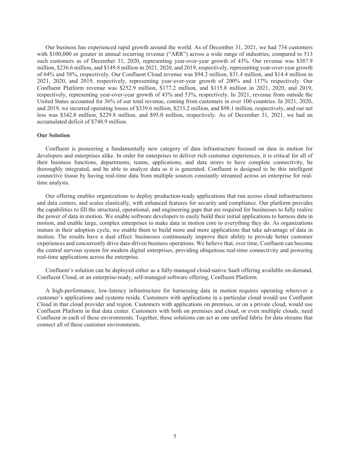Our business has experienced rapid growth around the world. As of December 31, 2021, we had 734 customers with \$100,000 or greater in annual recurring revenue ("ARR") across a wide range of industries, compared to 513 such customers as of December 31, 2020, representing year-over-year growth of 43%. Our revenue was \$387.9 million, \$236.6 million, and \$149.8 million in 2021, 2020, and 2019, respectively, representing year-over-year growth of 64% and 58%, respectively. Our Confluent Cloud revenue was \$94.2 million, \$31.4 million, and \$14.4 million in 2021, 2020, and 2019, respectively, representing year-over-year growth of 200% and 117% respectively. Our Confluent Platform revenue was \$252.9 million, \$177.2 million, and \$115.8 million in 2021, 2020, and 2019, respectively, representing year-over-year growth of 43% and 53%, respectively. In 2021, revenue from outside the United States accounted for 36% of our total revenue, coming from customers in over 100 countries. In 2021, 2020, and 2019, we incurred operating losses of \$339.6 million, \$233.2 million, and \$98.1 million, respectively, and our net loss was \$342.8 million, \$229.8 million, and \$95.0 million, respectively. As of December 31, 2021, we had an accumulated deficit of \$748.9 million.

#### **Our Solution**

Confluent is pioneering a fundamentally new category of data infrastructure focused on data in motion for developers and enterprises alike. In order for enterprises to deliver rich customer experiences, it is critical for all of their business functions, departments, teams, applications, and data stores to have complete connectivity, be thoroughly integrated, and be able to analyze data as it is generated. Confluent is designed to be this intelligent connective tissue by having real-time data from multiple sources constantly streamed across an enterprise for realtime analysis.

Our offering enables organizations to deploy production-ready applications that run across cloud infrastructures and data centers, and scales elastically, with enhanced features for security and compliance. Our platform provides the capabilities to fill the structural, operational, and engineering gaps that are required for businesses to fully realize the power of data in motion. We enable software developers to easily build their initial applications to harness data in motion, and enable large, complex enterprises to make data in motion core to everything they do. As organizations mature in their adoption cycle, we enable them to build more and more applications that take advantage of data in motion. The results have a dual effect: businesses continuously improve their ability to provide better customer experiences and concurrently drive data-driven business operations. We believe that, over time, Confluent can become the central nervous system for modern digital enterprises, providing ubiquitous real-time connectivity and powering real-time applications across the enterprise.

Confluent's solution can be deployed either as a fully-managed cloud-native SaaS offering available on-demand, Confluent Cloud, or an enterprise-ready, self-managed software offering, Confluent Platform.

A high-performance, low-latency infrastructure for harnessing data in motion requires operating wherever a customer's applications and systems reside. Customers with applications in a particular cloud would use Confluent Cloud in that cloud provider and region. Customers with applications on premises, or on a private cloud, would use Confluent Platform in that data center. Customers with both on premises and cloud, or even multiple clouds, need Confluent in each of these environments. Together, these solutions can act as one unified fabric for data streams that connect all of these customer environments.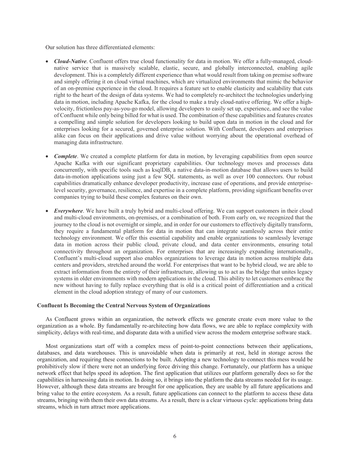Our solution has three differentiated elements:

- *Cloud-Native*. Confluent offers true cloud functionality for data in motion. We offer a fully-managed, cloudnative service that is massively scalable, elastic, secure, and globally interconnected, enabling agile development. This is a completely different experience than what would result from taking on premise software and simply offering it on cloud virtual machines, which are virtualized environments that mimic the behavior of an on-premise experience in the cloud. It requires a feature set to enable elasticity and scalability that cuts right to the heart of the design of data systems. We had to completely re-architect the technologies underlying data in motion, including Apache Kafka, for the cloud to make a truly cloud-native offering. We offer a highvelocity, frictionless pay-as-you-go model, allowing developers to easily set up, experience, and see the value of Confluent while only being billed for what is used. The combination of these capabilities and features creates a compelling and simple solution for developers looking to build upon data in motion in the cloud and for enterprises looking for a secured, governed enterprise solution. With Confluent, developers and enterprises alike can focus on their applications and drive value without worrying about the operational overhead of managing data infrastructure.
- *Complete*. We created a complete platform for data in motion, by leveraging capabilities from open source Apache Kafka with our significant proprietary capabilities. Our technology moves and processes data concurrently, with specific tools such as ksqlDB, a native data-in-motion database that allows users to build data-in-motion applications using just a few SQL statements, as well as over 100 connectors. Our robust capabilities dramatically enhance developer productivity, increase ease of operations, and provide enterpriselevel security, governance, resilience, and expertise in a complete platform, providing significant benefits over companies trying to build these complex features on their own.
- *Everywhere*. We have built a truly hybrid and multi-cloud offering. We can support customers in their cloud and multi-cloud environments, on-premises, or a combination of both. From early on, we recognized that the journey to the cloud is not overnight or simple, and in order for our customers to effectively digitally transform, they require a fundamental platform for data in motion that can integrate seamlessly across their entire technology environment. We offer this essential capability and enable organizations to seamlessly leverage data in motion across their public cloud, private cloud, and data center environments, ensuring total connectivity throughout an organization. For enterprises that are increasingly expanding internationally, Confluent's multi-cloud support also enables organizations to leverage data in motion across multiple data centers and providers, stretched around the world. For enterprises that want to be hybrid cloud, we are able to extract information from the entirety of their infrastructure, allowing us to act as the bridge that unites legacy systems in older environments with modern applications in the cloud. This ability to let customers embrace the new without having to fully replace everything that is old is a critical point of differentiation and a critical element in the cloud adoption strategy of many of our customers.

#### **Confluent Is Becoming the Central Nervous System of Organizations**

As Confluent grows within an organization, the network effects we generate create even more value to the organization as a whole. By fundamentally re-architecting how data flows, we are able to replace complexity with simplicity, delays with real-time, and disparate data with a unified view across the modern enterprise software stack.

Most organizations start off with a complex mess of point-to-point connections between their applications, databases, and data warehouses. This is unavoidable when data is primarily at rest, held in storage across the organization, and requiring these connections to be built. Adopting a new technology to connect this mess would be prohibitively slow if there were not an underlying force driving this change. Fortunately, our platform has a unique network effect that helps speed its adoption. The first application that utilizes our platform generally does so for the capabilities in harnessing data in motion. In doing so, it brings into the platform the data streams needed for its usage. However, although these data streams are brought for one application, they are usable by all future applications and bring value to the entire ecosystem. As a result, future applications can connect to the platform to access these data streams, bringing with them their own data streams. As a result, there is a clear virtuous cycle: applications bring data streams, which in turn attract more applications.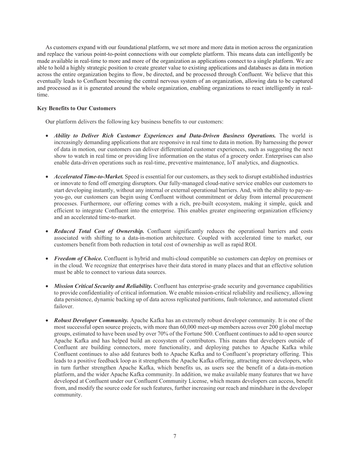As customers expand with our foundational platform, we set more and more data in motion across the organization and replace the various point-to-point connections with our complete platform. This means data can intelligently be made available in real-time to more and more of the organization as applications connect to a single platform. We are able to hold a highly strategic position to create greater value to existing applications and databases as data in motion across the entire organization begins to flow, be directed, and be processed through Confluent. We believe that this eventually leads to Confluent becoming the central nervous system of an organization, allowing data to be captured and processed as it is generated around the whole organization, enabling organizations to react intelligently in realtime.

# **Key Benefits to Our Customers**

Our platform delivers the following key business benefits to our customers:

- *Ability to Deliver Rich Customer Experiences and Data-Driven Business Operations.* The world is increasingly demanding applications that are responsive in real time to data in motion. By harnessing the power of data in motion, our customers can deliver differentiated customer experiences, such as suggesting the next show to watch in real time or providing live information on the status of a grocery order. Enterprises can also enable data-driven operations such as real-time, preventive maintenance, IoT analytics, and diagnostics.
- *Accelerated Time-to-Market.* Speed is essential for our customers, as they seek to disrupt established industries or innovate to fend off emerging disruptors. Our fully-managed cloud-native service enables our customers to start developing instantly, without any internal or external operational barriers. And, with the ability to pay-asyou-go, our customers can begin using Confluent without commitment or delay from internal procurement processes. Furthermore, our offering comes with a rich, pre-built ecosystem, making it simple, quick and efficient to integrate Confluent into the enterprise. This enables greater engineering organization efficiency and an accelerated time-to-market.
- Reduced Total Cost of Ownership. Confluent significantly reduces the operational barriers and costs associated with shifting to a data-in-motion architecture. Coupled with accelerated time to market, our customers benefit from both reduction in total cost of ownership as well as rapid ROI.
- Freedom of Choice. Confluent is hybrid and multi-cloud compatible so customers can deploy on premises or in the cloud. We recognize that enterprises have their data stored in many places and that an effective solution must be able to connect to various data sources.
- *Mission Critical Security and Reliability.* Confluent has enterprise-grade security and governance capabilities to provide confidentiality of critical information. We enable mission-critical reliability and resiliency, allowing data persistence, dynamic backing up of data across replicated partitions, fault-tolerance, and automated client failover.
- *Robust Developer Community.* Apache Kafka has an extremely robust developer community. It is one of the most successful open source projects, with more than 60,000 meet-up members across over 200 global meetup groups, estimated to have been used by over 70% of the Fortune 500. Confluent continues to add to open source Apache Kafka and has helped build an ecosystem of contributors. This means that developers outside of Confluent are building connectors, more functionality, and deploying patches to Apache Kafka while Confluent continues to also add features both to Apache Kafka and to Confluent's proprietary offering. This leads to a positive feedback loop as it strengthens the Apache Kafka offering, attracting more developers, who in turn further strengthen Apache Kafka, which benefits us, as users see the benefit of a data-in-motion platform, and the wider Apache Kafka community. In addition, we make available many features that we have developed at Confluent under our Confluent Community License, which means developers can access, benefit from, and modify the source code for such features, further increasing our reach and mindshare in the developer community.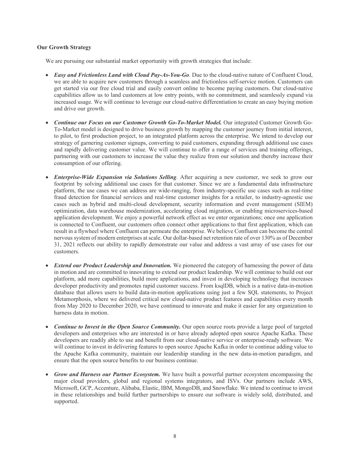# **Our Growth Strategy**

We are pursuing our substantial market opportunity with growth strategies that include:

- *Easy and Frictionless Land with Cloud Pay-As-You-Go.* Due to the cloud-native nature of Confluent Cloud, we are able to acquire new customers through a seamless and frictionless self-service motion. Customers can get started via our free cloud trial and easily convert online to become paying customers. Our cloud-native capabilities allow us to land customers at low entry points, with no commitment, and seamlessly expand via increased usage. We will continue to leverage our cloud-native differentiation to create an easy buying motion and drive our growth.
- *Continue our Focus on our Customer Growth Go-To-Market Model.* Our integrated Customer Growth Go-To-Market model is designed to drive business growth by mapping the customer journey from initial interest, to pilot, to first production project, to an integrated platform across the enterprise. We intend to develop our strategy of garnering customer signups, converting to paid customers, expanding through additional use cases and rapidly delivering customer value. We will continue to offer a range of services and training offerings, partnering with our customers to increase the value they realize from our solution and thereby increase their consumption of our offering.
- *Enterprise-Wide Expansion via Solutions Selling.* After acquiring a new customer, we seek to grow our footprint by solving additional use cases for that customer. Since we are a fundamental data infrastructure platform, the use cases we can address are wide-ranging, from industry-specific use cases such as real-time fraud detection for financial services and real-time customer insights for a retailer, to industry-agnostic use cases such as hybrid and multi-cloud development, security information and event management (SIEM) optimization, data warehouse modernization, accelerating cloud migration, or enabling microservices-based application development. We enjoy a powerful network effect as we enter organizations; once one application is connected to Confluent, our customers often connect other applications to that first application, which can result in a flywheel where Confluent can permeate the enterprise. We believe Confluent can become the central nervous system of modern enterprises at scale. Our dollar-based net retention rate of over 130% as of December 31, 2021 reflects our ability to rapidly demonstrate our value and address a vast array of use cases for our customers.
- *Extend our Product Leadership and Innovation.* We pioneered the category of harnessing the power of data in motion and are committed to innovating to extend our product leadership. We will continue to build out our platform, add more capabilities, build more applications, and invest in developing technology that increases developer productivity and promotes rapid customer success. From ksqlDB, which is a native data-in-motion database that allows users to build data-in-motion applications using just a few SQL statements, to Project Metamorphosis, where we delivered critical new cloud-native product features and capabilities every month from May 2020 to December 2020, we have continued to innovate and make it easier for any organization to harness data in motion.
- *Continue to Invest in the Open Source Community.* Our open source roots provide a large pool of targeted developers and enterprises who are interested in or have already adopted open source Apache Kafka. These developers are readily able to use and benefit from our cloud-native service or enterprise-ready software. We will continue to invest in delivering features to open source Apache Kafka in order to continue adding value to the Apache Kafka community, maintain our leadership standing in the new data-in-motion paradigm, and ensure that the open source benefits to our business continue.
- *Grow and Harness our Partner Ecosystem.* We have built a powerful partner ecosystem encompassing the major cloud providers, global and regional systems integrators, and ISVs. Our partners include AWS, Microsoft, GCP, Accenture, Alibaba, Elastic, IBM, MongoDB, and Snowflake. We intend to continue to invest in these relationships and build further partnerships to ensure our software is widely sold, distributed, and supported.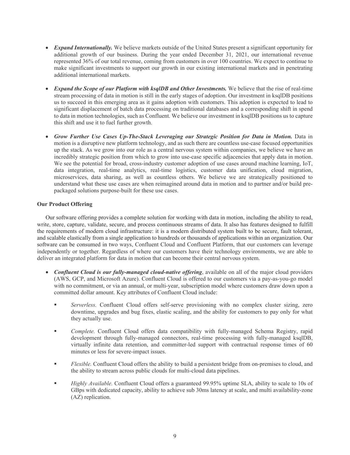- *Expand Internationally.* We believe markets outside of the United States present a significant opportunity for additional growth of our business. During the year ended December 31, 2021, our international revenue represented 36% of our total revenue, coming from customers in over 100 countries. We expect to continue to make significant investments to support our growth in our existing international markets and in penetrating additional international markets.
- *Expand the Scope of our Platform with ksqlDB and Other Investments.* We believe that the rise of real-time stream processing of data in motion is still in the early stages of adoption. Our investment in ksqlDB positions us to succeed in this emerging area as it gains adoption with customers. This adoption is expected to lead to significant displacement of batch data processing on traditional databases and a corresponding shift in spend to data in motion technologies, such as Confluent. We believe our investment in ksqlDB positions us to capture this shift and use it to fuel further growth.
- *Grow Further Use Cases Up-The-Stack Leveraging our Strategic Position for Data in Motion.* Data in motion is a disruptive new platform technology, and as such there are countless use-case focused opportunities up the stack. As we grow into our role as a central nervous system within companies, we believe we have an incredibly strategic position from which to grow into use-case specific adjacencies that apply data in motion. We see the potential for broad, cross-industry customer adoption of use cases around machine learning, IoT, data integration, real-time analytics, real-time logistics, customer data unification, cloud migration, microservices, data sharing, as well as countless others. We believe we are strategically positioned to understand what these use cases are when reimagined around data in motion and to partner and/or build prepackaged solutions purpose-built for these use cases.

# **Our Product Offering**

Our software offering provides a complete solution for working with data in motion, including the ability to read, write, store, capture, validate, secure, and process continuous streams of data. It also has features designed to fulfill the requirements of modern cloud infrastructure: it is a modern distributed system built to be secure, fault tolerant, and scalable elastically from a single application to hundreds or thousands of applications within an organization. Our software can be consumed in two ways, Confluent Cloud and Confluent Platform, that our customers can leverage independently or together. Regardless of where our customers have their technology environments, we are able to deliver an integrated platform for data in motion that can become their central nervous system.

- *Confluent Cloud is our fully-managed cloud-native offering*, available on all of the major cloud providers (AWS, GCP, and Microsoft Azure). Confluent Cloud is offered to our customers via a pay-as-you-go model with no commitment, or via an annual, or multi-year, subscription model where customers draw down upon a committed dollar amount. Key attributes of Confluent Cloud include:
	- *Serverless.* Confluent Cloud offers self-serve provisioning with no complex cluster sizing, zero downtime, upgrades and bug fixes, elastic scaling, and the ability for customers to pay only for what they actually use.
	- *Complete.* Confluent Cloud offers data compatibility with fully-managed Schema Registry, rapid development through fully-managed connectors, real-time processing with fully-managed ksqlDB, virtually infinite data retention, and committer-led support with contractual response times of 60 minutes or less for severe-impact issues.
	- *Flexible.* Confluent Cloud offers the ability to build a persistent bridge from on-premises to cloud, and the ability to stream across public clouds for multi-cloud data pipelines.
	- *Highly Available.* Confluent Cloud offers a guaranteed 99.95% uptime SLA, ability to scale to 10s of GBps with dedicated capacity, ability to achieve sub 30ms latency at scale, and multi availability-zone (AZ) replication.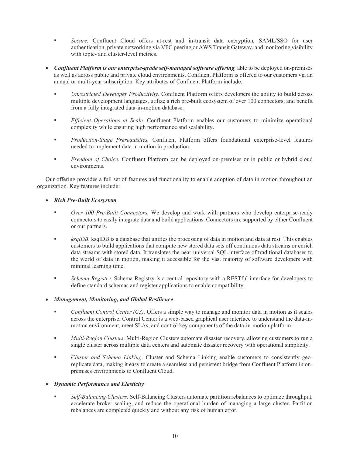- *Secure.* Confluent Cloud offers at-rest and in-transit data encryption, SAML/SSO for user authentication, private networking via VPC peering or AWS Transit Gateway, and monitoring visibility with topic- and cluster-level metrics.
- *Confluent Platform is our enterprise-grade self-managed software offering,* able to be deployed on-premises as well as across public and private cloud environments. Confluent Platform is offered to our customers via an annual or multi-year subscription. Key attributes of Confluent Platform include:
	- *Unrestricted Developer Productivity.* Confluent Platform offers developers the ability to build across multiple development languages, utilize a rich pre-built ecosystem of over 100 connectors, and benefit from a fully integrated data-in-motion database.
	- *Efficient Operations at Scale.* Confluent Platform enables our customers to minimize operational complexity while ensuring high performance and scalability.
	- *Production-Stage Prerequisites.* Confluent Platform offers foundational enterprise-level features needed to implement data in motion in production.
	- *Freedom of Choice.* Confluent Platform can be deployed on-premises or in public or hybrid cloud environments.

Our offering provides a full set of features and functionality to enable adoption of data in motion throughout an organization. Key features include:

# *Rich Pre-Built Ecosystem*

- *Over 100 Pre-Built Connectors.* We develop and work with partners who develop enterprise-ready connectors to easily integrate data and build applications. Connectors are supported by either Confluent or our partners.
- **ksqlDB**, ksqlDB is a database that unifies the processing of data in motion and data at rest. This enables customers to build applications that compute new stored data sets off continuous data streams or enrich data streams with stored data. It translates the near-universal SQL interface of traditional databases to the world of data in motion, making it accessible for the vast majority of software developers with minimal learning time.
- *Schema Registry.* Schema Registry is a central repository with a RESTful interface for developers to define standard schemas and register applications to enable compatibility.
- *Management, Monitoring, and Global Resilience*
	- *Confluent Control Center (C3).* Offers a simple way to manage and monitor data in motion as it scales across the enterprise. Control Center is a web-based graphical user interface to understand the data-inmotion environment, meet SLAs, and control key components of the data-in-motion platform.
	- *Multi-Region Clusters.* Multi-Region Clusters automate disaster recovery, allowing customers to run a single cluster across multiple data centers and automate disaster recovery with operational simplicity.
	- *Cluster and Schema Linking*. Cluster and Schema Linking enable customers to consistently georeplicate data, making it easy to create a seamless and persistent bridge from Confluent Platform in onpremises environments to Confluent Cloud.

# *Dynamic Performance and Elasticity*

 *Self-Balancing Clusters.* Self-Balancing Clusters automate partition rebalances to optimize throughput, accelerate broker scaling, and reduce the operational burden of managing a large cluster. Partition rebalances are completed quickly and without any risk of human error.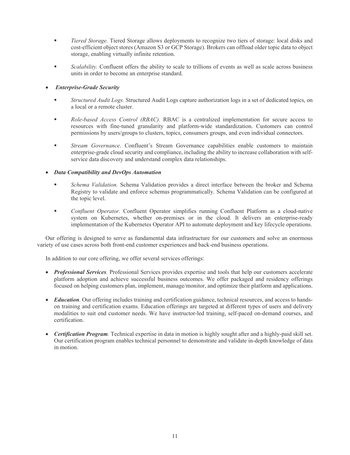- *Tiered Storage.* Tiered Storage allows deployments to recognize two tiers of storage: local disks and cost-efficient object stores (Amazon S3 or GCP Storage). Brokers can offload older topic data to object storage, enabling virtually infinite retention.
- *Scalability.* Confluent offers the ability to scale to trillions of events as well as scale across business units in order to become an enterprise standard.

# *Enterprise-Grade Security*

- *Structured Audit Logs.* Structured Audit Logs capture authorization logs in a set of dedicated topics, on a local or a remote cluster.
- *Role-based Access Control (RBAC).* RBAC is a centralized implementation for secure access to resources with fine-tuned granularity and platform-wide standardization. Customers can control permissions by users/groups to clusters, topics, consumers groups, and even individual connectors.
- *Stream Governance*. Confluent's Stream Governance capabilities enable customers to maintain enterprise-grade cloud security and compliance, including the ability to increase collaboration with selfservice data discovery and understand complex data relationships.

# *Data Compatibility and DevOps Automation*

- *Schema Validation.* Schema Validation provides a direct interface between the broker and Schema Registry to validate and enforce schemas programmatically. Schema Validation can be configured at the topic level.
- *Confluent Operator.* Confluent Operator simplifies running Confluent Platform as a cloud-native system on Kubernetes, whether on-premises or in the cloud. It delivers an enterprise-ready implementation of the Kubernetes Operator API to automate deployment and key lifecycle operations.

Our offering is designed to serve as fundamental data infrastructure for our customers and solve an enormous variety of use cases across both front-end customer experiences and back-end business operations.

In addition to our core offering, we offer several services offerings:

- *Professional Services.* Professional Services provides expertise and tools that help our customers accelerate platform adoption and achieve successful business outcomes. We offer packaged and residency offerings focused on helping customers plan, implement, manage/monitor, and optimize their platform and applications.
- *Education.* Our offering includes training and certification guidance, technical resources, and access to handson training and certification exams. Education offerings are targeted at different types of users and delivery modalities to suit end customer needs. We have instructor-led training, self-paced on-demand courses, and certification.
- *Certification Program.* Technical expertise in data in motion is highly sought after and a highly-paid skill set. Our certification program enables technical personnel to demonstrate and validate in-depth knowledge of data in motion.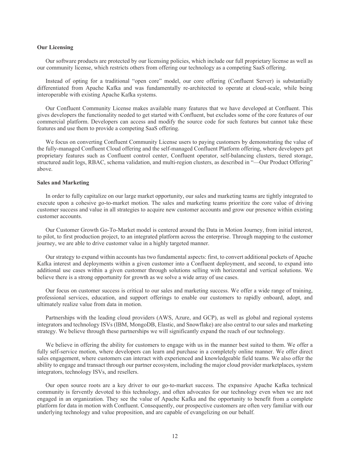#### **Our Licensing**

Our software products are protected by our licensing policies, which include our full proprietary license as well as our community license, which restricts others from offering our technology as a competing SaaS offering.

Instead of opting for a traditional "open core" model, our core offering (Confluent Server) is substantially differentiated from Apache Kafka and was fundamentally re-architected to operate at cloud-scale, while being interoperable with existing Apache Kafka systems.

Our Confluent Community License makes available many features that we have developed at Confluent. This gives developers the functionality needed to get started with Confluent, but excludes some of the core features of our commercial platform. Developers can access and modify the source code for such features but cannot take these features and use them to provide a competing SaaS offering.

We focus on converting Confluent Community License users to paying customers by demonstrating the value of the fully-managed Confluent Cloud offering and the self-managed Confluent Platform offering, where developers get proprietary features such as Confluent control center, Confluent operator, self-balancing clusters, tiered storage, structured audit logs, RBAC, schema validation, and multi-region clusters, as described in "—Our Product Offering" above.

#### **Sales and Marketing**

In order to fully capitalize on our large market opportunity, our sales and marketing teams are tightly integrated to execute upon a cohesive go-to-market motion. The sales and marketing teams prioritize the core value of driving customer success and value in all strategies to acquire new customer accounts and grow our presence within existing customer accounts.

Our Customer Growth Go-To-Market model is centered around the Data in Motion Journey, from initial interest, to pilot, to first production project, to an integrated platform across the enterprise. Through mapping to the customer journey, we are able to drive customer value in a highly targeted manner.

Our strategy to expand within accounts has two fundamental aspects: first, to convert additional pockets of Apache Kafka interest and deployments within a given customer into a Confluent deployment, and second, to expand into additional use cases within a given customer through solutions selling with horizontal and vertical solutions. We believe there is a strong opportunity for growth as we solve a wide array of use cases.

Our focus on customer success is critical to our sales and marketing success. We offer a wide range of training, professional services, education, and support offerings to enable our customers to rapidly onboard, adopt, and ultimately realize value from data in motion.

Partnerships with the leading cloud providers (AWS, Azure, and GCP), as well as global and regional systems integrators and technology ISVs (IBM, MongoDB, Elastic, and Snowflake) are also central to our sales and marketing strategy. We believe through these partnerships we will significantly expand the reach of our technology.

We believe in offering the ability for customers to engage with us in the manner best suited to them. We offer a fully self-service motion, where developers can learn and purchase in a completely online manner. We offer direct sales engagement, where customers can interact with experienced and knowledgeable field teams. We also offer the ability to engage and transact through our partner ecosystem, including the major cloud provider marketplaces, system integrators, technology ISVs, and resellers.

Our open source roots are a key driver to our go-to-market success. The expansive Apache Kafka technical community is fervently devoted to this technology, and often advocates for our technology even when we are not engaged in an organization. They see the value of Apache Kafka and the opportunity to benefit from a complete platform for data in motion with Confluent. Consequently, our prospective customers are often very familiar with our underlying technology and value proposition, and are capable of evangelizing on our behalf.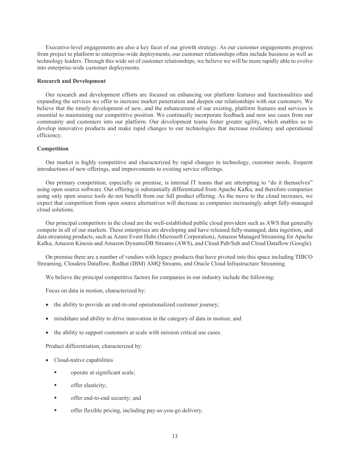Executive-level engagements are also a key facet of our growth strategy. As our customer engagements progress from project to platform to enterprise-wide deployments, our customer relationships often include business as well as technology leaders. Through this wide set of customer relationships, we believe we will be more rapidly able to evolve into enterprise-wide customer deployments.

#### **Research and Development**

Our research and development efforts are focused on enhancing our platform features and functionalities and expanding the services we offer to increase market penetration and deepen our relationships with our customers. We believe that the timely development of new, and the enhancement of our existing, platform features and services is essential to maintaining our competitive position. We continually incorporate feedback and new use cases from our community and customers into our platform. Our development teams foster greater agility, which enables us to develop innovative products and make rapid changes to our technologies that increase resiliency and operational efficiency.

# **Competition**

Our market is highly competitive and characterized by rapid changes in technology, customer needs, frequent introductions of new offerings, and improvements to existing service offerings.

Our primary competition, especially on premise, is internal IT teams that are attempting to "do it themselves" using open source software. Our offering is substantially differentiated from Apache Kafka, and therefore companies using only open source tools do not benefit from our full product offering. As the move to the cloud increases, we expect that competition from open source alternatives will decrease as companies increasingly adopt fully-managed cloud solutions.

Our principal competitors in the cloud are the well-established public cloud providers such as AWS that generally compete in all of our markets. These enterprises are developing and have released fully-managed, data ingestion, and data streaming products, such as Azure Event Hubs (Microsoft Corporation), Amazon Managed Streaming for Apache Kafka, Amazon Kinesis and Amazon DynamoDB Streams (AWS), and Cloud Pub/Sub and Cloud Dataflow (Google).

On premise there are a number of vendors with legacy products that have pivoted into this space including TIBCO Streaming, Cloudera Dataflow, Redhat (IBM) AMQ Streams, and Oracle Cloud Infrastructure Streaming.

We believe the principal competitive factors for companies in our industry include the following:

Focus on data in motion, characterized by:

- the ability to provide an end-to-end operationalized customer journey;
- mindshare and ability to drive innovation in the category of data in motion; and
- the ability to support customers at scale with mission critical use cases.

Product differentiation, characterized by:

- Cloud-native capabilities
	- operate at significant scale;
	- offer elasticity;
	- offer end-to-end security; and
	- offer flexible pricing, including pay-as-you-go delivery.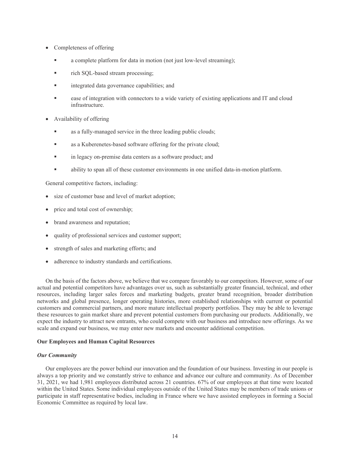- Completeness of offering
	- a complete platform for data in motion (not just low-level streaming);
	- rich SQL-based stream processing;
	- **u** integrated data governance capabilities; and
	- ease of integration with connectors to a wide variety of existing applications and IT and cloud infrastructure.
- Availability of offering
	- as a fully-managed service in the three leading public clouds;
	- as a Kuberenetes-based software offering for the private cloud;
	- in legacy on-premise data centers as a software product; and
	- ability to span all of these customer environments in one unified data-in-motion platform.

General competitive factors, including:

- size of customer base and level of market adoption;
- price and total cost of ownership;
- brand awareness and reputation;
- quality of professional services and customer support;
- strength of sales and marketing efforts; and
- adherence to industry standards and certifications.

On the basis of the factors above, we believe that we compare favorably to our competitors. However, some of our actual and potential competitors have advantages over us, such as substantially greater financial, technical, and other resources, including larger sales forces and marketing budgets, greater brand recognition, broader distribution networks and global presence, longer operating histories, more established relationships with current or potential customers and commercial partners, and more mature intellectual property portfolios. They may be able to leverage these resources to gain market share and prevent potential customers from purchasing our products. Additionally, we expect the industry to attract new entrants, who could compete with our business and introduce new offerings. As we scale and expand our business, we may enter new markets and encounter additional competition.

# **Our Employees and Human Capital Resources**

# *Our Community*

Our employees are the power behind our innovation and the foundation of our business. Investing in our people is always a top priority and we constantly strive to enhance and advance our culture and community. As of December 31, 2021, we had 1,981 employees distributed across 21 countries. 67% of our employees at that time were located within the United States. Some individual employees outside of the United States may be members of trade unions or participate in staff representative bodies, including in France where we have assisted employees in forming a Social Economic Committee as required by local law.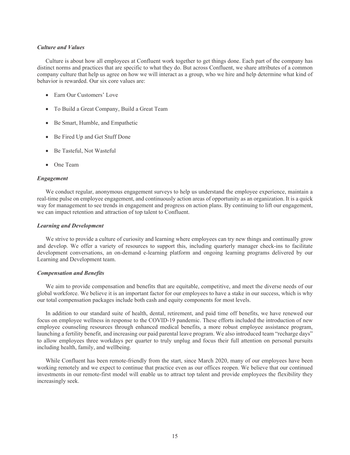#### *Culture and Values*

Culture is about how all employees at Confluent work together to get things done. Each part of the company has distinct norms and practices that are specific to what they do. But across Confluent, we share attributes of a common company culture that help us agree on how we will interact as a group, who we hire and help determine what kind of behavior is rewarded. Our six core values are:

- Earn Our Customers' Love
- To Build a Great Company, Build a Great Team
- Be Smart, Humble, and Empathetic
- Be Fired Up and Get Stuff Done
- Be Tasteful, Not Wasteful
- One Team

#### *Engagement*

We conduct regular, anonymous engagement surveys to help us understand the employee experience, maintain a real-time pulse on employee engagement, and continuously action areas of opportunity as an organization. It is a quick way for management to see trends in engagement and progress on action plans. By continuing to lift our engagement, we can impact retention and attraction of top talent to Confluent.

#### *Learning and Development*

We strive to provide a culture of curiosity and learning where employees can try new things and continually grow and develop. We offer a variety of resources to support this, including quarterly manager check-ins to facilitate development conversations, an on-demand e-learning platform and ongoing learning programs delivered by our Learning and Development team.

#### *Compensation and Benefits*

We aim to provide compensation and benefits that are equitable, competitive, and meet the diverse needs of our global workforce. We believe it is an important factor for our employees to have a stake in our success, which is why our total compensation packages include both cash and equity components for most levels.

In addition to our standard suite of health, dental, retirement, and paid time off benefits, we have renewed our focus on employee wellness in response to the COVID-19 pandemic. These efforts included the introduction of new employee counseling resources through enhanced medical benefits, a more robust employee assistance program, launching a fertility benefit, and increasing our paid parental leave program. We also introduced team "recharge days" to allow employees three workdays per quarter to truly unplug and focus their full attention on personal pursuits including health, family, and wellbeing.

While Confluent has been remote-friendly from the start, since March 2020, many of our employees have been working remotely and we expect to continue that practice even as our offices reopen. We believe that our continued investments in our remote-first model will enable us to attract top talent and provide employees the flexibility they increasingly seek.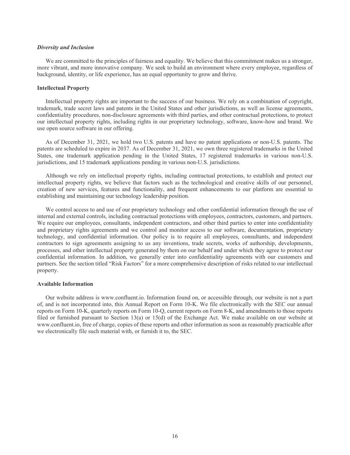#### *Diversity and Inclusion*

We are committed to the principles of fairness and equality. We believe that this commitment makes us a stronger, more vibrant, and more innovative company. We seek to build an environment where every employee, regardless of background, identity, or life experience, has an equal opportunity to grow and thrive.

#### **Intellectual Property**

Intellectual property rights are important to the success of our business. We rely on a combination of copyright, trademark, trade secret laws and patents in the United States and other jurisdictions, as well as license agreements, confidentiality procedures, non-disclosure agreements with third parties, and other contractual protections, to protect our intellectual property rights, including rights in our proprietary technology, software, know-how and brand. We use open source software in our offering.

As of December 31, 2021, we hold two U.S. patents and have no patent applications or non-U.S. patents. The patents are scheduled to expire in 2037. As of December 31, 2021, we own three registered trademarks in the United States, one trademark application pending in the United States, 17 registered trademarks in various non-U.S. jurisdictions, and 15 trademark applications pending in various non-U.S. jurisdictions.

Although we rely on intellectual property rights, including contractual protections, to establish and protect our intellectual property rights, we believe that factors such as the technological and creative skills of our personnel, creation of new services, features and functionality, and frequent enhancements to our platform are essential to establishing and maintaining our technology leadership position.

We control access to and use of our proprietary technology and other confidential information through the use of internal and external controls, including contractual protections with employees, contractors, customers, and partners. We require our employees, consultants, independent contractors, and other third parties to enter into confidentiality and proprietary rights agreements and we control and monitor access to our software, documentation, proprietary technology, and confidential information. Our policy is to require all employees, consultants, and independent contractors to sign agreements assigning to us any inventions, trade secrets, works of authorship, developments, processes, and other intellectual property generated by them on our behalf and under which they agree to protect our confidential information. In addition, we generally enter into confidentiality agreements with our customers and partners. See the section titled "Risk Factors" for a more comprehensive description of risks related to our intellectual property.

#### **Available Information**

Our website address is www.confluent.io. Information found on, or accessible through, our website is not a part of, and is not incorporated into, this Annual Report on Form 10-K. We file electronically with the SEC our annual reports on Form 10-K, quarterly reports on Form 10-Q, current reports on Form 8-K, and amendments to those reports filed or furnished pursuant to Section 13(a) or 15(d) of the Exchange Act. We make available on our website at www.confluent.io, free of charge, copies of these reports and other information as soon as reasonably practicable after we electronically file such material with, or furnish it to, the SEC.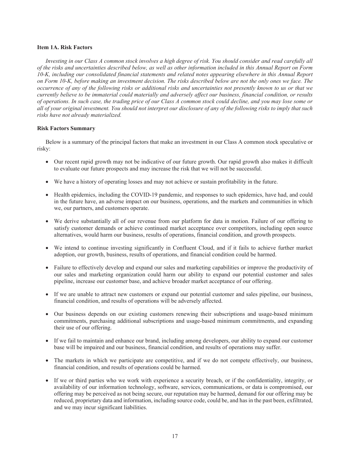# **Item 1A. Risk Factors**

*Investing in our Class A common stock involves a high degree of risk. You should consider and read carefully all of the risks and uncertainties described below, as well as other information included in this Annual Report on Form 10-K, including our consolidated financial statements and related notes appearing elsewhere in this Annual Report on Form 10-K, before making an investment decision. The risks described below are not the only ones we face. The occurrence of any of the following risks or additional risks and uncertainties not presently known to us or that we currently believe to be immaterial could materially and adversely affect our business, financial condition, or results of operations. In such case, the trading price of our Class A common stock could decline, and you may lose some or all of your original investment. You should not interpret our disclosure of any of the following risks to imply that such risks have not already materialized.*

# **Risk Factors Summary**

Below is a summary of the principal factors that make an investment in our Class A common stock speculative or risky:

- Our recent rapid growth may not be indicative of our future growth. Our rapid growth also makes it difficult to evaluate our future prospects and may increase the risk that we will not be successful.
- We have a history of operating losses and may not achieve or sustain profitability in the future.
- Health epidemics, including the COVID-19 pandemic, and responses to such epidemics, have had, and could in the future have, an adverse impact on our business, operations, and the markets and communities in which we, our partners, and customers operate.
- We derive substantially all of our revenue from our platform for data in motion. Failure of our offering to satisfy customer demands or achieve continued market acceptance over competitors, including open source alternatives, would harm our business, results of operations, financial condition, and growth prospects.
- We intend to continue investing significantly in Confluent Cloud, and if it fails to achieve further market adoption, our growth, business, results of operations, and financial condition could be harmed.
- Failure to effectively develop and expand our sales and marketing capabilities or improve the productivity of our sales and marketing organization could harm our ability to expand our potential customer and sales pipeline, increase our customer base, and achieve broader market acceptance of our offering.
- If we are unable to attract new customers or expand our potential customer and sales pipeline, our business, financial condition, and results of operations will be adversely affected.
- Our business depends on our existing customers renewing their subscriptions and usage-based minimum commitments, purchasing additional subscriptions and usage-based minimum commitments, and expanding their use of our offering.
- If we fail to maintain and enhance our brand, including among developers, our ability to expand our customer base will be impaired and our business, financial condition, and results of operations may suffer.
- The markets in which we participate are competitive, and if we do not compete effectively, our business, financial condition, and results of operations could be harmed.
- If we or third parties who we work with experience a security breach, or if the confidentiality, integrity, or availability of our information technology, software, services, communications, or data is compromised, our offering may be perceived as not being secure, our reputation may be harmed, demand for our offering may be reduced, proprietary data and information, including source code, could be, and has in the past been, exfiltrated, and we may incur significant liabilities.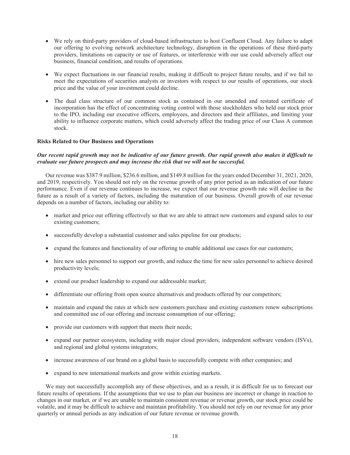- We rely on third-party providers of cloud-based infrastructure to host Confluent Cloud. Any failure to adapt our offering to evolving network architecture technology, disruption in the operations of these third-party providers, limitations on capacity or use of features, or interference with our use could adversely affect our business, financial condition, and results of operations.
- We expect fluctuations in our financial results, making it difficult to project future results, and if we fail to meet the expectations of securities analysts or investors with respect to our results of operations, our stock price and the value of your investment could decline.
- The dual class structure of our common stock as contained in our amended and restated certificate of incorporation has the effect of concentrating voting control with those stockholders who held our stock prior to the IPO, including our executive officers, employees, and directors and their affiliates, and limiting your ability to influence corporate matters, which could adversely affect the trading price of our Class A common stock.

# **Risks Related to Our Business and Operations**

# *Our recent rapid growth may not be indicative of our future growth. Our rapid growth also makes it difficult to evaluate our future prospects and may increase the risk that we will not be successful.*

Our revenue was \$387.9 million, \$236.6 million, and \$149.8 million for the years ended December 31, 2021, 2020, and 2019, respectively. You should not rely on the revenue growth of any prior period as an indication of our future performance. Even if our revenue continues to increase, we expect that our revenue growth rate will decline in the future as a result of a variety of factors, including the maturation of our business. Overall growth of our revenue depends on a number of factors, including our ability to:

- market and price our offering effectively so that we are able to attract new customers and expand sales to our existing customers;
- successfully develop a substantial customer and sales pipeline for our products;
- expand the features and functionality of our offering to enable additional use cases for our customers;
- hire new sales personnel to support our growth, and reduce the time for new sales personnel to achieve desired productivity levels;
- extend our product leadership to expand our addressable market;
- differentiate our offering from open source alternatives and products offered by our competitors;
- maintain and expand the rates at which new customers purchase and existing customers renew subscriptions and committed use of our offering and increase consumption of our offering;
- provide our customers with support that meets their needs;
- expand our partner ecosystem, including with major cloud providers, independent software vendors (ISVs), and regional and global systems integrators;
- increase awareness of our brand on a global basis to successfully compete with other companies; and
- expand to new international markets and grow within existing markets.

We may not successfully accomplish any of these objectives, and as a result, it is difficult for us to forecast our future results of operations. If the assumptions that we use to plan our business are incorrect or change in reaction to changes in our market, or if we are unable to maintain consistent revenue or revenue growth, our stock price could be volatile, and it may be difficult to achieve and maintain profitability. You should not rely on our revenue for any prior quarterly or annual periods as any indication of our future revenue or revenue growth.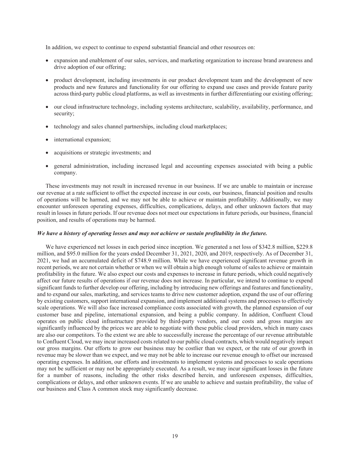In addition, we expect to continue to expend substantial financial and other resources on:

- expansion and enablement of our sales, services, and marketing organization to increase brand awareness and drive adoption of our offering;
- product development, including investments in our product development team and the development of new products and new features and functionality for our offering to expand use cases and provide feature parity across third-party public cloud platforms, as well as investments in further differentiating our existing offering;
- our cloud infrastructure technology, including systems architecture, scalability, availability, performance, and security;
- technology and sales channel partnerships, including cloud marketplaces;
- international expansion;
- acquisitions or strategic investments; and
- general administration, including increased legal and accounting expenses associated with being a public company.

These investments may not result in increased revenue in our business. If we are unable to maintain or increase our revenue at a rate sufficient to offset the expected increase in our costs, our business, financial position and results of operations will be harmed, and we may not be able to achieve or maintain profitability. Additionally, we may encounter unforeseen operating expenses, difficulties, complications, delays, and other unknown factors that may result in losses in future periods. If our revenue does not meet our expectations in future periods, our business, financial position, and results of operations may be harmed.

#### *We have a history of operating losses and may not achieve or sustain profitability in the future.*

We have experienced net losses in each period since inception. We generated a net loss of \$342.8 million, \$229.8 million, and \$95.0 million for the years ended December 31, 2021, 2020, and 2019, respectively. As of December 31, 2021, we had an accumulated deficit of \$748.9 million. While we have experienced significant revenue growth in recent periods, we are not certain whether or when we will obtain a high enough volume of sales to achieve or maintain profitability in the future. We also expect our costs and expenses to increase in future periods, which could negatively affect our future results of operations if our revenue does not increase. In particular, we intend to continue to expend significant funds to further develop our offering, including by introducing new offerings and features and functionality, and to expand our sales, marketing, and services teams to drive new customer adoption, expand the use of our offering by existing customers, support international expansion, and implement additional systems and processes to effectively scale operations. We will also face increased compliance costs associated with growth, the planned expansion of our customer base and pipeline, international expansion, and being a public company. In addition, Confluent Cloud operates on public cloud infrastructure provided by third-party vendors, and our costs and gross margins are significantly influenced by the prices we are able to negotiate with these public cloud providers, which in many cases are also our competitors. To the extent we are able to successfully increase the percentage of our revenue attributable to Confluent Cloud, we may incur increased costs related to our public cloud contracts, which would negatively impact our gross margins. Our efforts to grow our business may be costlier than we expect, or the rate of our growth in revenue may be slower than we expect, and we may not be able to increase our revenue enough to offset our increased operating expenses. In addition, our efforts and investments to implement systems and processes to scale operations may not be sufficient or may not be appropriately executed. As a result, we may incur significant losses in the future for a number of reasons, including the other risks described herein, and unforeseen expenses, difficulties, complications or delays, and other unknown events. If we are unable to achieve and sustain profitability, the value of our business and Class A common stock may significantly decrease.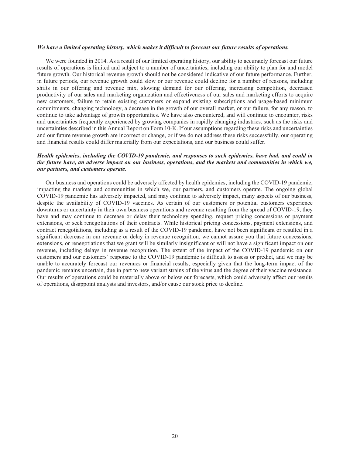#### *We have a limited operating history, which makes it difficult to forecast our future results of operations.*

We were founded in 2014. As a result of our limited operating history, our ability to accurately forecast our future results of operations is limited and subject to a number of uncertainties, including our ability to plan for and model future growth. Our historical revenue growth should not be considered indicative of our future performance. Further, in future periods, our revenue growth could slow or our revenue could decline for a number of reasons, including shifts in our offering and revenue mix, slowing demand for our offering, increasing competition, decreased productivity of our sales and marketing organization and effectiveness of our sales and marketing efforts to acquire new customers, failure to retain existing customers or expand existing subscriptions and usage-based minimum commitments, changing technology, a decrease in the growth of our overall market, or our failure, for any reason, to continue to take advantage of growth opportunities. We have also encountered, and will continue to encounter, risks and uncertainties frequently experienced by growing companies in rapidly changing industries, such as the risks and uncertainties described in this Annual Report on Form 10-K. If our assumptions regarding these risks and uncertainties and our future revenue growth are incorrect or change, or if we do not address these risks successfully, our operating and financial results could differ materially from our expectations, and our business could suffer.

# *Health epidemics, including the COVID-19 pandemic, and responses to such epidemics, have had, and could in the future have, an adverse impact on our business, operations, and the markets and communities in which we, our partners, and customers operate.*

Our business and operations could be adversely affected by health epidemics, including the COVID-19 pandemic, impacting the markets and communities in which we, our partners, and customers operate. The ongoing global COVID-19 pandemic has adversely impacted, and may continue to adversely impact, many aspects of our business, despite the availability of COVID-19 vaccines. As certain of our customers or potential customers experience downturns or uncertainty in their own business operations and revenue resulting from the spread of COVID-19, they have and may continue to decrease or delay their technology spending, request pricing concessions or payment extensions, or seek renegotiations of their contracts. While historical pricing concessions, payment extensions, and contract renegotiations, including as a result of the COVID-19 pandemic, have not been significant or resulted in a significant decrease in our revenue or delay in revenue recognition, we cannot assure you that future concessions, extensions, or renegotiations that we grant will be similarly insignificant or will not have a significant impact on our revenue, including delays in revenue recognition. The extent of the impact of the COVID-19 pandemic on our customers and our customers' response to the COVID-19 pandemic is difficult to assess or predict, and we may be unable to accurately forecast our revenues or financial results, especially given that the long-term impact of the pandemic remains uncertain, due in part to new variant strains of the virus and the degree of their vaccine resistance. Our results of operations could be materially above or below our forecasts, which could adversely affect our results of operations, disappoint analysts and investors, and/or cause our stock price to decline.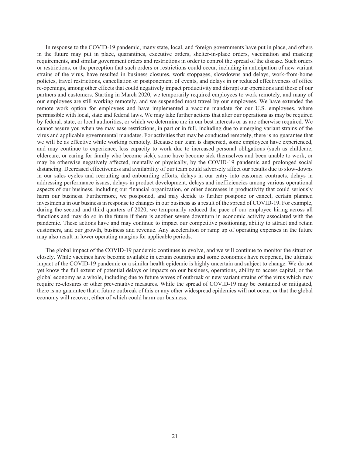In response to the COVID-19 pandemic, many state, local, and foreign governments have put in place, and others in the future may put in place, quarantines, executive orders, shelter-in-place orders, vaccination and masking requirements, and similar government orders and restrictions in order to control the spread of the disease. Such orders or restrictions, or the perception that such orders or restrictions could occur, including in anticipation of new variant strains of the virus, have resulted in business closures, work stoppages, slowdowns and delays, work-from-home policies, travel restrictions, cancellation or postponement of events, and delays in or reduced effectiveness of office re-openings, among other effects that could negatively impact productivity and disrupt our operations and those of our partners and customers. Starting in March 2020, we temporarily required employees to work remotely, and many of our employees are still working remotely, and we suspended most travel by our employees. We have extended the remote work option for employees and have implemented a vaccine mandate for our U.S. employees, where permissible with local, state and federal laws. We may take further actions that alter our operations as may be required by federal, state, or local authorities, or which we determine are in our best interests or as are otherwise required. We cannot assure you when we may ease restrictions, in part or in full, including due to emerging variant strains of the virus and applicable governmental mandates. For activities that may be conducted remotely, there is no guarantee that we will be as effective while working remotely. Because our team is dispersed, some employees have experienced, and may continue to experience, less capacity to work due to increased personal obligations (such as childcare, eldercare, or caring for family who become sick), some have become sick themselves and been unable to work, or may be otherwise negatively affected, mentally or physically, by the COVID-19 pandemic and prolonged social distancing. Decreased effectiveness and availability of our team could adversely affect our results due to slow-downs in our sales cycles and recruiting and onboarding efforts, delays in our entry into customer contracts, delays in addressing performance issues, delays in product development, delays and inefficiencies among various operational aspects of our business, including our financial organization, or other decreases in productivity that could seriously harm our business. Furthermore, we postponed, and may decide to further postpone or cancel, certain planned investments in our business in response to changes in our business as a result of the spread of COVID-19. For example, during the second and third quarters of 2020, we temporarily reduced the pace of our employee hiring across all functions and may do so in the future if there is another severe downturn in economic activity associated with the pandemic. These actions have and may continue to impact our competitive positioning, ability to attract and retain customers, and our growth, business and revenue. Any acceleration or ramp up of operating expenses in the future may also result in lower operating margins for applicable periods.

The global impact of the COVID-19 pandemic continues to evolve, and we will continue to monitor the situation closely. While vaccines have become available in certain countries and some economies have reopened, the ultimate impact of the COVID-19 pandemic or a similar health epidemic is highly uncertain and subject to change. We do not yet know the full extent of potential delays or impacts on our business, operations, ability to access capital, or the global economy as a whole, including due to future waves of outbreak or new variant strains of the virus which may require re-closures or other preventative measures. While the spread of COVID-19 may be contained or mitigated, there is no guarantee that a future outbreak of this or any other widespread epidemics will not occur, or that the global economy will recover, either of which could harm our business.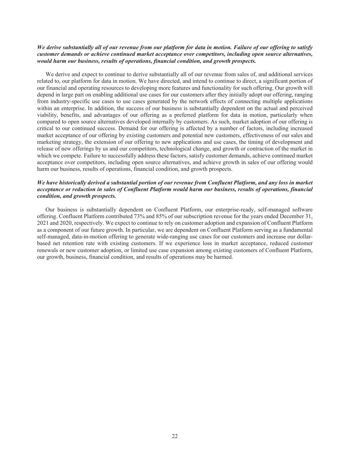# We derive substantially all of our revenue from our platform for data in motion. Failure of our offering to satisfy *customer demands or achieve continued market acceptance over competitors, including open source alternatives, would harm our business, results of operations, financial condition, and growth prospects.*

We derive and expect to continue to derive substantially all of our revenue from sales of, and additional services related to, our platform for data in motion. We have directed, and intend to continue to direct, a significant portion of our financial and operating resources to developing more features and functionality for such offering. Our growth will depend in large part on enabling additional use cases for our customers after they initially adopt our offering, ranging from industry-specific use cases to use cases generated by the network effects of connecting multiple applications within an enterprise. In addition, the success of our business is substantially dependent on the actual and perceived viability, benefits, and advantages of our offering as a preferred platform for data in motion, particularly when compared to open source alternatives developed internally by customers. As such, market adoption of our offering is critical to our continued success. Demand for our offering is affected by a number of factors, including increased market acceptance of our offering by existing customers and potential new customers, effectiveness of our sales and marketing strategy, the extension of our offering to new applications and use cases, the timing of development and release of new offerings by us and our competitors, technological change, and growth or contraction of the market in which we compete. Failure to successfully address these factors, satisfy customer demands, achieve continued market acceptance over competitors, including open source alternatives, and achieve growth in sales of our offering would harm our business, results of operations, financial condition, and growth prospects.

# *We have historically derived a substantial portion of our revenue from Confluent Platform, and any loss in market acceptance or reduction in sales of Confluent Platform would harm our business, results of operations, financial condition, and growth prospects.*

Our business is substantially dependent on Confluent Platform, our enterprise-ready, self-managed software offering. Confluent Platform contributed 73% and 85% of our subscription revenue for the years ended December 31, 2021 and 2020, respectively. We expect to continue to rely on customer adoption and expansion of Confluent Platform as a component of our future growth. In particular, we are dependent on Confluent Platform serving as a fundamental self-managed, data-in-motion offering to generate wide-ranging use cases for our customers and increase our dollarbased net retention rate with existing customers. If we experience loss in market acceptance, reduced customer renewals or new customer adoption, or limited use case expansion among existing customers of Confluent Platform, our growth, business, financial condition, and results of operations may be harmed.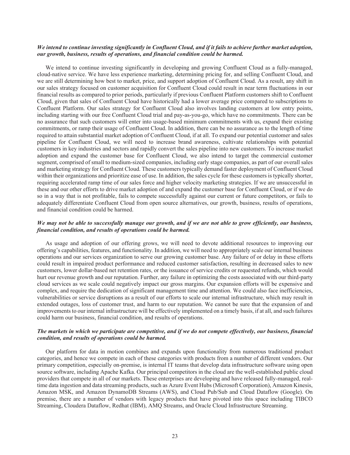#### We intend to continue investing significantly in Confluent Cloud, and if it fails to achieve further market adoption, *our growth, business, results of operations, and financial condition could be harmed.*

We intend to continue investing significantly in developing and growing Confluent Cloud as a fully-managed, cloud-native service. We have less experience marketing, determining pricing for, and selling Confluent Cloud, and we are still determining how best to market, price, and support adoption of Confluent Cloud. As a result, any shift in our sales strategy focused on customer acquisition for Confluent Cloud could result in near term fluctuations in our financial results as compared to prior periods, particularly if previous Confluent Platform customers shift to Confluent Cloud, given that sales of Confluent Cloud have historically had a lower average price compared to subscriptions to Confluent Platform. Our sales strategy for Confluent Cloud also involves landing customers at low entry points, including starting with our free Confluent Cloud trial and pay-as-you-go, which have no commitments. There can be no assurance that such customers will enter into usage-based minimum commitments with us, expand their existing commitments, or ramp their usage of Confluent Cloud. In addition, there can be no assurance as to the length of time required to attain substantial market adoption of Confluent Cloud, if at all. To expand our potential customer and sales pipeline for Confluent Cloud, we will need to increase brand awareness, cultivate relationships with potential customers in key industries and sectors and rapidly convert the sales pipeline into new customers. To increase market adoption and expand the customer base for Confluent Cloud, we also intend to target the commercial customer segment, comprised of small to medium-sized companies, including early stage companies, as part of our overall sales and marketing strategy for Confluent Cloud. These customers typically demand faster deployment of Confluent Cloud within their organizations and prioritize ease of use. In addition, the sales cycle for these customers is typically shorter, requiring accelerated ramp time of our sales force and higher velocity marketing strategies. If we are unsuccessful in these and our other efforts to drive market adoption of and expand the customer base for Confluent Cloud, or if we do so in a way that is not profitable, fails to compete successfully against our current or future competitors, or fails to adequately differentiate Confluent Cloud from open source alternatives, our growth, business, results of operations, and financial condition could be harmed.

# *We may not be able to successfully manage our growth, and if we are not able to grow efficiently, our business, financial condition, and results of operations could be harmed.*

As usage and adoption of our offering grows, we will need to devote additional resources to improving our offering's capabilities, features, and functionality. In addition, we will need to appropriately scale our internal business operations and our services organization to serve our growing customer base. Any failure of or delay in these efforts could result in impaired product performance and reduced customer satisfaction, resulting in decreased sales to new customers, lower dollar-based net retention rates, or the issuance of service credits or requested refunds, which would hurt our revenue growth and our reputation. Further, any failure in optimizing the costs associated with our third-party cloud services as we scale could negatively impact our gross margins. Our expansion efforts will be expensive and complex, and require the dedication of significant management time and attention. We could also face inefficiencies, vulnerabilities or service disruptions as a result of our efforts to scale our internal infrastructure, which may result in extended outages, loss of customer trust, and harm to our reputation. We cannot be sure that the expansion of and improvements to our internal infrastructure will be effectively implemented on a timely basis, if at all, and such failures could harm our business, financial condition, and results of operations.

# *The markets in which we participate are competitive, and if we do not compete effectively, our business, financial condition, and results of operations could be harmed.*

Our platform for data in motion combines and expands upon functionality from numerous traditional product categories, and hence we compete in each of these categories with products from a number of different vendors. Our primary competition, especially on-premise, is internal IT teams that develop data infrastructure software using open source software, including Apache Kafka. Our principal competitors in the cloud are the well-established public cloud providers that compete in all of our markets. These enterprises are developing and have released fully-managed, realtime data ingestion and data streaming products, such as Azure Event Hubs (Microsoft Corporation), Amazon Kinesis, Amazon MSK, and Amazon DynamoDB Streams (AWS), and Cloud Pub/Sub and Cloud Dataflow (Google). On premise, there are a number of vendors with legacy products that have pivoted into this space including TIBCO Streaming, Cloudera Dataflow, Redhat (IBM), AMQ Streams, and Oracle Cloud Infrastructure Streaming.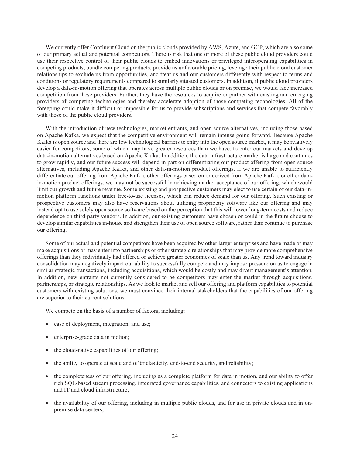We currently offer Confluent Cloud on the public clouds provided by AWS, Azure, and GCP, which are also some of our primary actual and potential competitors. There is risk that one or more of these public cloud providers could use their respective control of their public clouds to embed innovations or privileged interoperating capabilities in competing products, bundle competing products, provide us unfavorable pricing, leverage their public cloud customer relationships to exclude us from opportunities, and treat us and our customers differently with respect to terms and conditions or regulatory requirements compared to similarly situated customers. In addition, if public cloud providers develop a data-in-motion offering that operates across multiple public clouds or on premise, we would face increased competition from these providers. Further, they have the resources to acquire or partner with existing and emerging providers of competing technologies and thereby accelerate adoption of those competing technologies. All of the foregoing could make it difficult or impossible for us to provide subscriptions and services that compete favorably with those of the public cloud providers.

With the introduction of new technologies, market entrants, and open source alternatives, including those based on Apache Kafka, we expect that the competitive environment will remain intense going forward. Because Apache Kafka is open source and there are few technological barriers to entry into the open source market, it may be relatively easier for competitors, some of which may have greater resources than we have, to enter our markets and develop data-in-motion alternatives based on Apache Kafka. In addition, the data infrastructure market is large and continues to grow rapidly, and our future success will depend in part on differentiating our product offering from open source alternatives, including Apache Kafka, and other data-in-motion product offerings. If we are unable to sufficiently differentiate our offering from Apache Kafka, other offerings based on or derived from Apache Kafka, or other datain-motion product offerings, we may not be successful in achieving market acceptance of our offering, which would limit our growth and future revenue. Some existing and prospective customers may elect to use certain of our data-inmotion platform functions under free-to-use licenses, which can reduce demand for our offering. Such existing or prospective customers may also have reservations about utilizing proprietary software like our offering and may instead opt to use solely open source software based on the perception that this will lower long-term costs and reduce dependence on third-party vendors. In addition, our existing customers have chosen or could in the future choose to develop similar capabilities in-house and strengthen their use of open source software, rather than continue to purchase our offering.

Some of our actual and potential competitors have been acquired by other larger enterprises and have made or may make acquisitions or may enter into partnerships or other strategic relationships that may provide more comprehensive offerings than they individually had offered or achieve greater economies of scale than us. Any trend toward industry consolidation may negatively impact our ability to successfully compete and may impose pressure on us to engage in similar strategic transactions, including acquisitions, which would be costly and may divert management's attention. In addition, new entrants not currently considered to be competitors may enter the market through acquisitions, partnerships, or strategic relationships. As we look to market and sell our offering and platform capabilities to potential customers with existing solutions, we must convince their internal stakeholders that the capabilities of our offering are superior to their current solutions.

We compete on the basis of a number of factors, including:

- ease of deployment, integration, and use;
- enterprise-grade data in motion;
- the cloud-native capabilities of our offering;
- the ability to operate at scale and offer elasticity, end-to-end security, and reliability;
- the completeness of our offering, including as a complete platform for data in motion, and our ability to offer rich SQL-based stream processing, integrated governance capabilities, and connectors to existing applications and IT and cloud infrastructure;
- the availability of our offering, including in multiple public clouds, and for use in private clouds and in onpremise data centers;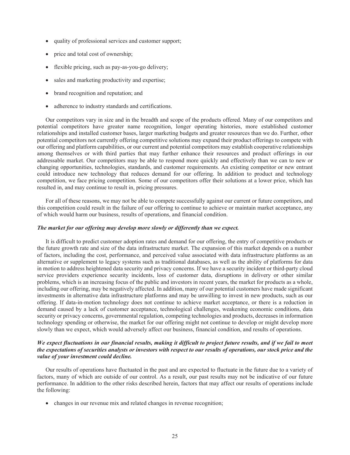- quality of professional services and customer support;
- price and total cost of ownership;
- flexible pricing, such as pay-as-you-go delivery;
- sales and marketing productivity and expertise;
- brand recognition and reputation; and
- adherence to industry standards and certifications.

Our competitors vary in size and in the breadth and scope of the products offered. Many of our competitors and potential competitors have greater name recognition, longer operating histories, more established customer relationships and installed customer bases, larger marketing budgets and greater resources than we do. Further, other potential competitors not currently offering competitive solutions may expand their product offerings to compete with our offering and platform capabilities, or our current and potential competitors may establish cooperative relationships among themselves or with third parties that may further enhance their resources and product offerings in our addressable market. Our competitors may be able to respond more quickly and effectively than we can to new or changing opportunities, technologies, standards, and customer requirements. An existing competitor or new entrant could introduce new technology that reduces demand for our offering. In addition to product and technology competition, we face pricing competition. Some of our competitors offer their solutions at a lower price, which has resulted in, and may continue to result in, pricing pressures.

For all of these reasons, we may not be able to compete successfully against our current or future competitors, and this competition could result in the failure of our offering to continue to achieve or maintain market acceptance, any of which would harm our business, results of operations, and financial condition.

## *The market for our offering may develop more slowly or differently than we expect.*

It is difficult to predict customer adoption rates and demand for our offering, the entry of competitive products or the future growth rate and size of the data infrastructure market. The expansion of this market depends on a number of factors, including the cost, performance, and perceived value associated with data infrastructure platforms as an alternative or supplement to legacy systems such as traditional databases, as well as the ability of platforms for data in motion to address heightened data security and privacy concerns. If we have a security incident or third-party cloud service providers experience security incidents, loss of customer data, disruptions in delivery or other similar problems, which is an increasing focus of the public and investors in recent years, the market for products as a whole, including our offering, may be negatively affected. In addition, many of our potential customers have made significant investments in alternative data infrastructure platforms and may be unwilling to invest in new products, such as our offering. If data-in-motion technology does not continue to achieve market acceptance, or there is a reduction in demand caused by a lack of customer acceptance, technological challenges, weakening economic conditions, data security or privacy concerns, governmental regulation, competing technologies and products, decreases in information technology spending or otherwise, the market for our offering might not continue to develop or might develop more slowly than we expect, which would adversely affect our business, financial condition, and results of operations.

# *We expect fluctuations in our financial results, making it difficult to project future results, and if we fail to meet the expectations of securities analysts or investors with respect to our results of operations, our stock price and the value of your investment could decline.*

Our results of operations have fluctuated in the past and are expected to fluctuate in the future due to a variety of factors, many of which are outside of our control. As a result, our past results may not be indicative of our future performance. In addition to the other risks described herein, factors that may affect our results of operations include the following:

changes in our revenue mix and related changes in revenue recognition;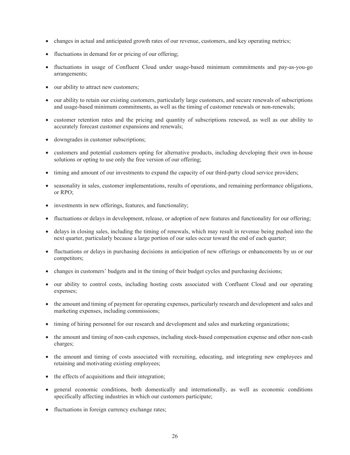- changes in actual and anticipated growth rates of our revenue, customers, and key operating metrics;
- fluctuations in demand for or pricing of our offering;
- fluctuations in usage of Confluent Cloud under usage-based minimum commitments and pay-as-you-go arrangements;
- our ability to attract new customers;
- our ability to retain our existing customers, particularly large customers, and secure renewals of subscriptions and usage-based minimum commitments, as well as the timing of customer renewals or non-renewals;
- customer retention rates and the pricing and quantity of subscriptions renewed, as well as our ability to accurately forecast customer expansions and renewals;
- downgrades in customer subscriptions;
- customers and potential customers opting for alternative products, including developing their own in-house solutions or opting to use only the free version of our offering;
- timing and amount of our investments to expand the capacity of our third-party cloud service providers;
- seasonality in sales, customer implementations, results of operations, and remaining performance obligations, or RPO;
- investments in new offerings, features, and functionality;
- fluctuations or delays in development, release, or adoption of new features and functionality for our offering;
- delays in closing sales, including the timing of renewals, which may result in revenue being pushed into the next quarter, particularly because a large portion of our sales occur toward the end of each quarter;
- fluctuations or delays in purchasing decisions in anticipation of new offerings or enhancements by us or our competitors;
- changes in customers' budgets and in the timing of their budget cycles and purchasing decisions;
- our ability to control costs, including hosting costs associated with Confluent Cloud and our operating expenses;
- the amount and timing of payment for operating expenses, particularly research and development and sales and marketing expenses, including commissions;
- timing of hiring personnel for our research and development and sales and marketing organizations;
- the amount and timing of non-cash expenses, including stock-based compensation expense and other non-cash charges;
- the amount and timing of costs associated with recruiting, educating, and integrating new employees and retaining and motivating existing employees;
- the effects of acquisitions and their integration;
- general economic conditions, both domestically and internationally, as well as economic conditions specifically affecting industries in which our customers participate;
- fluctuations in foreign currency exchange rates;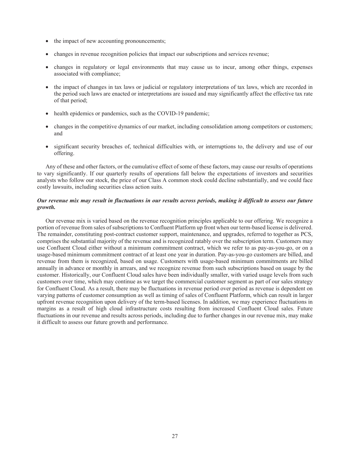- the impact of new accounting pronouncements;
- changes in revenue recognition policies that impact our subscriptions and services revenue;
- changes in regulatory or legal environments that may cause us to incur, among other things, expenses associated with compliance;
- the impact of changes in tax laws or judicial or regulatory interpretations of tax laws, which are recorded in the period such laws are enacted or interpretations are issued and may significantly affect the effective tax rate of that period;
- health epidemics or pandemics, such as the COVID-19 pandemic;
- changes in the competitive dynamics of our market, including consolidation among competitors or customers; and
- significant security breaches of, technical difficulties with, or interruptions to, the delivery and use of our offering.

Any of these and other factors, or the cumulative effect of some of these factors, may cause our results of operations to vary significantly. If our quarterly results of operations fall below the expectations of investors and securities analysts who follow our stock, the price of our Class A common stock could decline substantially, and we could face costly lawsuits, including securities class action suits.

# *Our revenue mix may result in fluctuations in our results across periods, making it difficult to assess our future growth.*

Our revenue mix is varied based on the revenue recognition principles applicable to our offering. We recognize a portion of revenue from sales of subscriptions to Confluent Platform up front when our term-based license is delivered. The remainder, constituting post-contract customer support, maintenance, and upgrades, referred to together as PCS, comprises the substantial majority of the revenue and is recognized ratably over the subscription term. Customers may use Confluent Cloud either without a minimum commitment contract, which we refer to as pay-as-you-go, or on a usage-based minimum commitment contract of at least one year in duration. Pay-as-you-go customers are billed, and revenue from them is recognized, based on usage. Customers with usage-based minimum commitments are billed annually in advance or monthly in arrears, and we recognize revenue from such subscriptions based on usage by the customer. Historically, our Confluent Cloud sales have been individually smaller, with varied usage levels from such customers over time, which may continue as we target the commercial customer segment as part of our sales strategy for Confluent Cloud. As a result, there may be fluctuations in revenue period over period as revenue is dependent on varying patterns of customer consumption as well as timing of sales of Confluent Platform, which can result in larger upfront revenue recognition upon delivery of the term-based licenses. In addition, we may experience fluctuations in margins as a result of high cloud infrastructure costs resulting from increased Confluent Cloud sales. Future fluctuations in our revenue and results across periods, including due to further changes in our revenue mix, may make it difficult to assess our future growth and performance.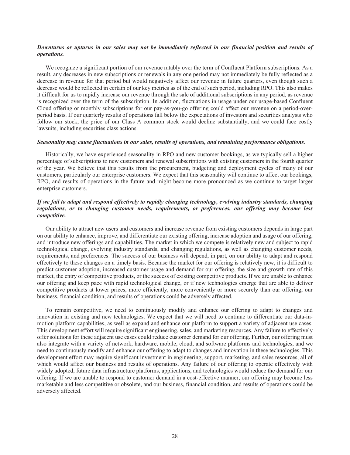### Downturns or upturns in our sales may not be immediately reflected in our financial position and results of *operations.*

We recognize a significant portion of our revenue ratably over the term of Confluent Platform subscriptions. As a result, any decreases in new subscriptions or renewals in any one period may not immediately be fully reflected as a decrease in revenue for that period but would negatively affect our revenue in future quarters, even though such a decrease would be reflected in certain of our key metrics as of the end of such period, including RPO. This also makes it difficult for us to rapidly increase our revenue through the sale of additional subscriptions in any period, as revenue is recognized over the term of the subscription. In addition, fluctuations in usage under our usage-based Confluent Cloud offering or monthly subscriptions for our pay-as-you-go offering could affect our revenue on a period-overperiod basis. If our quarterly results of operations fall below the expectations of investors and securities analysts who follow our stock, the price of our Class A common stock would decline substantially, and we could face costly lawsuits, including securities class actions.

#### *Seasonality may cause fluctuations in our sales, results of operations, and remaining performance obligations.*

Historically, we have experienced seasonality in RPO and new customer bookings, as we typically sell a higher percentage of subscriptions to new customers and renewal subscriptions with existing customers in the fourth quarter of the year. We believe that this results from the procurement, budgeting and deployment cycles of many of our customers, particularly our enterprise customers. We expect that this seasonality will continue to affect our bookings, RPO, and results of operations in the future and might become more pronounced as we continue to target larger enterprise customers.

# *If we fail to adapt and respond effectively to rapidly changing technology, evolving industry standards, changing regulations, or to changing customer needs, requirements, or preferences, our offering may become less competitive.*

Our ability to attract new users and customers and increase revenue from existing customers depends in large part on our ability to enhance, improve, and differentiate our existing offering, increase adoption and usage of our offering, and introduce new offerings and capabilities. The market in which we compete is relatively new and subject to rapid technological change, evolving industry standards, and changing regulations, as well as changing customer needs, requirements, and preferences. The success of our business will depend, in part, on our ability to adapt and respond effectively to these changes on a timely basis. Because the market for our offering is relatively new, it is difficult to predict customer adoption, increased customer usage and demand for our offering, the size and growth rate of this market, the entry of competitive products, or the success of existing competitive products. If we are unable to enhance our offering and keep pace with rapid technological change, or if new technologies emerge that are able to deliver competitive products at lower prices, more efficiently, more conveniently or more securely than our offering, our business, financial condition, and results of operations could be adversely affected.

To remain competitive, we need to continuously modify and enhance our offering to adapt to changes and innovation in existing and new technologies. We expect that we will need to continue to differentiate our data-inmotion platform capabilities, as well as expand and enhance our platform to support a variety of adjacent use cases. This development effort will require significant engineering, sales, and marketing resources. Any failure to effectively offer solutions for these adjacent use cases could reduce customer demand for our offering. Further, our offering must also integrate with a variety of network, hardware, mobile, cloud, and software platforms and technologies, and we need to continuously modify and enhance our offering to adapt to changes and innovation in these technologies. This development effort may require significant investment in engineering, support, marketing, and sales resources, all of which would affect our business and results of operations. Any failure of our offering to operate effectively with widely adopted, future data infrastructure platforms, applications, and technologies would reduce the demand for our offering. If we are unable to respond to customer demand in a cost-effective manner, our offering may become less marketable and less competitive or obsolete, and our business, financial condition, and results of operations could be adversely affected.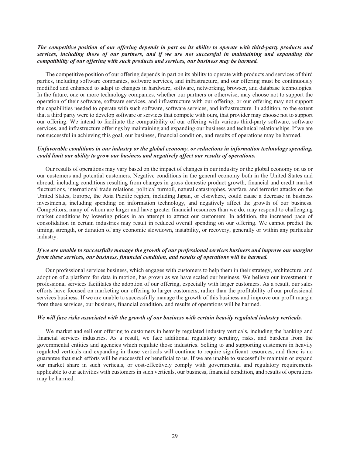## The competitive position of our offering depends in part on its ability to operate with third-party products and *services, including those of our partners, and if we are not successful in maintaining and expanding the compatibility of our offering with such products and services, our business may be harmed.*

The competitive position of our offering depends in part on its ability to operate with products and services of third parties, including software companies, software services, and infrastructure, and our offering must be continuously modified and enhanced to adapt to changes in hardware, software, networking, browser, and database technologies. In the future, one or more technology companies, whether our partners or otherwise, may choose not to support the operation of their software, software services, and infrastructure with our offering, or our offering may not support the capabilities needed to operate with such software, software services, and infrastructure. In addition, to the extent that a third party were to develop software or services that compete with ours, that provider may choose not to support our offering. We intend to facilitate the compatibility of our offering with various third-party software, software services, and infrastructure offerings by maintaining and expanding our business and technical relationships. If we are not successful in achieving this goal, our business, financial condition, and results of operations may be harmed.

# *Unfavorable conditions in our industry or the global economy, or reductions in information technology spending, could limit our ability to grow our business and negatively affect our results of operations.*

Our results of operations may vary based on the impact of changes in our industry or the global economy on us or our customers and potential customers. Negative conditions in the general economy both in the United States and abroad, including conditions resulting from changes in gross domestic product growth, financial and credit market fluctuations, international trade relations, political turmoil, natural catastrophes, warfare, and terrorist attacks on the United States, Europe, the Asia Pacific region, including Japan, or elsewhere, could cause a decrease in business investments, including spending on information technology, and negatively affect the growth of our business. Competitors, many of whom are larger and have greater financial resources than we do, may respond to challenging market conditions by lowering prices in an attempt to attract our customers. In addition, the increased pace of consolidation in certain industries may result in reduced overall spending on our offering. We cannot predict the timing, strength, or duration of any economic slowdown, instability, or recovery, generally or within any particular industry.

## *If we are unable to successfully manage the growth of our professional services business and improve our margins from these services, our business, financial condition, and results of operations will be harmed.*

Our professional services business, which engages with customers to help them in their strategy, architecture, and adoption of a platform for data in motion, has grown as we have scaled our business. We believe our investment in professional services facilitates the adoption of our offering, especially with larger customers. As a result, our sales efforts have focused on marketing our offering to larger customers, rather than the profitability of our professional services business. If we are unable to successfully manage the growth of this business and improve our profit margin from these services, our business, financial condition, and results of operations will be harmed.

#### *We will face risks associated with the growth of our business with certain heavily regulated industry verticals.*

We market and sell our offering to customers in heavily regulated industry verticals, including the banking and financial services industries. As a result, we face additional regulatory scrutiny, risks, and burdens from the governmental entities and agencies which regulate those industries. Selling to and supporting customers in heavily regulated verticals and expanding in those verticals will continue to require significant resources, and there is no guarantee that such efforts will be successful or beneficial to us. If we are unable to successfully maintain or expand our market share in such verticals, or cost-effectively comply with governmental and regulatory requirements applicable to our activities with customers in such verticals, our business, financial condition, and results of operations may be harmed.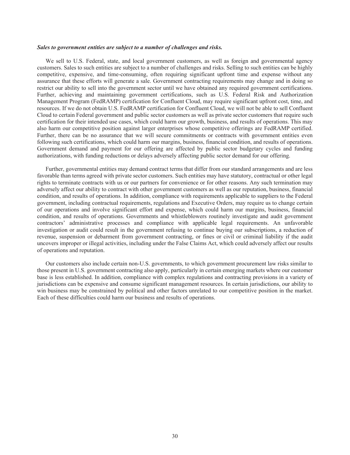#### *Sales to government entities are subject to a number of challenges and risks.*

We sell to U.S. Federal, state, and local government customers, as well as foreign and governmental agency customers. Sales to such entities are subject to a number of challenges and risks. Selling to such entities can be highly competitive, expensive, and time-consuming, often requiring significant upfront time and expense without any assurance that these efforts will generate a sale. Government contracting requirements may change and in doing so restrict our ability to sell into the government sector until we have obtained any required government certifications. Further, achieving and maintaining government certifications, such as U.S. Federal Risk and Authorization Management Program (FedRAMP) certification for Confluent Cloud, may require significant upfront cost, time, and resources. If we do not obtain U.S. FedRAMP certification for Confluent Cloud, we will not be able to sell Confluent Cloud to certain Federal government and public sector customers as well as private sector customers that require such certification for their intended use cases, which could harm our growth, business, and results of operations. This may also harm our competitive position against larger enterprises whose competitive offerings are FedRAMP certified. Further, there can be no assurance that we will secure commitments or contracts with government entities even following such certifications, which could harm our margins, business, financial condition, and results of operations. Government demand and payment for our offering are affected by public sector budgetary cycles and funding authorizations, with funding reductions or delays adversely affecting public sector demand for our offering.

Further, governmental entities may demand contract terms that differ from our standard arrangements and are less favorable than terms agreed with private sector customers. Such entities may have statutory, contractual or other legal rights to terminate contracts with us or our partners for convenience or for other reasons. Any such termination may adversely affect our ability to contract with other government customers as well as our reputation, business, financial condition, and results of operations. In addition, compliance with requirements applicable to suppliers to the Federal government, including contractual requirements, regulations and Executive Orders, may require us to change certain of our operations and involve significant effort and expense, which could harm our margins, business, financial condition, and results of operations. Governments and whistleblowers routinely investigate and audit government contractors' administrative processes and compliance with applicable legal requirements. An unfavorable investigation or audit could result in the government refusing to continue buying our subscriptions, a reduction of revenue, suspension or debarment from government contracting, or fines or civil or criminal liability if the audit uncovers improper or illegal activities, including under the False Claims Act, which could adversely affect our results of operations and reputation.

Our customers also include certain non-U.S. governments, to which government procurement law risks similar to those present in U.S. government contracting also apply, particularly in certain emerging markets where our customer base is less established. In addition, compliance with complex regulations and contracting provisions in a variety of jurisdictions can be expensive and consume significant management resources. In certain jurisdictions, our ability to win business may be constrained by political and other factors unrelated to our competitive position in the market. Each of these difficulties could harm our business and results of operations.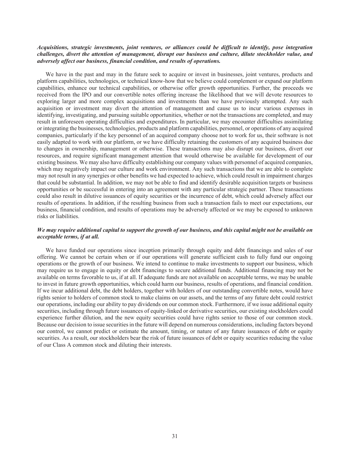### *Acquisitions, strategic investments, joint ventures, or alliances could be difficult to identify, pose integration challenges, divert the attention of management, disrupt our business and culture, dilute stockholder value, and adversely affect our business, financial condition, and results of operations.*

We have in the past and may in the future seek to acquire or invest in businesses, joint ventures, products and platform capabilities, technologies, or technical know-how that we believe could complement or expand our platform capabilities, enhance our technical capabilities, or otherwise offer growth opportunities. Further, the proceeds we received from the IPO and our convertible notes offering increase the likelihood that we will devote resources to exploring larger and more complex acquisitions and investments than we have previously attempted. Any such acquisition or investment may divert the attention of management and cause us to incur various expenses in identifying, investigating, and pursuing suitable opportunities, whether or not the transactions are completed, and may result in unforeseen operating difficulties and expenditures. In particular, we may encounter difficulties assimilating or integrating the businesses, technologies, products and platform capabilities, personnel, or operations of any acquired companies, particularly if the key personnel of an acquired company choose not to work for us, their software is not easily adapted to work with our platform, or we have difficulty retaining the customers of any acquired business due to changes in ownership, management or otherwise. These transactions may also disrupt our business, divert our resources, and require significant management attention that would otherwise be available for development of our existing business. We may also have difficulty establishing our company values with personnel of acquired companies, which may negatively impact our culture and work environment. Any such transactions that we are able to complete may not result in any synergies or other benefits we had expected to achieve, which could result in impairment charges that could be substantial. In addition, we may not be able to find and identify desirable acquisition targets or business opportunities or be successful in entering into an agreement with any particular strategic partner. These transactions could also result in dilutive issuances of equity securities or the incurrence of debt, which could adversely affect our results of operations. In addition, if the resulting business from such a transaction fails to meet our expectations, our business, financial condition, and results of operations may be adversely affected or we may be exposed to unknown risks or liabilities.

## *We may require additional capital to support the growth of our business, and this capital might not be available on acceptable terms, if at all.*

We have funded our operations since inception primarily through equity and debt financings and sales of our offering. We cannot be certain when or if our operations will generate sufficient cash to fully fund our ongoing operations or the growth of our business. We intend to continue to make investments to support our business, which may require us to engage in equity or debt financings to secure additional funds. Additional financing may not be available on terms favorable to us, if at all. If adequate funds are not available on acceptable terms, we may be unable to invest in future growth opportunities, which could harm our business, results of operations, and financial condition. If we incur additional debt, the debt holders, together with holders of our outstanding convertible notes, would have rights senior to holders of common stock to make claims on our assets, and the terms of any future debt could restrict our operations, including our ability to pay dividends on our common stock. Furthermore, if we issue additional equity securities, including through future issuances of equity-linked or derivative securities, our existing stockholders could experience further dilution, and the new equity securities could have rights senior to those of our common stock. Because our decision to issue securities in the future will depend on numerous considerations, including factors beyond our control, we cannot predict or estimate the amount, timing, or nature of any future issuances of debt or equity securities. As a result, our stockholders bear the risk of future issuances of debt or equity securities reducing the value of our Class A common stock and diluting their interests.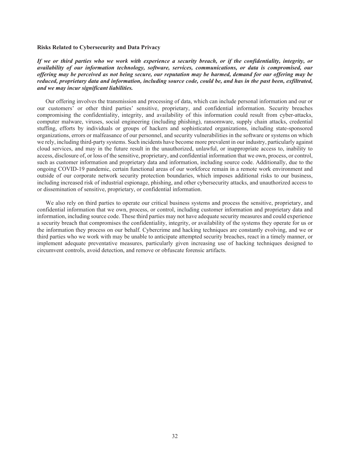#### **Risks Related to Cybersecurity and Data Privacy**

*If we or third parties who we work with experience a security breach, or if the confidentiality, integrity, or availability of our information technology, software, services, communications, or data is compromised, our offering may be perceived as not being secure, our reputation may be harmed, demand for our offering may be reduced, proprietary data and information, including source code, could be, and has in the past been, exfiltrated, and we may incur significant liabilities.*

Our offering involves the transmission and processing of data, which can include personal information and our or our customers' or other third parties' sensitive, proprietary, and confidential information. Security breaches compromising the confidentiality, integrity, and availability of this information could result from cyber-attacks, computer malware, viruses, social engineering (including phishing), ransomware, supply chain attacks, credential stuffing, efforts by individuals or groups of hackers and sophisticated organizations, including state-sponsored organizations, errors or malfeasance of our personnel, and security vulnerabilities in the software or systems on which we rely, including third-party systems. Such incidents have become more prevalent in our industry, particularly against cloud services, and may in the future result in the unauthorized, unlawful, or inappropriate access to, inability to access, disclosure of, or loss of the sensitive, proprietary, and confidential information that we own, process, or control, such as customer information and proprietary data and information, including source code. Additionally, due to the ongoing COVID-19 pandemic, certain functional areas of our workforce remain in a remote work environment and outside of our corporate network security protection boundaries, which imposes additional risks to our business, including increased risk of industrial espionage, phishing, and other cybersecurity attacks, and unauthorized access to or dissemination of sensitive, proprietary, or confidential information.

We also rely on third parties to operate our critical business systems and process the sensitive, proprietary, and confidential information that we own, process, or control, including customer information and proprietary data and information, including source code. These third parties may not have adequate security measures and could experience a security breach that compromises the confidentiality, integrity, or availability of the systems they operate for us or the information they process on our behalf. Cybercrime and hacking techniques are constantly evolving, and we or third parties who we work with may be unable to anticipate attempted security breaches, react in a timely manner, or implement adequate preventative measures, particularly given increasing use of hacking techniques designed to circumvent controls, avoid detection, and remove or obfuscate forensic artifacts.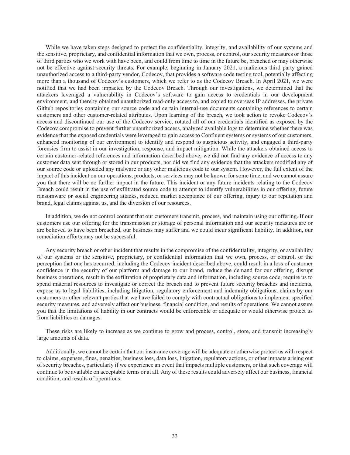While we have taken steps designed to protect the confidentiality, integrity, and availability of our systems and the sensitive, proprietary, and confidential information that we own, process, or control, our security measures or those of third parties who we work with have been, and could from time to time in the future be, breached or may otherwise not be effective against security threats. For example, beginning in January 2021, a malicious third party gained unauthorized access to a third-party vendor, Codecov, that provides a software code testing tool, potentially affecting more than a thousand of Codecov's customers, which we refer to as the Codecov Breach. In April 2021, we were notified that we had been impacted by the Codecov Breach. Through our investigations, we determined that the attackers leveraged a vulnerability in Codecov's software to gain access to credentials in our development environment, and thereby obtained unauthorized read-only access to, and copied to overseas IP addresses, the private Github repositories containing our source code and certain internal-use documents containing references to certain customers and other customer-related attributes. Upon learning of the breach, we took action to revoke Codecov's access and discontinued our use of the Codecov service, rotated all of our credentials identified as exposed by the Codecov compromise to prevent further unauthorized access, analyzed available logs to determine whether there was evidence that the exposed credentials were leveraged to gain access to Confluent systems or systems of our customers, enhanced monitoring of our environment to identify and respond to suspicious activity, and engaged a third-party forensics firm to assist in our investigation, response, and impact mitigation. While the attackers obtained access to certain customer-related references and information described above, we did not find any evidence of access to any customer data sent through or stored in our products, nor did we find any evidence that the attackers modified any of our source code or uploaded any malware or any other malicious code to our system. However, the full extent of the impact of this incident on our operations, products, or services may not be known for some time, and we cannot assure you that there will be no further impact in the future. This incident or any future incidents relating to the Codecov Breach could result in the use of exfiltrated source code to attempt to identify vulnerabilities in our offering, future ransomware or social engineering attacks, reduced market acceptance of our offering, injury to our reputation and brand, legal claims against us, and the diversion of our resources.

In addition, we do not control content that our customers transmit, process, and maintain using our offering. If our customers use our offering for the transmission or storage of personal information and our security measures are or are believed to have been breached, our business may suffer and we could incur significant liability. In addition, our remediation efforts may not be successful.

Any security breach or other incident that results in the compromise of the confidentiality, integrity, or availability of our systems or the sensitive, proprietary, or confidential information that we own, process, or control, or the perception that one has occurred, including the Codecov incident described above, could result in a loss of customer confidence in the security of our platform and damage to our brand, reduce the demand for our offering, disrupt business operations, result in the exfiltration of proprietary data and information, including source code, require us to spend material resources to investigate or correct the breach and to prevent future security breaches and incidents, expose us to legal liabilities, including litigation, regulatory enforcement and indemnity obligations, claims by our customers or other relevant parties that we have failed to comply with contractual obligations to implement specified security measures, and adversely affect our business, financial condition, and results of operations. We cannot assure you that the limitations of liability in our contracts would be enforceable or adequate or would otherwise protect us from liabilities or damages.

These risks are likely to increase as we continue to grow and process, control, store, and transmit increasingly large amounts of data.

Additionally, we cannot be certain that our insurance coverage will be adequate or otherwise protect us with respect to claims, expenses, fines, penalties, business loss, data loss, litigation, regulatory actions, or other impacts arising out of security breaches, particularly if we experience an event that impacts multiple customers, or that such coverage will continue to be available on acceptable terms or at all. Any of these results could adversely affect our business, financial condition, and results of operations.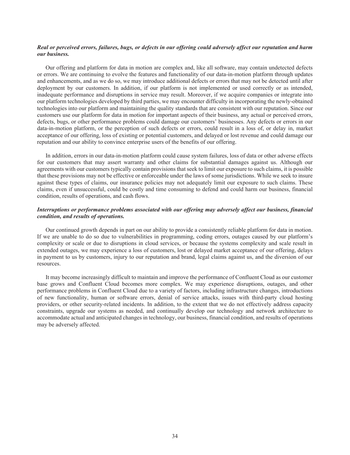### Real or perceived errors, failures, bugs, or defects in our offering could adversely affect our reputation and harm *our business.*

Our offering and platform for data in motion are complex and, like all software, may contain undetected defects or errors. We are continuing to evolve the features and functionality of our data-in-motion platform through updates and enhancements, and as we do so, we may introduce additional defects or errors that may not be detected until after deployment by our customers. In addition, if our platform is not implemented or used correctly or as intended, inadequate performance and disruptions in service may result. Moreover, if we acquire companies or integrate into our platform technologies developed by third parties, we may encounter difficulty in incorporating the newly-obtained technologies into our platform and maintaining the quality standards that are consistent with our reputation. Since our customers use our platform for data in motion for important aspects of their business, any actual or perceived errors, defects, bugs, or other performance problems could damage our customers' businesses. Any defects or errors in our data-in-motion platform, or the perception of such defects or errors, could result in a loss of, or delay in, market acceptance of our offering, loss of existing or potential customers, and delayed or lost revenue and could damage our reputation and our ability to convince enterprise users of the benefits of our offering.

In addition, errors in our data-in-motion platform could cause system failures, loss of data or other adverse effects for our customers that may assert warranty and other claims for substantial damages against us. Although our agreements with our customers typically contain provisions that seek to limit our exposure to such claims, it is possible that these provisions may not be effective or enforceable under the laws of some jurisdictions. While we seek to insure against these types of claims, our insurance policies may not adequately limit our exposure to such claims. These claims, even if unsuccessful, could be costly and time consuming to defend and could harm our business, financial condition, results of operations, and cash flows.

# *Interruptions or performance problems associated with our offering may adversely affect our business, financial condition, and results of operations.*

Our continued growth depends in part on our ability to provide a consistently reliable platform for data in motion. If we are unable to do so due to vulnerabilities in programming, coding errors, outages caused by our platform's complexity or scale or due to disruptions in cloud services, or because the systems complexity and scale result in extended outages, we may experience a loss of customers, lost or delayed market acceptance of our offering, delays in payment to us by customers, injury to our reputation and brand, legal claims against us, and the diversion of our resources.

It may become increasingly difficult to maintain and improve the performance of Confluent Cloud as our customer base grows and Confluent Cloud becomes more complex. We may experience disruptions, outages, and other performance problems in Confluent Cloud due to a variety of factors, including infrastructure changes, introductions of new functionality, human or software errors, denial of service attacks, issues with third-party cloud hosting providers, or other security-related incidents. In addition, to the extent that we do not effectively address capacity constraints, upgrade our systems as needed, and continually develop our technology and network architecture to accommodate actual and anticipated changes in technology, our business, financial condition, and results of operations may be adversely affected.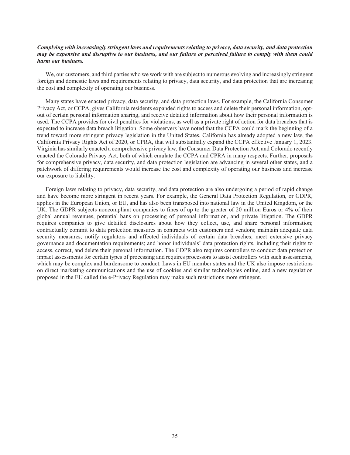### *Complying with increasingly stringent laws and requirements relating to privacy, data security, and data protection may be expensive and disruptive to our business, and our failure or perceived failure to comply with them could harm our business.*

We, our customers, and third parties who we work with are subject to numerous evolving and increasingly stringent foreign and domestic laws and requirements relating to privacy, data security, and data protection that are increasing the cost and complexity of operating our business.

Many states have enacted privacy, data security, and data protection laws. For example, the California Consumer Privacy Act, or CCPA, gives California residents expanded rights to access and delete their personal information, optout of certain personal information sharing, and receive detailed information about how their personal information is used. The CCPA provides for civil penalties for violations, as well as a private right of action for data breaches that is expected to increase data breach litigation. Some observers have noted that the CCPA could mark the beginning of a trend toward more stringent privacy legislation in the United States. California has already adopted a new law, the California Privacy Rights Act of 2020, or CPRA, that will substantially expand the CCPA effective January 1, 2023. Virginia has similarly enacted a comprehensive privacy law, the Consumer Data Protection Act, and Colorado recently enacted the Colorado Privacy Act, both of which emulate the CCPA and CPRA in many respects. Further, proposals for comprehensive privacy, data security, and data protection legislation are advancing in several other states, and a patchwork of differing requirements would increase the cost and complexity of operating our business and increase our exposure to liability.

Foreign laws relating to privacy, data security, and data protection are also undergoing a period of rapid change and have become more stringent in recent years. For example, the General Data Protection Regulation, or GDPR, applies in the European Union, or EU, and has also been transposed into national law in the United Kingdom, or the UK. The GDPR subjects noncompliant companies to fines of up to the greater of 20 million Euros or 4% of their global annual revenues, potential bans on processing of personal information, and private litigation. The GDPR requires companies to give detailed disclosures about how they collect, use, and share personal information; contractually commit to data protection measures in contracts with customers and vendors; maintain adequate data security measures; notify regulators and affected individuals of certain data breaches; meet extensive privacy governance and documentation requirements; and honor individuals' data protection rights, including their rights to access, correct, and delete their personal information. The GDPR also requires controllers to conduct data protection impact assessments for certain types of processing and requires processors to assist controllers with such assessments, which may be complex and burdensome to conduct. Laws in EU member states and the UK also impose restrictions on direct marketing communications and the use of cookies and similar technologies online, and a new regulation proposed in the EU called the e-Privacy Regulation may make such restrictions more stringent.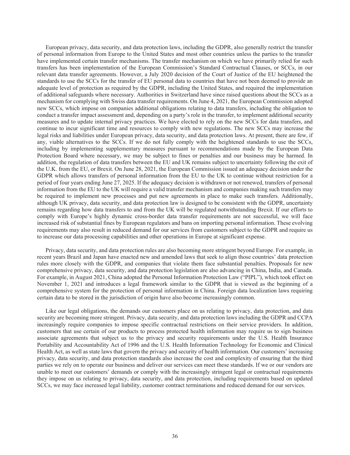European privacy, data security, and data protection laws, including the GDPR, also generally restrict the transfer of personal information from Europe to the United States and most other countries unless the parties to the transfer have implemented certain transfer mechanisms. The transfer mechanism on which we have primarily relied for such transfers has been implementation of the European Commission's Standard Contractual Clauses, or SCCs, in our relevant data transfer agreements. However, a July 2020 decision of the Court of Justice of the EU heightened the standards to use the SCCs for the transfer of EU personal data to countries that have not been deemed to provide an adequate level of protection as required by the GDPR, including the United States, and required the implementation of additional safeguards where necessary. Authorities in Switzerland have since raised questions about the SCCs as a mechanism for complying with Swiss data transfer requirements. On June 4, 2021, the European Commission adopted new SCCs, which impose on companies additional obligations relating to data transfers, including the obligation to conduct a transfer impact assessment and, depending on a party's role in the transfer, to implement additional security measures and to update internal privacy practices. We have elected to rely on the new SCCs for data transfers, and continue to incur significant time and resources to comply with new regulations. The new SCCs may increase the legal risks and liabilities under European privacy, data security, and data protection laws. At present, there are few, if any, viable alternatives to the SCCs. If we do not fully comply with the heightened standards to use the SCCs, including by implementing supplementary measures pursuant to recommendations made by the European Data Protection Board where necessary, we may be subject to fines or penalties and our business may be harmed. In addition, the regulation of data transfers between the EU and UK remains subject to uncertainty following the exit of the U.K. from the EU, or Brexit. On June 28, 2021, the European Commission issued an adequacy decision under the GDPR which allows transfers of personal information from the EU to the UK to continue without restriction for a period of four years ending June 27, 2025. If the adequacy decision is withdrawn or not renewed, transfers of personal information from the EU to the UK will require a valid transfer mechanism and companies making such transfers may be required to implement new processes and put new agreements in place to make such transfers. Additionally, although UK privacy, data security, and data protection law is designed to be consistent with the GDPR, uncertainty remains regarding how data transfers to and from the UK will be regulated notwithstanding Brexit. If our efforts to comply with Europe's highly dynamic cross-border data transfer requirements are not successful, we will face increased risk of substantial fines by European regulators and bans on importing personal information. These evolving requirements may also result in reduced demand for our services from customers subject to the GDPR and require us to increase our data processing capabilities and other operations in Europe at significant expense.

Privacy, data security, and data protection rules are also becoming more stringent beyond Europe. For example, in recent years Brazil and Japan have enacted new and amended laws that seek to align those countries' data protection rules more closely with the GDPR, and companies that violate them face substantial penalties. Proposals for new comprehensive privacy, data security, and data protection legislation are also advancing in China, India, and Canada. For example, in August 2021, China adopted the Personal Information Protection Law ("PIPL"), which took effect on November 1, 2021 and introduces a legal framework similar to the GDPR that is viewed as the beginning of a comprehensive system for the protection of personal information in China. Foreign data localization laws requiring certain data to be stored in the jurisdiction of origin have also become increasingly common.

Like our legal obligations, the demands our customers place on us relating to privacy, data protection, and data security are becoming more stringent. Privacy, data security, and data protection laws including the GDPR and CCPA increasingly require companies to impose specific contractual restrictions on their service providers. In addition, customers that use certain of our products to process protected health information may require us to sign business associate agreements that subject us to the privacy and security requirements under the U.S. Health Insurance Portability and Accountability Act of 1996 and the U.S. Health Information Technology for Economic and Clinical Health Act, as well as state laws that govern the privacy and security of health information. Our customers' increasing privacy, data security, and data protection standards also increase the cost and complexity of ensuring that the third parties we rely on to operate our business and deliver our services can meet these standards. If we or our vendors are unable to meet our customers' demands or comply with the increasingly stringent legal or contractual requirements they impose on us relating to privacy, data security, and data protection, including requirements based on updated SCCs, we may face increased legal liability, customer contract terminations and reduced demand for our services.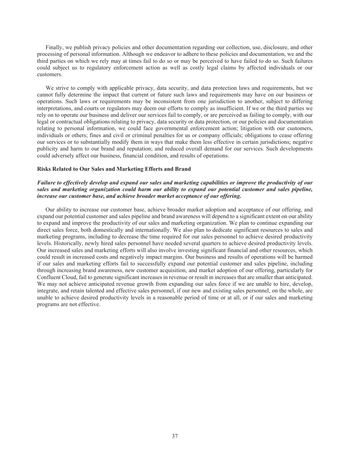Finally, we publish privacy policies and other documentation regarding our collection, use, disclosure, and other processing of personal information. Although we endeavor to adhere to these policies and documentation, we and the third parties on which we rely may at times fail to do so or may be perceived to have failed to do so. Such failures could subject us to regulatory enforcement action as well as costly legal claims by affected individuals or our customers.

We strive to comply with applicable privacy, data security, and data protection laws and requirements, but we cannot fully determine the impact that current or future such laws and requirements may have on our business or operations. Such laws or requirements may be inconsistent from one jurisdiction to another, subject to differing interpretations, and courts or regulators may deem our efforts to comply as insufficient. If we or the third parties we rely on to operate our business and deliver our services fail to comply, or are perceived as failing to comply, with our legal or contractual obligations relating to privacy, data security or data protection, or our policies and documentation relating to personal information, we could face governmental enforcement action; litigation with our customers, individuals or others; fines and civil or criminal penalties for us or company officials; obligations to cease offering our services or to substantially modify them in ways that make them less effective in certain jurisdictions; negative publicity and harm to our brand and reputation; and reduced overall demand for our services. Such developments could adversely affect our business, financial condition, and results of operations.

#### **Risks Related to Our Sales and Marketing Efforts and Brand**

### *Failure to effectively develop and expand our sales and marketing capabilities or improve the productivity of our sales and marketing organization could harm our ability to expand our potential customer and sales pipeline, increase our customer base, and achieve broader market acceptance of our offering.*

Our ability to increase our customer base, achieve broader market adoption and acceptance of our offering, and expand our potential customer and sales pipeline and brand awareness will depend to a significant extent on our ability to expand and improve the productivity of our sales and marketing organization. We plan to continue expanding our direct sales force, both domestically and internationally. We also plan to dedicate significant resources to sales and marketing programs, including to decrease the time required for our sales personnel to achieve desired productivity levels. Historically, newly hired sales personnel have needed several quarters to achieve desired productivity levels. Our increased sales and marketing efforts will also involve investing significant financial and other resources, which could result in increased costs and negatively impact margins. Our business and results of operations will be harmed if our sales and marketing efforts fail to successfully expand our potential customer and sales pipeline, including through increasing brand awareness, new customer acquisition, and market adoption of our offering, particularly for Confluent Cloud, fail to generate significant increases in revenue or result in increases that are smaller than anticipated. We may not achieve anticipated revenue growth from expanding our sales force if we are unable to hire, develop, integrate, and retain talented and effective sales personnel, if our new and existing sales personnel, on the whole, are unable to achieve desired productivity levels in a reasonable period of time or at all, or if our sales and marketing programs are not effective.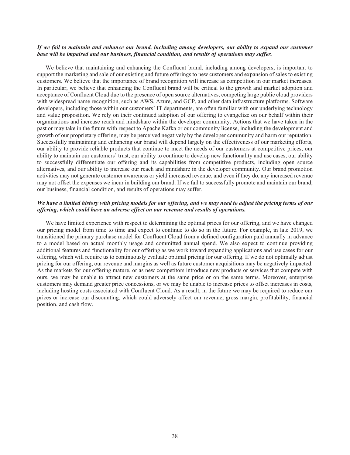### If we fail to maintain and enhance our brand, including among developers, our ability to expand our customer *base will be impaired and our business, financial condition, and results of operations may suffer.*

We believe that maintaining and enhancing the Confluent brand, including among developers, is important to support the marketing and sale of our existing and future offerings to new customers and expansion of sales to existing customers. We believe that the importance of brand recognition will increase as competition in our market increases. In particular, we believe that enhancing the Confluent brand will be critical to the growth and market adoption and acceptance of Confluent Cloud due to the presence of open source alternatives, competing large public cloud providers with widespread name recognition, such as AWS, Azure, and GCP, and other data infrastructure platforms. Software developers, including those within our customers' IT departments, are often familiar with our underlying technology and value proposition. We rely on their continued adoption of our offering to evangelize on our behalf within their organizations and increase reach and mindshare within the developer community. Actions that we have taken in the past or may take in the future with respect to Apache Kafka or our community license, including the development and growth of our proprietary offering, may be perceived negatively by the developer community and harm our reputation. Successfully maintaining and enhancing our brand will depend largely on the effectiveness of our marketing efforts, our ability to provide reliable products that continue to meet the needs of our customers at competitive prices, our ability to maintain our customers' trust, our ability to continue to develop new functionality and use cases, our ability to successfully differentiate our offering and its capabilities from competitive products, including open source alternatives, and our ability to increase our reach and mindshare in the developer community. Our brand promotion activities may not generate customer awareness or yield increased revenue, and even if they do, any increased revenue may not offset the expenses we incur in building our brand. If we fail to successfully promote and maintain our brand, our business, financial condition, and results of operations may suffer.

# *We have a limited history with pricing models for our offering, and we may need to adjust the pricing terms of our offering, which could have an adverse effect on our revenue and results of operations.*

We have limited experience with respect to determining the optimal prices for our offering, and we have changed our pricing model from time to time and expect to continue to do so in the future. For example, in late 2019, we transitioned the primary purchase model for Confluent Cloud from a defined configuration paid annually in advance to a model based on actual monthly usage and committed annual spend. We also expect to continue providing additional features and functionality for our offering as we work toward expanding applications and use cases for our offering, which will require us to continuously evaluate optimal pricing for our offering. If we do not optimally adjust pricing for our offering, our revenue and margins as well as future customer acquisitions may be negatively impacted. As the markets for our offering mature, or as new competitors introduce new products or services that compete with ours, we may be unable to attract new customers at the same price or on the same terms. Moreover, enterprise customers may demand greater price concessions, or we may be unable to increase prices to offset increases in costs, including hosting costs associated with Confluent Cloud. As a result, in the future we may be required to reduce our prices or increase our discounting, which could adversely affect our revenue, gross margin, profitability, financial position, and cash flow.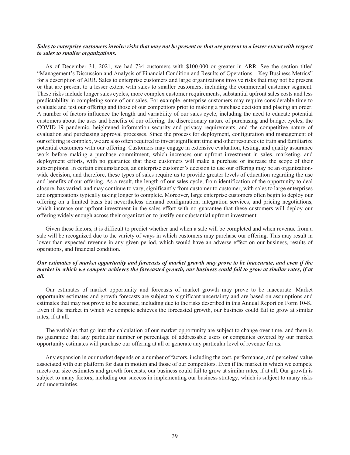# *Sales to enterprise customers involve risks that may not be present or that are present to a lesser extent with respect to sales to smaller organizations.*

As of December 31, 2021, we had 734 customers with \$100,000 or greater in ARR. See the section titled "Management's Discussion and Analysis of Financial Condition and Results of Operations—Key Business Metrics" for a description of ARR. Sales to enterprise customers and large organizations involve risks that may not be present or that are present to a lesser extent with sales to smaller customers, including the commercial customer segment. These risks include longer sales cycles, more complex customer requirements, substantial upfront sales costs and less predictability in completing some of our sales. For example, enterprise customers may require considerable time to evaluate and test our offering and those of our competitors prior to making a purchase decision and placing an order. A number of factors influence the length and variability of our sales cycle, including the need to educate potential customers about the uses and benefits of our offering, the discretionary nature of purchasing and budget cycles, the COVID-19 pandemic, heightened information security and privacy requirements, and the competitive nature of evaluation and purchasing approval processes. Since the process for deployment, configuration and management of our offering is complex, we are also often required to invest significant time and other resources to train and familiarize potential customers with our offering. Customers may engage in extensive evaluation, testing, and quality assurance work before making a purchase commitment, which increases our upfront investment in sales, marketing, and deployment efforts, with no guarantee that these customers will make a purchase or increase the scope of their subscriptions. In certain circumstances, an enterprise customer's decision to use our offering may be an organizationwide decision, and therefore, these types of sales require us to provide greater levels of education regarding the use and benefits of our offering. As a result, the length of our sales cycle, from identification of the opportunity to deal closure, has varied, and may continue to vary, significantly from customer to customer, with sales to large enterprises and organizations typically taking longer to complete. Moreover, large enterprise customers often begin to deploy our offering on a limited basis but nevertheless demand configuration, integration services, and pricing negotiations, which increase our upfront investment in the sales effort with no guarantee that these customers will deploy our offering widely enough across their organization to justify our substantial upfront investment.

Given these factors, it is difficult to predict whether and when a sale will be completed and when revenue from a sale will be recognized due to the variety of ways in which customers may purchase our offering. This may result in lower than expected revenue in any given period, which would have an adverse effect on our business, results of operations, and financial condition.

# *Our estimates of market opportunity and forecasts of market growth may prove to be inaccurate, and even if the market in which we compete achieves the forecasted growth, our business could fail to grow at similar rates, if at all.*

Our estimates of market opportunity and forecasts of market growth may prove to be inaccurate. Market opportunity estimates and growth forecasts are subject to significant uncertainty and are based on assumptions and estimates that may not prove to be accurate, including due to the risks described in this Annual Report on Form 10-K. Even if the market in which we compete achieves the forecasted growth, our business could fail to grow at similar rates, if at all.

The variables that go into the calculation of our market opportunity are subject to change over time, and there is no guarantee that any particular number or percentage of addressable users or companies covered by our market opportunity estimates will purchase our offering at all or generate any particular level of revenue for us.

Any expansion in our market depends on a number of factors, including the cost, performance, and perceived value associated with our platform for data in motion and those of our competitors. Even if the market in which we compete meets our size estimates and growth forecasts, our business could fail to grow at similar rates, if at all. Our growth is subject to many factors, including our success in implementing our business strategy, which is subject to many risks and uncertainties.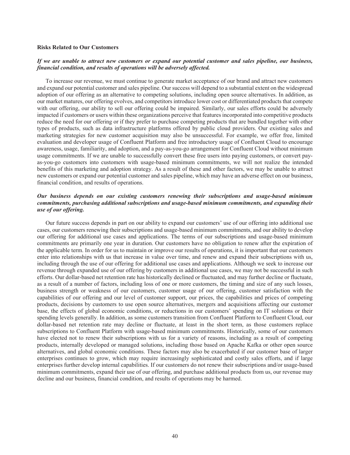#### **Risks Related to Our Customers**

## *If we are unable to attract new customers or expand our potential customer and sales pipeline, our business, financial condition, and results of operations will be adversely affected.*

To increase our revenue, we must continue to generate market acceptance of our brand and attract new customers and expand our potential customer and sales pipeline. Our success will depend to a substantial extent on the widespread adoption of our offering as an alternative to competing solutions, including open source alternatives. In addition, as our market matures, our offering evolves, and competitors introduce lower cost or differentiated products that compete with our offering, our ability to sell our offering could be impaired. Similarly, our sales efforts could be adversely impacted if customers or users within these organizations perceive that features incorporated into competitive products reduce the need for our offering or if they prefer to purchase competing products that are bundled together with other types of products, such as data infrastructure platforms offered by public cloud providers. Our existing sales and marketing strategies for new customer acquisition may also be unsuccessful. For example, we offer free, limited evaluation and developer usage of Confluent Platform and free introductory usage of Confluent Cloud to encourage awareness, usage, familiarity, and adoption, and a pay-as-you-go arrangement for Confluent Cloud without minimum usage commitments. If we are unable to successfully convert these free users into paying customers, or convert payas-you-go customers into customers with usage-based minimum commitments, we will not realize the intended benefits of this marketing and adoption strategy. As a result of these and other factors, we may be unable to attract new customers or expand our potential customer and sales pipeline, which may have an adverse effect on our business, financial condition, and results of operations.

# *Our business depends on our existing customers renewing their subscriptions and usage-based minimum commitments, purchasing additional subscriptions and usage-based minimum commitments, and expanding their use of our offering.*

Our future success depends in part on our ability to expand our customers' use of our offering into additional use cases, our customers renewing their subscriptions and usage-based minimum commitments, and our ability to develop our offering for additional use cases and applications. The terms of our subscriptions and usage-based minimum commitments are primarily one year in duration. Our customers have no obligation to renew after the expiration of the applicable term. In order for us to maintain or improve our results of operations, it is important that our customers enter into relationships with us that increase in value over time, and renew and expand their subscriptions with us, including through the use of our offering for additional use cases and applications. Although we seek to increase our revenue through expanded use of our offering by customers in additional use cases, we may not be successful in such efforts. Our dollar-based net retention rate has historically declined or fluctuated, and may further decline or fluctuate, as a result of a number of factors, including loss of one or more customers, the timing and size of any such losses, business strength or weakness of our customers, customer usage of our offering, customer satisfaction with the capabilities of our offering and our level of customer support, our prices, the capabilities and prices of competing products, decisions by customers to use open source alternatives, mergers and acquisitions affecting our customer base, the effects of global economic conditions, or reductions in our customers' spending on IT solutions or their spending levels generally. In addition, as some customers transition from Confluent Platform to Confluent Cloud, our dollar-based net retention rate may decline or fluctuate, at least in the short term, as those customers replace subscriptions to Confluent Platform with usage-based minimum commitments. Historically, some of our customers have elected not to renew their subscriptions with us for a variety of reasons, including as a result of competing products, internally developed or managed solutions, including those based on Apache Kafka or other open source alternatives, and global economic conditions. These factors may also be exacerbated if our customer base of larger enterprises continues to grow, which may require increasingly sophisticated and costly sales efforts, and if large enterprises further develop internal capabilities. If our customers do not renew their subscriptions and/or usage-based minimum commitments, expand their use of our offering, and purchase additional products from us, our revenue may decline and our business, financial condition, and results of operations may be harmed.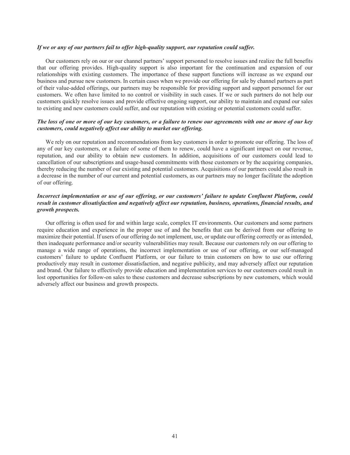#### *If we or any of our partners fail to offer high-quality support, our reputation could suffer.*

Our customers rely on our or our channel partners' support personnel to resolve issues and realize the full benefits that our offering provides. High-quality support is also important for the continuation and expansion of our relationships with existing customers. The importance of these support functions will increase as we expand our business and pursue new customers. In certain cases when we provide our offering for sale by channel partners as part of their value-added offerings, our partners may be responsible for providing support and support personnel for our customers. We often have limited to no control or visibility in such cases. If we or such partners do not help our customers quickly resolve issues and provide effective ongoing support, our ability to maintain and expand our sales to existing and new customers could suffer, and our reputation with existing or potential customers could suffer.

### *The loss of one or more of our key customers, or a failure to renew our agreements with one or more of our key customers, could negatively affect our ability to market our offering.*

We rely on our reputation and recommendations from key customers in order to promote our offering. The loss of any of our key customers, or a failure of some of them to renew, could have a significant impact on our revenue, reputation, and our ability to obtain new customers. In addition, acquisitions of our customers could lead to cancellation of our subscriptions and usage-based commitments with those customers or by the acquiring companies, thereby reducing the number of our existing and potential customers. Acquisitions of our partners could also result in a decrease in the number of our current and potential customers, as our partners may no longer facilitate the adoption of our offering.

# *Incorrect implementation or use of our offering, or our customers' failure to update Confluent Platform, could result in customer dissatisfaction and negatively affect our reputation, business, operations, financial results, and growth prospects.*

Our offering is often used for and within large scale, complex IT environments. Our customers and some partners require education and experience in the proper use of and the benefits that can be derived from our offering to maximize their potential. If users of our offering do not implement, use, or update our offering correctly or as intended, then inadequate performance and/or security vulnerabilities may result. Because our customers rely on our offering to manage a wide range of operations, the incorrect implementation or use of our offering, or our self-managed customers' failure to update Confluent Platform, or our failure to train customers on how to use our offering productively may result in customer dissatisfaction, and negative publicity, and may adversely affect our reputation and brand. Our failure to effectively provide education and implementation services to our customers could result in lost opportunities for follow-on sales to these customers and decrease subscriptions by new customers, which would adversely affect our business and growth prospects.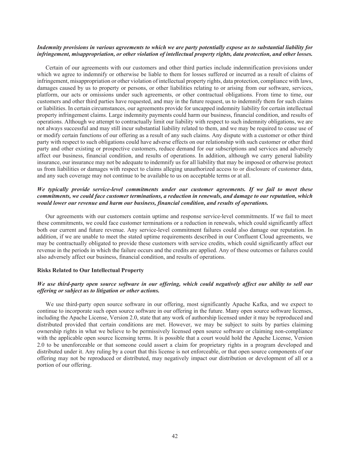### Indemnity provisions in various agreements to which we are party potentially expose us to substantial liability for *infringement, misappropriation, or other violation of intellectual property rights, data protection, and other losses.*

Certain of our agreements with our customers and other third parties include indemnification provisions under which we agree to indemnify or otherwise be liable to them for losses suffered or incurred as a result of claims of infringement, misappropriation or other violation of intellectual property rights, data protection, compliance with laws, damages caused by us to property or persons, or other liabilities relating to or arising from our software, services, platform, our acts or omissions under such agreements, or other contractual obligations. From time to time, our customers and other third parties have requested, and may in the future request, us to indemnify them for such claims or liabilities. In certain circumstances, our agreements provide for uncapped indemnity liability for certain intellectual property infringement claims. Large indemnity payments could harm our business, financial condition, and results of operations. Although we attempt to contractually limit our liability with respect to such indemnity obligations, we are not always successful and may still incur substantial liability related to them, and we may be required to cease use of or modify certain functions of our offering as a result of any such claims. Any dispute with a customer or other third party with respect to such obligations could have adverse effects on our relationship with such customer or other third party and other existing or prospective customers, reduce demand for our subscriptions and services and adversely affect our business, financial condition, and results of operations. In addition, although we carry general liability insurance, our insurance may not be adequate to indemnify us for all liability that may be imposed or otherwise protect us from liabilities or damages with respect to claims alleging unauthorized access to or disclosure of customer data, and any such coverage may not continue to be available to us on acceptable terms or at all.

### *We typically provide service-level commitments under our customer agreements. If we fail to meet these commitments, we could face customer terminations, a reduction in renewals, and damage to our reputation, which would lower our revenue and harm our business, financial condition, and results of operations.*

Our agreements with our customers contain uptime and response service-level commitments. If we fail to meet these commitments, we could face customer terminations or a reduction in renewals, which could significantly affect both our current and future revenue. Any service-level commitment failures could also damage our reputation. In addition, if we are unable to meet the stated uptime requirements described in our Confluent Cloud agreements, we may be contractually obligated to provide these customers with service credits, which could significantly affect our revenue in the periods in which the failure occurs and the credits are applied. Any of these outcomes or failures could also adversely affect our business, financial condition, and results of operations.

### **Risks Related to Our Intellectual Property**

## *We use third-party open source software in our offering, which could negatively affect our ability to sell our offering or subject us to litigation or other actions.*

We use third-party open source software in our offering, most significantly Apache Kafka, and we expect to continue to incorporate such open source software in our offering in the future. Many open source software licenses, including the Apache License, Version 2.0, state that any work of authorship licensed under it may be reproduced and distributed provided that certain conditions are met. However, we may be subject to suits by parties claiming ownership rights in what we believe to be permissively licensed open source software or claiming non-compliance with the applicable open source licensing terms. It is possible that a court would hold the Apache License, Version 2.0 to be unenforceable or that someone could assert a claim for proprietary rights in a program developed and distributed under it. Any ruling by a court that this license is not enforceable, or that open source components of our offering may not be reproduced or distributed, may negatively impact our distribution or development of all or a portion of our offering.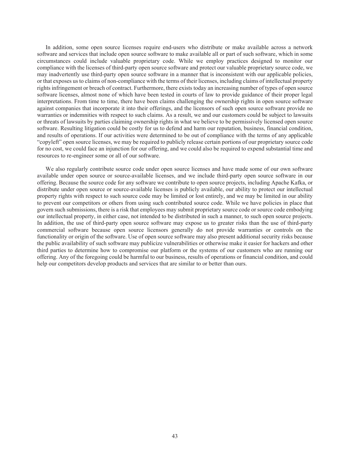In addition, some open source licenses require end-users who distribute or make available across a network software and services that include open source software to make available all or part of such software, which in some circumstances could include valuable proprietary code. While we employ practices designed to monitor our compliance with the licenses of third-party open source software and protect our valuable proprietary source code, we may inadvertently use third-party open source software in a manner that is inconsistent with our applicable policies, or that exposes us to claims of non-compliance with the terms of their licenses, including claims of intellectual property rights infringement or breach of contract. Furthermore, there exists today an increasing number of types of open source software licenses, almost none of which have been tested in courts of law to provide guidance of their proper legal interpretations. From time to time, there have been claims challenging the ownership rights in open source software against companies that incorporate it into their offerings, and the licensors of such open source software provide no warranties or indemnities with respect to such claims. As a result, we and our customers could be subject to lawsuits or threats of lawsuits by parties claiming ownership rights in what we believe to be permissively licensed open source software. Resulting litigation could be costly for us to defend and harm our reputation, business, financial condition, and results of operations. If our activities were determined to be out of compliance with the terms of any applicable "copyleft" open source licenses, we may be required to publicly release certain portions of our proprietary source code for no cost, we could face an injunction for our offering, and we could also be required to expend substantial time and resources to re-engineer some or all of our software.

We also regularly contribute source code under open source licenses and have made some of our own software available under open source or source-available licenses, and we include third-party open source software in our offering. Because the source code for any software we contribute to open source projects, including Apache Kafka, or distribute under open source or source-available licenses is publicly available, our ability to protect our intellectual property rights with respect to such source code may be limited or lost entirely, and we may be limited in our ability to prevent our competitors or others from using such contributed source code. While we have policies in place that govern such submissions, there is a risk that employees may submit proprietary source code or source code embodying our intellectual property, in either case, not intended to be distributed in such a manner, to such open source projects. In addition, the use of third-party open source software may expose us to greater risks than the use of third-party commercial software because open source licensors generally do not provide warranties or controls on the functionality or origin of the software. Use of open source software may also present additional security risks because the public availability of such software may publicize vulnerabilities or otherwise make it easier for hackers and other third parties to determine how to compromise our platform or the systems of our customers who are running our offering. Any of the foregoing could be harmful to our business, results of operations or financial condition, and could help our competitors develop products and services that are similar to or better than ours.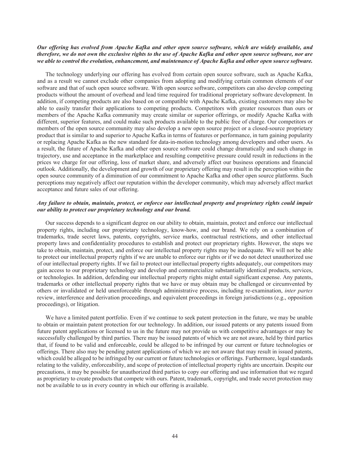## Our offering has evolved from Apache Kafka and other open source software, which are widely available, and *therefore, we do not own the exclusive rights to the use of Apache Kafka and other open source software, nor are we able to control the evolution, enhancement, and maintenance of Apache Kafka and other open source software.*

The technology underlying our offering has evolved from certain open source software, such as Apache Kafka, and as a result we cannot exclude other companies from adopting and modifying certain common elements of our software and that of such open source software. With open source software, competitors can also develop competing products without the amount of overhead and lead time required for traditional proprietary software development. In addition, if competing products are also based on or compatible with Apache Kafka, existing customers may also be able to easily transfer their applications to competing products. Competitors with greater resources than ours or members of the Apache Kafka community may create similar or superior offerings, or modify Apache Kafka with different, superior features, and could make such products available to the public free of charge. Our competitors or members of the open source community may also develop a new open source project or a closed-source proprietary product that is similar to and superior to Apache Kafka in terms of features or performance, in turn gaining popularity or replacing Apache Kafka as the new standard for data-in-motion technology among developers and other users. As a result, the future of Apache Kafka and other open source software could change dramatically and such change in trajectory, use and acceptance in the marketplace and resulting competitive pressure could result in reductions in the prices we charge for our offering, loss of market share, and adversely affect our business operations and financial outlook. Additionally, the development and growth of our proprietary offering may result in the perception within the open source community of a diminution of our commitment to Apache Kafka and other open source platforms. Such perceptions may negatively affect our reputation within the developer community, which may adversely affect market acceptance and future sales of our offering.

# *Any failure to obtain, maintain, protect, or enforce our intellectual property and proprietary rights could impair our ability to protect our proprietary technology and our brand.*

Our success depends to a significant degree on our ability to obtain, maintain, protect and enforce our intellectual property rights, including our proprietary technology, know-how, and our brand. We rely on a combination of trademarks, trade secret laws, patents, copyrights, service marks, contractual restrictions, and other intellectual property laws and confidentiality procedures to establish and protect our proprietary rights. However, the steps we take to obtain, maintain, protect, and enforce our intellectual property rights may be inadequate. We will not be able to protect our intellectual property rights if we are unable to enforce our rights or if we do not detect unauthorized use of our intellectual property rights. If we fail to protect our intellectual property rights adequately, our competitors may gain access to our proprietary technology and develop and commercialize substantially identical products, services, or technologies. In addition, defending our intellectual property rights might entail significant expense. Any patents, trademarks or other intellectual property rights that we have or may obtain may be challenged or circumvented by others or invalidated or held unenforceable through administrative process, including re-examination, *inter partes* review, interference and derivation proceedings, and equivalent proceedings in foreign jurisdictions (e.g., opposition proceedings), or litigation.

We have a limited patent portfolio. Even if we continue to seek patent protection in the future, we may be unable to obtain or maintain patent protection for our technology. In addition, our issued patents or any patents issued from future patent applications or licensed to us in the future may not provide us with competitive advantages or may be successfully challenged by third parties. There may be issued patents of which we are not aware, held by third parties that, if found to be valid and enforceable, could be alleged to be infringed by our current or future technologies or offerings. There also may be pending patent applications of which we are not aware that may result in issued patents, which could be alleged to be infringed by our current or future technologies or offerings. Furthermore, legal standards relating to the validity, enforceability, and scope of protection of intellectual property rights are uncertain. Despite our precautions, it may be possible for unauthorized third parties to copy our offering and use information that we regard as proprietary to create products that compete with ours. Patent, trademark, copyright, and trade secret protection may not be available to us in every country in which our offering is available.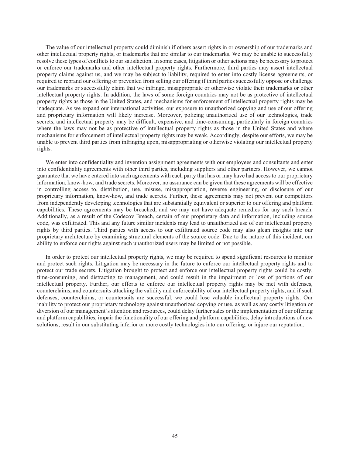The value of our intellectual property could diminish if others assert rights in or ownership of our trademarks and other intellectual property rights, or trademarks that are similar to our trademarks. We may be unable to successfully resolve these types of conflicts to our satisfaction. In some cases, litigation or other actions may be necessary to protect or enforce our trademarks and other intellectual property rights. Furthermore, third parties may assert intellectual property claims against us, and we may be subject to liability, required to enter into costly license agreements, or required to rebrand our offering or prevented from selling our offering if third parties successfully oppose or challenge our trademarks or successfully claim that we infringe, misappropriate or otherwise violate their trademarks or other intellectual property rights. In addition, the laws of some foreign countries may not be as protective of intellectual property rights as those in the United States, and mechanisms for enforcement of intellectual property rights may be inadequate. As we expand our international activities, our exposure to unauthorized copying and use of our offering and proprietary information will likely increase. Moreover, policing unauthorized use of our technologies, trade secrets, and intellectual property may be difficult, expensive, and time-consuming, particularly in foreign countries where the laws may not be as protective of intellectual property rights as those in the United States and where mechanisms for enforcement of intellectual property rights may be weak. Accordingly, despite our efforts, we may be unable to prevent third parties from infringing upon, misappropriating or otherwise violating our intellectual property rights.

We enter into confidentiality and invention assignment agreements with our employees and consultants and enter into confidentiality agreements with other third parties, including suppliers and other partners. However, we cannot guarantee that we have entered into such agreements with each party that has or may have had access to our proprietary information, know-how, and trade secrets. Moreover, no assurance can be given that these agreements will be effective in controlling access to, distribution, use, misuse, misappropriation, reverse engineering, or disclosure of our proprietary information, know-how, and trade secrets. Further, these agreements may not prevent our competitors from independently developing technologies that are substantially equivalent or superior to our offering and platform capabilities. These agreements may be breached, and we may not have adequate remedies for any such breach. Additionally, as a result of the Codecov Breach, certain of our proprietary data and information, including source code, was exfiltrated. This and any future similar incidents may lead to unauthorized use of our intellectual property rights by third parties. Third parties with access to our exfiltrated source code may also glean insights into our proprietary architecture by examining structural elements of the source code. Due to the nature of this incident, our ability to enforce our rights against such unauthorized users may be limited or not possible.

In order to protect our intellectual property rights, we may be required to spend significant resources to monitor and protect such rights. Litigation may be necessary in the future to enforce our intellectual property rights and to protect our trade secrets. Litigation brought to protect and enforce our intellectual property rights could be costly, time-consuming, and distracting to management, and could result in the impairment or loss of portions of our intellectual property. Further, our efforts to enforce our intellectual property rights may be met with defenses, counterclaims, and countersuits attacking the validity and enforceability of our intellectual property rights, and if such defenses, counterclaims, or countersuits are successful, we could lose valuable intellectual property rights. Our inability to protect our proprietary technology against unauthorized copying or use, as well as any costly litigation or diversion of our management's attention and resources, could delay further sales or the implementation of our offering and platform capabilities, impair the functionality of our offering and platform capabilities, delay introductions of new solutions, result in our substituting inferior or more costly technologies into our offering, or injure our reputation.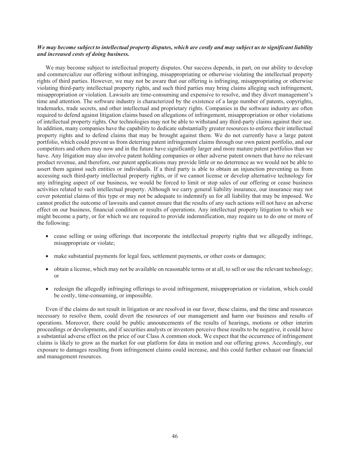## We may become subject to intellectual property disputes, which are costly and may subject us to significant liability *and increased costs of doing business.*

We may become subject to intellectual property disputes. Our success depends, in part, on our ability to develop and commercialize our offering without infringing, misappropriating or otherwise violating the intellectual property rights of third parties. However, we may not be aware that our offering is infringing, misappropriating or otherwise violating third-party intellectual property rights, and such third parties may bring claims alleging such infringement, misappropriation or violation. Lawsuits are time-consuming and expensive to resolve, and they divert management's time and attention. The software industry is characterized by the existence of a large number of patents, copyrights, trademarks, trade secrets, and other intellectual and proprietary rights. Companies in the software industry are often required to defend against litigation claims based on allegations of infringement, misappropriation or other violations of intellectual property rights. Our technologies may not be able to withstand any third-party claims against their use. In addition, many companies have the capability to dedicate substantially greater resources to enforce their intellectual property rights and to defend claims that may be brought against them. We do not currently have a large patent portfolio, which could prevent us from deterring patent infringement claims through our own patent portfolio, and our competitors and others may now and in the future have significantly larger and more mature patent portfolios than we have. Any litigation may also involve patent holding companies or other adverse patent owners that have no relevant product revenue, and therefore, our patent applications may provide little or no deterrence as we would not be able to assert them against such entities or individuals. If a third party is able to obtain an injunction preventing us from accessing such third-party intellectual property rights, or if we cannot license or develop alternative technology for any infringing aspect of our business, we would be forced to limit or stop sales of our offering or cease business activities related to such intellectual property. Although we carry general liability insurance, our insurance may not cover potential claims of this type or may not be adequate to indemnify us for all liability that may be imposed. We cannot predict the outcome of lawsuits and cannot ensure that the results of any such actions will not have an adverse effect on our business, financial condition or results of operations. Any intellectual property litigation to which we might become a party, or for which we are required to provide indemnification, may require us to do one or more of the following:

- cease selling or using offerings that incorporate the intellectual property rights that we allegedly infringe, misappropriate or violate;
- make substantial payments for legal fees, settlement payments, or other costs or damages;
- obtain a license, which may not be available on reasonable terms or at all, to sell or use the relevant technology; or
- redesign the allegedly infringing offerings to avoid infringement, misappropriation or violation, which could be costly, time-consuming, or impossible.

Even if the claims do not result in litigation or are resolved in our favor, these claims, and the time and resources necessary to resolve them, could divert the resources of our management and harm our business and results of operations. Moreover, there could be public announcements of the results of hearings, motions or other interim proceedings or developments, and if securities analysts or investors perceive these results to be negative, it could have a substantial adverse effect on the price of our Class A common stock. We expect that the occurrence of infringement claims is likely to grow as the market for our platform for data in motion and our offering grows. Accordingly, our exposure to damages resulting from infringement claims could increase, and this could further exhaust our financial and management resources.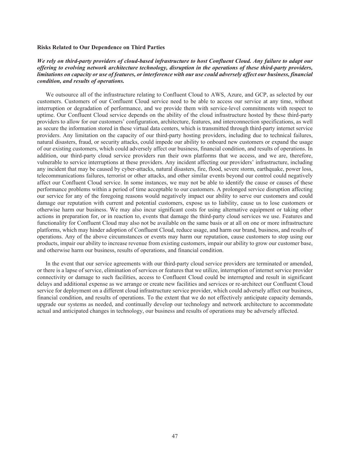#### **Risks Related to Our Dependence on Third Parties**

# *We rely on third-party providers of cloud-based infrastructure to host Confluent Cloud. Any failure to adapt our offering to evolving network architecture technology, disruption in the operations of these third-party providers, limitations on capacity or use of features, or interference with our use could adversely affect our business, financial condition, and results of operations.*

We outsource all of the infrastructure relating to Confluent Cloud to AWS, Azure, and GCP, as selected by our customers. Customers of our Confluent Cloud service need to be able to access our service at any time, without interruption or degradation of performance, and we provide them with service-level commitments with respect to uptime. Our Confluent Cloud service depends on the ability of the cloud infrastructure hosted by these third-party providers to allow for our customers' configuration, architecture, features, and interconnection specifications, as well as secure the information stored in these virtual data centers, which is transmitted through third-party internet service providers. Any limitation on the capacity of our third-party hosting providers, including due to technical failures, natural disasters, fraud, or security attacks, could impede our ability to onboard new customers or expand the usage of our existing customers, which could adversely affect our business, financial condition, and results of operations. In addition, our third-party cloud service providers run their own platforms that we access, and we are, therefore, vulnerable to service interruptions at these providers. Any incident affecting our providers' infrastructure, including any incident that may be caused by cyber-attacks, natural disasters, fire, flood, severe storm, earthquake, power loss, telecommunications failures, terrorist or other attacks, and other similar events beyond our control could negatively affect our Confluent Cloud service. In some instances, we may not be able to identify the cause or causes of these performance problems within a period of time acceptable to our customers. A prolonged service disruption affecting our service for any of the foregoing reasons would negatively impact our ability to serve our customers and could damage our reputation with current and potential customers, expose us to liability, cause us to lose customers or otherwise harm our business. We may also incur significant costs for using alternative equipment or taking other actions in preparation for, or in reaction to, events that damage the third-party cloud services we use. Features and functionality for Confluent Cloud may also not be available on the same basis or at all on one or more infrastructure platforms, which may hinder adoption of Confluent Cloud, reduce usage, and harm our brand, business, and results of operations. Any of the above circumstances or events may harm our reputation, cause customers to stop using our products, impair our ability to increase revenue from existing customers, impair our ability to grow our customer base, and otherwise harm our business, results of operations, and financial condition.

In the event that our service agreements with our third-party cloud service providers are terminated or amended, or there is a lapse of service, elimination of services or features that we utilize, interruption of internet service provider connectivity or damage to such facilities, access to Confluent Cloud could be interrupted and result in significant delays and additional expense as we arrange or create new facilities and services or re-architect our Confluent Cloud service for deployment on a different cloud infrastructure service provider, which could adversely affect our business, financial condition, and results of operations. To the extent that we do not effectively anticipate capacity demands, upgrade our systems as needed, and continually develop our technology and network architecture to accommodate actual and anticipated changes in technology, our business and results of operations may be adversely affected.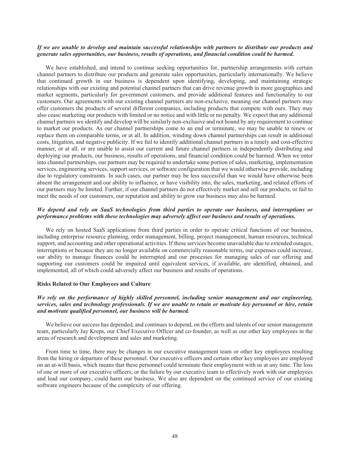### If we are unable to develop and maintain successful relationships with partners to distribute our products and *generate sales opportunities, our business, results of operations, and financial condition could be harmed.*

We have established, and intend to continue seeking opportunities for, partnership arrangements with certain channel partners to distribute our products and generate sales opportunities, particularly internationally. We believe that continued growth in our business is dependent upon identifying, developing, and maintaining strategic relationships with our existing and potential channel partners that can drive revenue growth in more geographies and market segments, particularly for government customers, and provide additional features and functionality to our customers. Our agreements with our existing channel partners are non-exclusive, meaning our channel partners may offer customers the products of several different companies, including products that compete with ours. They may also cease marketing our products with limited or no notice and with little or no penalty. We expect that any additional channel partners we identify and develop will be similarly non-exclusive and not bound by any requirement to continue to market our products. As our channel partnerships come to an end or terminate, we may be unable to renew or replace them on comparable terms, or at all. In addition, winding down channel partnerships can result in additional costs, litigation, and negative publicity. If we fail to identify additional channel partners in a timely and cost-effective manner, or at all, or are unable to assist our current and future channel partners in independently distributing and deploying our products, our business, results of operations, and financial condition could be harmed. When we enter into channel partnerships, our partners may be required to undertake some portion of sales, marketing, implementation services, engineering services, support services, or software configuration that we would otherwise provide, including due to regulatory constraints. In such cases, our partner may be less successful than we would have otherwise been absent the arrangement and our ability to influence, or have visibility into, the sales, marketing, and related efforts of our partners may be limited. Further, if our channel partners do not effectively market and sell our products, or fail to meet the needs of our customers, our reputation and ability to grow our business may also be harmed.

# *We depend and rely on SaaS technologies from third parties to operate our business, and interruptions or performance problems with these technologies may adversely affect our business and results of operations.*

We rely on hosted SaaS applications from third parties in order to operate critical functions of our business, including enterprise resource planning, order management, billing, project management, human resources, technical support, and accounting and other operational activities. If these services become unavailable due to extended outages, interruptions or because they are no longer available on commercially reasonable terms, our expenses could increase, our ability to manage finances could be interrupted and our processes for managing sales of our offering and supporting our customers could be impaired until equivalent services, if available, are identified, obtained, and implemented, all of which could adversely affect our business and results of operations.

### **Risks Related to Our Employees and Culture**

## *We rely on the performance of highly skilled personnel, including senior management and our engineering, services, sales and technology professionals. If we are unable to retain or motivate key personnel or hire, retain and motivate qualified personnel, our business will be harmed.*

We believe our success has depended, and continues to depend, on the efforts and talents of our senior management team, particularly Jay Kreps, our Chief Executive Officer and co-founder, as well as our other key employees in the areas of research and development and sales and marketing.

From time to time, there may be changes in our executive management team or other key employees resulting from the hiring or departure of these personnel. Our executive officers and certain other key employees are employed on an at-will basis, which means that these personnel could terminate their employment with us at any time. The loss of one or more of our executive officers, or the failure by our executive team to effectively work with our employees and lead our company, could harm our business. We also are dependent on the continued service of our existing software engineers because of the complexity of our offering.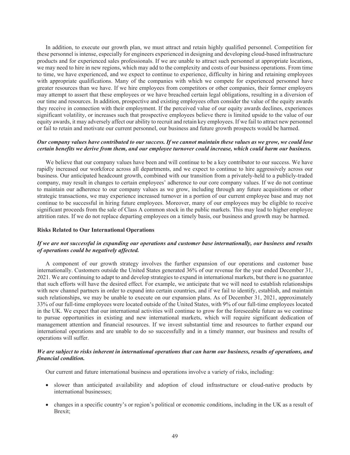In addition, to execute our growth plan, we must attract and retain highly qualified personnel. Competition for these personnel is intense, especially for engineers experienced in designing and developing cloud-based infrastructure products and for experienced sales professionals. If we are unable to attract such personnel at appropriate locations, we may need to hire in new regions, which may add to the complexity and costs of our business operations. From time to time, we have experienced, and we expect to continue to experience, difficulty in hiring and retaining employees with appropriate qualifications. Many of the companies with which we compete for experienced personnel have greater resources than we have. If we hire employees from competitors or other companies, their former employers may attempt to assert that these employees or we have breached certain legal obligations, resulting in a diversion of our time and resources. In addition, prospective and existing employees often consider the value of the equity awards they receive in connection with their employment. If the perceived value of our equity awards declines, experiences significant volatility, or increases such that prospective employees believe there is limited upside to the value of our equity awards, it may adversely affect our ability to recruit and retain key employees. If we fail to attract new personnel or fail to retain and motivate our current personnel, our business and future growth prospects would be harmed.

### *Our company values have contributed to our success. If we cannot maintain these values as we grow, we could lose certain benefits we derive from them, and our employee turnover could increase, which could harm our business.*

We believe that our company values have been and will continue to be a key contributor to our success. We have rapidly increased our workforce across all departments, and we expect to continue to hire aggressively across our business. Our anticipated headcount growth, combined with our transition from a privately-held to a publicly-traded company, may result in changes to certain employees' adherence to our core company values. If we do not continue to maintain our adherence to our company values as we grow, including through any future acquisitions or other strategic transactions, we may experience increased turnover in a portion of our current employee base and may not continue to be successful in hiring future employees. Moreover, many of our employees may be eligible to receive significant proceeds from the sale of Class A common stock in the public markets. This may lead to higher employee attrition rates. If we do not replace departing employees on a timely basis, our business and growth may be harmed.

### **Risks Related to Our International Operations**

# *If we are not successful in expanding our operations and customer base internationally, our business and results of operations could be negatively affected.*

A component of our growth strategy involves the further expansion of our operations and customer base internationally. Customers outside the United States generated 36% of our revenue for the year ended December 31, 2021. We are continuing to adapt to and develop strategies to expand in international markets, but there is no guarantee that such efforts will have the desired effect. For example, we anticipate that we will need to establish relationships with new channel partners in order to expand into certain countries, and if we fail to identify, establish, and maintain such relationships, we may be unable to execute on our expansion plans. As of December 31, 2021, approximately 33% of our full-time employees were located outside of the United States, with 9% of our full-time employees located in the UK. We expect that our international activities will continue to grow for the foreseeable future as we continue to pursue opportunities in existing and new international markets, which will require significant dedication of management attention and financial resources. If we invest substantial time and resources to further expand our international operations and are unable to do so successfully and in a timely manner, our business and results of operations will suffer.

### *We are subject to risks inherent in international operations that can harm our business, results of operations, and financial condition.*

Our current and future international business and operations involve a variety of risks, including:

- slower than anticipated availability and adoption of cloud infrastructure or cloud-native products by international businesses;
- changes in a specific country's or region's political or economic conditions, including in the UK as a result of Brexit;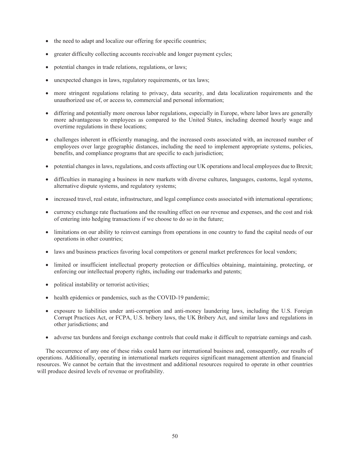- the need to adapt and localize our offering for specific countries;
- greater difficulty collecting accounts receivable and longer payment cycles;
- potential changes in trade relations, regulations, or laws;
- unexpected changes in laws, regulatory requirements, or tax laws;
- more stringent regulations relating to privacy, data security, and data localization requirements and the unauthorized use of, or access to, commercial and personal information;
- differing and potentially more onerous labor regulations, especially in Europe, where labor laws are generally more advantageous to employees as compared to the United States, including deemed hourly wage and overtime regulations in these locations;
- challenges inherent in efficiently managing, and the increased costs associated with, an increased number of employees over large geographic distances, including the need to implement appropriate systems, policies, benefits, and compliance programs that are specific to each jurisdiction;
- potential changes in laws, regulations, and costs affecting our UK operations and local employees due to Brexit;
- difficulties in managing a business in new markets with diverse cultures, languages, customs, legal systems, alternative dispute systems, and regulatory systems;
- increased travel, real estate, infrastructure, and legal compliance costs associated with international operations;
- currency exchange rate fluctuations and the resulting effect on our revenue and expenses, and the cost and risk of entering into hedging transactions if we choose to do so in the future;
- limitations on our ability to reinvest earnings from operations in one country to fund the capital needs of our operations in other countries;
- laws and business practices favoring local competitors or general market preferences for local vendors;
- limited or insufficient intellectual property protection or difficulties obtaining, maintaining, protecting, or enforcing our intellectual property rights, including our trademarks and patents;
- political instability or terrorist activities;
- health epidemics or pandemics, such as the COVID-19 pandemic;
- exposure to liabilities under anti-corruption and anti-money laundering laws, including the U.S. Foreign Corrupt Practices Act, or FCPA, U.S. bribery laws, the UK Bribery Act, and similar laws and regulations in other jurisdictions; and
- adverse tax burdens and foreign exchange controls that could make it difficult to repatriate earnings and cash.

The occurrence of any one of these risks could harm our international business and, consequently, our results of operations. Additionally, operating in international markets requires significant management attention and financial resources. We cannot be certain that the investment and additional resources required to operate in other countries will produce desired levels of revenue or profitability.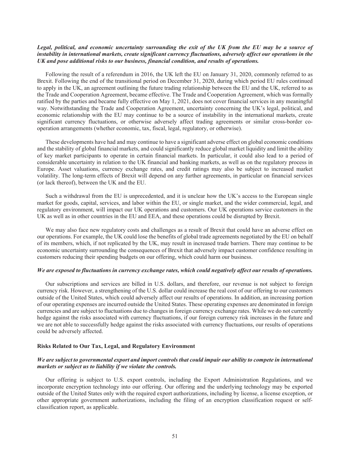### Legal, political, and economic uncertainty surrounding the exit of the UK from the EU may be a source of *instability in international markets, create significant currency fluctuations, adversely affect our operations in the UK and pose additional risks to our business, financial condition, and results of operations.*

Following the result of a referendum in 2016, the UK left the EU on January 31, 2020, commonly referred to as Brexit. Following the end of the transitional period on December 31, 2020, during which period EU rules continued to apply in the UK, an agreement outlining the future trading relationship between the EU and the UK, referred to as the Trade and Cooperation Agreement, became effective. The Trade and Cooperation Agreement, which was formally ratified by the parties and became fully effective on May 1, 2021, does not cover financial services in any meaningful way. Notwithstanding the Trade and Cooperation Agreement, uncertainty concerning the UK's legal, political, and economic relationship with the EU may continue to be a source of instability in the international markets, create significant currency fluctuations, or otherwise adversely affect trading agreements or similar cross-border cooperation arrangements (whether economic, tax, fiscal, legal, regulatory, or otherwise).

These developments have had and may continue to have a significant adverse effect on global economic conditions and the stability of global financial markets, and could significantly reduce global market liquidity and limit the ability of key market participants to operate in certain financial markets. In particular, it could also lead to a period of considerable uncertainty in relation to the UK financial and banking markets, as well as on the regulatory process in Europe. Asset valuations, currency exchange rates, and credit ratings may also be subject to increased market volatility. The long-term effects of Brexit will depend on any further agreements, in particular on financial services (or lack thereof), between the UK and the EU.

Such a withdrawal from the EU is unprecedented, and it is unclear how the UK's access to the European single market for goods, capital, services, and labor within the EU, or single market, and the wider commercial, legal, and regulatory environment, will impact our UK operations and customers. Our UK operations service customers in the UK as well as in other countries in the EU and EEA, and these operations could be disrupted by Brexit.

We may also face new regulatory costs and challenges as a result of Brexit that could have an adverse effect on our operations. For example, the UK could lose the benefits of global trade agreements negotiated by the EU on behalf of its members, which, if not replicated by the UK, may result in increased trade barriers. There may continue to be economic uncertainty surrounding the consequences of Brexit that adversely impact customer confidence resulting in customers reducing their spending budgets on our offering, which could harm our business.

### *We are exposed to fluctuations in currency exchange rates, which could negatively affect our results of operations.*

Our subscriptions and services are billed in U.S. dollars, and therefore, our revenue is not subject to foreign currency risk. However, a strengthening of the U.S. dollar could increase the real cost of our offering to our customers outside of the United States, which could adversely affect our results of operations. In addition, an increasing portion of our operating expenses are incurred outside the United States. These operating expenses are denominated in foreign currencies and are subject to fluctuations due to changes in foreign currency exchange rates. While we do not currently hedge against the risks associated with currency fluctuations, if our foreign currency risk increases in the future and we are not able to successfully hedge against the risks associated with currency fluctuations, our results of operations could be adversely affected.

### **Risks Related to Our Tax, Legal, and Regulatory Environment**

## *We are subject to governmental export and import controls that could impair our ability to compete in international markets or subject us to liability if we violate the controls.*

Our offering is subject to U.S. export controls, including the Export Administration Regulations, and we incorporate encryption technology into our offering. Our offering and the underlying technology may be exported outside of the United States only with the required export authorizations, including by license, a license exception, or other appropriate government authorizations, including the filing of an encryption classification request or selfclassification report, as applicable.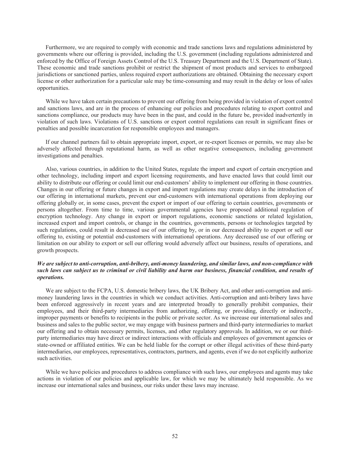Furthermore, we are required to comply with economic and trade sanctions laws and regulations administered by governments where our offering is provided, including the U.S. government (including regulations administered and enforced by the Office of Foreign Assets Control of the U.S. Treasury Department and the U.S. Department of State). These economic and trade sanctions prohibit or restrict the shipment of most products and services to embargoed jurisdictions or sanctioned parties, unless required export authorizations are obtained. Obtaining the necessary export license or other authorization for a particular sale may be time-consuming and may result in the delay or loss of sales opportunities.

While we have taken certain precautions to prevent our offering from being provided in violation of export control and sanctions laws, and are in the process of enhancing our policies and procedures relating to export control and sanctions compliance, our products may have been in the past, and could in the future be, provided inadvertently in violation of such laws. Violations of U.S. sanctions or export control regulations can result in significant fines or penalties and possible incarceration for responsible employees and managers.

If our channel partners fail to obtain appropriate import, export, or re-export licenses or permits, we may also be adversely affected through reputational harm, as well as other negative consequences, including government investigations and penalties.

Also, various countries, in addition to the United States, regulate the import and export of certain encryption and other technology, including import and export licensing requirements, and have enacted laws that could limit our ability to distribute our offering or could limit our end-customers' ability to implement our offering in those countries. Changes in our offering or future changes in export and import regulations may create delays in the introduction of our offering in international markets, prevent our end-customers with international operations from deploying our offering globally or, in some cases, prevent the export or import of our offering to certain countries, governments or persons altogether. From time to time, various governmental agencies have proposed additional regulation of encryption technology. Any change in export or import regulations, economic sanctions or related legislation, increased export and import controls, or change in the countries, governments, persons or technologies targeted by such regulations, could result in decreased use of our offering by, or in our decreased ability to export or sell our offering to, existing or potential end-customers with international operations. Any decreased use of our offering or limitation on our ability to export or sell our offering would adversely affect our business, results of operations, and growth prospects.

## *We are subject to anti-corruption, anti-bribery, anti-money laundering, and similar laws, and non-compliance with such laws can subject us to criminal or civil liability and harm our business, financial condition, and results of operations.*

We are subject to the FCPA, U.S. domestic bribery laws, the UK Bribery Act, and other anti-corruption and antimoney laundering laws in the countries in which we conduct activities. Anti-corruption and anti-bribery laws have been enforced aggressively in recent years and are interpreted broadly to generally prohibit companies, their employees, and their third-party intermediaries from authorizing, offering, or providing, directly or indirectly, improper payments or benefits to recipients in the public or private sector. As we increase our international sales and business and sales to the public sector, we may engage with business partners and third-party intermediaries to market our offering and to obtain necessary permits, licenses, and other regulatory approvals. In addition, we or our thirdparty intermediaries may have direct or indirect interactions with officials and employees of government agencies or state-owned or affiliated entities. We can be held liable for the corrupt or other illegal activities of these third-party intermediaries, our employees, representatives, contractors, partners, and agents, even if we do not explicitly authorize such activities.

While we have policies and procedures to address compliance with such laws, our employees and agents may take actions in violation of our policies and applicable law, for which we may be ultimately held responsible. As we increase our international sales and business, our risks under these laws may increase.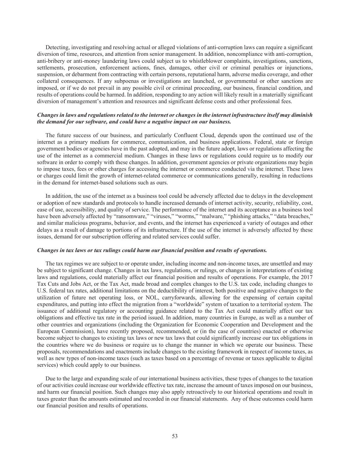Detecting, investigating and resolving actual or alleged violations of anti-corruption laws can require a significant diversion of time, resources, and attention from senior management. In addition, noncompliance with anti-corruption, anti-bribery or anti-money laundering laws could subject us to whistleblower complaints, investigations, sanctions, settlements, prosecution, enforcement actions, fines, damages, other civil or criminal penalties or injunctions, suspension, or debarment from contracting with certain persons, reputational harm, adverse media coverage, and other collateral consequences. If any subpoenas or investigations are launched, or governmental or other sanctions are imposed, or if we do not prevail in any possible civil or criminal proceeding, our business, financial condition, and results of operations could be harmed. In addition, responding to any action will likely result in a materially significant diversion of management's attention and resources and significant defense costs and other professional fees.

### Changes in laws and regulations related to the internet or changes in the internet infrastructure itself may diminish *the demand for our software, and could have a negative impact on our business.*

The future success of our business, and particularly Confluent Cloud, depends upon the continued use of the internet as a primary medium for commerce, communication, and business applications. Federal, state or foreign government bodies or agencies have in the past adopted, and may in the future adopt, laws or regulations affecting the use of the internet as a commercial medium. Changes in these laws or regulations could require us to modify our software in order to comply with these changes. In addition, government agencies or private organizations may begin to impose taxes, fees or other charges for accessing the internet or commerce conducted via the internet. These laws or charges could limit the growth of internet-related commerce or communications generally, resulting in reductions in the demand for internet-based solutions such as ours.

In addition, the use of the internet as a business tool could be adversely affected due to delays in the development or adoption of new standards and protocols to handle increased demands of internet activity, security, reliability, cost, ease of use, accessibility, and quality of service. The performance of the internet and its acceptance as a business tool have been adversely affected by "ransomware," "viruses," "worms," "malware," "phishing attacks," "data breaches," and similar malicious programs, behavior, and events, and the internet has experienced a variety of outages and other delays as a result of damage to portions of its infrastructure. If the use of the internet is adversely affected by these issues, demand for our subscription offering and related services could suffer.

#### *Changes in tax laws or tax rulings could harm our financial position and results of operations.*

The tax regimes we are subject to or operate under, including income and non-income taxes, are unsettled and may be subject to significant change. Changes in tax laws, regulations, or rulings, or changes in interpretations of existing laws and regulations, could materially affect our financial position and results of operations. For example, the 2017 Tax Cuts and Jobs Act, or the Tax Act, made broad and complex changes to the U.S. tax code, including changes to U.S. federal tax rates, additional limitations on the deductibility of interest, both positive and negative changes to the utilization of future net operating loss, or NOL, carryforwards, allowing for the expensing of certain capital expenditures, and putting into effect the migration from a "worldwide" system of taxation to a territorial system. The issuance of additional regulatory or accounting guidance related to the Tax Act could materially affect our tax obligations and effective tax rate in the period issued. In addition, many countries in Europe, as well as a number of other countries and organizations (including the Organization for Economic Cooperation and Development and the European Commission), have recently proposed, recommended, or (in the case of countries) enacted or otherwise become subject to changes to existing tax laws or new tax laws that could significantly increase our tax obligations in the countries where we do business or require us to change the manner in which we operate our business. These proposals, recommendations and enactments include changes to the existing framework in respect of income taxes, as well as new types of non-income taxes (such as taxes based on a percentage of revenue or taxes applicable to digital services) which could apply to our business.

Due to the large and expanding scale of our international business activities, these types of changes to the taxation of our activities could increase our worldwide effective tax rate, increase the amount of taxes imposed on our business, and harm our financial position. Such changes may also apply retroactively to our historical operations and result in taxes greater than the amounts estimated and recorded in our financial statements. Any of these outcomes could harm our financial position and results of operations.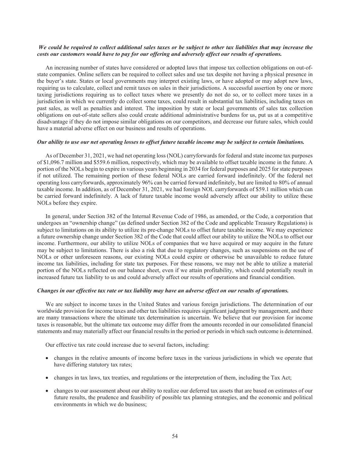### We could be required to collect additional sales taxes or be subject to other tax liabilities that may increase the *costs our customers would have to pay for our offering and adversely affect our results of operations.*

An increasing number of states have considered or adopted laws that impose tax collection obligations on out-ofstate companies. Online sellers can be required to collect sales and use tax despite not having a physical presence in the buyer's state. States or local governments may interpret existing laws, or have adopted or may adopt new laws, requiring us to calculate, collect and remit taxes on sales in their jurisdictions. A successful assertion by one or more taxing jurisdictions requiring us to collect taxes where we presently do not do so, or to collect more taxes in a jurisdiction in which we currently do collect some taxes, could result in substantial tax liabilities, including taxes on past sales, as well as penalties and interest. The imposition by state or local governments of sales tax collection obligations on out-of-state sellers also could create additional administrative burdens for us, put us at a competitive disadvantage if they do not impose similar obligations on our competitors, and decrease our future sales, which could have a material adverse effect on our business and results of operations.

#### *Our ability to use our net operating losses to offset future taxable income may be subject to certain limitations.*

As of December 31, 2021, we had net operating loss (NOL) carryforwards for federal and state income tax purposes of \$1,096.7 million and \$559.6 million, respectively, which may be available to offset taxable income in the future. A portion of the NOLs begin to expire in various years beginning in 2034 for federal purposes and 2025 for state purposes if not utilized. The remaining portion of these federal NOLs are carried forward indefinitely. Of the federal net operating loss carryforwards, approximately 96% can be carried forward indefinitely, but are limited to 80% of annual taxable income. In addition, as of December 31, 2021, we had foreign NOL carryforwards of \$59.1 million which can be carried forward indefinitely. A lack of future taxable income would adversely affect our ability to utilize these NOLs before they expire.

In general, under Section 382 of the Internal Revenue Code of 1986, as amended, or the Code, a corporation that undergoes an "ownership change" (as defined under Section 382 of the Code and applicable Treasury Regulations) is subject to limitations on its ability to utilize its pre-change NOLs to offset future taxable income. We may experience a future ownership change under Section 382 of the Code that could affect our ability to utilize the NOLs to offset our income. Furthermore, our ability to utilize NOLs of companies that we have acquired or may acquire in the future may be subject to limitations. There is also a risk that due to regulatory changes, such as suspensions on the use of NOLs or other unforeseen reasons, our existing NOLs could expire or otherwise be unavailable to reduce future income tax liabilities, including for state tax purposes. For these reasons, we may not be able to utilize a material portion of the NOLs reflected on our balance sheet, even if we attain profitability, which could potentially result in increased future tax liability to us and could adversely affect our results of operations and financial condition.

### *Changes in our effective tax rate or tax liability may have an adverse effect on our results of operations.*

We are subject to income taxes in the United States and various foreign jurisdictions. The determination of our worldwide provision for income taxes and other tax liabilities requires significant judgment by management, and there are many transactions where the ultimate tax determination is uncertain. We believe that our provision for income taxes is reasonable, but the ultimate tax outcome may differ from the amounts recorded in our consolidated financial statements and may materially affect our financial results in the period or periods in which such outcome is determined.

Our effective tax rate could increase due to several factors, including:

- changes in the relative amounts of income before taxes in the various jurisdictions in which we operate that have differing statutory tax rates;
- changes in tax laws, tax treaties, and regulations or the interpretation of them, including the Tax Act;
- changes to our assessment about our ability to realize our deferred tax assets that are based on estimates of our future results, the prudence and feasibility of possible tax planning strategies, and the economic and political environments in which we do business;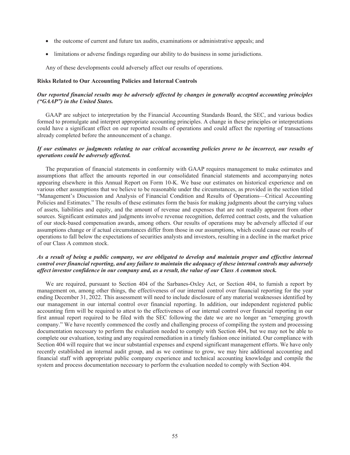- the outcome of current and future tax audits, examinations or administrative appeals; and
- limitations or adverse findings regarding our ability to do business in some jurisdictions.

Any of these developments could adversely affect our results of operations.

#### **Risks Related to Our Accounting Policies and Internal Controls**

# *Our reported financial results may be adversely affected by changes in generally accepted accounting principles ("GAAP") in the United States.*

GAAP are subject to interpretation by the Financial Accounting Standards Board, the SEC, and various bodies formed to promulgate and interpret appropriate accounting principles. A change in these principles or interpretations could have a significant effect on our reported results of operations and could affect the reporting of transactions already completed before the announcement of a change.

# *If our estimates or judgments relating to our critical accounting policies prove to be incorrect, our results of operations could be adversely affected.*

The preparation of financial statements in conformity with GAAP requires management to make estimates and assumptions that affect the amounts reported in our consolidated financial statements and accompanying notes appearing elsewhere in this Annual Report on Form 10-K. We base our estimates on historical experience and on various other assumptions that we believe to be reasonable under the circumstances, as provided in the section titled "Management's Discussion and Analysis of Financial Condition and Results of Operations—Critical Accounting Policies and Estimates." The results of these estimates form the basis for making judgments about the carrying values of assets, liabilities and equity, and the amount of revenue and expenses that are not readily apparent from other sources. Significant estimates and judgments involve revenue recognition, deferred contract costs, and the valuation of our stock-based compensation awards, among others. Our results of operations may be adversely affected if our assumptions change or if actual circumstances differ from those in our assumptions, which could cause our results of operations to fall below the expectations of securities analysts and investors, resulting in a decline in the market price of our Class A common stock.

# *As a result of being a public company, we are obligated to develop and maintain proper and effective internal control over financial reporting, and any failure to maintain the adequacy of these internal controls may adversely affect investor confidence in our company and, as a result, the value of our Class A common stock.*

We are required, pursuant to Section 404 of the Sarbanes-Oxley Act, or Section 404, to furnish a report by management on, among other things, the effectiveness of our internal control over financial reporting for the year ending December 31, 2022. This assessment will need to include disclosure of any material weaknesses identified by our management in our internal control over financial reporting. In addition, our independent registered public accounting firm will be required to attest to the effectiveness of our internal control over financial reporting in our first annual report required to be filed with the SEC following the date we are no longer an "emerging growth company." We have recently commenced the costly and challenging process of compiling the system and processing documentation necessary to perform the evaluation needed to comply with Section 404, but we may not be able to complete our evaluation, testing and any required remediation in a timely fashion once initiated. Our compliance with Section 404 will require that we incur substantial expenses and expend significant management efforts. We have only recently established an internal audit group, and as we continue to grow, we may hire additional accounting and financial staff with appropriate public company experience and technical accounting knowledge and compile the system and process documentation necessary to perform the evaluation needed to comply with Section 404.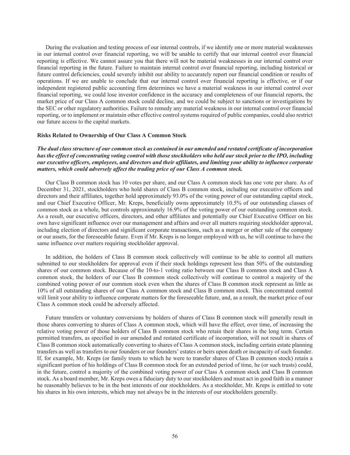During the evaluation and testing process of our internal controls, if we identify one or more material weaknesses in our internal control over financial reporting, we will be unable to certify that our internal control over financial reporting is effective. We cannot assure you that there will not be material weaknesses in our internal control over financial reporting in the future. Failure to maintain internal control over financial reporting, including historical or future control deficiencies, could severely inhibit our ability to accurately report our financial condition or results of operations. If we are unable to conclude that our internal control over financial reporting is effective, or if our independent registered public accounting firm determines we have a material weakness in our internal control over financial reporting, we could lose investor confidence in the accuracy and completeness of our financial reports, the market price of our Class A common stock could decline, and we could be subject to sanctions or investigations by the SEC or other regulatory authorities. Failure to remedy any material weakness in our internal control over financial reporting, or to implement or maintain other effective control systems required of public companies, could also restrict our future access to the capital markets.

### **Risks Related to Ownership of Our Class A Common Stock**

*The dual class structure of our common stock as contained in our amended and restated certificate of incorporation has the effect of concentrating voting control with those stockholders who held our stock prior to the IPO, including our executive officers, employees, and directors and their affiliates, and limiting your ability to influence corporate matters, which could adversely affect the trading price of our Class A common stock.*

Our Class B common stock has 10 votes per share, and our Class A common stock has one vote per share. As of December 31, 2021, stockholders who hold shares of Class B common stock, including our executive officers and directors and their affiliates, together hold approximately 93.0% of the voting power of our outstanding capital stock, and our Chief Executive Officer, Mr. Kreps, beneficially owns approximately 10.5% of our outstanding classes of common stock as a whole, but controls approximately 16.9% of the voting power of our outstanding common stock. As a result, our executive officers, directors, and other affiliates and potentially our Chief Executive Officer on his own have significant influence over our management and affairs and over all matters requiring stockholder approval, including election of directors and significant corporate transactions, such as a merger or other sale of the company or our assets, for the foreseeable future. Even if Mr. Kreps is no longer employed with us, he will continue to have the same influence over matters requiring stockholder approval.

In addition, the holders of Class B common stock collectively will continue to be able to control all matters submitted to our stockholders for approval even if their stock holdings represent less than 50% of the outstanding shares of our common stock. Because of the 10-to-1 voting ratio between our Class B common stock and Class A common stock, the holders of our Class B common stock collectively will continue to control a majority of the combined voting power of our common stock even when the shares of Class B common stock represent as little as 10% of all outstanding shares of our Class A common stock and Class B common stock. This concentrated control will limit your ability to influence corporate matters for the foreseeable future, and, as a result, the market price of our Class A common stock could be adversely affected.

Future transfers or voluntary conversions by holders of shares of Class B common stock will generally result in those shares converting to shares of Class A common stock, which will have the effect, over time, of increasing the relative voting power of those holders of Class B common stock who retain their shares in the long term. Certain permitted transfers, as specified in our amended and restated certificate of incorporation, will not result in shares of Class B common stock automatically converting to shares of Class A common stock, including certain estate planning transfers as well as transfers to our founders or our founders' estates or heirs upon death or incapacity of such founder. If, for example, Mr. Kreps (or family trusts to which he were to transfer shares of Class B common stock) retain a significant portion of his holdings of Class B common stock for an extended period of time, he (or such trusts) could, in the future, control a majority of the combined voting power of our Class A common stock and Class B common stock. As a board member, Mr. Kreps owes a fiduciary duty to our stockholders and must act in good faith in a manner he reasonably believes to be in the best interests of our stockholders. As a stockholder, Mr. Kreps is entitled to vote his shares in his own interests, which may not always be in the interests of our stockholders generally.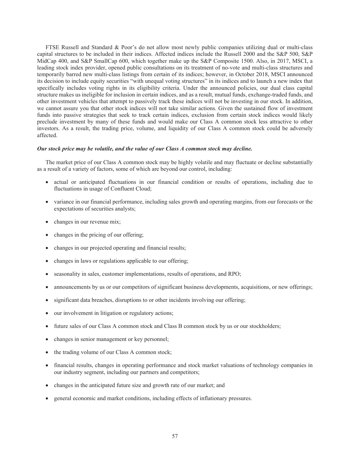FTSE Russell and Standard & Poor's do not allow most newly public companies utilizing dual or multi-class capital structures to be included in their indices. Affected indices include the Russell 2000 and the S&P 500, S&P MidCap 400, and S&P SmallCap 600, which together make up the S&P Composite 1500. Also, in 2017, MSCI, a leading stock index provider, opened public consultations on its treatment of no-vote and multi-class structures and temporarily barred new multi-class listings from certain of its indices; however, in October 2018, MSCI announced its decision to include equity securities "with unequal voting structures" in its indices and to launch a new index that specifically includes voting rights in its eligibility criteria. Under the announced policies, our dual class capital structure makes us ineligible for inclusion in certain indices, and as a result, mutual funds, exchange-traded funds, and other investment vehicles that attempt to passively track these indices will not be investing in our stock. In addition, we cannot assure you that other stock indices will not take similar actions. Given the sustained flow of investment funds into passive strategies that seek to track certain indices, exclusion from certain stock indices would likely preclude investment by many of these funds and would make our Class A common stock less attractive to other investors. As a result, the trading price, volume, and liquidity of our Class A common stock could be adversely affected.

### *Our stock price may be volatile, and the value of our Class A common stock may decline.*

The market price of our Class A common stock may be highly volatile and may fluctuate or decline substantially as a result of a variety of factors, some of which are beyond our control, including:

- actual or anticipated fluctuations in our financial condition or results of operations, including due to fluctuations in usage of Confluent Cloud;
- variance in our financial performance, including sales growth and operating margins, from our forecasts or the expectations of securities analysts;
- changes in our revenue mix;
- changes in the pricing of our offering;
- changes in our projected operating and financial results;
- changes in laws or regulations applicable to our offering;
- seasonality in sales, customer implementations, results of operations, and RPO;
- announcements by us or our competitors of significant business developments, acquisitions, or new offerings;
- significant data breaches, disruptions to or other incidents involving our offering;
- our involvement in litigation or regulatory actions;
- future sales of our Class A common stock and Class B common stock by us or our stockholders;
- changes in senior management or key personnel;
- the trading volume of our Class A common stock;
- financial results, changes in operating performance and stock market valuations of technology companies in our industry segment, including our partners and competitors;
- changes in the anticipated future size and growth rate of our market; and
- general economic and market conditions, including effects of inflationary pressures.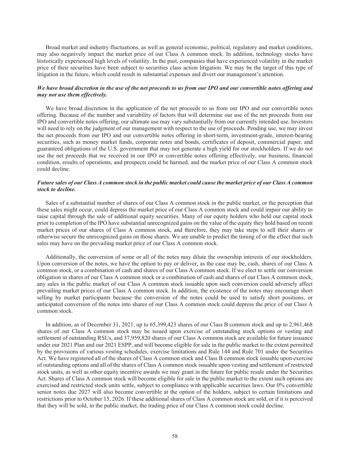Broad market and industry fluctuations, as well as general economic, political, regulatory and market conditions, may also negatively impact the market price of our Class A common stock. In addition, technology stocks have historically experienced high levels of volatility. In the past, companies that have experienced volatility in the market price of their securities have been subject to securities class action litigation. We may be the target of this type of litigation in the future, which could result in substantial expenses and divert our management's attention.

# *We have broad discretion in the use of the net proceeds to us from our IPO and our convertible notes offering and may not use them effectively.*

We have broad discretion in the application of the net proceeds to us from our IPO and our convertible notes offering. Because of the number and variability of factors that will determine our use of the net proceeds from our IPO and convertible notes offering, our ultimate use may vary substantially from our currently intended use. Investors will need to rely on the judgment of our management with respect to the use of proceeds. Pending use, we may invest the net proceeds from our IPO and our convertible notes offering in short-term, investment-grade, interest-bearing securities, such as money market funds, corporate notes and bonds, certificates of deposit, commercial paper, and guaranteed obligations of the U.S. government that may not generate a high yield for our stockholders. If we do not use the net proceeds that we received in our IPO or convertible notes offering effectively, our business, financial condition, results of operations, and prospects could be harmed, and the market price of our Class A common stock could decline.

## Future sales of our Class A common stock in the public market could cause the market price of our Class A common *stock to decline.*

Sales of a substantial number of shares of our Class A common stock in the public market, or the perception that these sales might occur, could depress the market price of our Class A common stock and could impair our ability to raise capital through the sale of additional equity securities. Many of our equity holders who held our capital stock prior to completion of the IPO have substantial unrecognized gains on the value of the equity they hold based on recent market prices of our shares of Class A common stock, and therefore, they may take steps to sell their shares or otherwise secure the unrecognized gains on those shares. We are unable to predict the timing of or the effect that such sales may have on the prevailing market price of our Class A common stock.

Additionally, the conversion of some or all of the notes may dilute the ownership interests of our stockholders. Upon conversion of the notes, we have the option to pay or deliver, as the case may be, cash, shares of our Class A common stock, or a combination of cash and shares of our Class A common stock. If we elect to settle our conversion obligation in shares of our Class A common stock or a combination of cash and shares of our Class A common stock, any sales in the public market of our Class A common stock issuable upon such conversion could adversely affect prevailing market prices of our Class A common stock. In addition, the existence of the notes may encourage short selling by market participants because the conversion of the notes could be used to satisfy short positions, or anticipated conversion of the notes into shares of our Class A common stock could depress the price of our Class A common stock.

In addition, as of December 31, 2021, up to 65,399,423 shares of our Class B common stock and up to 2,961,468 shares of our Class A common stock may be issued upon exercise of outstanding stock options or vesting and settlement of outstanding RSUs, and 37,959,820 shares of our Class A common stock are available for future issuance under our 2021 Plan and our 2021 ESPP, and will become eligible for sale in the public market to the extent permitted by the provisions of various vesting schedules, exercise limitations and Rule 144 and Rule 701 under the Securities Act. We have registered all of the shares of Class A common stock and Class B common stock issuable upon exercise of outstanding options and all of the shares of Class A common stock issuable upon vesting and settlement of restricted stock units, as well as other equity incentive awards we may grant in the future for public resale under the Securities Act. Shares of Class A common stock will become eligible for sale in the public market to the extent such options are exercised and restricted stock units settle, subject to compliance with applicable securities laws. Our 0% convertible senior notes due 2027 will also become convertible at the option of the holders, subject to certain limitations and restrictions prior to October 15, 2026. If these additional shares of Class A common stock are sold, or if it is perceived that they will be sold, in the public market, the trading price of our Class A common stock could decline.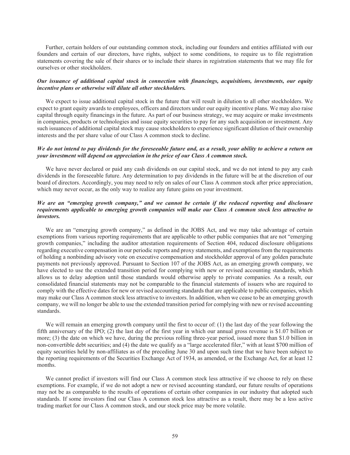Further, certain holders of our outstanding common stock, including our founders and entities affiliated with our founders and certain of our directors, have rights, subject to some conditions, to require us to file registration statements covering the sale of their shares or to include their shares in registration statements that we may file for ourselves or other stockholders.

## *Our issuance of additional capital stock in connection with financings, acquisitions, investments, our equity incentive plans or otherwise will dilute all other stockholders.*

We expect to issue additional capital stock in the future that will result in dilution to all other stockholders. We expect to grant equity awards to employees, officers and directors under our equity incentive plans. We may also raise capital through equity financings in the future. As part of our business strategy, we may acquire or make investments in companies, products or technologies and issue equity securities to pay for any such acquisition or investment. Any such issuances of additional capital stock may cause stockholders to experience significant dilution of their ownership interests and the per share value of our Class A common stock to decline.

# *We do not intend to pay dividends for the foreseeable future and, as a result, your ability to achieve a return on your investment will depend on appreciation in the price of our Class A common stock.*

We have never declared or paid any cash dividends on our capital stock, and we do not intend to pay any cash dividends in the foreseeable future. Any determination to pay dividends in the future will be at the discretion of our board of directors. Accordingly, you may need to rely on sales of our Class A common stock after price appreciation, which may never occur, as the only way to realize any future gains on your investment.

# *We are an "emerging growth company," and we cannot be certain if the reduced reporting and disclosure requirements applicable to emerging growth companies will make our Class A common stock less attractive to investors.*

We are an "emerging growth company," as defined in the JOBS Act, and we may take advantage of certain exemptions from various reporting requirements that are applicable to other public companies that are not "emerging growth companies," including the auditor attestation requirements of Section 404, reduced disclosure obligations regarding executive compensation in our periodic reports and proxy statements, and exemptions from the requirements of holding a nonbinding advisory vote on executive compensation and stockholder approval of any golden parachute payments not previously approved. Pursuant to Section 107 of the JOBS Act, as an emerging growth company, we have elected to use the extended transition period for complying with new or revised accounting standards, which allows us to delay adoption until those standards would otherwise apply to private companies. As a result, our consolidated financial statements may not be comparable to the financial statements of issuers who are required to comply with the effective dates for new or revised accounting standards that are applicable to public companies, which may make our Class A common stock less attractive to investors. In addition, when we cease to be an emerging growth company, we will no longer be able to use the extended transition period for complying with new or revised accounting standards.

We will remain an emerging growth company until the first to occur of: (1) the last day of the year following the fifth anniversary of the IPO; (2) the last day of the first year in which our annual gross revenue is \$1.07 billion or more; (3) the date on which we have, during the previous rolling three-year period, issued more than \$1.0 billion in non-convertible debt securities; and (4) the date we qualify as a "large accelerated filer," with at least \$700 million of equity securities held by non-affiliates as of the preceding June 30 and upon such time that we have been subject to the reporting requirements of the Securities Exchange Act of 1934, as amended, or the Exchange Act, for at least 12 months.

We cannot predict if investors will find our Class A common stock less attractive if we choose to rely on these exemptions. For example, if we do not adopt a new or revised accounting standard, our future results of operations may not be as comparable to the results of operations of certain other companies in our industry that adopted such standards. If some investors find our Class A common stock less attractive as a result, there may be a less active trading market for our Class A common stock, and our stock price may be more volatile.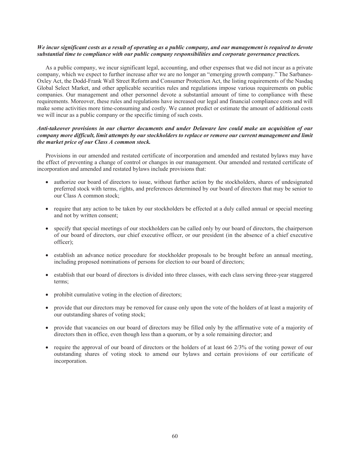# We incur significant costs as a result of operating as a public company, and our management is required to devote *substantial time to compliance with our public company responsibilities and corporate governance practices.*

As a public company, we incur significant legal, accounting, and other expenses that we did not incur as a private company, which we expect to further increase after we are no longer an "emerging growth company." The Sarbanes-Oxley Act, the Dodd-Frank Wall Street Reform and Consumer Protection Act, the listing requirements of the Nasdaq Global Select Market, and other applicable securities rules and regulations impose various requirements on public companies. Our management and other personnel devote a substantial amount of time to compliance with these requirements. Moreover, these rules and regulations have increased our legal and financial compliance costs and will make some activities more time-consuming and costly. We cannot predict or estimate the amount of additional costs we will incur as a public company or the specific timing of such costs.

# *Anti-takeover provisions in our charter documents and under Delaware law could make an acquisition of our company more difficult, limit attempts by our stockholders to replace or remove our current management and limit the market price of our Class A common stock.*

Provisions in our amended and restated certificate of incorporation and amended and restated bylaws may have the effect of preventing a change of control or changes in our management. Our amended and restated certificate of incorporation and amended and restated bylaws include provisions that:

- authorize our board of directors to issue, without further action by the stockholders, shares of undesignated preferred stock with terms, rights, and preferences determined by our board of directors that may be senior to our Class A common stock;
- require that any action to be taken by our stockholders be effected at a duly called annual or special meeting and not by written consent;
- specify that special meetings of our stockholders can be called only by our board of directors, the chairperson of our board of directors, our chief executive officer, or our president (in the absence of a chief executive officer);
- establish an advance notice procedure for stockholder proposals to be brought before an annual meeting, including proposed nominations of persons for election to our board of directors;
- establish that our board of directors is divided into three classes, with each class serving three-year staggered terms;
- prohibit cumulative voting in the election of directors;
- provide that our directors may be removed for cause only upon the vote of the holders of at least a majority of our outstanding shares of voting stock;
- provide that vacancies on our board of directors may be filled only by the affirmative vote of a majority of directors then in office, even though less than a quorum, or by a sole remaining director; and
- require the approval of our board of directors or the holders of at least 66 2/3% of the voting power of our outstanding shares of voting stock to amend our bylaws and certain provisions of our certificate of incorporation.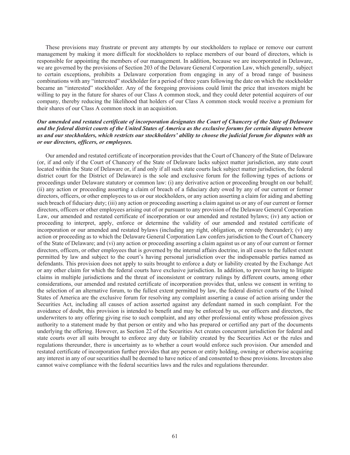These provisions may frustrate or prevent any attempts by our stockholders to replace or remove our current management by making it more difficult for stockholders to replace members of our board of directors, which is responsible for appointing the members of our management. In addition, because we are incorporated in Delaware, we are governed by the provisions of Section 203 of the Delaware General Corporation Law, which generally, subject to certain exceptions, prohibits a Delaware corporation from engaging in any of a broad range of business combinations with any "interested" stockholder for a period of three years following the date on which the stockholder became an "interested" stockholder. Any of the foregoing provisions could limit the price that investors might be willing to pay in the future for shares of our Class A common stock, and they could deter potential acquirers of our company, thereby reducing the likelihood that holders of our Class A common stock would receive a premium for their shares of our Class A common stock in an acquisition.

# *Our amended and restated certificate of incorporation designates the Court of Chancery of the State of Delaware and the federal district courts of the United States of America as the exclusive forums for certain disputes between us and our stockholders, which restricts our stockholders' ability to choose the judicial forum for disputes with us or our directors, officers, or employees.*

Our amended and restated certificate of incorporation provides that the Court of Chancery of the State of Delaware (or, if and only if the Court of Chancery of the State of Delaware lacks subject matter jurisdiction, any state court located within the State of Delaware or, if and only if all such state courts lack subject matter jurisdiction, the federal district court for the District of Delaware) is the sole and exclusive forum for the following types of actions or proceedings under Delaware statutory or common law: (i) any derivative action or proceeding brought on our behalf; (ii) any action or proceeding asserting a claim of breach of a fiduciary duty owed by any of our current or former directors, officers, or other employees to us or our stockholders, or any action asserting a claim for aiding and abetting such breach of fiduciary duty; (iii) any action or proceeding asserting a claim against us or any of our current or former directors, officers or other employees arising out of or pursuant to any provision of the Delaware General Corporation Law, our amended and restated certificate of incorporation or our amended and restated bylaws; (iv) any action or proceeding to interpret, apply, enforce or determine the validity of our amended and restated certificate of incorporation or our amended and restated bylaws (including any right, obligation, or remedy thereunder); (v) any action or proceeding as to which the Delaware General Corporation Law confers jurisdiction to the Court of Chancery of the State of Delaware; and (vi) any action or proceeding asserting a claim against us or any of our current or former directors, officers, or other employees that is governed by the internal affairs doctrine, in all cases to the fullest extent permitted by law and subject to the court's having personal jurisdiction over the indispensable parties named as defendants. This provision does not apply to suits brought to enforce a duty or liability created by the Exchange Act or any other claim for which the federal courts have exclusive jurisdiction. In addition, to prevent having to litigate claims in multiple jurisdictions and the threat of inconsistent or contrary rulings by different courts, among other considerations, our amended and restated certificate of incorporation provides that, unless we consent in writing to the selection of an alternative forum, to the fullest extent permitted by law, the federal district courts of the United States of America are the exclusive forum for resolving any complaint asserting a cause of action arising under the Securities Act, including all causes of action asserted against any defendant named in such complaint. For the avoidance of doubt, this provision is intended to benefit and may be enforced by us, our officers and directors, the underwriters to any offering giving rise to such complaint, and any other professional entity whose profession gives authority to a statement made by that person or entity and who has prepared or certified any part of the documents underlying the offering. However, as Section 22 of the Securities Act creates concurrent jurisdiction for federal and state courts over all suits brought to enforce any duty or liability created by the Securities Act or the rules and regulations thereunder, there is uncertainty as to whether a court would enforce such provision. Our amended and restated certificate of incorporation further provides that any person or entity holding, owning or otherwise acquiring any interest in any of our securities shall be deemed to have notice of and consented to these provisions. Investors also cannot waive compliance with the federal securities laws and the rules and regulations thereunder.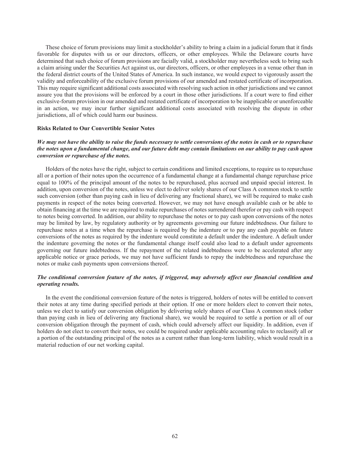These choice of forum provisions may limit a stockholder's ability to bring a claim in a judicial forum that it finds favorable for disputes with us or our directors, officers, or other employees. While the Delaware courts have determined that such choice of forum provisions are facially valid, a stockholder may nevertheless seek to bring such a claim arising under the Securities Act against us, our directors, officers, or other employees in a venue other than in the federal district courts of the United States of America. In such instance, we would expect to vigorously assert the validity and enforceability of the exclusive forum provisions of our amended and restated certificate of incorporation. This may require significant additional costs associated with resolving such action in other jurisdictions and we cannot assure you that the provisions will be enforced by a court in those other jurisdictions. If a court were to find either exclusive-forum provision in our amended and restated certificate of incorporation to be inapplicable or unenforceable in an action, we may incur further significant additional costs associated with resolving the dispute in other jurisdictions, all of which could harm our business.

#### **Risks Related to Our Convertible Senior Notes**

# *We may not have the ability to raise the funds necessary to settle conversions of the notes in cash or to repurchase the notes upon a fundamental change, and our future debt may contain limitations on our ability to pay cash upon conversion or repurchase of the notes.*

Holders of the notes have the right, subject to certain conditions and limited exceptions, to require us to repurchase all or a portion of their notes upon the occurrence of a fundamental change at a fundamental change repurchase price equal to 100% of the principal amount of the notes to be repurchased, plus accrued and unpaid special interest. In addition, upon conversion of the notes, unless we elect to deliver solely shares of our Class A common stock to settle such conversion (other than paying cash in lieu of delivering any fractional share), we will be required to make cash payments in respect of the notes being converted. However, we may not have enough available cash or be able to obtain financing at the time we are required to make repurchases of notes surrendered therefor or pay cash with respect to notes being converted. In addition, our ability to repurchase the notes or to pay cash upon conversions of the notes may be limited by law, by regulatory authority or by agreements governing our future indebtedness. Our failure to repurchase notes at a time when the repurchase is required by the indenture or to pay any cash payable on future conversions of the notes as required by the indenture would constitute a default under the indenture. A default under the indenture governing the notes or the fundamental change itself could also lead to a default under agreements governing our future indebtedness. If the repayment of the related indebtedness were to be accelerated after any applicable notice or grace periods, we may not have sufficient funds to repay the indebtedness and repurchase the notes or make cash payments upon conversions thereof.

### *The conditional conversion feature of the notes, if triggered, may adversely affect our financial condition and operating results.*

In the event the conditional conversion feature of the notes is triggered, holders of notes will be entitled to convert their notes at any time during specified periods at their option. If one or more holders elect to convert their notes, unless we elect to satisfy our conversion obligation by delivering solely shares of our Class A common stock (other than paying cash in lieu of delivering any fractional share), we would be required to settle a portion or all of our conversion obligation through the payment of cash, which could adversely affect our liquidity. In addition, even if holders do not elect to convert their notes, we could be required under applicable accounting rules to reclassify all or a portion of the outstanding principal of the notes as a current rather than long-term liability, which would result in a material reduction of our net working capital.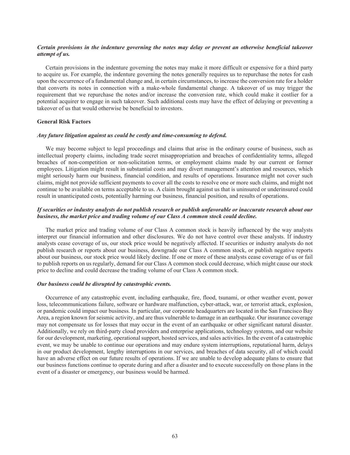# *Certain provisions in the indenture governing the notes may delay or prevent an otherwise beneficial takeover attempt of us.*

Certain provisions in the indenture governing the notes may make it more difficult or expensive for a third party to acquire us. For example, the indenture governing the notes generally requires us to repurchase the notes for cash upon the occurrence of a fundamental change and, in certain circumstances, to increase the conversion rate for a holder that converts its notes in connection with a make-whole fundamental change. A takeover of us may trigger the requirement that we repurchase the notes and/or increase the conversion rate, which could make it costlier for a potential acquirer to engage in such takeover. Such additional costs may have the effect of delaying or preventing a takeover of us that would otherwise be beneficial to investors.

### **General Risk Factors**

#### *Any future litigation against us could be costly and time-consuming to defend.*

We may become subject to legal proceedings and claims that arise in the ordinary course of business, such as intellectual property claims, including trade secret misappropriation and breaches of confidentiality terms, alleged breaches of non-competition or non-solicitation terms, or employment claims made by our current or former employees. Litigation might result in substantial costs and may divert management's attention and resources, which might seriously harm our business, financial condition, and results of operations. Insurance might not cover such claims, might not provide sufficient payments to cover all the costs to resolve one or more such claims, and might not continue to be available on terms acceptable to us. A claim brought against us that is uninsured or underinsured could result in unanticipated costs, potentially harming our business, financial position, and results of operations.

# *If securities or industry analysts do not publish research or publish unfavorable or inaccurate research about our business, the market price and trading volume of our Class A common stock could decline.*

The market price and trading volume of our Class A common stock is heavily influenced by the way analysts interpret our financial information and other disclosures. We do not have control over these analysts. If industry analysts cease coverage of us, our stock price would be negatively affected. If securities or industry analysts do not publish research or reports about our business, downgrade our Class A common stock, or publish negative reports about our business, our stock price would likely decline. If one or more of these analysts cease coverage of us or fail to publish reports on us regularly, demand for our Class A common stock could decrease, which might cause our stock price to decline and could decrease the trading volume of our Class A common stock.

# *Our business could be disrupted by catastrophic events.*

Occurrence of any catastrophic event, including earthquake, fire, flood, tsunami, or other weather event, power loss, telecommunications failure, software or hardware malfunction, cyber-attack, war, or terrorist attack, explosion, or pandemic could impact our business. In particular, our corporate headquarters are located in the San Francisco Bay Area, a region known for seismic activity, and are thus vulnerable to damage in an earthquake. Our insurance coverage may not compensate us for losses that may occur in the event of an earthquake or other significant natural disaster. Additionally, we rely on third-party cloud providers and enterprise applications, technology systems, and our website for our development, marketing, operational support, hosted services, and sales activities. In the event of a catastrophic event, we may be unable to continue our operations and may endure system interruptions, reputational harm, delays in our product development, lengthy interruptions in our services, and breaches of data security, all of which could have an adverse effect on our future results of operations. If we are unable to develop adequate plans to ensure that our business functions continue to operate during and after a disaster and to execute successfully on those plans in the event of a disaster or emergency, our business would be harmed.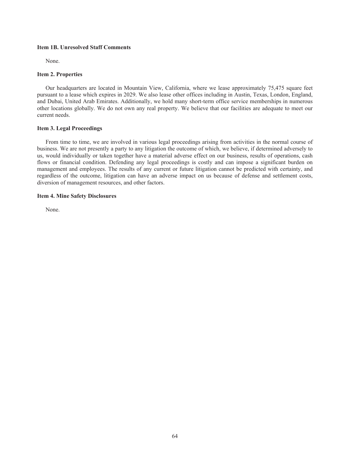# **Item 1B. Unresolved Staff Comments**

None.

# **Item 2. Properties**

Our headquarters are located in Mountain View, California, where we lease approximately 75,475 square feet pursuant to a lease which expires in 2029. We also lease other offices including in Austin, Texas, London, England, and Dubai, United Arab Emirates. Additionally, we hold many short-term office service memberships in numerous other locations globally. We do not own any real property. We believe that our facilities are adequate to meet our current needs.

# **Item 3. Legal Proceedings**

From time to time, we are involved in various legal proceedings arising from activities in the normal course of business. We are not presently a party to any litigation the outcome of which, we believe, if determined adversely to us, would individually or taken together have a material adverse effect on our business, results of operations, cash flows or financial condition. Defending any legal proceedings is costly and can impose a significant burden on management and employees. The results of any current or future litigation cannot be predicted with certainty, and regardless of the outcome, litigation can have an adverse impact on us because of defense and settlement costs, diversion of management resources, and other factors.

# **Item 4. Mine Safety Disclosures**

None.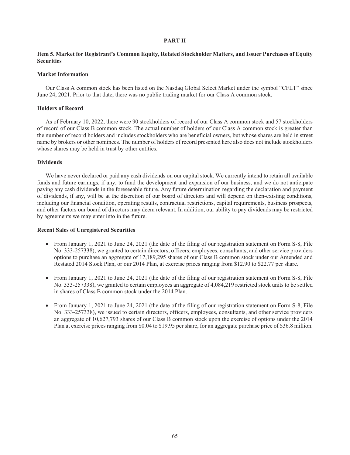# **PART II**

# **Item 5. Market for Registrant's Common Equity, Related Stockholder Matters, and Issuer Purchases of Equity Securities**

# **Market Information**

Our Class A common stock has been listed on the Nasdaq Global Select Market under the symbol "CFLT" since June 24, 2021. Prior to that date, there was no public trading market for our Class A common stock.

# **Holders of Record**

As of February 10, 2022, there were 90 stockholders of record of our Class A common stock and 57 stockholders of record of our Class B common stock. The actual number of holders of our Class A common stock is greater than the number of record holders and includes stockholders who are beneficial owners, but whose shares are held in street name by brokers or other nominees. The number of holders of record presented here also does not include stockholders whose shares may be held in trust by other entities.

# **Dividends**

We have never declared or paid any cash dividends on our capital stock. We currently intend to retain all available funds and future earnings, if any, to fund the development and expansion of our business, and we do not anticipate paying any cash dividends in the foreseeable future. Any future determination regarding the declaration and payment of dividends, if any, will be at the discretion of our board of directors and will depend on then-existing conditions, including our financial condition, operating results, contractual restrictions, capital requirements, business prospects, and other factors our board of directors may deem relevant. In addition, our ability to pay dividends may be restricted by agreements we may enter into in the future.

# **Recent Sales of Unregistered Securities**

- From January 1, 2021 to June 24, 2021 (the date of the filing of our registration statement on Form S-8, File No. 333-257338), we granted to certain directors, officers, employees, consultants, and other service providers options to purchase an aggregate of 17,189,295 shares of our Class B common stock under our Amended and Restated 2014 Stock Plan, or our 2014 Plan, at exercise prices ranging from \$12.90 to \$22.77 per share.
- From January 1, 2021 to June 24, 2021 (the date of the filing of our registration statement on Form S-8, File No. 333-257338), we granted to certain employees an aggregate of 4,084,219 restricted stock units to be settled in shares of Class B common stock under the 2014 Plan.
- From January 1, 2021 to June 24, 2021 (the date of the filing of our registration statement on Form S-8, File No. 333-257338), we issued to certain directors, officers, employees, consultants, and other service providers an aggregate of 10,627,793 shares of our Class B common stock upon the exercise of options under the 2014 Plan at exercise prices ranging from \$0.04 to \$19.95 per share, for an aggregate purchase price of \$36.8 million.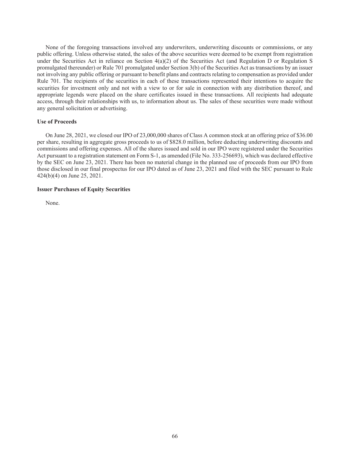None of the foregoing transactions involved any underwriters, underwriting discounts or commissions, or any public offering. Unless otherwise stated, the sales of the above securities were deemed to be exempt from registration under the Securities Act in reliance on Section 4(a)(2) of the Securities Act (and Regulation D or Regulation S promulgated thereunder) or Rule 701 promulgated under Section 3(b) of the Securities Act as transactions by an issuer not involving any public offering or pursuant to benefit plans and contracts relating to compensation as provided under Rule 701. The recipients of the securities in each of these transactions represented their intentions to acquire the securities for investment only and not with a view to or for sale in connection with any distribution thereof, and appropriate legends were placed on the share certificates issued in these transactions. All recipients had adequate access, through their relationships with us, to information about us. The sales of these securities were made without any general solicitation or advertising.

#### **Use of Proceeds**

On June 28, 2021, we closed our IPO of 23,000,000 shares of Class A common stock at an offering price of \$36.00 per share, resulting in aggregate gross proceeds to us of \$828.0 million, before deducting underwriting discounts and commissions and offering expenses. All of the shares issued and sold in our IPO were registered under the Securities Act pursuant to a registration statement on Form S-1, as amended (File No. 333-256693), which was declared effective by the SEC on June 23, 2021. There has been no material change in the planned use of proceeds from our IPO from those disclosed in our final prospectus for our IPO dated as of June 23, 2021 and filed with the SEC pursuant to Rule 424(b)(4) on June 25, 2021.

#### **Issuer Purchases of Equity Securities**

None.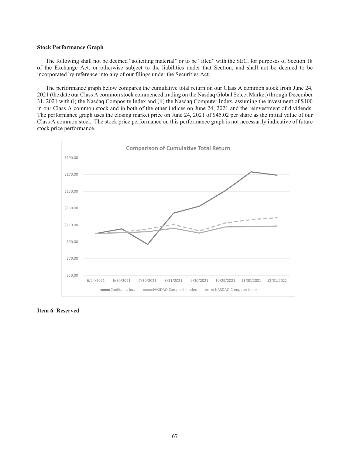#### **Stock Performance Graph**

The following shall not be deemed "soliciting material" or to be "filed" with the SEC, for purposes of Section 18 of the Exchange Act, or otherwise subject to the liabilities under that Section, and shall not be deemed to be incorporated by reference into any of our filings under the Securities Act.

The performance graph below compares the cumulative total return on our Class A common stock from June 24, 2021 (the date our Class A common stock commenced trading on the Nasdaq Global Select Market) through December 31, 2021 with (i) the Nasdaq Composite Index and (ii) the Nasdaq Computer Index, assuming the investment of \$100 in our Class A common stock and in both of the other indices on June 24, 2021 and the reinvestment of dividends. The performance graph uses the closing market price on June 24, 2021 of \$45.02 per share as the initial value of our Class A common stock. The stock price performance on this performance graph is not necessarily indicative of future stock price performance.



**Item 6. Reserved**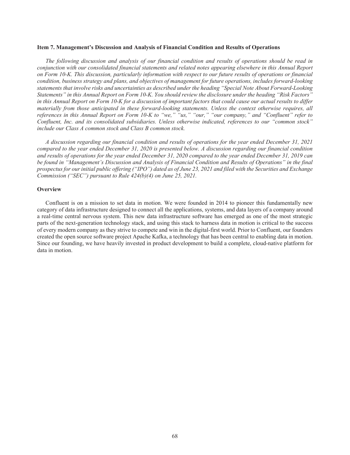#### **Item 7. Management's Discussion and Analysis of Financial Condition and Results of Operations**

*The following discussion and analysis of our financial condition and results of operations should be read in conjunction with our consolidated financial statements and related notes appearing elsewhere in this Annual Report on Form 10-K. This discussion, particularly information with respect to our future results of operations or financial condition, business strategy and plans, and objectives of management for future operations, includes forward-looking statements that involve risks and uncertainties as described under the heading "Special Note About Forward-Looking Statements" in this Annual Report on Form 10-K. You should review the disclosure under the heading "Risk Factors" in this Annual Report on Form 10-K for a discussion of important factors that could cause our actual results to differ materially from those anticipated in these forward-looking statements. Unless the context otherwise requires, all* references in this Annual Report on Form 10-K to "we," "us," "our," "our company," and "Confluent" refer to *Confluent, Inc. and its consolidated subsidiaries. Unless otherwise indicated, references to our "common stock" include our Class A common stock and Class B common stock.*

*A discussion regarding our financial condition and results of operations for the year ended December 31, 2021 compared to the year ended December 31, 2020 is presented below. A discussion regarding our financial condition and results of operations for the year ended December 31, 2020 compared to the year ended December 31, 2019 can be found in "Management's Discussion and Analysis of Financial Condition and Results of Operations" in the final prospectus for our initial public offering ("IPO") dated as of June 23, 2021 and filed with the Securities and Exchange Commission ("SEC") pursuant to Rule 424(b)(4) on June 25, 2021.*

# **Overview**

Confluent is on a mission to set data in motion. We were founded in 2014 to pioneer this fundamentally new category of data infrastructure designed to connect all the applications, systems, and data layers of a company around a real-time central nervous system. This new data infrastructure software has emerged as one of the most strategic parts of the next-generation technology stack, and using this stack to harness data in motion is critical to the success of every modern company as they strive to compete and win in the digital-first world. Prior to Confluent, our founders created the open source software project Apache Kafka, a technology that has been central to enabling data in motion. Since our founding, we have heavily invested in product development to build a complete, cloud-native platform for data in motion.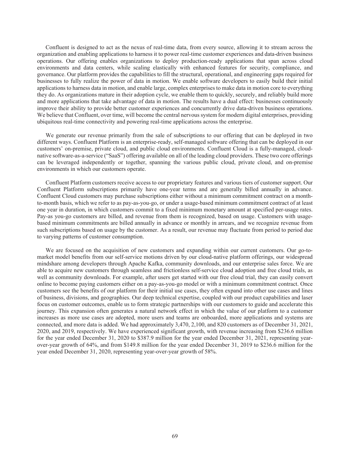Confluent is designed to act as the nexus of real-time data, from every source, allowing it to stream across the organization and enabling applications to harness it to power real-time customer experiences and data-driven business operations. Our offering enables organizations to deploy production-ready applications that span across cloud environments and data centers, while scaling elastically with enhanced features for security, compliance, and governance. Our platform provides the capabilities to fill the structural, operational, and engineering gaps required for businesses to fully realize the power of data in motion. We enable software developers to easily build their initial applications to harness data in motion, and enable large, complex enterprises to make data in motion core to everything they do. As organizations mature in their adoption cycle, we enable them to quickly, securely, and reliably build more and more applications that take advantage of data in motion. The results have a dual effect: businesses continuously improve their ability to provide better customer experiences and concurrently drive data-driven business operations. We believe that Confluent, over time, will become the central nervous system for modern digital enterprises, providing ubiquitous real-time connectivity and powering real-time applications across the enterprise.

We generate our revenue primarily from the sale of subscriptions to our offering that can be deployed in two different ways. Confluent Platform is an enterprise-ready, self-managed software offering that can be deployed in our customers' on-premise, private cloud, and public cloud environments. Confluent Cloud is a fully-managed, cloudnative software-as-a-service ("SaaS") offering available on all of the leading cloud providers. These two core offerings can be leveraged independently or together, spanning the various public cloud, private cloud, and on-premise environments in which our customers operate.

Confluent Platform customers receive access to our proprietary features and various tiers of customer support. Our Confluent Platform subscriptions primarily have one-year terms and are generally billed annually in advance. Confluent Cloud customers may purchase subscriptions either without a minimum commitment contract on a monthto-month basis, which we refer to as pay-as-you-go, or under a usage-based minimum commitment contract of at least one year in duration, in which customers commit to a fixed minimum monetary amount at specified per-usage rates. Pay-as you-go customers are billed, and revenue from them is recognized, based on usage. Customers with usagebased minimum commitments are billed annually in advance or monthly in arrears, and we recognize revenue from such subscriptions based on usage by the customer. As a result, our revenue may fluctuate from period to period due to varying patterns of customer consumption.

We are focused on the acquisition of new customers and expanding within our current customers. Our go-tomarket model benefits from our self-service motions driven by our cloud-native platform offerings, our widespread mindshare among developers through Apache Kafka, community downloads, and our enterprise sales force. We are able to acquire new customers through seamless and frictionless self-service cloud adoption and free cloud trials, as well as community downloads. For example, after users get started with our free cloud trial, they can easily convert online to become paying customers either on a pay-as-you-go model or with a minimum commitment contract. Once customers see the benefits of our platform for their initial use cases, they often expand into other use cases and lines of business, divisions, and geographies. Our deep technical expertise, coupled with our product capabilities and laser focus on customer outcomes, enable us to form strategic partnerships with our customers to guide and accelerate this journey. This expansion often generates a natural network effect in which the value of our platform to a customer increases as more use cases are adopted, more users and teams are onboarded, more applications and systems are connected, and more data is added. We had approximately 3,470, 2,100, and 820 customers as of December 31, 2021, 2020, and 2019, respectively. We have experienced significant growth, with revenue increasing from \$236.6 million for the year ended December 31, 2020 to \$387.9 million for the year ended December 31, 2021, representing yearover-year growth of 64%, and from \$149.8 million for the year ended December 31, 2019 to \$236.6 million for the year ended December 31, 2020, representing year-over-year growth of 58%.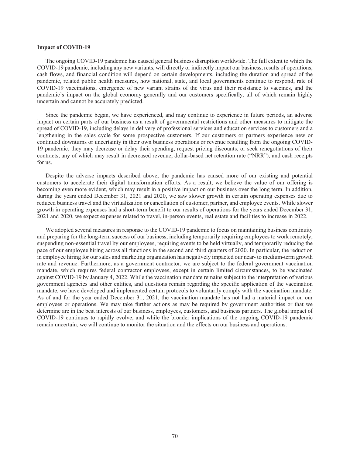# **Impact of COVID-19**

The ongoing COVID-19 pandemic has caused general business disruption worldwide. The full extent to which the COVID-19 pandemic, including any new variants, will directly or indirectly impact our business, results of operations, cash flows, and financial condition will depend on certain developments, including the duration and spread of the pandemic, related public health measures, how national, state, and local governments continue to respond, rate of COVID-19 vaccinations, emergence of new variant strains of the virus and their resistance to vaccines, and the pandemic's impact on the global economy generally and our customers specifically, all of which remain highly uncertain and cannot be accurately predicted.

Since the pandemic began, we have experienced, and may continue to experience in future periods, an adverse impact on certain parts of our business as a result of governmental restrictions and other measures to mitigate the spread of COVID-19, including delays in delivery of professional services and education services to customers and a lengthening in the sales cycle for some prospective customers. If our customers or partners experience new or continued downturns or uncertainty in their own business operations or revenue resulting from the ongoing COVID-19 pandemic, they may decrease or delay their spending, request pricing discounts, or seek renegotiations of their contracts, any of which may result in decreased revenue, dollar-based net retention rate ("NRR"), and cash receipts for us.

Despite the adverse impacts described above, the pandemic has caused more of our existing and potential customers to accelerate their digital transformation efforts. As a result, we believe the value of our offering is becoming even more evident, which may result in a positive impact on our business over the long term. In addition, during the years ended December 31, 2021 and 2020, we saw slower growth in certain operating expenses due to reduced business travel and the virtualization or cancellation of customer, partner, and employee events. While slower growth in operating expenses had a short-term benefit to our results of operations for the years ended December 31, 2021 and 2020, we expect expenses related to travel, in-person events, real estate and facilities to increase in 2022.

We adopted several measures in response to the COVID-19 pandemic to focus on maintaining business continuity and preparing for the long-term success of our business, including temporarily requiring employees to work remotely, suspending non-essential travel by our employees, requiring events to be held virtually, and temporarily reducing the pace of our employee hiring across all functions in the second and third quarters of 2020. In particular, the reduction in employee hiring for our sales and marketing organization has negatively impacted our near- to medium-term growth rate and revenue. Furthermore, as a government contractor, we are subject to the federal government vaccination mandate, which requires federal contractor employees, except in certain limited circumstances, to be vaccinated against COVID-19 by January 4, 2022. While the vaccination mandate remains subject to the interpretation of various government agencies and other entities, and questions remain regarding the specific application of the vaccination mandate, we have developed and implemented certain protocols to voluntarily comply with the vaccination mandate. As of and for the year ended December 31, 2021, the vaccination mandate has not had a material impact on our employees or operations. We may take further actions as may be required by government authorities or that we determine are in the best interests of our business, employees, customers, and business partners. The global impact of COVID-19 continues to rapidly evolve, and while the broader implications of the ongoing COVID-19 pandemic remain uncertain, we will continue to monitor the situation and the effects on our business and operations.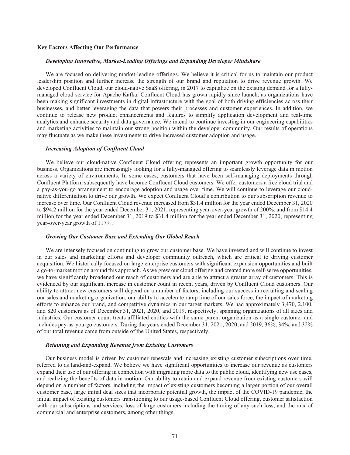# **Key Factors Affecting Our Performance**

## *Developing Innovative, Market-Leading Offerings and Expanding Developer Mindshare*

We are focused on delivering market-leading offerings. We believe it is critical for us to maintain our product leadership position and further increase the strength of our brand and reputation to drive revenue growth. We developed Confluent Cloud, our cloud-native SaaS offering, in 2017 to capitalize on the existing demand for a fullymanaged cloud service for Apache Kafka. Confluent Cloud has grown rapidly since launch, as organizations have been making significant investments in digital infrastructure with the goal of both driving efficiencies across their businesses, and better leveraging the data that powers their processes and customer experiences. In addition, we continue to release new product enhancements and features to simplify application development and real-time analytics and enhance security and data governance. We intend to continue investing in our engineering capabilities and marketing activities to maintain our strong position within the developer community. Our results of operations may fluctuate as we make these investments to drive increased customer adoption and usage.

# *Increasing Adoption of Confluent Cloud*

We believe our cloud-native Confluent Cloud offering represents an important growth opportunity for our business. Organizations are increasingly looking for a fully-managed offering to seamlessly leverage data in motion across a variety of environments. In some cases, customers that have been self-managing deployments through Confluent Platform subsequently have become Confluent Cloud customers. We offer customers a free cloud trial and a pay-as-you-go arrangement to encourage adoption and usage over time. We will continue to leverage our cloudnative differentiation to drive our growth. We expect Confluent Cloud's contribution to our subscription revenue to increase over time. Our Confluent Cloud revenue increased from \$31.4 million for the year ended December 31, 2020 to \$94.2 million for the year ended December 31, 2021, representing year-over-year growth of 200%, and from \$14.4 million for the year ended December 31, 2019 to \$31.4 million for the year ended December 31, 2020, representing year-over-year growth of 117%.

#### *Growing Our Customer Base and Extending Our Global Reach*

We are intensely focused on continuing to grow our customer base. We have invested and will continue to invest in our sales and marketing efforts and developer community outreach, which are critical to driving customer acquisition. We historically focused on large enterprise customers with significant expansion opportunities and built a go-to-market motion around this approach. As we grew our cloud offering and created more self-serve opportunities, we have significantly broadened our reach of customers and are able to attract a greater array of customers. This is evidenced by our significant increase in customer count in recent years, driven by Confluent Cloud customers. Our ability to attract new customers will depend on a number of factors, including our success in recruiting and scaling our sales and marketing organization, our ability to accelerate ramp time of our sales force, the impact of marketing efforts to enhance our brand, and competitive dynamics in our target markets. We had approximately 3,470, 2,100, and 820 customers as of December 31, 2021, 2020, and 2019, respectively, spanning organizations of all sizes and industries. Our customer count treats affiliated entities with the same parent organization as a single customer and includes pay-as-you-go customers. During the years ended December 31, 2021, 2020, and 2019, 36%, 34%, and 32% of our total revenue came from outside of the United States, respectively.

#### *Retaining and Expanding Revenue from Existing Customers*

Our business model is driven by customer renewals and increasing existing customer subscriptions over time, referred to as land-and-expand. We believe we have significant opportunities to increase our revenue as customers expand their use of our offering in connection with migrating more data to the public cloud, identifying new use cases, and realizing the benefits of data in motion. Our ability to retain and expand revenue from existing customers will depend on a number of factors, including the impact of existing customers becoming a larger portion of our overall customer base, large initial deal sizes that incorporate potential growth, the impact of the COVID-19 pandemic, the initial impact of existing customers transitioning to our usage-based Confluent Cloud offering, customer satisfaction with our subscriptions and services, loss of large customers including the timing of any such loss, and the mix of commercial and enterprise customers, among other things.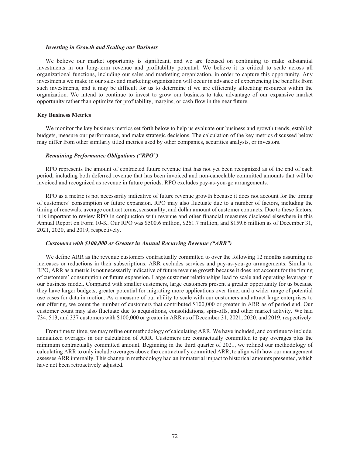#### *Investing in Growth and Scaling our Business*

We believe our market opportunity is significant, and we are focused on continuing to make substantial investments in our long-term revenue and profitability potential. We believe it is critical to scale across all organizational functions, including our sales and marketing organization, in order to capture this opportunity. Any investments we make in our sales and marketing organization will occur in advance of experiencing the benefits from such investments, and it may be difficult for us to determine if we are efficiently allocating resources within the organization. We intend to continue to invest to grow our business to take advantage of our expansive market opportunity rather than optimize for profitability, margins, or cash flow in the near future.

# **Key Business Metrics**

We monitor the key business metrics set forth below to help us evaluate our business and growth trends, establish budgets, measure our performance, and make strategic decisions. The calculation of the key metrics discussed below may differ from other similarly titled metrics used by other companies, securities analysts, or investors.

# *Remaining Performance Obligations ("RPO")*

RPO represents the amount of contracted future revenue that has not yet been recognized as of the end of each period, including both deferred revenue that has been invoiced and non-cancelable committed amounts that will be invoiced and recognized as revenue in future periods. RPO excludes pay-as-you-go arrangements.

RPO as a metric is not necessarily indicative of future revenue growth because it does not account for the timing of customers' consumption or future expansion. RPO may also fluctuate due to a number of factors, including the timing of renewals, average contract terms, seasonality, and dollar amount of customer contracts. Due to these factors, it is important to review RPO in conjunction with revenue and other financial measures disclosed elsewhere in this Annual Report on Form 10-K. Our RPO was \$500.6 million, \$261.7 million, and \$159.6 million as of December 31, 2021, 2020, and 2019, respectively.

## *Customers with \$100,000 or Greater in Annual Recurring Revenue ("ARR")*

We define ARR as the revenue customers contractually committed to over the following 12 months assuming no increases or reductions in their subscriptions. ARR excludes services and pay-as-you-go arrangements. Similar to RPO, ARR as a metric is not necessarily indicative of future revenue growth because it does not account for the timing of customers' consumption or future expansion. Large customer relationships lead to scale and operating leverage in our business model. Compared with smaller customers, large customers present a greater opportunity for us because they have larger budgets, greater potential for migrating more applications over time, and a wider range of potential use cases for data in motion. As a measure of our ability to scale with our customers and attract large enterprises to our offering, we count the number of customers that contributed \$100,000 or greater in ARR as of period end. Our customer count may also fluctuate due to acquisitions, consolidations, spin-offs, and other market activity. We had 734, 513, and 337 customers with \$100,000 or greater in ARR as of December 31, 2021, 2020, and 2019, respectively.

From time to time, we may refine our methodology of calculating ARR. We have included, and continue to include, annualized overages in our calculation of ARR. Customers are contractually committed to pay overages plus the minimum contractually committed amount. Beginning in the third quarter of 2021, we refined our methodology of calculating ARR to only include overages above the contractually committed ARR, to align with how our management assesses ARR internally. This change in methodology had an immaterial impact to historical amounts presented, which have not been retroactively adjusted.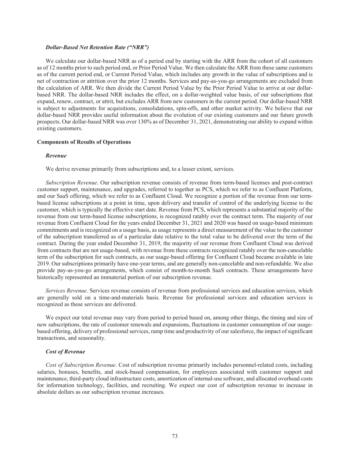#### *Dollar-Based Net Retention Rate ("NRR")*

We calculate our dollar-based NRR as of a period end by starting with the ARR from the cohort of all customers as of 12 months prior to such period end, or Prior Period Value. We then calculate the ARR from these same customers as of the current period end, or Current Period Value, which includes any growth in the value of subscriptions and is net of contraction or attrition over the prior 12 months. Services and pay-as-you-go arrangements are excluded from the calculation of ARR. We then divide the Current Period Value by the Prior Period Value to arrive at our dollarbased NRR. The dollar-based NRR includes the effect, on a dollar-weighted value basis, of our subscriptions that expand, renew, contract, or attrit, but excludes ARR from new customers in the current period. Our dollar-based NRR is subject to adjustments for acquisitions, consolidations, spin-offs, and other market activity. We believe that our dollar-based NRR provides useful information about the evolution of our existing customers and our future growth prospects. Our dollar-based NRR was over 130% as of December 31, 2021, demonstrating our ability to expand within existing customers.

# **Components of Results of Operations**

#### *Revenue*

We derive revenue primarily from subscriptions and, to a lesser extent, services.

*Subscription Revenue*. Our subscription revenue consists of revenue from term-based licenses and post-contract customer support, maintenance, and upgrades, referred to together as PCS, which we refer to as Confluent Platform, and our SaaS offering, which we refer to as Confluent Cloud. We recognize a portion of the revenue from our termbased license subscriptions at a point in time, upon delivery and transfer of control of the underlying license to the customer, which is typically the effective start date. Revenue from PCS, which represents a substantial majority of the revenue from our term-based license subscriptions, is recognized ratably over the contract term. The majority of our revenue from Confluent Cloud for the years ended December 31, 2021 and 2020 was based on usage-based minimum commitments and is recognized on a usage basis, as usage represents a direct measurement of the value to the customer of the subscription transferred as of a particular date relative to the total value to be delivered over the term of the contract. During the year ended December 31, 2019, the majority of our revenue from Confluent Cloud was derived from contracts that are not usage-based, with revenue from these contracts recognized ratably over the non-cancelable term of the subscription for such contracts, as our usage-based offering for Confluent Cloud became available in late 2019. Our subscriptions primarily have one-year terms, and are generally non-cancelable and non-refundable. We also provide pay-as-you-go arrangements, which consist of month-to-month SaaS contracts. These arrangements have historically represented an immaterial portion of our subscription revenue.

*Services Revenue*. Services revenue consists of revenue from professional services and education services, which are generally sold on a time-and-materials basis. Revenue for professional services and education services is recognized as these services are delivered.

We expect our total revenue may vary from period to period based on, among other things, the timing and size of new subscriptions, the rate of customer renewals and expansions, fluctuations in customer consumption of our usagebased offering, delivery of professional services, ramp time and productivity of our salesforce, the impact of significant transactions, and seasonality.

## *Cost of Revenue*

*Cost of Subscription Revenue*. Cost of subscription revenue primarily includes personnel-related costs, including salaries, bonuses, benefits, and stock-based compensation, for employees associated with customer support and maintenance, third-party cloud infrastructure costs, amortization of internal-use software, and allocated overhead costs for information technology, facilities, and recruiting. We expect our cost of subscription revenue to increase in absolute dollars as our subscription revenue increases.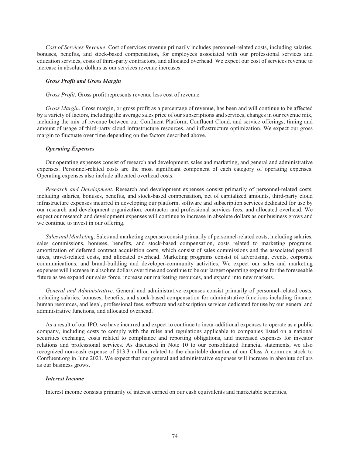*Cost of Services Revenue*. Cost of services revenue primarily includes personnel-related costs, including salaries, bonuses, benefits, and stock-based compensation, for employees associated with our professional services and education services, costs of third-party contractors, and allocated overhead. We expect our cost of services revenue to increase in absolute dollars as our services revenue increases.

#### *Gross Profit and Gross Margin*

*Gross Profit*. Gross profit represents revenue less cost of revenue.

*Gross Margin*. Gross margin, or gross profit as a percentage of revenue, has been and will continue to be affected by a variety of factors, including the average sales price of our subscriptions and services, changes in our revenue mix, including the mix of revenue between our Confluent Platform, Confluent Cloud, and service offerings, timing and amount of usage of third-party cloud infrastructure resources, and infrastructure optimization. We expect our gross margin to fluctuate over time depending on the factors described above.

# *Operating Expenses*

Our operating expenses consist of research and development, sales and marketing, and general and administrative expenses. Personnel-related costs are the most significant component of each category of operating expenses. Operating expenses also include allocated overhead costs.

*Research and Development*. Research and development expenses consist primarily of personnel-related costs, including salaries, bonuses, benefits, and stock-based compensation, net of capitalized amounts, third-party cloud infrastructure expenses incurred in developing our platform, software and subscription services dedicated for use by our research and development organization, contractor and professional services fees, and allocated overhead. We expect our research and development expenses will continue to increase in absolute dollars as our business grows and we continue to invest in our offering.

*Sales and Marketing*. Sales and marketing expenses consist primarily of personnel-related costs, including salaries, sales commissions, bonuses, benefits, and stock-based compensation, costs related to marketing programs, amortization of deferred contract acquisition costs, which consist of sales commissions and the associated payroll taxes, travel-related costs, and allocated overhead. Marketing programs consist of advertising, events, corporate communications, and brand-building and developer-community activities. We expect our sales and marketing expenses will increase in absolute dollars over time and continue to be our largest operating expense for the foreseeable future as we expand our sales force, increase our marketing resources, and expand into new markets.

*General and Administrative*. General and administrative expenses consist primarily of personnel-related costs, including salaries, bonuses, benefits, and stock-based compensation for administrative functions including finance, human resources, and legal, professional fees, software and subscription services dedicated for use by our general and administrative functions, and allocated overhead.

As a result of our IPO, we have incurred and expect to continue to incur additional expenses to operate as a public company, including costs to comply with the rules and regulations applicable to companies listed on a national securities exchange, costs related to compliance and reporting obligations, and increased expenses for investor relations and professional services. As discussed in Note 10 to our consolidated financial statements, we also recognized non-cash expense of \$13.3 million related to the charitable donation of our Class A common stock to Confluent.org in June 2021. We expect that our general and administrative expenses will increase in absolute dollars as our business grows.

## *Interest Income*

Interest income consists primarily of interest earned on our cash equivalents and marketable securities.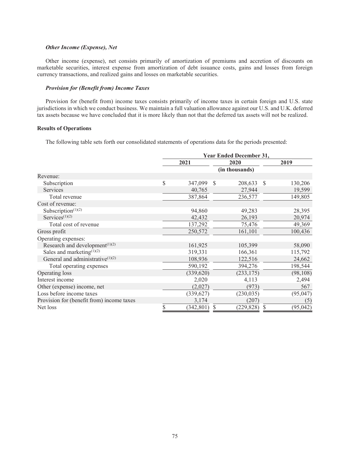# *Other Income (Expense), Net*

Other income (expense), net consists primarily of amortization of premiums and accretion of discounts on marketable securities, interest expense from amortization of debt issuance costs, gains and losses from foreign currency transactions, and realized gains and losses on marketable securities.

# *Provision for (Benefit from) Income Taxes*

Provision for (benefit from) income taxes consists primarily of income taxes in certain foreign and U.S. state jurisdictions in which we conduct business. We maintain a full valuation allowance against our U.S. and U.K. deferred tax assets because we have concluded that it is more likely than not that the deferred tax assets will not be realized.

# **Results of Operations**

The following table sets forth our consolidated statements of operations data for the periods presented:

|                                              | <b>Year Ended December 31,</b> |            |              |                |      |           |  |  |
|----------------------------------------------|--------------------------------|------------|--------------|----------------|------|-----------|--|--|
|                                              |                                | 2021       |              | 2020           |      | 2019      |  |  |
|                                              |                                |            |              | (in thousands) |      |           |  |  |
| Revenue:                                     |                                |            |              |                |      |           |  |  |
| Subscription                                 | \$                             | 347,099    | <sup>S</sup> | 208,633        | - \$ | 130,206   |  |  |
| Services                                     |                                | 40,765     |              | 27,944         |      | 19,599    |  |  |
| Total revenue                                |                                | 387,864    |              | 236,577        |      | 149,805   |  |  |
| Cost of revenue:                             |                                |            |              |                |      |           |  |  |
| Subscription $(1)(2)$                        |                                | 94,860     |              | 49,283         |      | 28,395    |  |  |
| Services $(1)(2)$                            |                                | 42,432     |              | 26,193         |      | 20,974    |  |  |
| Total cost of revenue                        |                                | 137,292    |              | 75,476         |      | 49,369    |  |  |
| Gross profit                                 |                                | 250,572    |              | 161,101        |      | 100,436   |  |  |
| Operating expenses:                          |                                |            |              |                |      |           |  |  |
| Research and development <sup>(1)(2)</sup>   |                                | 161,925    |              | 105,399        |      | 58,090    |  |  |
| Sales and marketing $(1)(2)$                 |                                | 319,331    |              | 166,361        |      | 115,792   |  |  |
| General and administrative <sup>(1)(2)</sup> |                                | 108,936    |              | 122,516        |      | 24,662    |  |  |
| Total operating expenses                     |                                | 590,192    |              | 394,276        |      | 198,544   |  |  |
| Operating loss                               |                                | (339, 620) |              | (233, 175)     |      | (98, 108) |  |  |
| Interest income                              |                                | 2,020      |              | 4,113          |      | 2,494     |  |  |
| Other (expense) income, net                  |                                | (2,027)    |              | (973)          |      | 567       |  |  |
| Loss before income taxes                     |                                | (339, 627) |              | (230, 035)     |      | (95, 047) |  |  |
| Provision for (benefit from) income taxes    |                                | 3,174      |              | (207)          |      | (5)       |  |  |
| Net loss                                     | \$                             | (342, 801) | \$           | (229, 828)     |      | (95, 042) |  |  |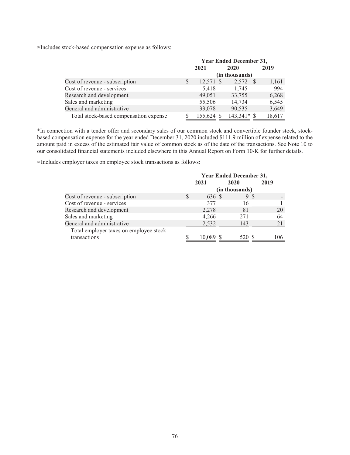(1) Includes stock-based compensation expense as follows:

|                                        |   | <b>Year Ended December 31,</b> |  |                |      |        |  |  |
|----------------------------------------|---|--------------------------------|--|----------------|------|--------|--|--|
|                                        |   | 2021                           |  | 2020           |      | 2019   |  |  |
|                                        |   |                                |  | (in thousands) |      |        |  |  |
| Cost of revenue - subscription         | S | 12,571 \$                      |  | 2,572          | - \$ | 1,161  |  |  |
| Cost of revenue - services             |   | 5,418                          |  | 1,745          |      | 994    |  |  |
| Research and development               |   | 49,051                         |  | 33,755         |      | 6,268  |  |  |
| Sales and marketing                    |   | 55,506                         |  | 14,734         |      | 6,545  |  |  |
| General and administrative             |   | 33,078                         |  | 90,535         |      | 3,649  |  |  |
| Total stock-based compensation expense |   | 155,624 \$                     |  | $143,341*$ \$  |      | 18,617 |  |  |

\*In connection with a tender offer and secondary sales of our common stock and convertible founder stock, stockbased compensation expense for the year ended December 31, 2020 included \$111.9 million of expense related to the amount paid in excess of the estimated fair value of common stock as of the date of the transactions. See Note 10 to our consolidated financial statements included elsewhere in this Annual Report on Form 10-K for further details.

<sup>(2)</sup> Includes employer taxes on employee stock transactions as follows:

|                                        | <b>Year Ended December 31,</b> |            |                |      |  |
|----------------------------------------|--------------------------------|------------|----------------|------|--|
|                                        |                                | 2021       | 2020           | 2019 |  |
|                                        |                                |            | (in thousands) |      |  |
| Cost of revenue - subscription         | S                              | 636 \$     | 9 S            |      |  |
| Cost of revenue - services             |                                | 377        | 16             |      |  |
| Research and development               |                                | 2,278      | 81             | 20   |  |
| Sales and marketing                    |                                | 4,266      | 271            | 64   |  |
| General and administrative             |                                | 2,532      | 143            | 21   |  |
| Total employer taxes on employee stock |                                |            |                |      |  |
| transactions                           |                                | $10.089$ . | 520            | 106  |  |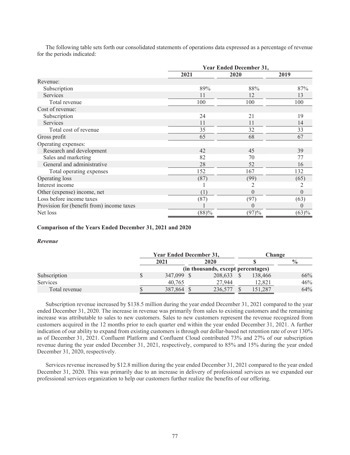The following table sets forth our consolidated statements of operations data expressed as a percentage of revenue for the periods indicated:

|                                           | <b>Year Ended December 31,</b> |                  |          |  |  |  |  |
|-------------------------------------------|--------------------------------|------------------|----------|--|--|--|--|
|                                           | 2021                           | 2020             | 2019     |  |  |  |  |
| Revenue:                                  |                                |                  |          |  |  |  |  |
| Subscription                              | 89%                            | 88%              | 87%      |  |  |  |  |
| Services                                  | 11                             | 12               | 13       |  |  |  |  |
| Total revenue                             | 100                            | 100              | 100      |  |  |  |  |
| Cost of revenue:                          |                                |                  |          |  |  |  |  |
| Subscription                              | 24                             | 21               | 19       |  |  |  |  |
| Services                                  | 11                             | 11               | 14       |  |  |  |  |
| Total cost of revenue                     | 35                             | 32               | 33       |  |  |  |  |
| Gross profit                              | 65                             | 68               | 67       |  |  |  |  |
| Operating expenses:                       |                                |                  |          |  |  |  |  |
| Research and development                  | 42                             | 45               | 39       |  |  |  |  |
| Sales and marketing                       | 82                             | 70               | 77       |  |  |  |  |
| General and administrative                | 28                             | 52               | 16       |  |  |  |  |
| Total operating expenses                  | 152                            | 167              | 132      |  |  |  |  |
| Operating loss                            | (87)                           | (99)             | (65)     |  |  |  |  |
| Interest income                           |                                |                  |          |  |  |  |  |
| Other (expense) income, net               | (1)                            | $\theta$         | $\theta$ |  |  |  |  |
| Loss before income taxes                  | (87)                           | (97)             | (63)     |  |  |  |  |
| Provision for (benefit from) income taxes |                                | $\left( \right)$ |          |  |  |  |  |
| Net loss                                  | (88)%                          | (97)%            | (63)%    |  |  |  |  |

# **Comparison of the Years Ended December 31, 2021 and 2020**

#### *Revenue*

|               | <b>Year Ended December 31,</b>     |         |  |         | Change |         |               |  |
|---------------|------------------------------------|---------|--|---------|--------|---------|---------------|--|
|               |                                    | 2021    |  | 2020    |        |         | $\frac{0}{0}$ |  |
|               | (in thousands, except percentages) |         |  |         |        |         |               |  |
| Subscription  | \$                                 | 347,099 |  | 208,633 |        | 138,466 | 66%           |  |
| Services      |                                    | 40.765  |  | 27.944  |        | 12.821  | 46%           |  |
| Total revenue |                                    | 387,864 |  | 236.577 |        | 151.287 | 64%           |  |

Subscription revenue increased by \$138.5 million during the year ended December 31, 2021 compared to the year ended December 31, 2020. The increase in revenue was primarily from sales to existing customers and the remaining increase was attributable to sales to new customers. Sales to new customers represent the revenue recognized from customers acquired in the 12 months prior to each quarter end within the year ended December 31, 2021. A further indication of our ability to expand from existing customers is through our dollar-based net retention rate of over 130% as of December 31, 2021. Confluent Platform and Confluent Cloud contributed 73% and 27% of our subscription revenue during the year ended December 31, 2021, respectively, compared to 85% and 15% during the year ended December 31, 2020, respectively.

Services revenue increased by \$12.8 million during the year ended December 31, 2021 compared to the year ended December 31, 2020. This was primarily due to an increase in delivery of professional services as we expanded our professional services organization to help our customers further realize the benefits of our offering.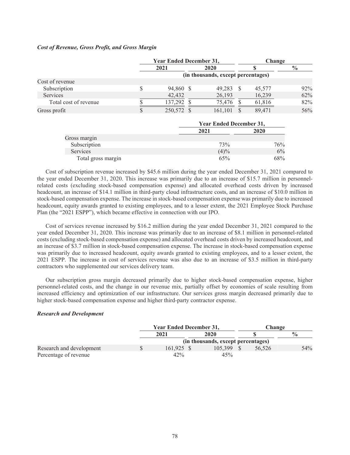# *Cost of Revenue, Gross Profit, and Gross Margin*

|                       | <b>Year Ended December 31,</b> |            |  | Change                             |        |               |
|-----------------------|--------------------------------|------------|--|------------------------------------|--------|---------------|
|                       |                                | 2021       |  | 2020                               |        | $\frac{0}{0}$ |
|                       |                                |            |  | (in thousands, except percentages) |        |               |
| Cost of revenue       |                                |            |  |                                    |        |               |
| Subscription          |                                | 94,860 \$  |  | 49,283                             | 45,577 | 92%           |
| <b>Services</b>       |                                | 42,432     |  | 26,193                             | 16,239 | 62%           |
| Total cost of revenue |                                | 137.292    |  | 75.476                             | 61,816 | 82%           |
| Gross profit          | D                              | 250,572 \$ |  | 161,101                            | 89,471 | 56%           |

|                    |      | <b>Year Ended December 31,</b> |  |  |  |  |
|--------------------|------|--------------------------------|--|--|--|--|
|                    | 2021 | 2020                           |  |  |  |  |
| Gross margin       |      |                                |  |  |  |  |
| Subscription       | 73%  | 76%                            |  |  |  |  |
| <b>Services</b>    | (4)% | 6%                             |  |  |  |  |
| Total gross margin | 65%  | 68%                            |  |  |  |  |

Cost of subscription revenue increased by \$45.6 million during the year ended December 31, 2021 compared to the year ended December 31, 2020. This increase was primarily due to an increase of \$15.7 million in personnelrelated costs (excluding stock-based compensation expense) and allocated overhead costs driven by increased headcount, an increase of \$14.1 million in third-party cloud infrastructure costs, and an increase of \$10.0 million in stock-based compensation expense. The increase in stock-based compensation expense was primarily due to increased headcount, equity awards granted to existing employees, and to a lesser extent, the 2021 Employee Stock Purchase Plan (the "2021 ESPP"), which became effective in connection with our IPO.

Cost of services revenue increased by \$16.2 million during the year ended December 31, 2021 compared to the year ended December 31, 2020. This increase was primarily due to an increase of \$8.1 million in personnel-related costs (excluding stock-based compensation expense) and allocated overhead costs driven by increased headcount, and an increase of \$3.7 million in stock-based compensation expense. The increase in stock-based compensation expense was primarily due to increased headcount, equity awards granted to existing employees, and to a lesser extent, the 2021 ESPP. The increase in cost of services revenue was also due to an increase of \$3.5 million in third-party contractors who supplemented our services delivery team.

Our subscription gross margin decreased primarily due to higher stock-based compensation expense, higher personnel-related costs, and the change in our revenue mix, partially offset by economies of scale resulting from increased efficiency and optimization of our infrastructure. Our services gross margin decreased primarily due to higher stock-based compensation expense and higher third-party contractor expense.

# *Research and Development*

|                          | <b>Year Ended December 31,</b> |            |  | Change                             |  |        |               |
|--------------------------|--------------------------------|------------|--|------------------------------------|--|--------|---------------|
|                          |                                | 2021       |  | <b>2020</b>                        |  |        | $\frac{0}{0}$ |
|                          |                                |            |  | (in thousands, except percentages) |  |        |               |
| Research and development |                                | 161.925 \$ |  | 105.399                            |  | 56.526 | 54%           |
| Percentage of revenue    |                                | 42%        |  | 45%                                |  |        |               |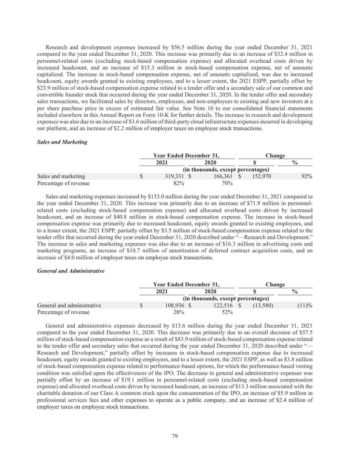Research and development expenses increased by \$56.5 million during the year ended December 31, 2021 compared to the year ended December 31, 2020. This increase was primarily due to an increase of \$32.4 million in personnel-related costs (excluding stock-based compensation expense) and allocated overhead costs driven by increased headcount, and an increase of \$15.3 million in stock-based compensation expense, net of amounts capitalized. The increase in stock-based compensation expense, net of amounts capitalized, was due to increased headcount, equity awards granted to existing employees, and to a lesser extent, the 2021 ESPP, partially offset by \$23.9 million of stock-based compensation expense related to a tender offer and a secondary sale of our common and convertible founder stock that occurred during the year ended December 31, 2020. In the tender offer and secondary sales transactions, we facilitated sales by directors, employees, and non-employees to existing and new investors at a per share purchase price in excess of estimated fair value. See Note 10 to our consolidated financial statements included elsewhere in this Annual Report on Form 10-K for further details. The increase in research and development expenses was also due to an increase of \$3.6 million of third-party cloud infrastructure expenses incurred in developing our platform, and an increase of \$2.2 million of employer taxes on employee stock transactions.

## *Sales and Marketing*

|                       | <b>Year Ended December 31,</b> |                                    | <b>Change</b> |               |  |
|-----------------------|--------------------------------|------------------------------------|---------------|---------------|--|
|                       | 2021                           | 2020                               |               | $\frac{0}{0}$ |  |
|                       |                                | (in thousands, except percentages) |               |               |  |
| Sales and marketing   | \$<br>319,331 \$               | 166.361                            | 152 970       | 92%           |  |
| Percentage of revenue | 82%                            | 70%                                |               |               |  |

Sales and marketing expenses increased by \$153.0 million during the year ended December 31, 2021 compared to the year ended December 31, 2020. This increase was primarily due to an increase of \$71.9 million in personnelrelated costs (excluding stock-based compensation expense) and allocated overhead costs driven by increased headcount, and an increase of \$40.8 million in stock-based compensation expense. The increase in stock-based compensation expense was primarily due to increased headcount, equity awards granted to existing employees, and to a lesser extent, the 2021 ESPP, partially offset by \$3.5 million of stock-based compensation expense related to the tender offer that occurred during the year ended December 31, 2020 described under "—Research and Development." The increase in sales and marketing expenses was also due to an increase of \$16.3 million in advertising costs and marketing programs, an increase of \$10.7 million of amortization of deferred contract acquisition costs, and an increase of \$4.0 million of employer taxes on employee stock transactions.

# *General and Administrative*

|                            | <b>Year Ended December 31,</b> |            |  | Change                             |  |          |               |
|----------------------------|--------------------------------|------------|--|------------------------------------|--|----------|---------------|
|                            |                                | 2021       |  | 2020                               |  |          | $\frac{0}{0}$ |
|                            |                                |            |  | (in thousands, except percentages) |  |          |               |
| General and administrative |                                | 108.936 \$ |  | 122.516 \$                         |  | (13.580) | (11)%         |
| Percentage of revenue      |                                | 28%        |  | $52\%$                             |  |          |               |

General and administrative expenses decreased by \$13.6 million during the year ended December 31, 2021 compared to the year ended December 31, 2020. This decrease was primarily due to an overall decrease of \$57.5 million of stock-based compensation expense as a result of \$83.9 million of stock-based compensation expense related to the tender offer and secondary sales that occurred during the year ended December 31, 2020 described under "-Research and Development," partially offset by increases in stock-based compensation expense due to increased headcount, equity awards granted to existing employees, and to a lesser extent, the 2021 ESPP, as well as \$3.8 million of stock-based compensation expense related to performance-based options, for which the performance-based vesting condition was satisfied upon the effectiveness of the IPO. The decrease in general and administrative expenses was partially offset by an increase of \$19.1 million in personnel-related costs (excluding stock-based compensation expense) and allocated overhead costs driven by increased headcount, an increase of \$13.3 million associated with the charitable donation of our Class A common stock upon the consummation of the IPO, an increase of \$5.9 million in professional services fees and other expenses to operate as a public company, and an increase of \$2.4 million of employer taxes on employee stock transactions.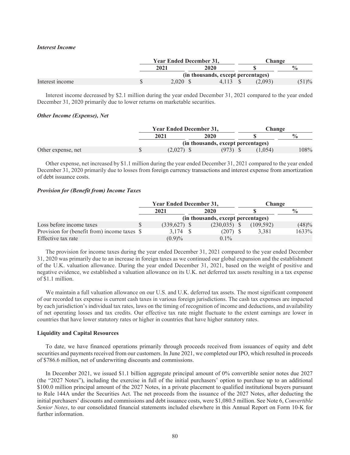#### *Interest Income*

|                 | <b>Year Ended December 31,</b> |                                    |         | Change        |
|-----------------|--------------------------------|------------------------------------|---------|---------------|
|                 | 2021                           | 2020                               |         | $\frac{0}{0}$ |
|                 |                                | (in thousands, except percentages) |         |               |
| Interest income | 2.020 S                        | 4.113                              | (2,093) | (51)%         |

Interest income decreased by \$2.1 million during the year ended December 31, 2021 compared to the year ended December 31, 2020 primarily due to lower returns on marketable securities.

#### *Other Income (Expense), Net*

|                    | <b>Year Ended December 31,</b> | Change                             |         |               |
|--------------------|--------------------------------|------------------------------------|---------|---------------|
|                    | 2021                           | 2020                               |         | $\frac{0}{0}$ |
|                    |                                | (in thousands, except percentages) |         |               |
| Other expense, net | $(2.027)$ \$                   | $(973)$ \$                         | (1.054) | 108%          |

Other expense, net increased by \$1.1 million during the year ended December 31, 2021 compared to the year ended December 31, 2020 primarily due to losses from foreign currency transactions and interest expense from amortization of debt issuance costs.

# *Provision for (Benefit from) Income Taxes*

|                                              | <b>Year Ended December 31,</b> |                                    | Change    |               |
|----------------------------------------------|--------------------------------|------------------------------------|-----------|---------------|
|                                              | 2021                           | 2020                               |           | $\frac{0}{0}$ |
|                                              |                                | (in thousands, except percentages) |           |               |
| Loss before income taxes                     | $(339,627)$ \$                 | $(230,035)$ \$                     | (109.592) | (48)%         |
| Provision for (benefit from) income taxes \$ | 3.174 S                        | $(207)$ \$                         | 3.381     | 1633%         |
| Effective tax rate                           | (0.9)%                         | $0.1\%$                            |           |               |

The provision for income taxes during the year ended December 31, 2021 compared to the year ended December 31, 2020 was primarily due to an increase in foreign taxes as we continued our global expansion and the establishment of the U.K. valuation allowance. During the year ended December 31, 2021, based on the weight of positive and negative evidence, we established a valuation allowance on its U.K. net deferred tax assets resulting in a tax expense of \$1.1 million.

We maintain a full valuation allowance on our U.S. and U.K. deferred tax assets. The most significant component of our recorded tax expense is current cash taxes in various foreign jurisdictions. The cash tax expenses are impacted by each jurisdiction's individual tax rates, laws on the timing of recognition of income and deductions, and availability of net operating losses and tax credits. Our effective tax rate might fluctuate to the extent earnings are lower in countries that have lower statutory rates or higher in countries that have higher statutory rates.

# **Liquidity and Capital Resources**

To date, we have financed operations primarily through proceeds received from issuances of equity and debt securities and payments received from our customers. In June 2021, we completed our IPO, which resulted in proceeds of \$786.6 million, net of underwriting discounts and commissions.

In December 2021, we issued \$1.1 billion aggregate principal amount of 0% convertible senior notes due 2027 (the "2027 Notes"), including the exercise in full of the initial purchasers' option to purchase up to an additional \$100.0 million principal amount of the 2027 Notes, in a private placement to qualified institutional buyers pursuant to Rule 144A under the Securities Act. The net proceeds from the issuance of the 2027 Notes, after deducting the initial purchasers' discounts and commissions and debt issuance costs, were \$1,080.5 million. See Note 6, *Convertible Senior Notes*, to our consolidated financial statements included elsewhere in this Annual Report on Form 10-K for further information.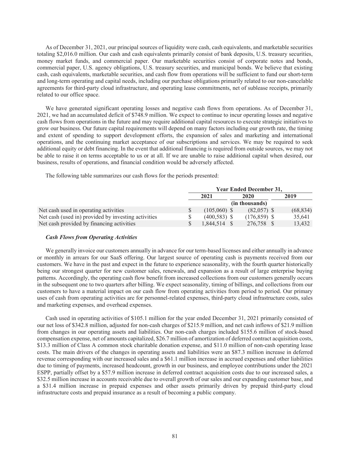As of December 31, 2021, our principal sources of liquidity were cash, cash equivalents, and marketable securities totaling \$2,016.0 million. Our cash and cash equivalents primarily consist of bank deposits, U.S. treasury securities, money market funds, and commercial paper. Our marketable securities consist of corporate notes and bonds, commercial paper, U.S. agency obligations, U.S. treasury securities, and municipal bonds. We believe that existing cash, cash equivalents, marketable securities, and cash flow from operations will be sufficient to fund our short-term and long-term operating and capital needs, including our purchase obligations primarily related to our non-cancelable agreements for third-party cloud infrastructure, and operating lease commitments, net of sublease receipts, primarily related to our office space.

We have generated significant operating losses and negative cash flows from operations. As of December 31, 2021, we had an accumulated deficit of \$748.9 million. We expect to continue to incur operating losses and negative cash flows from operations in the future and may require additional capital resources to execute strategic initiatives to grow our business. Our future capital requirements will depend on many factors including our growth rate, the timing and extent of spending to support development efforts, the expansion of sales and marketing and international operations, and the continuing market acceptance of our subscriptions and services. We may be required to seek additional equity or debt financing. In the event that additional financing is required from outside sources, we may not be able to raise it on terms acceptable to us or at all. If we are unable to raise additional capital when desired, our business, results of operations, and financial condition would be adversely affected.

The following table summarizes our cash flows for the periods presented:

|                                                     |   |                |                | <b>Year Ended December 31,</b> |           |
|-----------------------------------------------------|---|----------------|----------------|--------------------------------|-----------|
|                                                     |   | 2021           | 2020           |                                | 2019      |
|                                                     |   |                | (in thousands) |                                |           |
| Net cash used in operating activities               | S | $(105.060)$ \$ |                | $(82,057)$ \$                  | (68, 834) |
| Net cash (used in) provided by investing activities |   | $(400.583)$ \$ |                | $(176.859)$ \$                 | 35.641    |
| Net cash provided by financing activities           |   | 1,844,514 \$   |                | 276.758 \$                     | 13.432    |

#### *Cash Flows from Operating Activities*

We generally invoice our customers annually in advance for our term-based licenses and either annually in advance or monthly in arrears for our SaaS offering. Our largest source of operating cash is payments received from our customers. We have in the past and expect in the future to experience seasonality, with the fourth quarter historically being our strongest quarter for new customer sales, renewals, and expansion as a result of large enterprise buying patterns. Accordingly, the operating cash flow benefit from increased collections from our customers generally occurs in the subsequent one to two quarters after billing. We expect seasonality, timing of billings, and collections from our customers to have a material impact on our cash flow from operating activities from period to period. Our primary uses of cash from operating activities are for personnel-related expenses, third-party cloud infrastructure costs, sales and marketing expenses, and overhead expenses.

Cash used in operating activities of \$105.1 million for the year ended December 31, 2021 primarily consisted of our net loss of \$342.8 million, adjusted for non-cash charges of \$215.9 million, and net cash inflows of \$21.9 million from changes in our operating assets and liabilities. Our non-cash charges included \$155.6 million of stock-based compensation expense, net of amounts capitalized, \$26.7 million of amortization of deferred contract acquisition costs, \$13.3 million of Class A common stock charitable donation expense, and \$11.0 million of non-cash operating lease costs. The main drivers of the changes in operating assets and liabilities were an \$87.3 million increase in deferred revenue corresponding with our increased sales and a \$61.1 million increase in accrued expenses and other liabilities due to timing of payments, increased headcount, growth in our business, and employee contributions under the 2021 ESPP, partially offset by a \$57.9 million increase in deferred contract acquisition costs due to our increased sales, a \$32.5 million increase in accounts receivable due to overall growth of our sales and our expanding customer base, and a \$31.4 million increase in prepaid expenses and other assets primarily driven by prepaid third-party cloud infrastructure costs and prepaid insurance as a result of becoming a public company.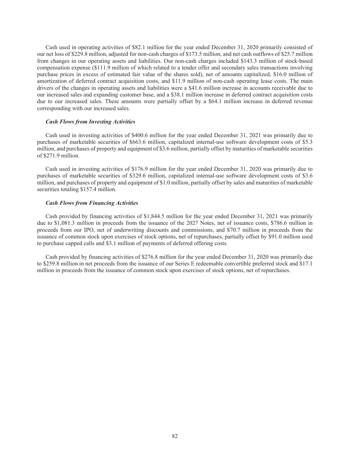Cash used in operating activities of \$82.1 million for the year ended December 31, 2020 primarily consisted of our net loss of \$229.8 million, adjusted for non-cash charges of \$173.5 million, and net cash outflows of \$25.7 million from changes in our operating assets and liabilities. Our non-cash charges included \$143.3 million of stock-based compensation expense (\$111.9 million of which related to a tender offer and secondary sales transactions involving purchase prices in excess of estimated fair value of the shares sold), net of amounts capitalized, \$16.0 million of amortization of deferred contract acquisition costs, and \$11.9 million of non-cash operating lease costs. The main drivers of the changes in operating assets and liabilities were a \$41.6 million increase in accounts receivable due to our increased sales and expanding customer base, and a \$38.1 million increase in deferred contract acquisition costs due to our increased sales. These amounts were partially offset by a \$64.1 million increase in deferred revenue corresponding with our increased sales.

#### *Cash Flows from Investing Activities*

Cash used in investing activities of \$400.6 million for the year ended December 31, 2021 was primarily due to purchases of marketable securities of \$663.6 million, capitalized internal-use software development costs of \$5.3 million, and purchases of property and equipment of \$3.6 million, partially offset by maturities of marketable securities of \$271.9 million.

Cash used in investing activities of \$176.9 million for the year ended December 31, 2020 was primarily due to purchases of marketable securities of \$329.6 million, capitalized internal-use software development costs of \$3.6 million, and purchases of property and equipment of \$1.0 million, partially offset by sales and maturities of marketable securities totaling \$157.4 million.

#### *Cash Flows from Financing Activities*

Cash provided by financing activities of \$1,844.5 million for the year ended December 31, 2021 was primarily due to \$1,081.3 million in proceeds from the issuance of the 2027 Notes, net of issuance costs, \$786.6 million in proceeds from our IPO, net of underwriting discounts and commissions, and \$70.7 million in proceeds from the issuance of common stock upon exercises of stock options, net of repurchases, partially offset by \$91.0 million used to purchase capped calls and \$3.1 million of payments of deferred offering costs.

Cash provided by financing activities of \$276.8 million for the year ended December 31, 2020 was primarily due to \$259.8 million in net proceeds from the issuance of our Series E redeemable convertible preferred stock and \$17.1 million in proceeds from the issuance of common stock upon exercises of stock options, net of repurchases.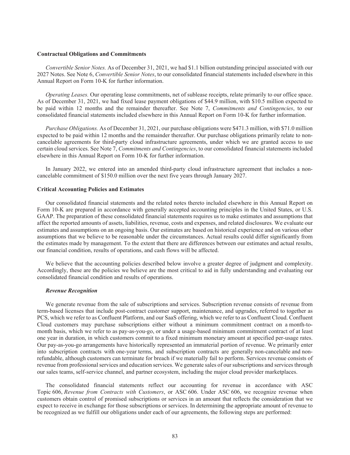#### **Contractual Obligations and Commitments**

*Convertible Senior Notes.* As of December 31, 2021, we had \$1.1 billion outstanding principal associated with our 2027 Notes. See Note 6, *Convertible Senior Notes*, to our consolidated financial statements included elsewhere in this Annual Report on Form 10-K for further information.

*Operating Leases.* Our operating lease commitments, net of sublease receipts, relate primarily to our office space. As of December 31, 2021, we had fixed lease payment obligations of \$44.9 million, with \$10.5 million expected to be paid within 12 months and the remainder thereafter. See Note 7, *Commitments and Contingencies*, to our consolidated financial statements included elsewhere in this Annual Report on Form 10-K for further information.

*Purchase Obligations.* As of December 31, 2021, our purchase obligations were \$471.3 million, with \$71.0 million expected to be paid within 12 months and the remainder thereafter. Our purchase obligations primarily relate to noncancelable agreements for third-party cloud infrastructure agreements, under which we are granted access to use certain cloud services. See Note 7, *Commitments and Contingencies*, to our consolidated financial statements included elsewhere in this Annual Report on Form 10-K for further information.

In January 2022, we entered into an amended third-party cloud infrastructure agreement that includes a noncancelable commitment of \$150.0 million over the next five years through January 2027.

# **Critical Accounting Policies and Estimates**

Our consolidated financial statements and the related notes thereto included elsewhere in this Annual Report on Form 10-K are prepared in accordance with generally accepted accounting principles in the United States, or U.S. GAAP. The preparation of these consolidated financial statements requires us to make estimates and assumptions that affect the reported amounts of assets, liabilities, revenue, costs and expenses, and related disclosures. We evaluate our estimates and assumptions on an ongoing basis. Our estimates are based on historical experience and on various other assumptions that we believe to be reasonable under the circumstances. Actual results could differ significantly from the estimates made by management. To the extent that there are differences between our estimates and actual results, our financial condition, results of operations, and cash flows will be affected.

We believe that the accounting policies described below involve a greater degree of judgment and complexity. Accordingly, these are the policies we believe are the most critical to aid in fully understanding and evaluating our consolidated financial condition and results of operations.

### *Revenue Recognition*

We generate revenue from the sale of subscriptions and services. Subscription revenue consists of revenue from term-based licenses that include post-contract customer support, maintenance, and upgrades, referred to together as PCS, which we refer to as Confluent Platform, and our SaaS offering, which we refer to as Confluent Cloud. Confluent Cloud customers may purchase subscriptions either without a minimum commitment contract on a month-tomonth basis, which we refer to as pay-as-you-go, or under a usage-based minimum commitment contract of at least one year in duration, in which customers commit to a fixed minimum monetary amount at specified per-usage rates. Our pay-as-you-go arrangements have historically represented an immaterial portion of revenue. We primarily enter into subscription contracts with one-year terms, and subscription contracts are generally non-cancelable and nonrefundable, although customers can terminate for breach if we materially fail to perform. Services revenue consists of revenue from professional services and education services. We generate sales of our subscriptions and services through our sales teams, self-service channel, and partner ecosystem, including the major cloud provider marketplaces.

The consolidated financial statements reflect our accounting for revenue in accordance with ASC Topic 606, *Revenue from Contracts with Customers*, or ASC 606. Under ASC 606, we recognize revenue when customers obtain control of promised subscriptions or services in an amount that reflects the consideration that we expect to receive in exchange for those subscriptions or services. In determining the appropriate amount of revenue to be recognized as we fulfill our obligations under each of our agreements, the following steps are performed: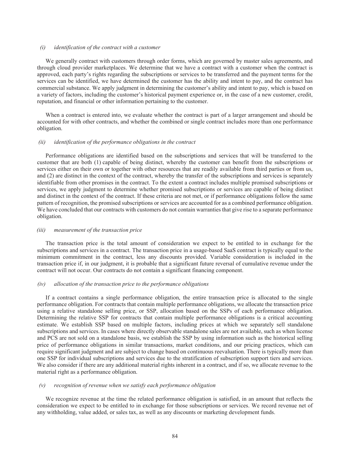# *(i) identification of the contract with a customer*

We generally contract with customers through order forms, which are governed by master sales agreements, and through cloud provider marketplaces. We determine that we have a contract with a customer when the contract is approved, each party's rights regarding the subscriptions or services to be transferred and the payment terms for the services can be identified, we have determined the customer has the ability and intent to pay, and the contract has commercial substance. We apply judgment in determining the customer's ability and intent to pay, which is based on a variety of factors, including the customer's historical payment experience or, in the case of a new customer, credit, reputation, and financial or other information pertaining to the customer.

When a contract is entered into, we evaluate whether the contract is part of a larger arrangement and should be accounted for with other contracts, and whether the combined or single contract includes more than one performance obligation.

#### *(ii) identification of the performance obligations in the contract*

Performance obligations are identified based on the subscriptions and services that will be transferred to the customer that are both (1) capable of being distinct, whereby the customer can benefit from the subscriptions or services either on their own or together with other resources that are readily available from third parties or from us, and (2) are distinct in the context of the contract, whereby the transfer of the subscriptions and services is separately identifiable from other promises in the contract. To the extent a contract includes multiple promised subscriptions or services, we apply judgment to determine whether promised subscriptions or services are capable of being distinct and distinct in the context of the contract. If these criteria are not met, or if performance obligations follow the same pattern of recognition, the promised subscriptions or services are accounted for as a combined performance obligation. We have concluded that our contracts with customers do not contain warranties that give rise to a separate performance obligation.

#### *(iii) measurement of the transaction price*

The transaction price is the total amount of consideration we expect to be entitled to in exchange for the subscriptions and services in a contract. The transaction price in a usage-based SaaS contract is typically equal to the minimum commitment in the contract, less any discounts provided. Variable consideration is included in the transaction price if, in our judgment, it is probable that a significant future reversal of cumulative revenue under the contract will not occur. Our contracts do not contain a significant financing component.

# *(iv) allocation of the transaction price to the performance obligations*

If a contract contains a single performance obligation, the entire transaction price is allocated to the single performance obligation. For contracts that contain multiple performance obligations, we allocate the transaction price using a relative standalone selling price, or SSP, allocation based on the SSPs of each performance obligation. Determining the relative SSP for contracts that contain multiple performance obligations is a critical accounting estimate. We establish SSP based on multiple factors, including prices at which we separately sell standalone subscriptions and services. In cases where directly observable standalone sales are not available, such as when license and PCS are not sold on a standalone basis, we establish the SSP by using information such as the historical selling price of performance obligations in similar transactions, market conditions, and our pricing practices, which can require significant judgment and are subject to change based on continuous reevaluation. There is typically more than one SSP for individual subscriptions and services due to the stratification of subscription support tiers and services. We also consider if there are any additional material rights inherent in a contract, and if so, we allocate revenue to the material right as a performance obligation.

# *(v) recognition of revenue when we satisfy each performance obligation*

We recognize revenue at the time the related performance obligation is satisfied, in an amount that reflects the consideration we expect to be entitled to in exchange for those subscriptions or services. We record revenue net of any withholding, value added, or sales tax, as well as any discounts or marketing development funds.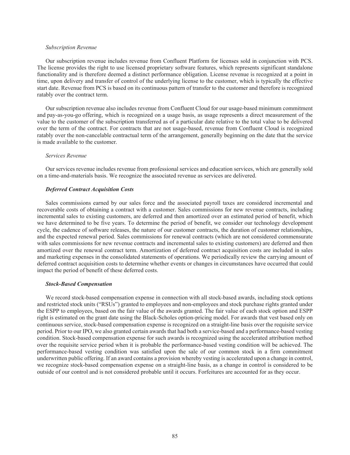## *Subscription Revenue*

Our subscription revenue includes revenue from Confluent Platform for licenses sold in conjunction with PCS. The license provides the right to use licensed proprietary software features, which represents significant standalone functionality and is therefore deemed a distinct performance obligation. License revenue is recognized at a point in time, upon delivery and transfer of control of the underlying license to the customer, which is typically the effective start date. Revenue from PCS is based on its continuous pattern of transfer to the customer and therefore is recognized ratably over the contract term.

Our subscription revenue also includes revenue from Confluent Cloud for our usage-based minimum commitment and pay-as-you-go offering, which is recognized on a usage basis, as usage represents a direct measurement of the value to the customer of the subscription transferred as of a particular date relative to the total value to be delivered over the term of the contract. For contracts that are not usage-based, revenue from Confluent Cloud is recognized ratably over the non-cancelable contractual term of the arrangement, generally beginning on the date that the service is made available to the customer.

# *Services Revenue*

Our services revenue includes revenue from professional services and education services, which are generally sold on a time-and-materials basis. We recognize the associated revenue as services are delivered.

# *Deferred Contract Acquisition Costs*

Sales commissions earned by our sales force and the associated payroll taxes are considered incremental and recoverable costs of obtaining a contract with a customer. Sales commissions for new revenue contracts, including incremental sales to existing customers, are deferred and then amortized over an estimated period of benefit, which we have determined to be five years. To determine the period of benefit, we consider our technology development cycle, the cadence of software releases, the nature of our customer contracts, the duration of customer relationships, and the expected renewal period. Sales commissions for renewal contracts (which are not considered commensurate with sales commissions for new revenue contracts and incremental sales to existing customers) are deferred and then amortized over the renewal contract term. Amortization of deferred contract acquisition costs are included in sales and marketing expenses in the consolidated statements of operations. We periodically review the carrying amount of deferred contract acquisition costs to determine whether events or changes in circumstances have occurred that could impact the period of benefit of these deferred costs.

#### *Stock-Based Compensation*

We record stock-based compensation expense in connection with all stock-based awards, including stock options and restricted stock units ("RSUs") granted to employees and non-employees and stock purchase rights granted under the ESPP to employees, based on the fair value of the awards granted. The fair value of each stock option and ESPP right is estimated on the grant date using the Black-Scholes option-pricing model. For awards that vest based only on continuous service, stock-based compensation expense is recognized on a straight-line basis over the requisite service period. Prior to our IPO, we also granted certain awards that had both a service-based and a performance-based vesting condition. Stock-based compensation expense for such awards is recognized using the accelerated attribution method over the requisite service period when it is probable the performance-based vesting condition will be achieved. The performance-based vesting condition was satisfied upon the sale of our common stock in a firm commitment underwritten public offering. If an award contains a provision whereby vesting is accelerated upon a change in control, we recognize stock-based compensation expense on a straight-line basis, as a change in control is considered to be outside of our control and is not considered probable until it occurs. Forfeitures are accounted for as they occur.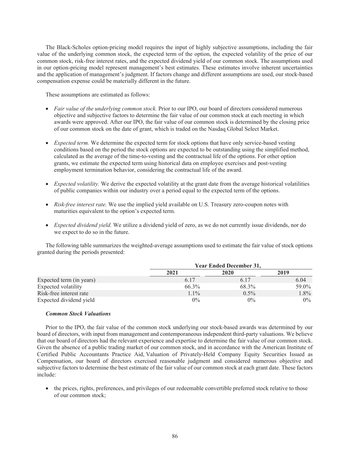The Black-Scholes option-pricing model requires the input of highly subjective assumptions, including the fair value of the underlying common stock, the expected term of the option, the expected volatility of the price of our common stock, risk-free interest rates, and the expected dividend yield of our common stock. The assumptions used in our option-pricing model represent management's best estimates. These estimates involve inherent uncertainties and the application of management's judgment. If factors change and different assumptions are used, our stock-based compensation expense could be materially different in the future.

These assumptions are estimated as follows:

- *Fair value of the underlying common stock.* Prior to our IPO, our board of directors considered numerous objective and subjective factors to determine the fair value of our common stock at each meeting in which awards were approved. After our IPO, the fair value of our common stock is determined by the closing price of our common stock on the date of grant, which is traded on the Nasdaq Global Select Market.
- *Expected term.* We determine the expected term for stock options that have only service-based vesting conditions based on the period the stock options are expected to be outstanding using the simplified method, calculated as the average of the time-to-vesting and the contractual life of the options. For other option grants, we estimate the expected term using historical data on employee exercises and post-vesting employment termination behavior, considering the contractual life of the award.
- *Expected volatility.* We derive the expected volatility at the grant date from the average historical volatilities of public companies within our industry over a period equal to the expected term of the options.
- *Risk-free interest rate.* We use the implied yield available on U.S. Treasury zero-coupon notes with maturities equivalent to the option's expected term.
- *Expected dividend yield.* We utilize a dividend yield of zero, as we do not currently issue dividends, nor do we expect to do so in the future.

The following table summarizes the weighted-average assumptions used to estimate the fair value of stock options granted during the periods presented:

|                          |         | <b>Year Ended December 31,</b> |         |
|--------------------------|---------|--------------------------------|---------|
|                          | 2021    | 2020                           | 2019    |
| Expected term (in years) | 6.17    | 6.17                           | 6.04    |
| Expected volatility      | 66.3%   | 68.3%                          | 59.0%   |
| Risk-free interest rate  | $1.1\%$ | $0.5\%$                        | $1.8\%$ |
| Expected dividend yield  | $0\%$   | $0\%$                          | $0\%$   |

# *Common Stock Valuations*

Prior to the IPO, the fair value of the common stock underlying our stock-based awards was determined by our board of directors, with input from management and contemporaneous independent third-party valuations. We believe that our board of directors had the relevant experience and expertise to determine the fair value of our common stock. Given the absence of a public trading market of our common stock, and in accordance with the American Institute of Certified Public Accountants Practice Aid, Valuation of Privately-Held Company Equity Securities Issued as Compensation, our board of directors exercised reasonable judgment and considered numerous objective and subjective factors to determine the best estimate of the fair value of our common stock at each grant date. These factors include:

 the prices, rights, preferences, and privileges of our redeemable convertible preferred stock relative to those of our common stock;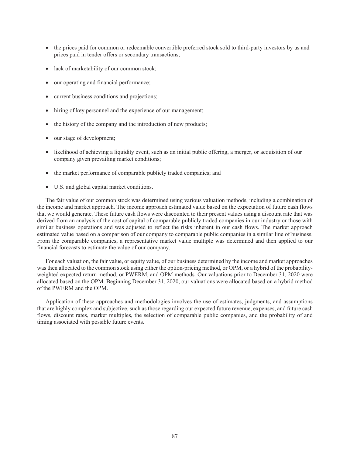- the prices paid for common or redeemable convertible preferred stock sold to third-party investors by us and prices paid in tender offers or secondary transactions;
- lack of marketability of our common stock;
- our operating and financial performance;
- current business conditions and projections;
- hiring of key personnel and the experience of our management;
- the history of the company and the introduction of new products;
- our stage of development;
- likelihood of achieving a liquidity event, such as an initial public offering, a merger, or acquisition of our company given prevailing market conditions;
- the market performance of comparable publicly traded companies; and
- U.S. and global capital market conditions.

The fair value of our common stock was determined using various valuation methods, including a combination of the income and market approach. The income approach estimated value based on the expectation of future cash flows that we would generate. These future cash flows were discounted to their present values using a discount rate that was derived from an analysis of the cost of capital of comparable publicly traded companies in our industry or those with similar business operations and was adjusted to reflect the risks inherent in our cash flows. The market approach estimated value based on a comparison of our company to comparable public companies in a similar line of business. From the comparable companies, a representative market value multiple was determined and then applied to our financial forecasts to estimate the value of our company.

For each valuation, the fair value, or equity value, of our business determined by the income and market approaches was then allocated to the common stock using either the option-pricing method, or OPM, or a hybrid of the probabilityweighted expected return method, or PWERM, and OPM methods. Our valuations prior to December 31, 2020 were allocated based on the OPM. Beginning December 31, 2020, our valuations were allocated based on a hybrid method of the PWERM and the OPM.

Application of these approaches and methodologies involves the use of estimates, judgments, and assumptions that are highly complex and subjective, such as those regarding our expected future revenue, expenses, and future cash flows, discount rates, market multiples, the selection of comparable public companies, and the probability of and timing associated with possible future events.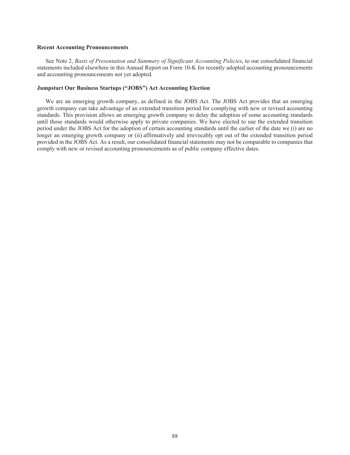#### **Recent Accounting Pronouncements**

See Note 2, *Basis of Presentation and Summary of Significant Accounting Policies*, to our consolidated financial statements included elsewhere in this Annual Report on Form 10-K for recently adopted accounting pronouncements and accounting pronouncements not yet adopted.

# **Jumpstart Our Business Startups ("JOBS") Act Accounting Election**

We are an emerging growth company, as defined in the JOBS Act. The JOBS Act provides that an emerging growth company can take advantage of an extended transition period for complying with new or revised accounting standards. This provision allows an emerging growth company to delay the adoption of some accounting standards until those standards would otherwise apply to private companies. We have elected to use the extended transition period under the JOBS Act for the adoption of certain accounting standards until the earlier of the date we (i) are no longer an emerging growth company or (ii) affirmatively and irrevocably opt out of the extended transition period provided in the JOBS Act. As a result, our consolidated financial statements may not be comparable to companies that comply with new or revised accounting pronouncements as of public company effective dates.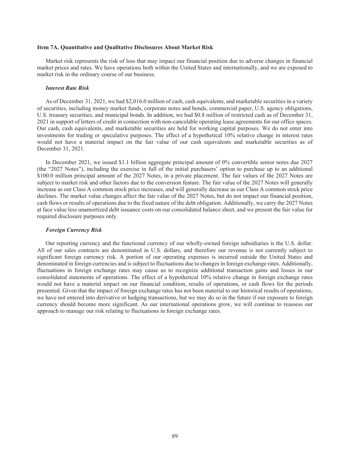#### **Item 7A. Quantitative and Qualitative Disclosures About Market Risk**

Market risk represents the risk of loss that may impact our financial position due to adverse changes in financial market prices and rates. We have operations both within the United States and internationally, and we are exposed to market risk in the ordinary course of our business.

#### *Interest Rate Risk*

As of December 31, 2021, we had \$2,016.0 million of cash, cash equivalents, and marketable securities in a variety of securities, including money market funds, corporate notes and bonds, commercial paper, U.S. agency obligations, U.S. treasury securities, and municipal bonds. In addition, we had \$0.8 million of restricted cash as of December 31, 2021 in support of letters of credit in connection with non-cancelable operating lease agreements for our office spaces. Our cash, cash equivalents, and marketable securities are held for working capital purposes. We do not enter into investments for trading or speculative purposes. The effect of a hypothetical 10% relative change in interest rates would not have a material impact on the fair value of our cash equivalents and marketable securities as of December 31, 2021.

In December 2021, we issued \$1.1 billion aggregate principal amount of 0% convertible senior notes due 2027 (the "2027 Notes"), including the exercise in full of the initial purchasers' option to purchase up to an additional \$100.0 million principal amount of the 2027 Notes, in a private placement. The fair values of the 2027 Notes are subject to market risk and other factors due to the conversion feature. The fair value of the 2027 Notes will generally increase as our Class A common stock price increases, and will generally decrease as our Class A common stock price declines. The market value changes affect the fair value of the 2027 Notes, but do not impact our financial position, cash flows or results of operations due to the fixed nature of the debt obligation. Additionally, we carry the 2027 Notes at face value less unamortized debt issuance costs on our consolidated balance sheet, and we present the fair value for required disclosure purposes only.

#### *Foreign Currency Risk*

Our reporting currency and the functional currency of our wholly-owned foreign subsidiaries is the U.S. dollar. All of our sales contracts are denominated in U.S. dollars, and therefore our revenue is not currently subject to significant foreign currency risk. A portion of our operating expenses is incurred outside the United States and denominated in foreign currencies and is subject to fluctuations due to changes in foreign exchange rates. Additionally, fluctuations in foreign exchange rates may cause us to recognize additional transaction gains and losses in our consolidated statements of operations. The effect of a hypothetical 10% relative change in foreign exchange rates would not have a material impact on our financial condition, results of operations, or cash flows for the periods presented. Given that the impact of foreign exchange rates has not been material to our historical results of operations, we have not entered into derivative or hedging transactions, but we may do so in the future if our exposure to foreign currency should become more significant. As our international operations grow, we will continue to reassess our approach to manage our risk relating to fluctuations in foreign exchange rates.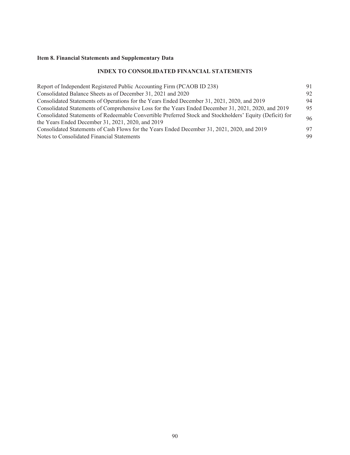# **Item 8. Financial Statements and Supplementary Data**

# **INDEX TO CONSOLIDATED FINANCIAL STATEMENTS**

| Report of Independent Registered Public Accounting Firm (PCAOB ID 238)                                   | 91 |
|----------------------------------------------------------------------------------------------------------|----|
| Consolidated Balance Sheets as of December 31, 2021 and 2020                                             | 92 |
| Consolidated Statements of Operations for the Years Ended December 31, 2021, 2020, and 2019              | 94 |
| Consolidated Statements of Comprehensive Loss for the Years Ended December 31, 2021, 2020, and 2019      | 95 |
| Consolidated Statements of Redeemable Convertible Preferred Stock and Stockholders' Equity (Deficit) for | 96 |
| the Years Ended December 31, 2021, 2020, and $2019$                                                      |    |
| Consolidated Statements of Cash Flows for the Years Ended December 31, 2021, 2020, and 2019              | 97 |
| Notes to Consolidated Financial Statements                                                               | 99 |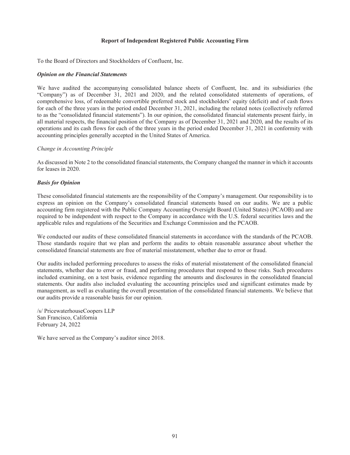# **Report of Independent Registered Public Accounting Firm**

To the Board of Directors and Stockholders of Confluent, Inc.

# *Opinion on the Financial Statements*

We have audited the accompanying consolidated balance sheets of Confluent, Inc. and its subsidiaries (the "Company") as of December 31, 2021 and 2020, and the related consolidated statements of operations, of comprehensive loss, of redeemable convertible preferred stock and stockholders' equity (deficit) and of cash flows for each of the three years in the period ended December 31, 2021, including the related notes (collectively referred to as the "consolidated financial statements"). In our opinion, the consolidated financial statements present fairly, in all material respects, the financial position of the Company as of December 31, 2021 and 2020, and the results of its operations and its cash flows for each of the three years in the period ended December 31, 2021 in conformity with accounting principles generally accepted in the United States of America.

# *Change in Accounting Principle*

As discussed in Note 2 to the consolidated financial statements, the Company changed the manner in which it accounts for leases in 2020.

# *Basis for Opinion*

These consolidated financial statements are the responsibility of the Company's management. Our responsibility is to express an opinion on the Company's consolidated financial statements based on our audits. We are a public accounting firm registered with the Public Company Accounting Oversight Board (United States) (PCAOB) and are required to be independent with respect to the Company in accordance with the U.S. federal securities laws and the applicable rules and regulations of the Securities and Exchange Commission and the PCAOB.

We conducted our audits of these consolidated financial statements in accordance with the standards of the PCAOB. Those standards require that we plan and perform the audits to obtain reasonable assurance about whether the consolidated financial statements are free of material misstatement, whether due to error or fraud.

Our audits included performing procedures to assess the risks of material misstatement of the consolidated financial statements, whether due to error or fraud, and performing procedures that respond to those risks. Such procedures included examining, on a test basis, evidence regarding the amounts and disclosures in the consolidated financial statements. Our audits also included evaluating the accounting principles used and significant estimates made by management, as well as evaluating the overall presentation of the consolidated financial statements. We believe that our audits provide a reasonable basis for our opinion.

/s/ PricewaterhouseCoopers LLP San Francisco, California February 24, 2022

We have served as the Company's auditor since 2018.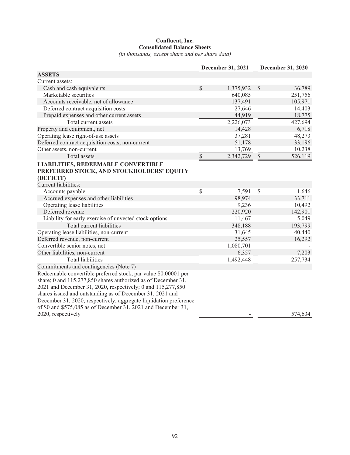# **Confluent, Inc. Consolidated Balance Sheets**

*(in thousands, except share and per share data)*

|                                                                   |      | December 31, 2021 | December 31, 2020       |
|-------------------------------------------------------------------|------|-------------------|-------------------------|
| <b>ASSETS</b>                                                     |      |                   |                         |
| Current assets:                                                   |      |                   |                         |
| Cash and cash equivalents                                         | \$   | 1,375,932         | $\mathcal{S}$<br>36,789 |
| Marketable securities                                             |      | 640,085           | 251,756                 |
| Accounts receivable, net of allowance                             |      | 137,491           | 105,971                 |
| Deferred contract acquisition costs                               |      | 27,646            | 14,403                  |
| Prepaid expenses and other current assets                         |      | 44,919            | 18,775                  |
| Total current assets                                              |      | 2,226,073         | 427,694                 |
| Property and equipment, net                                       |      | 14,428            | 6,718                   |
| Operating lease right-of-use assets                               |      | 37,281            | 48,273                  |
| Deferred contract acquisition costs, non-current                  |      | 51,178            | 33,196                  |
| Other assets, non-current                                         |      | 13,769            | 10,238                  |
| Total assets                                                      | \$   | 2,342,729         | $\mathbb{S}$<br>526,119 |
| <b>LIABILITIES, REDEEMABLE CONVERTIBLE</b>                        |      |                   |                         |
| PREFERRED STOCK, AND STOCKHOLDERS' EQUITY                         |      |                   |                         |
| (DEFICIT)                                                         |      |                   |                         |
| Current liabilities:                                              |      |                   |                         |
| Accounts payable                                                  | $\$$ | 7,591             | \$<br>1,646             |
| Accrued expenses and other liabilities                            |      | 98,974            | 33,711                  |
| Operating lease liabilities                                       |      | 9,236             | 10,492                  |
| Deferred revenue                                                  |      | 220,920           | 142,901                 |
| Liability for early exercise of unvested stock options            |      | 11,467            | 5,049                   |
| Total current liabilities                                         |      | 348,188           | 193,799                 |
| Operating lease liabilities, non-current                          |      | 31,645            | 40,440                  |
| Deferred revenue, non-current                                     |      | 25,557            | 16,292                  |
| Convertible senior notes, net                                     |      | 1,080,701         |                         |
| Other liabilities, non-current                                    |      | 6,357             | 7,203                   |
| <b>Total liabilities</b>                                          |      | 1,492,448         | 257,734                 |
| Commitments and contingencies (Note 7)                            |      |                   |                         |
| Redeemable convertible preferred stock, par value \$0.00001 per   |      |                   |                         |
| share; 0 and 115,277,850 shares authorized as of December 31,     |      |                   |                         |
| 2021 and December 31, 2020, respectively; 0 and 115,277,850       |      |                   |                         |
| shares issued and outstanding as of December 31, 2021 and         |      |                   |                         |
| December 31, 2020, respectively; aggregate liquidation preference |      |                   |                         |
| of \$0 and \$575,085 as of December 31, 2021 and December 31,     |      |                   |                         |
| 2020, respectively                                                |      |                   | 574,634                 |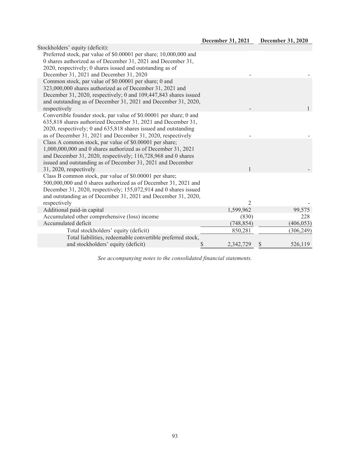| Stockholders' equity (deficit):                                                |                |              |
|--------------------------------------------------------------------------------|----------------|--------------|
| Preferred stock, par value of \$0.00001 per share; 10,000,000 and              |                |              |
| 0 shares authorized as of December 31, 2021 and December 31,                   |                |              |
| 2020, respectively; 0 shares issued and outstanding as of                      |                |              |
| December 31, 2021 and December 31, 2020                                        |                |              |
| Common stock, par value of \$0.00001 per share; 0 and                          |                |              |
| 323,000,000 shares authorized as of December 31, 2021 and                      |                |              |
| December 31, 2020, respectively; 0 and 109,447,843 shares issued               |                |              |
| and outstanding as of December 31, 2021 and December 31, 2020,                 |                |              |
| respectively                                                                   |                | $\mathbf{1}$ |
| Convertible founder stock, par value of \$0.00001 per share; 0 and             |                |              |
| 635,818 shares authorized December 31, 2021 and December 31,                   |                |              |
| 2020, respectively; 0 and 635,818 shares issued and outstanding                |                |              |
| as of December 31, 2021 and December 31, 2020, respectively                    |                |              |
| Class A common stock, par value of \$0.00001 per share;                        |                |              |
| 1,000,000,000 and 0 shares authorized as of December 31, 2021                  |                |              |
| and December 31, 2020, respectively; 116,728,968 and 0 shares                  |                |              |
| issued and outstanding as of December 31, 2021 and December                    |                |              |
| 31, 2020, respectively                                                         |                |              |
| Class B common stock, par value of \$0.00001 per share;                        |                |              |
| 500,000,000 and 0 shares authorized as of December 31, 2021 and                |                |              |
| December 31, 2020, respectively; 155,072,914 and 0 shares issued               |                |              |
| and outstanding as of December 31, 2021 and December 31, 2020,<br>respectively | $\overline{2}$ |              |
| Additional paid-in capital                                                     | 1,599,962      | 99,575       |
| Accumulated other comprehensive (loss) income                                  | (830)          | 228          |
| Accumulated deficit                                                            | (748, 854)     | (406, 053)   |
| Total stockholders' equity (deficit)                                           | 850,281        | (306, 249)   |
| Total liabilities, redeemable convertible preferred stock,                     |                |              |
| and stockholders' equity (deficit)                                             | 2,342,729      | 526,119      |
|                                                                                | \$             |              |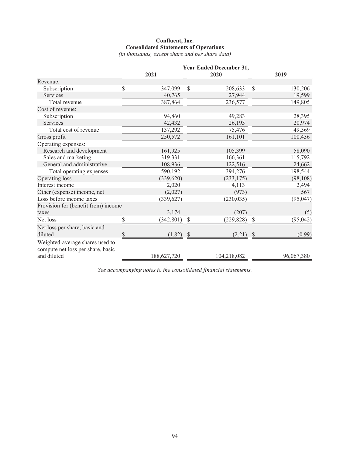# **Confluent, Inc. Consolidated Statements of Operations**

*(in thousands, except share and per share data)*

|                                                                      |               |                            | Year Ended December 31, |               |            |
|----------------------------------------------------------------------|---------------|----------------------------|-------------------------|---------------|------------|
|                                                                      | 2021          |                            | 2020                    |               | 2019       |
| Revenue:                                                             |               |                            |                         |               |            |
| Subscription                                                         | \$<br>347,099 | \$                         | 208,633                 | $\mathcal{S}$ | 130,206    |
| Services                                                             | 40,765        |                            | 27,944                  |               | 19,599     |
| Total revenue                                                        | 387,864       |                            | 236,577                 |               | 149,805    |
| Cost of revenue:                                                     |               |                            |                         |               |            |
| Subscription                                                         | 94,860        |                            | 49,283                  |               | 28,395     |
| Services                                                             | 42,432        |                            | 26,193                  |               | 20,974     |
| Total cost of revenue                                                | 137,292       |                            | 75,476                  |               | 49,369     |
| Gross profit                                                         | 250,572       |                            | 161,101                 |               | 100,436    |
| Operating expenses:                                                  |               |                            |                         |               |            |
| Research and development                                             | 161,925       |                            | 105,399                 |               | 58,090     |
| Sales and marketing                                                  | 319,331       |                            | 166,361                 |               | 115,792    |
| General and administrative                                           | 108,936       |                            | 122,516                 |               | 24,662     |
| Total operating expenses                                             | 590,192       |                            | 394,276                 |               | 198,544    |
| Operating loss                                                       | (339, 620)    |                            | (233, 175)              |               | (98, 108)  |
| Interest income                                                      | 2,020         |                            | 4,113                   |               | 2,494      |
| Other (expense) income, net                                          | (2,027)       |                            | (973)                   |               | 567        |
| Loss before income taxes                                             | (339, 627)    |                            | (230, 035)              |               | (95, 047)  |
| Provision for (benefit from) income                                  |               |                            |                         |               |            |
| taxes                                                                | 3,174         |                            | (207)                   |               | (5)        |
| Net loss                                                             | (342, 801)    | \$                         | (229, 828)              | S             | (95, 042)  |
| Net loss per share, basic and                                        |               |                            |                         |               |            |
| diluted                                                              | \$<br>(1.82)  | $\boldsymbol{\mathcal{S}}$ | $(2.21)$ \$             |               | (0.99)     |
| Weighted-average shares used to<br>compute net loss per share, basic |               |                            |                         |               |            |
| and diluted                                                          | 188,627,720   |                            | 104,218,082             |               | 96,067,380 |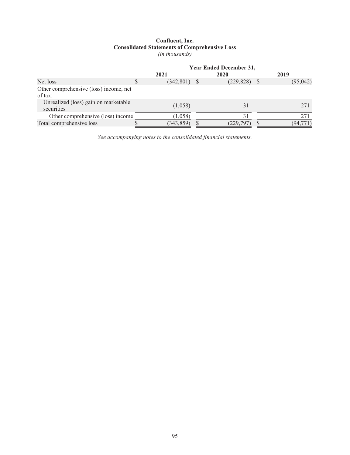# **Confluent, Inc. Consolidated Statements of Comprehensive Loss** *(in thousands)*

|                                                    | <b>Year Ended December 31,</b> |            |  |            |  |           |  |  |
|----------------------------------------------------|--------------------------------|------------|--|------------|--|-----------|--|--|
|                                                    |                                | 2021       |  | 2020       |  | 2019      |  |  |
| Net loss                                           |                                | (342, 801) |  | (229, 828) |  | (95, 042) |  |  |
| Other comprehensive (loss) income, net<br>of tax:  |                                |            |  |            |  |           |  |  |
| Unrealized (loss) gain on marketable<br>securities |                                | (1,058)    |  | 31         |  | 271       |  |  |
| Other comprehensive (loss) income                  |                                | (1,058)    |  | 31         |  | 271       |  |  |
| Total comprehensive loss                           |                                | (343, 859) |  | (229,797)  |  | (94,771)  |  |  |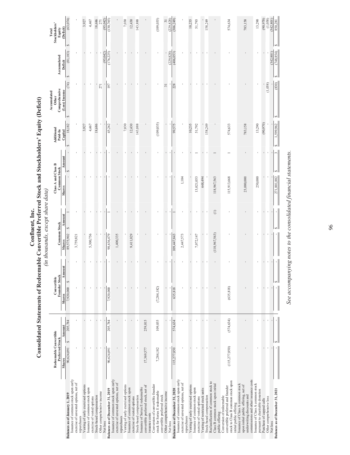|                                                                                                                                                |                                           |            |                                     |        | $\mu$ and $\mu$ and $\mu$ is the problem in $\mu$ |               |                                            |        |                       | Accumulated            |                  | Total<br>Stockholders'   |
|------------------------------------------------------------------------------------------------------------------------------------------------|-------------------------------------------|------------|-------------------------------------|--------|---------------------------------------------------|---------------|--------------------------------------------|--------|-----------------------|------------------------|------------------|--------------------------|
|                                                                                                                                                | Redeemable Convertible<br>Preferred Stock |            | <b>Convertible</b><br>Founder Stock |        | <b>Common Stock</b>                               |               | Class A and Class B<br><b>Common Stock</b> |        | Additional<br>Paid-In | Comprehensive<br>Other | Accumulated      |                          |
|                                                                                                                                                | Shares                                    | Amount     | <b>Shares</b>                       | Amount | <b>Shares</b>                                     | Amount        | <b>Shares</b>                              | Amount | Capital               | (Loss) Income          | Deficit          | Equity<br>(Deficit)      |
| Balances as of January 1, 2019                                                                                                                 | GA<br>90,624,091                          | 205,784    | S<br>7,920,000                      |        | S<br>89,575,902                                   |               |                                            | ∣∽     | 18,182                | (74)                   | (81, 183)<br>S   | (63,074)<br>S            |
| Issuance of common stock upon early<br>exercise of unvested options, net of                                                                    |                                           |            |                                     |        | 3,759,821                                         |               |                                            |        |                       |                        |                  |                          |
| repurchases                                                                                                                                    |                                           |            |                                     |        |                                                   |               |                                            |        |                       |                        |                  |                          |
| Vesting of early exercised options                                                                                                             |                                           |            |                                     |        |                                                   |               |                                            |        | 3,927                 |                        |                  | 3,927                    |
| Issuance of common stock upon                                                                                                                  |                                           |            |                                     |        | 5,300,756                                         |               |                                            |        | 4,467                 |                        |                  | 4,467                    |
| exercise of vested options                                                                                                                     |                                           |            |                                     |        |                                                   |               |                                            |        |                       |                        |                  |                          |
| Stock-based compensation                                                                                                                       |                                           |            |                                     |        |                                                   |               |                                            |        | 18,686                |                        |                  | 18,686                   |
| Other comprehensive income                                                                                                                     |                                           |            |                                     |        |                                                   |               |                                            |        |                       | 271                    |                  |                          |
| Net loss                                                                                                                                       |                                           |            |                                     |        |                                                   |               |                                            |        |                       |                        | (95,042)         | (95,042)                 |
| Issuance of common stock upon early<br>Balances as of December 31, 2019                                                                        | 90,624,091                                | 205,784    | 7,920,000                           |        | 98,636,479                                        |               |                                            |        | 45,262                | 197                    | (176, 225)       | (130, 765)               |
| exercise of unvested options, net of                                                                                                           |                                           |            |                                     |        | 1,400,335                                         |               |                                            |        |                       |                        |                  |                          |
| Vesting of early exercised options<br>repurchases                                                                                              |                                           |            |                                     |        |                                                   |               |                                            |        | 7,030                 |                        |                  | 7,030                    |
| Issuance of common stock upon                                                                                                                  |                                           |            |                                     |        | 9,411,029                                         |               |                                            |        | 12,430                |                        |                  | 12,430                   |
| exercise of vested options                                                                                                                     |                                           |            |                                     |        |                                                   |               |                                            |        |                       |                        |                  |                          |
| Issuance of Series E redeemable<br>Stock-based compensation                                                                                    |                                           |            |                                     |        |                                                   |               |                                            |        | 143,888               |                        |                  | 143,888                  |
| convertible preferred stock, net of<br>issuance costs                                                                                          | 17,369,577                                | 259,815    |                                     |        |                                                   |               |                                            |        |                       |                        |                  |                          |
| Conversion of convertible founder<br>stock for Series E redeemable<br>convertible preferred stock                                              | 7,284,182                                 | 109,035    | (7,284,182)                         |        |                                                   |               |                                            |        | (109, 035)            |                        |                  | (109, 035)               |
| Other comprehensive income                                                                                                                     |                                           |            |                                     |        |                                                   |               |                                            |        |                       | $\overline{31}$        |                  |                          |
| Net loss                                                                                                                                       |                                           |            |                                     |        |                                                   |               |                                            |        |                       |                        | (229, 828)       | 31<br>(229,828)          |
| Balances as of December 31, 2020                                                                                                               | 115,277,850                               | 574,634    | 635,818                             |        | 109,447,843                                       |               |                                            |        | 99,575                | 228                    | (406, 053)       | (306,249)                |
| Issuance of common stock upon early<br>exercise of unvested options, net of                                                                    |                                           |            |                                     |        | 2,447,573                                         |               | 1,104                                      |        |                       |                        |                  |                          |
| repurchases                                                                                                                                    |                                           |            |                                     |        |                                                   |               |                                            |        |                       |                        |                  |                          |
| Vesting of early exercised options                                                                                                             |                                           |            |                                     |        |                                                   |               |                                            |        | 10,235                |                        |                  | 10,235                   |
| Issuance of common stock upon<br>exercise of vested options                                                                                    |                                           |            |                                     |        | 7,072,147                                         |               | 13,021,053                                 |        | 51,792                |                        |                  | 51,793                   |
| Vesting of restricted stock units                                                                                                              |                                           |            |                                     |        |                                                   |               | 648,494                                    |        |                       |                        |                  |                          |
| Stock-based compensation                                                                                                                       |                                           |            |                                     |        |                                                   |               |                                            |        | 158,249               |                        |                  | 158,249                  |
| Reclassification of common stock to<br>Class B common stock upon initial<br>public offering                                                    |                                           |            |                                     |        | (118,967,563)                                     | $\widehat{=}$ | 118,967,563                                |        |                       |                        |                  |                          |
| stock to Class B common stock upon<br>convertible preferred and founder<br>Conversion of redeemable<br>initial public offering                 | (115,277,850)                             | (574, 634) | (635, 818)                          |        |                                                   |               | 115,913,668                                |        | 574,633               |                        |                  | 574,634                  |
| commissions and other issuance costs<br>Issuance of Class A common stock<br>upon initial public offering, net of<br>underwriting discounts and |                                           |            |                                     |        |                                                   |               | 23,000,000                                 |        | 783,158               |                        |                  | 783,158                  |
| Issuance of Class A common stock<br>pursuant to charitable donation                                                                            |                                           |            |                                     |        |                                                   |               | 250,000                                    |        | 13,290                |                        |                  | 13,290                   |
| Purchase of capped calls                                                                                                                       |                                           |            |                                     |        |                                                   |               |                                            |        | (90, 970)             |                        |                  | (90, 970)                |
| Other comprehensive loss                                                                                                                       |                                           |            |                                     |        |                                                   |               |                                            |        |                       | (1,058)                |                  |                          |
| Net loss                                                                                                                                       |                                           |            |                                     |        |                                                   |               |                                            |        |                       |                        | (342, 801)       | $(1,058)$<br>$(342,801)$ |
| Balances as of December 31, 2021                                                                                                               | S                                         |            | l∽                                  |        |                                                   |               | 271,801,882                                |        | 1,599,962<br>s,       | (830)                  | (748, 854)<br>s, | 850,281<br>S             |

See accompanying notes to the consolidated financial statements. *See accompanying notes to the consolidated financial statements.*

96

# **Consolidated Statements of Redeemable Convertible Preferred Stock and Stockholders' Equity (Deficit)**<br>Consolidated Statements of Redeemable Convertible Preferred Stock and Stockholders' Equity (Deficit) *(in thousands, except share data)*

**Confluent, Inc.** Consolidated Statements of Redeemable Convertible Preferred Stock and Stockholders' Equity (Deficit)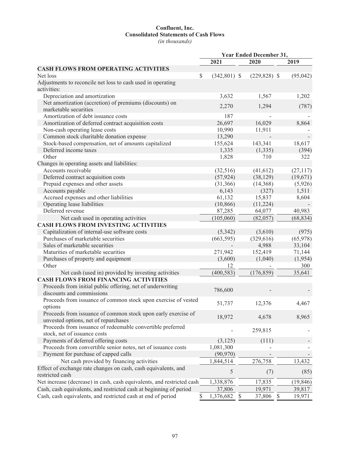# **Confluent, Inc. Consolidated Statements of Cash Flows**

*(in thousands)*

|                                                                        |                                 | Year Ended December 31, |           |
|------------------------------------------------------------------------|---------------------------------|-------------------------|-----------|
|                                                                        | 2021                            | 2020                    | 2019      |
| <b>CASH FLOWS FROM OPERATING ACTIVITIES</b>                            |                                 |                         |           |
| Net loss                                                               | $\mathcal{S}$<br>$(342,801)$ \$ | $(229, 828)$ \$         | (95, 042) |
| Adjustments to reconcile net loss to cash used in operating            |                                 |                         |           |
| activities:                                                            |                                 |                         |           |
| Depreciation and amortization                                          | 3,632                           | 1,567                   | 1,202     |
| Net amortization (accretion) of premiums (discounts) on                |                                 |                         |           |
| marketable securities                                                  | 2,270                           | 1,294                   | (787)     |
| Amortization of debt issuance costs                                    | 187                             |                         |           |
| Amortization of deferred contract acquisition costs                    | 26,697                          | 16,029                  | 8,864     |
| Non-cash operating lease costs                                         | 10,990                          | 11,911                  |           |
| Common stock charitable donation expense                               | 13,290                          |                         |           |
| Stock-based compensation, net of amounts capitalized                   | 155,624                         | 143,341                 | 18,617    |
| Deferred income taxes                                                  | 1,335                           | (1, 335)                | (394)     |
| Other                                                                  | 1,828                           | 710                     | 322       |
| Changes in operating assets and liabilities:                           |                                 |                         |           |
| Accounts receivable                                                    | (32, 516)                       | (41, 612)               | (27, 117) |
| Deferred contract acquisition costs                                    | (57, 924)                       | (38, 129)               | (19,671)  |
| Prepaid expenses and other assets                                      | (31,366)                        | (14,368)                | (5,926)   |
| Accounts payable                                                       | 6,143                           | (327)                   | 1,511     |
| Accrued expenses and other liabilities                                 | 61,132                          | 15,837                  | 8,604     |
| Operating lease liabilities                                            | (10, 866)                       | (11,224)                |           |
| Deferred revenue                                                       | 87,285                          | 64,077                  | 40,983    |
| Net cash used in operating activities                                  | (105,060)                       | (82,057)                | (68, 834) |
| <b>CASH FLOWS FROM INVESTING ACTIVITIES</b>                            |                                 |                         |           |
| Capitalization of internal-use software costs                          | (5,342)                         | (3,610)                 | (975)     |
| Purchases of marketable securities                                     | (663, 595)                      | (329, 616)              | (65,978)  |
| Sales of marketable securities                                         |                                 | 4,988                   | 33,104    |
| Maturities of marketable securities                                    | 271,942                         | 152,419                 | 71,144    |
| Purchases of property and equipment                                    | (3,600)                         | (1,040)                 | (1,954)   |
| Other                                                                  | 12                              |                         | 300       |
| Net cash (used in) provided by investing activities                    | (400, 583)                      | (176, 859)              | 35,641    |
| <b>CASH FLOWS FROM FINANCING ACTIVITIES</b>                            |                                 |                         |           |
| Proceeds from initial public offering, net of underwriting             |                                 |                         |           |
| discounts and commissions                                              | 786,600                         |                         |           |
| Proceeds from issuance of common stock upon exercise of vested         |                                 |                         |           |
| options                                                                | 51,737                          | 12,376                  | 4,467     |
| Proceeds from issuance of common stock upon early exercise of          |                                 |                         |           |
| unvested options, net of repurchases                                   | 18,972                          | 4,678                   | 8,965     |
| Proceeds from issuance of redeemable convertible preferred             |                                 |                         |           |
| stock, net of issuance costs                                           |                                 | 259,815                 |           |
| Payments of deferred offering costs                                    | (3, 125)                        | (111)                   |           |
| Proceeds from convertible senior notes, net of issuance costs          | 1,081,300                       |                         |           |
| Payment for purchase of capped calls                                   | (90, 970)                       |                         |           |
| Net cash provided by financing activities                              | 1,844,514                       | 276,758                 |           |
|                                                                        |                                 |                         | 13,432    |
| Effect of exchange rate changes on cash, cash equivalents, and         | 5                               | (7)                     | (85)      |
| restricted cash                                                        |                                 |                         |           |
| Net increase (decrease) in cash, cash equivalents, and restricted cash | 1,338,876                       | 17,835                  | (19, 846) |
| Cash, cash equivalents, and restricted cash at beginning of period     | 37,806                          | 19,971                  | 39,817    |
| Cash, cash equivalents, and restricted cash at end of period           | \$<br>1,376,682 \$              | 37,806 \$               | 19,971    |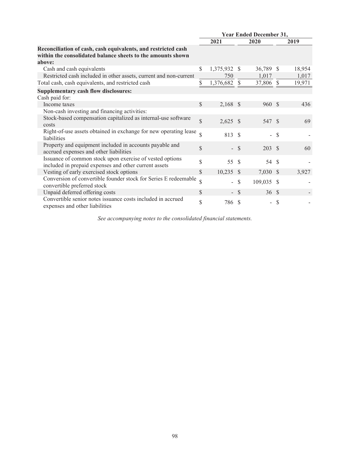|                                                                                                                              |               |              |               | <b>Year Ended December 31,</b> |               |        |
|------------------------------------------------------------------------------------------------------------------------------|---------------|--------------|---------------|--------------------------------|---------------|--------|
|                                                                                                                              |               | 2021         |               | 2020                           |               | 2019   |
| Reconciliation of cash, cash equivalents, and restricted cash<br>within the consolidated balance sheets to the amounts shown |               |              |               |                                |               |        |
| above:                                                                                                                       |               |              |               |                                |               |        |
| Cash and cash equivalents                                                                                                    | \$            | 1,375,932 \$ |               | 36,789                         | -S            | 18,954 |
| Restricted cash included in other assets, current and non-current                                                            |               | 750          |               | 1,017                          |               | 1,017  |
| Total cash, cash equivalents, and restricted cash                                                                            | \$            | 1,376,682    | <sup>\$</sup> | 37,806                         | $\mathcal{S}$ | 19,971 |
| Supplementary cash flow disclosures:                                                                                         |               |              |               |                                |               |        |
| Cash paid for:                                                                                                               |               |              |               |                                |               |        |
| Income taxes                                                                                                                 | \$            | $2,168$ \$   |               | 960 \$                         |               | 436    |
| Non-cash investing and financing activities:                                                                                 |               |              |               |                                |               |        |
| Stock-based compensation capitalized as internal-use software<br>costs                                                       | \$            | $2,625$ \$   |               | 547 \$                         |               | 69     |
| Right-of-use assets obtained in exchange for new operating lease<br>liabilities                                              | $\mathcal{S}$ | 813 \$       |               | $\overline{a}$                 | - \$          |        |
| Property and equipment included in accounts payable and<br>accrued expenses and other liabilities                            | \$            |              | $-$ \$        | $203 \tS$                      |               | 60     |
| Issuance of common stock upon exercise of vested options<br>included in prepaid expenses and other current assets            | \$            | 55           | -\$           | 54                             | -\$           |        |
| Vesting of early exercised stock options                                                                                     | \$            | $10,235$ \$  |               | 7,030 \$                       |               | 3,927  |
| Conversion of convertible founder stock for Series E redeemable<br>convertible preferred stock                               | \$            | Ξ.           | <sup>\$</sup> | 109,035 \$                     |               |        |
| Unpaid deferred offering costs                                                                                               | \$            |              | $-$ \$        | 36S                            |               |        |
| Convertible senior notes issuance costs included in accrued<br>expenses and other liabilities                                | \$            | 786 \$       |               | $\overline{\phantom{0}}$       | S             |        |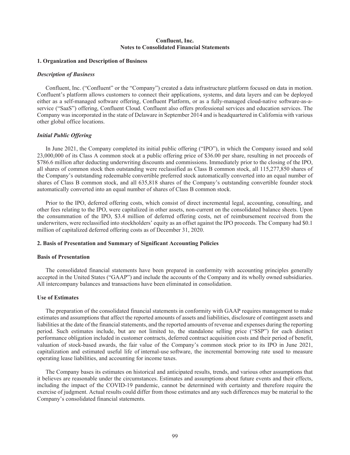# **Confluent, Inc. Notes to Consolidated Financial Statements**

## **1. Organization and Description of Business**

## *Description of Business*

Confluent, Inc. ("Confluent" or the "Company") created a data infrastructure platform focused on data in motion. Confluent's platform allows customers to connect their applications, systems, and data layers and can be deployed either as a self-managed software offering, Confluent Platform, or as a fully-managed cloud-native software-as-aservice ("SaaS") offering, Confluent Cloud. Confluent also offers professional services and education services. The Company was incorporated in the state of Delaware in September 2014 and is headquartered in California with various other global office locations.

# *Initial Public Offering*

In June 2021, the Company completed its initial public offering ("IPO"), in which the Company issued and sold 23,000,000 of its Class A common stock at a public offering price of \$36.00 per share, resulting in net proceeds of \$786.6 million after deducting underwriting discounts and commissions. Immediately prior to the closing of the IPO, all shares of common stock then outstanding were reclassified as Class B common stock, all 115,277,850 shares of the Company's outstanding redeemable convertible preferred stock automatically converted into an equal number of shares of Class B common stock, and all 635,818 shares of the Company's outstanding convertible founder stock automatically converted into an equal number of shares of Class B common stock.

Prior to the IPO, deferred offering costs, which consist of direct incremental legal, accounting, consulting, and other fees relating to the IPO, were capitalized in other assets, non-current on the consolidated balance sheets. Upon the consummation of the IPO, \$3.4 million of deferred offering costs, net of reimbursement received from the underwriters, were reclassified into stockholders' equity as an offset against the IPO proceeds. The Company had \$0.1 million of capitalized deferred offering costs as of December 31, 2020.

## **2. Basis of Presentation and Summary of Significant Accounting Policies**

#### **Basis of Presentation**

The consolidated financial statements have been prepared in conformity with accounting principles generally accepted in the United States ("GAAP") and include the accounts of the Company and its wholly owned subsidiaries. All intercompany balances and transactions have been eliminated in consolidation.

#### **Use of Estimates**

The preparation of the consolidated financial statements in conformity with GAAP requires management to make estimates and assumptions that affect the reported amounts of assets and liabilities, disclosure of contingent assets and liabilities at the date of the financial statements, and the reported amounts of revenue and expenses during the reporting period. Such estimates include, but are not limited to, the standalone selling price ("SSP") for each distinct performance obligation included in customer contracts, deferred contract acquisition costs and their period of benefit, valuation of stock-based awards, the fair value of the Company's common stock prior to its IPO in June 2021, capitalization and estimated useful life of internal-use software, the incremental borrowing rate used to measure operating lease liabilities, and accounting for income taxes.

The Company bases its estimates on historical and anticipated results, trends, and various other assumptions that it believes are reasonable under the circumstances. Estimates and assumptions about future events and their effects, including the impact of the COVID-19 pandemic, cannot be determined with certainty and therefore require the exercise of judgment. Actual results could differ from those estimates and any such differences may be material to the Company's consolidated financial statements.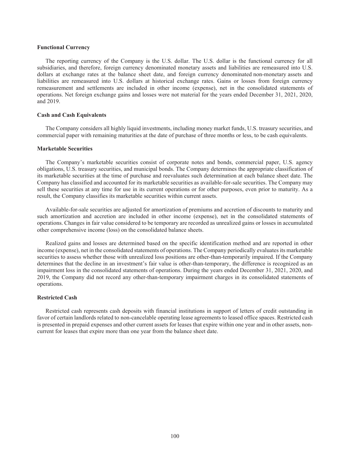### **Functional Currency**

The reporting currency of the Company is the U.S. dollar. The U.S. dollar is the functional currency for all subsidiaries, and therefore, foreign currency denominated monetary assets and liabilities are remeasured into U.S. dollars at exchange rates at the balance sheet date, and foreign currency denominated non-monetary assets and liabilities are remeasured into U.S. dollars at historical exchange rates. Gains or losses from foreign currency remeasurement and settlements are included in other income (expense), net in the consolidated statements of operations. Net foreign exchange gains and losses were not material for the years ended December 31, 2021, 2020, and 2019.

#### **Cash and Cash Equivalents**

The Company considers all highly liquid investments, including money market funds, U.S. treasury securities, and commercial paper with remaining maturities at the date of purchase of three months or less, to be cash equivalents.

# **Marketable Securities**

The Company's marketable securities consist of corporate notes and bonds, commercial paper, U.S. agency obligations, U.S. treasury securities, and municipal bonds. The Company determines the appropriate classification of its marketable securities at the time of purchase and reevaluates such determination at each balance sheet date. The Company has classified and accounted for its marketable securities as available-for-sale securities. The Company may sell these securities at any time for use in its current operations or for other purposes, even prior to maturity. As a result, the Company classifies its marketable securities within current assets.

Available-for-sale securities are adjusted for amortization of premiums and accretion of discounts to maturity and such amortization and accretion are included in other income (expense), net in the consolidated statements of operations. Changes in fair value considered to be temporary are recorded as unrealized gains or losses in accumulated other comprehensive income (loss) on the consolidated balance sheets.

Realized gains and losses are determined based on the specific identification method and are reported in other income (expense), net in the consolidated statements of operations. The Company periodically evaluates its marketable securities to assess whether those with unrealized loss positions are other-than-temporarily impaired. If the Company determines that the decline in an investment's fair value is other-than-temporary, the difference is recognized as an impairment loss in the consolidated statements of operations. During the years ended December 31, 2021, 2020, and 2019, the Company did not record any other-than-temporary impairment charges in its consolidated statements of operations.

## **Restricted Cash**

Restricted cash represents cash deposits with financial institutions in support of letters of credit outstanding in favor of certain landlords related to non-cancelable operating lease agreements to leased office spaces. Restricted cash is presented in prepaid expenses and other current assets for leases that expire within one year and in other assets, noncurrent for leases that expire more than one year from the balance sheet date.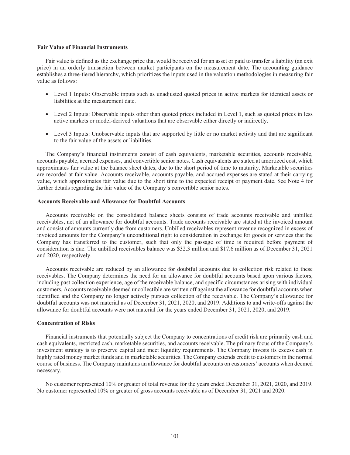#### **Fair Value of Financial Instruments**

Fair value is defined as the exchange price that would be received for an asset or paid to transfer a liability (an exit price) in an orderly transaction between market participants on the measurement date. The accounting guidance establishes a three-tiered hierarchy, which prioritizes the inputs used in the valuation methodologies in measuring fair value as follows:

- Level 1 Inputs: Observable inputs such as unadjusted quoted prices in active markets for identical assets or liabilities at the measurement date.
- Level 2 Inputs: Observable inputs other than quoted prices included in Level 1, such as quoted prices in less active markets or model-derived valuations that are observable either directly or indirectly.
- Level 3 Inputs: Unobservable inputs that are supported by little or no market activity and that are significant to the fair value of the assets or liabilities.

The Company's financial instruments consist of cash equivalents, marketable securities, accounts receivable, accounts payable, accrued expenses, and convertible senior notes. Cash equivalents are stated at amortized cost, which approximates fair value at the balance sheet dates, due to the short period of time to maturity. Marketable securities are recorded at fair value. Accounts receivable, accounts payable, and accrued expenses are stated at their carrying value, which approximates fair value due to the short time to the expected receipt or payment date. See Note 4 for further details regarding the fair value of the Company's convertible senior notes.

#### **Accounts Receivable and Allowance for Doubtful Accounts**

Accounts receivable on the consolidated balance sheets consists of trade accounts receivable and unbilled receivables, net of an allowance for doubtful accounts. Trade accounts receivable are stated at the invoiced amount and consist of amounts currently due from customers. Unbilled receivables represent revenue recognized in excess of invoiced amounts for the Company's unconditional right to consideration in exchange for goods or services that the Company has transferred to the customer, such that only the passage of time is required before payment of consideration is due. The unbilled receivables balance was \$32.3 million and \$17.6 million as of December 31, 2021 and 2020, respectively.

Accounts receivable are reduced by an allowance for doubtful accounts due to collection risk related to these receivables. The Company determines the need for an allowance for doubtful accounts based upon various factors, including past collection experience, age of the receivable balance, and specific circumstances arising with individual customers. Accounts receivable deemed uncollectible are written off against the allowance for doubtful accounts when identified and the Company no longer actively pursues collection of the receivable. The Company's allowance for doubtful accounts was not material as of December 31, 2021, 2020, and 2019. Additions to and write-offs against the allowance for doubtful accounts were not material for the years ended December 31, 2021, 2020, and 2019.

## **Concentration of Risks**

Financial instruments that potentially subject the Company to concentrations of credit risk are primarily cash and cash equivalents, restricted cash, marketable securities, and accounts receivable. The primary focus of the Company's investment strategy is to preserve capital and meet liquidity requirements. The Company invests its excess cash in highly rated money market funds and in marketable securities. The Company extends credit to customers in the normal course of business. The Company maintains an allowance for doubtful accounts on customers' accounts when deemed necessary.

No customer represented 10% or greater of total revenue for the years ended December 31, 2021, 2020, and 2019. No customer represented 10% or greater of gross accounts receivable as of December 31, 2021 and 2020.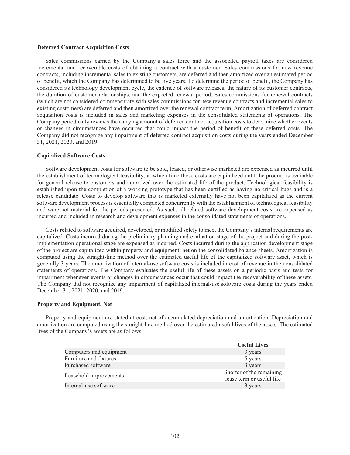#### **Deferred Contract Acquisition Costs**

Sales commissions earned by the Company's sales force and the associated payroll taxes are considered incremental and recoverable costs of obtaining a contract with a customer. Sales commissions for new revenue contracts, including incremental sales to existing customers, are deferred and then amortized over an estimated period of benefit, which the Company has determined to be five years. To determine the period of benefit, the Company has considered its technology development cycle, the cadence of software releases, the nature of its customer contracts, the duration of customer relationships, and the expected renewal period. Sales commissions for renewal contracts (which are not considered commensurate with sales commissions for new revenue contracts and incremental sales to existing customers) are deferred and then amortized over the renewal contract term. Amortization of deferred contract acquisition costs is included in sales and marketing expenses in the consolidated statements of operations. The Company periodically reviews the carrying amount of deferred contract acquisition costs to determine whether events or changes in circumstances have occurred that could impact the period of benefit of these deferred costs. The Company did not recognize any impairment of deferred contract acquisition costs during the years ended December 31, 2021, 2020, and 2019.

#### **Capitalized Software Costs**

Software development costs for software to be sold, leased, or otherwise marketed are expensed as incurred until the establishment of technological feasibility, at which time those costs are capitalized until the product is available for general release to customers and amortized over the estimated life of the product. Technological feasibility is established upon the completion of a working prototype that has been certified as having no critical bugs and is a release candidate. Costs to develop software that is marketed externally have not been capitalized as the current software development process is essentially completed concurrently with the establishment of technological feasibility and were not material for the periods presented. As such, all related software development costs are expensed as incurred and included in research and development expenses in the consolidated statements of operations.

Costs related to software acquired, developed, or modified solely to meet the Company's internal requirements are capitalized. Costs incurred during the preliminary planning and evaluation stage of the project and during the postimplementation operational stage are expensed as incurred. Costs incurred during the application development stage of the project are capitalized within property and equipment, net on the consolidated balance sheets. Amortization is computed using the straight-line method over the estimated useful life of the capitalized software asset, which is generally 3 years. The amortization of internal-use software costs is included in cost of revenue in the consolidated statements of operations. The Company evaluates the useful life of these assets on a periodic basis and tests for impairment whenever events or changes in circumstances occur that could impact the recoverability of these assets. The Company did not recognize any impairment of capitalized internal-use software costs during the years ended December 31, 2021, 2020, and 2019.

#### **Property and Equipment, Net**

Property and equipment are stated at cost, net of accumulated depreciation and amortization. Depreciation and amortization are computed using the straight-line method over the estimated useful lives of the assets. The estimated lives of the Company's assets are as follows:

|                         | <b>Useful Lives</b>                                   |
|-------------------------|-------------------------------------------------------|
| Computers and equipment | 3 years                                               |
| Furniture and fixtures  | 5 years                                               |
| Purchased software      | 3 years                                               |
| Leasehold improvements  | Shorter of the remaining<br>lease term or useful life |
| Internal-use software   | 3 years                                               |
|                         |                                                       |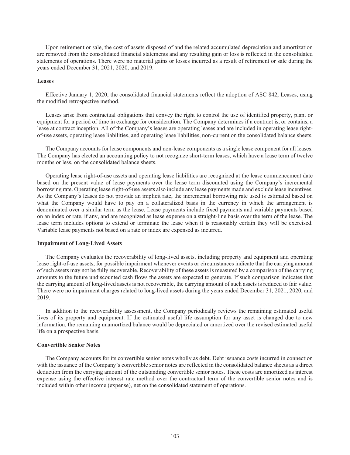Upon retirement or sale, the cost of assets disposed of and the related accumulated depreciation and amortization are removed from the consolidated financial statements and any resulting gain or loss is reflected in the consolidated statements of operations. There were no material gains or losses incurred as a result of retirement or sale during the years ended December 31, 2021, 2020, and 2019.

## **Leases**

Effective January 1, 2020, the consolidated financial statements reflect the adoption of ASC 842, Leases, using the modified retrospective method.

Leases arise from contractual obligations that convey the right to control the use of identified property, plant or equipment for a period of time in exchange for consideration. The Company determines if a contract is, or contains, a lease at contract inception. All of the Company's leases are operating leases and are included in operating lease rightof-use assets, operating lease liabilities, and operating lease liabilities, non-current on the consolidated balance sheets.

The Company accounts for lease components and non-lease components as a single lease component for all leases. The Company has elected an accounting policy to not recognize short-term leases, which have a lease term of twelve months or less, on the consolidated balance sheets.

Operating lease right-of-use assets and operating lease liabilities are recognized at the lease commencement date based on the present value of lease payments over the lease term discounted using the Company's incremental borrowing rate. Operating lease right-of-use assets also include any lease payments made and exclude lease incentives. As the Company's leases do not provide an implicit rate, the incremental borrowing rate used is estimated based on what the Company would have to pay on a collateralized basis in the currency in which the arrangement is denominated over a similar term as the lease. Lease payments include fixed payments and variable payments based on an index or rate, if any, and are recognized as lease expense on a straight-line basis over the term of the lease. The lease term includes options to extend or terminate the lease when it is reasonably certain they will be exercised. Variable lease payments not based on a rate or index are expensed as incurred.

## **Impairment of Long-Lived Assets**

The Company evaluates the recoverability of long-lived assets, including property and equipment and operating lease right-of-use assets, for possible impairment whenever events or circumstances indicate that the carrying amount of such assets may not be fully recoverable. Recoverability of these assets is measured by a comparison of the carrying amounts to the future undiscounted cash flows the assets are expected to generate. If such comparison indicates that the carrying amount of long-lived assets is not recoverable, the carrying amount of such assets is reduced to fair value. There were no impairment charges related to long-lived assets during the years ended December 31, 2021, 2020, and 2019.

In addition to the recoverability assessment, the Company periodically reviews the remaining estimated useful lives of its property and equipment. If the estimated useful life assumption for any asset is changed due to new information, the remaining unamortized balance would be depreciated or amortized over the revised estimated useful life on a prospective basis.

# **Convertible Senior Notes**

The Company accounts for its convertible senior notes wholly as debt. Debt issuance costs incurred in connection with the issuance of the Company's convertible senior notes are reflected in the consolidated balance sheets as a direct deduction from the carrying amount of the outstanding convertible senior notes. These costs are amortized as interest expense using the effective interest rate method over the contractual term of the convertible senior notes and is included within other income (expense), net on the consolidated statement of operations.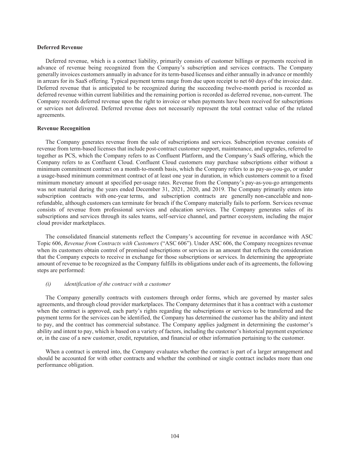#### **Deferred Revenue**

Deferred revenue, which is a contract liability, primarily consists of customer billings or payments received in advance of revenue being recognized from the Company's subscription and services contracts. The Company generally invoices customers annually in advance for its term-based licenses and either annually in advance or monthly in arrears for its SaaS offering. Typical payment terms range from due upon receipt to net 60 days of the invoice date. Deferred revenue that is anticipated to be recognized during the succeeding twelve-month period is recorded as deferred revenue within current liabilities and the remaining portion is recorded as deferred revenue, non-current. The Company records deferred revenue upon the right to invoice or when payments have been received for subscriptions or services not delivered. Deferred revenue does not necessarily represent the total contract value of the related agreements.

#### **Revenue Recognition**

The Company generates revenue from the sale of subscriptions and services. Subscription revenue consists of revenue from term-based licenses that include post-contract customer support, maintenance, and upgrades, referred to together as PCS, which the Company refers to as Confluent Platform, and the Company's SaaS offering, which the Company refers to as Confluent Cloud. Confluent Cloud customers may purchase subscriptions either without a minimum commitment contract on a month-to-month basis, which the Company refers to as pay-as-you-go, or under a usage-based minimum commitment contract of at least one year in duration, in which customers commit to a fixed minimum monetary amount at specified per-usage rates. Revenue from the Company's pay-as-you-go arrangements was not material during the years ended December 31, 2021, 2020, and 2019. The Company primarily enters into subscription contracts with one-year terms, and subscription contracts are generally non-cancelable and nonrefundable, although customers can terminate for breach if the Company materially fails to perform. Services revenue consists of revenue from professional services and education services. The Company generates sales of its subscriptions and services through its sales teams, self-service channel, and partner ecosystem, including the major cloud provider marketplaces.

The consolidated financial statements reflect the Company's accounting for revenue in accordance with ASC Topic 606, *Revenue from Contracts with Customers* ("ASC 606"). Under ASC 606, the Company recognizes revenue when its customers obtain control of promised subscriptions or services in an amount that reflects the consideration that the Company expects to receive in exchange for those subscriptions or services. In determining the appropriate amount of revenue to be recognized as the Company fulfills its obligations under each of its agreements, the following steps are performed:

#### *(i) identification of the contract with a customer*

The Company generally contracts with customers through order forms, which are governed by master sales agreements, and through cloud provider marketplaces. The Company determines that it has a contract with a customer when the contract is approved, each party's rights regarding the subscriptions or services to be transferred and the payment terms for the services can be identified, the Company has determined the customer has the ability and intent to pay, and the contract has commercial substance. The Company applies judgment in determining the customer's ability and intent to pay, which is based on a variety of factors, including the customer's historical payment experience or, in the case of a new customer, credit, reputation, and financial or other information pertaining to the customer.

When a contract is entered into, the Company evaluates whether the contract is part of a larger arrangement and should be accounted for with other contracts and whether the combined or single contract includes more than one performance obligation.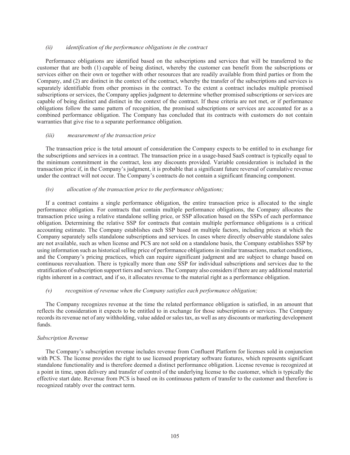## *(ii) identification of the performance obligations in the contract*

Performance obligations are identified based on the subscriptions and services that will be transferred to the customer that are both (1) capable of being distinct, whereby the customer can benefit from the subscriptions or services either on their own or together with other resources that are readily available from third parties or from the Company, and (2) are distinct in the context of the contract, whereby the transfer of the subscriptions and services is separately identifiable from other promises in the contract. To the extent a contract includes multiple promised subscriptions or services, the Company applies judgment to determine whether promised subscriptions or services are capable of being distinct and distinct in the context of the contract. If these criteria are not met, or if performance obligations follow the same pattern of recognition, the promised subscriptions or services are accounted for as a combined performance obligation. The Company has concluded that its contracts with customers do not contain warranties that give rise to a separate performance obligation.

# *(iii) measurement of the transaction price*

The transaction price is the total amount of consideration the Company expects to be entitled to in exchange for the subscriptions and services in a contract. The transaction price in a usage-based SaaS contract is typically equal to the minimum commitment in the contract, less any discounts provided. Variable consideration is included in the transaction price if, in the Company's judgment, it is probable that a significant future reversal of cumulative revenue under the contract will not occur. The Company's contracts do not contain a significant financing component.

# *(iv) allocation of the transaction price to the performance obligations;*

If a contract contains a single performance obligation, the entire transaction price is allocated to the single performance obligation. For contracts that contain multiple performance obligations, the Company allocates the transaction price using a relative standalone selling price, or SSP allocation based on the SSPs of each performance obligation. Determining the relative SSP for contracts that contain multiple performance obligations is a critical accounting estimate. The Company establishes each SSP based on multiple factors, including prices at which the Company separately sells standalone subscriptions and services. In cases where directly observable standalone sales are not available, such as when license and PCS are not sold on a standalone basis, the Company establishes SSP by using information such as historical selling price of performance obligations in similar transactions, market conditions, and the Company's pricing practices, which can require significant judgment and are subject to change based on continuous reevaluation. There is typically more than one SSP for individual subscriptions and services due to the stratification of subscription support tiers and services. The Company also considers if there are any additional material rights inherent in a contract, and if so, it allocates revenue to the material right as a performance obligation.

### *(v) recognition of revenue when the Company satisfies each performance obligation;*

The Company recognizes revenue at the time the related performance obligation is satisfied, in an amount that reflects the consideration it expects to be entitled to in exchange for those subscriptions or services. The Company records its revenue net of any withholding, value added or sales tax, as well as any discounts or marketing development funds.

#### *Subscription Revenue*

The Company's subscription revenue includes revenue from Confluent Platform for licenses sold in conjunction with PCS. The license provides the right to use licensed proprietary software features, which represents significant standalone functionality and is therefore deemed a distinct performance obligation. License revenue is recognized at a point in time, upon delivery and transfer of control of the underlying license to the customer, which is typically the effective start date. Revenue from PCS is based on its continuous pattern of transfer to the customer and therefore is recognized ratably over the contract term.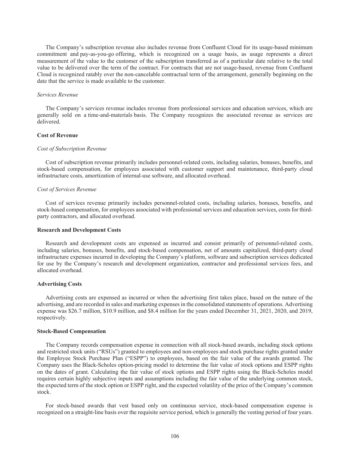The Company's subscription revenue also includes revenue from Confluent Cloud for its usage-based minimum commitment and pay-as-you-go offering, which is recognized on a usage basis, as usage represents a direct measurement of the value to the customer of the subscription transferred as of a particular date relative to the total value to be delivered over the term of the contract. For contracts that are not usage-based, revenue from Confluent Cloud is recognized ratably over the non-cancelable contractual term of the arrangement, generally beginning on the date that the service is made available to the customer.

# *Services Revenue*

The Company's services revenue includes revenue from professional services and education services, which are generally sold on a time-and-materials basis. The Company recognizes the associated revenue as services are delivered.

# **Cost of Revenue**

### *Cost of Subscription Revenue*

Cost of subscription revenue primarily includes personnel-related costs, including salaries, bonuses, benefits, and stock-based compensation, for employees associated with customer support and maintenance, third-party cloud infrastructure costs, amortization of internal-use software, and allocated overhead.

# *Cost of Services Revenue*

Cost of services revenue primarily includes personnel-related costs, including salaries, bonuses, benefits, and stock-based compensation, for employees associated with professional services and education services, costs for thirdparty contractors, and allocated overhead.

#### **Research and Development Costs**

Research and development costs are expensed as incurred and consist primarily of personnel-related costs, including salaries, bonuses, benefits, and stock-based compensation, net of amounts capitalized, third-party cloud infrastructure expenses incurred in developing the Company's platform, software and subscription services dedicated for use by the Company's research and development organization, contractor and professional services fees, and allocated overhead.

#### **Advertising Costs**

Advertising costs are expensed as incurred or when the advertising first takes place, based on the nature of the advertising, and are recorded in sales and marketing expenses in the consolidated statements of operations. Advertising expense was \$26.7 million, \$10.9 million, and \$8.4 million for the years ended December 31, 2021, 2020, and 2019, respectively.

# **Stock-Based Compensation**

The Company records compensation expense in connection with all stock-based awards, including stock options and restricted stock units ("RSUs") granted to employees and non-employees and stock purchase rights granted under the Employee Stock Purchase Plan ("ESPP") to employees, based on the fair value of the awards granted. The Company uses the Black-Scholes option-pricing model to determine the fair value of stock options and ESPP rights on the dates of grant. Calculating the fair value of stock options and ESPP rights using the Black-Scholes model requires certain highly subjective inputs and assumptions including the fair value of the underlying common stock, the expected term of the stock option or ESPP right, and the expected volatility of the price of the Company's common stock.

For stock-based awards that vest based only on continuous service, stock-based compensation expense is recognized on a straight-line basis over the requisite service period, which is generally the vesting period of four years.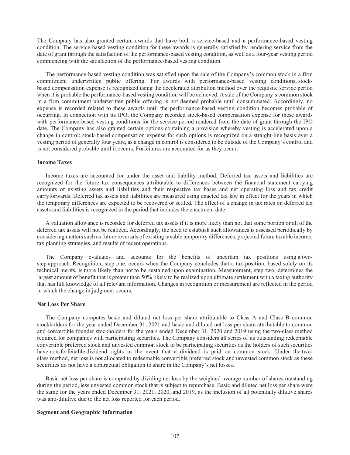The Company has also granted certain awards that have both a service-based and a performance-based vesting condition. The service-based vesting condition for these awards is generally satisfied by rendering service from the date of grant through the satisfaction of the performance-based vesting condition, as well as a four-year vesting period commencing with the satisfaction of the performance-based vesting condition.

The performance-based vesting condition was satisfied upon the sale of the Company's common stock in a firm commitment underwritten public offering. For awards with performance-based vesting conditions, stockbased compensation expense is recognized using the accelerated attribution method over the requisite service period when it is probable the performance-based vesting condition will be achieved. A sale of the Company's common stock in a firm commitment underwritten public offering is not deemed probable until consummated. Accordingly, no expense is recorded related to these awards until the performance-based vesting condition becomes probable of occurring. In connection with its IPO, the Company recorded stock-based compensation expense for these awards with performance-based vesting conditions for the service period rendered from the date of grant through the IPO date. The Company has also granted certain options containing a provision whereby vesting is accelerated upon a change in control; stock-based compensation expense for such options is recognized on a straight-line basis over a vesting period of generally four years, as a change in control is considered to be outside of the Company's control and is not considered probable until it occurs. Forfeitures are accounted for as they occur.

#### **Income Taxes**

Income taxes are accounted for under the asset and liability method. Deferred tax assets and liabilities are recognized for the future tax consequences attributable to differences between the financial statement carrying amounts of existing assets and liabilities and their respective tax bases and net operating loss and tax credit carryforwards. Deferred tax assets and liabilities are measured using enacted tax law in effect for the years in which the temporary differences are expected to be recovered or settled. The effect of a change in tax rates on deferred tax assets and liabilities is recognized in the period that includes the enactment date.

A valuation allowance is recorded for deferred tax assets if it is more likely than not that some portion or all of the deferred tax assets will not be realized. Accordingly, the need to establish such allowances is assessed periodically by considering matters such as future reversals of existing taxable temporary differences, projected future taxable income, tax planning strategies, and results of recent operations.

The Company evaluates and accounts for the benefits of uncertain tax positions using a twostep approach. Recognition, step one, occurs when the Company concludes that a tax position, based solely on its technical merits, is more likely than not to be sustained upon examination. Measurement, step two, determines the largest amount of benefit that is greater than 50% likely to be realized upon ultimate settlement with a taxing authority that has full knowledge of all relevant information. Changes in recognition or measurement are reflected in the period in which the change in judgment occurs.

# **Net Loss Per Share**

The Company computes basic and diluted net loss per share attributable to Class A and Class B common stockholders for the year ended December 31, 2021 and basic and diluted net loss per share attributable to common and convertible founder stockholders for the years ended December 31, 2020 and 2019 using the two-class method required for companies with participating securities. The Company considers all series of its outstanding redeemable convertible preferred stock and unvested common stock to be participating securities as the holders of such securities have non-forfeitable dividend rights in the event that a dividend is paid on common stock. Under the twoclass method, net loss is not allocated to redeemable convertible preferred stock and unvested common stock as these securities do not have a contractual obligation to share in the Company's net losses.

Basic net loss per share is computed by dividing net loss by the weighted-average number of shares outstanding during the period, less unvested common stock that is subject to repurchase. Basic and diluted net loss per share were the same for the years ended December 31, 2021, 2020, and 2019, as the inclusion of all potentially dilutive shares was anti-dilutive due to the net loss reported for each period.

## **Segment and Geographic Information**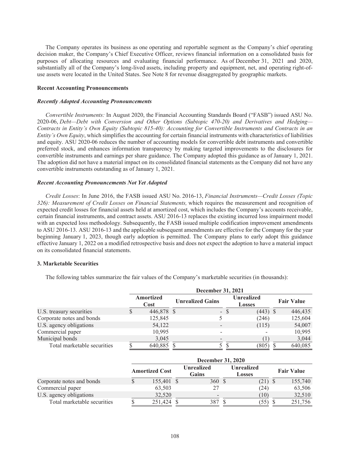The Company operates its business as one operating and reportable segment as the Company's chief operating decision maker, the Company's Chief Executive Officer, reviews financial information on a consolidated basis for purposes of allocating resources and evaluating financial performance. As of December 31, 2021 and 2020, substantially all of the Company's long-lived assets, including property and equipment, net, and operating right-ofuse assets were located in the United States. See Note 8 for revenue disaggregated by geographic markets.

# **Recent Accounting Pronouncements**

#### *Recently Adopted Accounting Pronouncements*

*Convertible Instruments:* In August 2020, the Financial Accounting Standards Board ("FASB") issued ASU No. 2020-06, *Debt—Debt with Conversion and Other Options (Subtopic 470-20) and Derivatives and Hedging— Contracts in Entity's Own Equity (Subtopic 815-40): Accounting for Convertible Instruments and Contracts in an Entity's Own Equity*, which simplifies the accounting for certain financial instruments with characteristics of liabilities and equity. ASU 2020-06 reduces the number of accounting models for convertible debt instruments and convertible preferred stock, and enhances information transparency by making targeted improvements to the disclosures for convertible instruments and earnings per share guidance. The Company adopted this guidance as of January 1, 2021. The adoption did not have a material impact on its consolidated financial statements as the Company did not have any convertible instruments outstanding as of January 1, 2021.

# *Recent Accounting Pronouncements Not Yet Adopted*

*Credit Losses*: In June 2016, the FASB issued ASU No. 2016-13, *Financial Instruments—Credit Losses (Topic 326): Measurement of Credit Losses on Financial Statements,* which requires the measurement and recognition of expected credit losses for financial assets held at amortized cost, which includes the Company's accounts receivable, certain financial instruments, and contract assets. ASU 2016-13 replaces the existing incurred loss impairment model with an expected loss methodology. Subsequently, the FASB issued multiple codification improvement amendments to ASU 2016-13. ASU 2016-13 and the applicable subsequent amendments are effective for the Company for the year beginning January 1, 2023, though early adoption is permitted. The Company plans to early adopt this guidance effective January 1, 2022 on a modified retrospective basis and does not expect the adoption to have a material impact on its consolidated financial statements.

# **3. Marketable Securities**

The following tables summarize the fair values of the Company's marketable securities (in thousands):

|                             | <b>December 31, 2021</b> |                   |                         |        |                                    |  |                   |  |  |
|-----------------------------|--------------------------|-------------------|-------------------------|--------|------------------------------------|--|-------------------|--|--|
|                             |                          | Amortized<br>Cost | <b>Unrealized Gains</b> |        | <b>Unrealized</b><br><b>Losses</b> |  | <b>Fair Value</b> |  |  |
| U.S. treasury securities    |                          | 446,878 \$        |                         | $-$ \$ | $(443)$ \$                         |  | 446,435           |  |  |
| Corporate notes and bonds   |                          | 125,845           |                         |        | (246)                              |  | 125,604           |  |  |
| U.S. agency obligations     |                          | 54,122            |                         |        | (115)                              |  | 54,007            |  |  |
| Commercial paper            |                          | 10,995            |                         |        |                                    |  | 10,995            |  |  |
| Municipal bonds             |                          | 3,045             |                         |        |                                    |  | 3,044             |  |  |
| Total marketable securities |                          | 640,885           |                         |        | (805)                              |  | 640,085           |  |  |

|                             | <b>December 31, 2020</b> |  |                            |  |                                    |  |                   |  |  |
|-----------------------------|--------------------------|--|----------------------------|--|------------------------------------|--|-------------------|--|--|
|                             | <b>Amortized Cost</b>    |  | <b>Unrealized</b><br>Gains |  | <b>Unrealized</b><br><b>Losses</b> |  | <b>Fair Value</b> |  |  |
| Corporate notes and bonds   | 155,401 \$               |  | 360S                       |  | $(21)$ \$                          |  | 155,740           |  |  |
| Commercial paper            | 63,503                   |  | 27                         |  | (24)                               |  | 63,506            |  |  |
| U.S. agency obligations     | 32.520                   |  | $\overline{\phantom{a}}$   |  | 10)                                |  | 32,510            |  |  |
| Total marketable securities | 251.424                  |  | 387                        |  | 55)                                |  | 251,756           |  |  |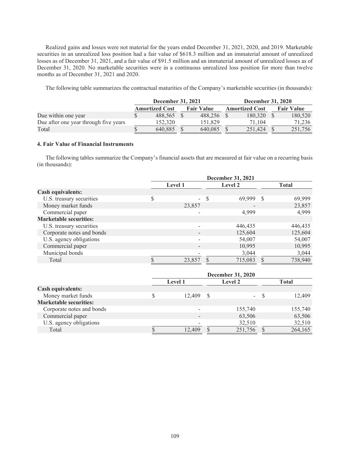Realized gains and losses were not material for the years ended December 31, 2021, 2020, and 2019. Marketable securities in an unrealized loss position had a fair value of \$618.3 million and an immaterial amount of unrealized losses as of December 31, 2021, and a fair value of \$91.5 million and an immaterial amount of unrealized losses as of December 31, 2020. No marketable securities were in a continuous unrealized loss position for more than twelve months as of December 31, 2021 and 2020.

The following table summarizes the contractual maturities of the Company's marketable securities (in thousands):

|                                       | <b>December 31, 2021</b> |         |  |                   |  | <b>December 31, 2020</b> |  |                   |  |
|---------------------------------------|--------------------------|---------|--|-------------------|--|--------------------------|--|-------------------|--|
|                                       | <b>Amortized Cost</b>    |         |  | <b>Fair Value</b> |  | <b>Amortized Cost</b>    |  | <b>Fair Value</b> |  |
| Due within one year                   |                          | 488.565 |  | 488.256           |  | 180.320 \$               |  | 180,520           |  |
| Due after one year through five years |                          | 152.320 |  | 151.829           |  | 71.104                   |  | 71.236            |  |
| Total                                 |                          | 640.885 |  | 640.085           |  | 251.424                  |  | 251.756           |  |

# **4. Fair Value of Financial Instruments**

The following tables summarize the Company's financial assets that are measured at fair value on a recurring basis (in thousands):

|                               | December 31, 2021 |                     |               |              |  |  |  |
|-------------------------------|-------------------|---------------------|---------------|--------------|--|--|--|
|                               | <b>Level 1</b>    | Level 2             |               | <b>Total</b> |  |  |  |
| <b>Cash equivalents:</b>      |                   |                     |               |              |  |  |  |
| U.S. treasury securities      | \$                | \$<br>69,999        | -\$           | 69,999       |  |  |  |
| Money market funds            | 23,857            |                     |               | 23,857       |  |  |  |
| Commercial paper              |                   | 4,999               |               | 4,999        |  |  |  |
| <b>Marketable securities:</b> |                   |                     |               |              |  |  |  |
| U.S. treasury securities      |                   | 446,435             |               | 446,435      |  |  |  |
| Corporate notes and bonds     |                   | 125,604             |               | 125,604      |  |  |  |
| U.S. agency obligations       |                   | 54,007              |               | 54,007       |  |  |  |
| Commercial paper              |                   | 10,995              |               | 10,995       |  |  |  |
| Municipal bonds               |                   | 3,044               |               | 3,044        |  |  |  |
| Total                         | 23,857            | 715,083             | $\mathcal{S}$ | 738,940      |  |  |  |
|                               |                   | Doopmhor $31, 2020$ |               |              |  |  |  |

|                               | <b>December 31, 2020</b> |        |  |                |              |         |  |  |  |
|-------------------------------|--------------------------|--------|--|----------------|--------------|---------|--|--|--|
|                               | <b>Level 1</b>           |        |  | <b>Level 2</b> | <b>Total</b> |         |  |  |  |
| <b>Cash equivalents:</b>      |                          |        |  |                |              |         |  |  |  |
| Money market funds            |                          | 12.409 |  |                | $-$ S        | 12,409  |  |  |  |
| <b>Marketable securities:</b> |                          |        |  |                |              |         |  |  |  |
| Corporate notes and bonds     |                          |        |  | 155,740        |              | 155,740 |  |  |  |
| Commercial paper              |                          |        |  | 63,506         |              | 63,506  |  |  |  |
| U.S. agency obligations       |                          |        |  | 32,510         |              | 32,510  |  |  |  |
| Total                         |                          | 12.409 |  | 251.756        |              | 264,165 |  |  |  |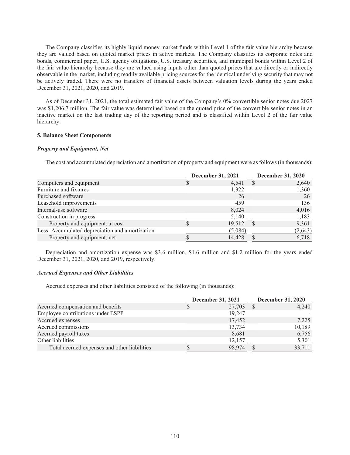The Company classifies its highly liquid money market funds within Level 1 of the fair value hierarchy because they are valued based on quoted market prices in active markets. The Company classifies its corporate notes and bonds, commercial paper, U.S. agency obligations, U.S. treasury securities, and municipal bonds within Level 2 of the fair value hierarchy because they are valued using inputs other than quoted prices that are directly or indirectly observable in the market, including readily available pricing sources for the identical underlying security that may not be actively traded. There were no transfers of financial assets between valuation levels during the years ended December 31, 2021, 2020, and 2019.

As of December 31, 2021, the total estimated fair value of the Company's 0% convertible senior notes due 2027 was \$1,206.7 million. The fair value was determined based on the quoted price of the convertible senior notes in an inactive market on the last trading day of the reporting period and is classified within Level 2 of the fair value hierarchy.

### **5. Balance Sheet Components**

# *Property and Equipment, Net*

The cost and accumulated depreciation and amortization of property and equipment were as follows (in thousands):

|                                                 | <b>December 31, 2021</b> |         |  | <b>December 31, 2020</b> |
|-------------------------------------------------|--------------------------|---------|--|--------------------------|
| Computers and equipment                         |                          | 4,541   |  | 2,640                    |
| Furniture and fixtures                          |                          | 1,322   |  | 1,360                    |
| Purchased software                              |                          | 26      |  | 26                       |
| Leasehold improvements                          |                          | 459     |  | 136                      |
| Internal-use software                           |                          | 8,024   |  | 4,016                    |
| Construction in progress                        |                          | 5,140   |  | 1,183                    |
| Property and equipment, at cost                 |                          | 19,512  |  | 9,361                    |
| Less: Accumulated depreciation and amortization |                          | (5,084) |  | (2, 643)                 |
| Property and equipment, net                     |                          | 14,428  |  | 6,718                    |

Depreciation and amortization expense was \$3.6 million, \$1.6 million and \$1.2 million for the years ended December 31, 2021, 2020, and 2019, respectively.

# *Accrued Expenses and Other Liabilities*

Accrued expenses and other liabilities consisted of the following (in thousands):

|                                              | <b>December 31, 2021</b> | <b>December 31, 2020</b> |
|----------------------------------------------|--------------------------|--------------------------|
| Accrued compensation and benefits            | 27,703                   | 4,240                    |
| Employee contributions under ESPP            | 19,247                   |                          |
| Accrued expenses                             | 17,452                   | 7,225                    |
| Accrued commissions                          | 13,734                   | 10,189                   |
| Accrued payroll taxes                        | 8,681                    | 6,756                    |
| Other liabilities                            | 12,157                   | 5,301                    |
| Total accrued expenses and other liabilities | 98,974                   | 33,711                   |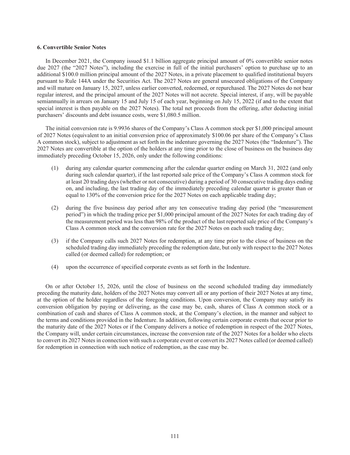#### **6. Convertible Senior Notes**

In December 2021, the Company issued \$1.1 billion aggregate principal amount of 0% convertible senior notes due 2027 (the "2027 Notes"), including the exercise in full of the initial purchasers' option to purchase up to an additional \$100.0 million principal amount of the 2027 Notes, in a private placement to qualified institutional buyers pursuant to Rule 144A under the Securities Act. The 2027 Notes are general unsecured obligations of the Company and will mature on January 15, 2027, unless earlier converted, redeemed, or repurchased. The 2027 Notes do not bear regular interest, and the principal amount of the 2027 Notes will not accrete. Special interest, if any, will be payable semiannually in arrears on January 15 and July 15 of each year, beginning on July 15, 2022 (if and to the extent that special interest is then payable on the 2027 Notes). The total net proceeds from the offering, after deducting initial purchasers' discounts and debt issuance costs, were \$1,080.5 million.

The initial conversion rate is 9.9936 shares of the Company's Class A common stock per \$1,000 principal amount of 2027 Notes (equivalent to an initial conversion price of approximately \$100.06 per share of the Company's Class A common stock), subject to adjustment as set forth in the indenture governing the 2027 Notes (the "Indenture"). The 2027 Notes are convertible at the option of the holders at any time prior to the close of business on the business day immediately preceding October 15, 2026, only under the following conditions:

- (1) during any calendar quarter commencing after the calendar quarter ending on March 31, 2022 (and only during such calendar quarter), if the last reported sale price of the Company's Class A common stock for at least 20 trading days (whether or not consecutive) during a period of 30 consecutive trading days ending on, and including, the last trading day of the immediately preceding calendar quarter is greater than or equal to 130% of the conversion price for the 2027 Notes on each applicable trading day;
- (2) during the five business day period after any ten consecutive trading day period (the "measurement period") in which the trading price per \$1,000 principal amount of the 2027 Notes for each trading day of the measurement period was less than 98% of the product of the last reported sale price of the Company's Class A common stock and the conversion rate for the 2027 Notes on each such trading day;
- (3) if the Company calls such 2027 Notes for redemption, at any time prior to the close of business on the scheduled trading day immediately preceding the redemption date, but only with respect to the 2027 Notes called (or deemed called) for redemption; or
- (4) upon the occurrence of specified corporate events as set forth in the Indenture.

On or after October 15, 2026, until the close of business on the second scheduled trading day immediately preceding the maturity date, holders of the 2027 Notes may convert all or any portion of their 2027 Notes at any time, at the option of the holder regardless of the foregoing conditions. Upon conversion, the Company may satisfy its conversion obligation by paying or delivering, as the case may be, cash, shares of Class A common stock or a combination of cash and shares of Class A common stock, at the Company's election, in the manner and subject to the terms and conditions provided in the Indenture. In addition, following certain corporate events that occur prior to the maturity date of the 2027 Notes or if the Company delivers a notice of redemption in respect of the 2027 Notes, the Company will, under certain circumstances, increase the conversion rate of the 2027 Notes for a holder who elects to convert its 2027 Notes in connection with such a corporate event or convert its 2027 Notes called (or deemed called) for redemption in connection with such notice of redemption, as the case may be.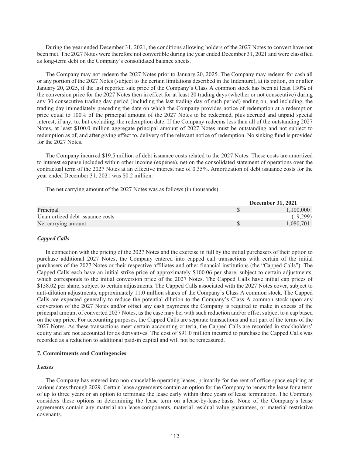During the year ended December 31, 2021, the conditions allowing holders of the 2027 Notes to convert have not been met. The 2027 Notes were therefore not convertible during the year ended December 31, 2021 and were classified as long-term debt on the Company's consolidated balance sheets.

The Company may not redeem the 2027 Notes prior to January 20, 2025. The Company may redeem for cash all or any portion of the 2027 Notes (subject to the certain limitations described in the Indenture), at its option, on or after January 20, 2025, if the last reported sale price of the Company's Class A common stock has been at least 130% of the conversion price for the 2027 Notes then in effect for at least 20 trading days (whether or not consecutive) during any 30 consecutive trading day period (including the last trading day of such period) ending on, and including, the trading day immediately preceding the date on which the Company provides notice of redemption at a redemption price equal to 100% of the principal amount of the 2027 Notes to be redeemed, plus accrued and unpaid special interest, if any, to, but excluding, the redemption date. If the Company redeems less than all of the outstanding 2027 Notes, at least \$100.0 million aggregate principal amount of 2027 Notes must be outstanding and not subject to redemption as of, and after giving effect to, delivery of the relevant notice of redemption. No sinking fund is provided for the 2027 Notes.

The Company incurred \$19.5 million of debt issuance costs related to the 2027 Notes. These costs are amortized to interest expense included within other income (expense), net on the consolidated statement of operations over the contractual term of the 2027 Notes at an effective interest rate of 0.35%. Amortization of debt issuance costs for the year ended December 31, 2021 was \$0.2 million.

The net carrying amount of the 2027 Notes was as follows (in thousands):

|                                 | <b>December 31, 2021</b> |
|---------------------------------|--------------------------|
| Principal                       | 1.100.000                |
| Unamortized debt issuance costs | (19.299)                 |
| Net carrying amount             | .080.701                 |

# *Capped Calls*

In connection with the pricing of the 2027 Notes and the exercise in full by the initial purchasers of their option to purchase additional 2027 Notes, the Company entered into capped call transactions with certain of the initial purchasers of the 2027 Notes or their respective affiliates and other financial institutions (the "Capped Calls"). The Capped Calls each have an initial strike price of approximately \$100.06 per share, subject to certain adjustments, which corresponds to the initial conversion price of the 2027 Notes. The Capped Calls have initial cap prices of \$138.02 per share, subject to certain adjustments. The Capped Calls associated with the 2027 Notes cover, subject to anti-dilution adjustments, approximately 11.0 million shares of the Company's Class A common stock. The Capped Calls are expected generally to reduce the potential dilution to the Company's Class A common stock upon any conversion of the 2027 Notes and/or offset any cash payments the Company is required to make in excess of the principal amount of converted 2027 Notes, as the case may be, with such reduction and/or offset subject to a cap based on the cap price. For accounting purposes, the Capped Calls are separate transactions and not part of the terms of the 2027 Notes. As these transactions meet certain accounting criteria, the Capped Calls are recorded in stockholders' equity and are not accounted for as derivatives. The cost of \$91.0 million incurred to purchase the Capped Calls was recorded as a reduction to additional paid-in capital and will not be remeasured.

## **7. Commitments and Contingencies**

# *Leases*

The Company has entered into non-cancelable operating leases, primarily for the rent of office space expiring at various dates through 2029. Certain lease agreements contain an option for the Company to renew the lease for a term of up to three years or an option to terminate the lease early within three years of lease termination. The Company considers these options in determining the lease term on a lease-by-lease basis. None of the Company's lease agreements contain any material non-lease components, material residual value guarantees, or material restrictive covenants.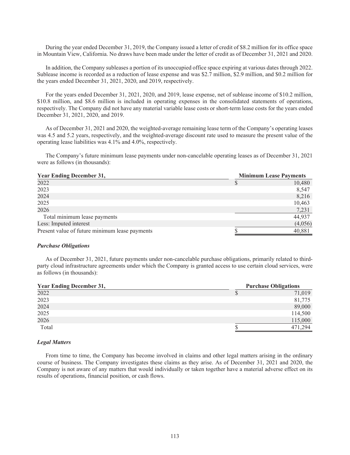During the year ended December 31, 2019, the Company issued a letter of credit of \$8.2 million for its office space in Mountain View, California. No draws have been made under the letter of credit as of December 31, 2021 and 2020.

In addition, the Company subleases a portion of its unoccupied office space expiring at various dates through 2022. Sublease income is recorded as a reduction of lease expense and was \$2.7 million, \$2.9 million, and \$0.2 million for the years ended December 31, 2021, 2020, and 2019, respectively.

For the years ended December 31, 2021, 2020, and 2019, lease expense, net of sublease income of \$10.2 million, \$10.8 million, and \$8.6 million is included in operating expenses in the consolidated statements of operations, respectively. The Company did not have any material variable lease costs or short-term lease costs for the years ended December 31, 2021, 2020, and 2019.

As of December 31, 2021 and 2020, the weighted-average remaining lease term of the Company's operating leases was 4.5 and 5.2 years, respectively, and the weighted-average discount rate used to measure the present value of the operating lease liabilities was 4.1% and 4.0%, respectively.

The Company's future minimum lease payments under non-cancelable operating leases as of December 31, 2021 were as follows (in thousands):

| <b>Year Ending December 31,</b>                | <b>Minimum Lease Payments</b> |  |  |  |
|------------------------------------------------|-------------------------------|--|--|--|
| 2022                                           | 10,480                        |  |  |  |
| 2023                                           | 8,547                         |  |  |  |
| 2024                                           | 8,216                         |  |  |  |
| 2025                                           | 10,463                        |  |  |  |
| 2026                                           | 7,231                         |  |  |  |
| Total minimum lease payments                   | 44,937                        |  |  |  |
| Less: Imputed interest                         | (4,056)                       |  |  |  |
| Present value of future minimum lease payments | 40,881                        |  |  |  |

# *Purchase Obligations*

As of December 31, 2021, future payments under non-cancelable purchase obligations, primarily related to thirdparty cloud infrastructure agreements under which the Company is granted access to use certain cloud services, were as follows (in thousands):

| <b>Year Ending December 31,</b> | <b>Purchase Obligations</b> |         |
|---------------------------------|-----------------------------|---------|
| 2022                            | P                           | 71,019  |
| 2023                            |                             | 81,775  |
| 2024                            |                             | 89,000  |
| 2025                            |                             | 114,500 |
| 2026                            |                             | 115,000 |
| Total                           |                             | 471.294 |

# *Legal Matters*

From time to time, the Company has become involved in claims and other legal matters arising in the ordinary course of business. The Company investigates these claims as they arise. As of December 31, 2021 and 2020, the Company is not aware of any matters that would individually or taken together have a material adverse effect on its results of operations, financial position, or cash flows.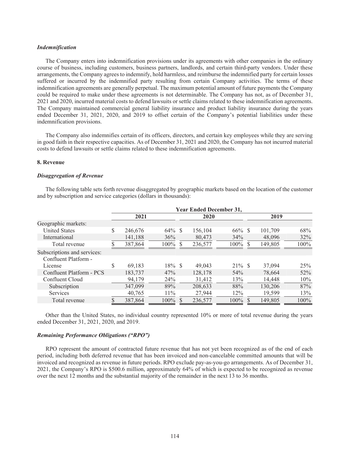### *Indemnification*

The Company enters into indemnification provisions under its agreements with other companies in the ordinary course of business, including customers, business partners, landlords, and certain third-party vendors. Under these arrangements, the Company agrees to indemnify, hold harmless, and reimburse the indemnified party for certain losses suffered or incurred by the indemnified party resulting from certain Company activities. The terms of these indemnification agreements are generally perpetual. The maximum potential amount of future payments the Company could be required to make under these agreements is not determinable. The Company has not, as of December 31, 2021 and 2020, incurred material costs to defend lawsuits or settle claims related to these indemnification agreements. The Company maintained commercial general liability insurance and product liability insurance during the years ended December 31, 2021, 2020, and 2019 to offset certain of the Company's potential liabilities under these indemnification provisions.

The Company also indemnifies certain of its officers, directors, and certain key employees while they are serving in good faith in their respective capacities. As of December 31, 2021 and 2020, the Company has not incurred material costs to defend lawsuits or settle claims related to these indemnification agreements.

#### **8. Revenue**

### *Disaggregation of Revenue*

The following table sets forth revenue disaggregated by geographic markets based on the location of the customer and by subscription and service categories (dollars in thousands):

|                             |               |           |    | <b>Year Ended December 31,</b> |           |  |         |         |  |
|-----------------------------|---------------|-----------|----|--------------------------------|-----------|--|---------|---------|--|
|                             | 2021          |           |    | 2020                           |           |  | 2019    |         |  |
| Geographic markets:         |               |           |    |                                |           |  |         |         |  |
| <b>United States</b>        | \$<br>246,676 | 64%       | -S | 156,104                        | $66\%$ \$ |  | 101,709 | 68%     |  |
| International               | 141,188       | 36%       |    | 80,473                         | 34%       |  | 48,096  | 32%     |  |
| Total revenue               | 387,864       | $100\%$   |    | 236,577                        | $100\%$   |  | 149,805 | $100\%$ |  |
| Subscriptions and services: |               |           |    |                                |           |  |         |         |  |
| Confluent Platform -        |               |           |    |                                |           |  |         |         |  |
| License                     | \$<br>69,183  | $18\%$ \$ |    | 49,043                         | $21\%$ \$ |  | 37,094  | 25%     |  |
| Confluent Platform - PCS    | 183,737       | 47%       |    | 128,178                        | 54%       |  | 78,664  | 52%     |  |
| Confluent Cloud             | 94.179        | 24%       |    | 31,412                         | 13%       |  | 14,448  | 10%     |  |
| Subscription                | 347,099       | 89%       |    | 208,633                        | 88%       |  | 130,206 | 87%     |  |
| <b>Services</b>             | 40,765        | $11\%$    |    | 27,944                         | 12%       |  | 19,599  | 13%     |  |
| Total revenue               | 387,864       | 100%      |    | 236,577                        | 100%      |  | 149,805 | 100%    |  |

Other than the United States, no individual country represented 10% or more of total revenue during the years ended December 31, 2021, 2020, and 2019.

# *Remaining Performance Obligations ("RPO")*

RPO represent the amount of contracted future revenue that has not yet been recognized as of the end of each period, including both deferred revenue that has been invoiced and non-cancelable committed amounts that will be invoiced and recognized as revenue in future periods. RPO exclude pay-as-you-go arrangements. As of December 31, 2021, the Company's RPO is \$500.6 million, approximately 64% of which is expected to be recognized as revenue over the next 12 months and the substantial majority of the remainder in the next 13 to 36 months.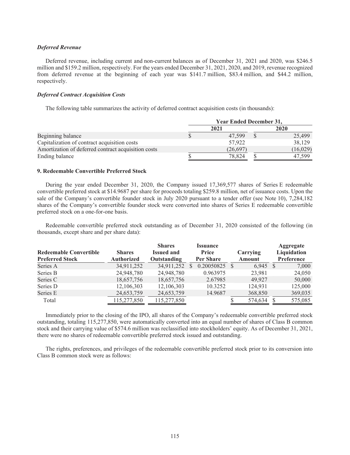# *Deferred Revenue*

Deferred revenue, including current and non-current balances as of December 31, 2021 and 2020, was \$246.5 million and \$159.2 million, respectively. For the years ended December 31, 2021, 2020, and 2019, revenue recognized from deferred revenue at the beginning of each year was \$141.7 million, \$83.4 million, and \$44.2 million, respectively.

# *Deferred Contract Acquisition Costs*

The following table summarizes the activity of deferred contract acquisition costs (in thousands):

|                                                     | <b>Year Ended December 31,</b> |          |             |           |  |  |
|-----------------------------------------------------|--------------------------------|----------|-------------|-----------|--|--|
|                                                     |                                | 2021     | <b>2020</b> |           |  |  |
| Beginning balance                                   |                                | 47.599   |             | 25,499    |  |  |
| Capitalization of contract acquisition costs        |                                | 57.922   |             | 38,129    |  |  |
| Amortization of deferred contract acquisition costs |                                | (26,697) |             | (16, 029) |  |  |
| Ending balance                                      |                                | 78.824   |             | 47.599    |  |  |

# **9. Redeemable Convertible Preferred Stock**

During the year ended December 31, 2020, the Company issued 17,369,577 shares of Series E redeemable convertible preferred stock at \$14.9687 per share for proceeds totaling \$259.8 million, net of issuance costs. Upon the sale of the Company's convertible founder stock in July 2020 pursuant to a tender offer (see Note 10), 7,284,182 shares of the Company's convertible founder stock were converted into shares of Series E redeemable convertible preferred stock on a one-for-one basis.

Redeemable convertible preferred stock outstanding as of December 31, 2020 consisted of the following (in thousands, except share and per share data):

| <b>Redeemable Convertible</b><br><b>Preferred Stock</b> | <b>Shares</b><br><b>Authorized</b> | <b>Shares</b><br><b>Issued and</b><br>Outstanding | <b>Issuance</b><br>Price<br>Per Share | Carrying<br>Amount | Aggregate<br>Liquidation<br><b>Preference</b> |
|---------------------------------------------------------|------------------------------------|---------------------------------------------------|---------------------------------------|--------------------|-----------------------------------------------|
| Series A                                                | 34,911,252                         | 34,911,252                                        | 0.20050825                            | 6.945              | 7,000                                         |
| Series B                                                | 24,948,780                         | 24,948,780                                        | 0.963975                              | 23,981             | 24,050                                        |
| Series C                                                | 18,657,756                         | 18,657,756                                        | 2.67985                               | 49.927             | 50,000                                        |
| Series D                                                | 12,106,303                         | 12,106,303                                        | 10.3252                               | 124,931            | 125,000                                       |
| Series E                                                | 24,653,759                         | 24,653,759                                        | 14.9687                               | 368,850            | 369,035                                       |
| Total                                                   | 115,277,850                        | 115,277,850                                       |                                       | 574,634            | 575,085                                       |

Immediately prior to the closing of the IPO, all shares of the Company's redeemable convertible preferred stock outstanding, totaling 115,277,850, were automatically converted into an equal number of shares of Class B common stock and their carrying value of \$574.6 million was reclassified into stockholders' equity. As of December 31, 2021, there were no shares of redeemable convertible preferred stock issued and outstanding.

The rights, preferences, and privileges of the redeemable convertible preferred stock prior to its conversion into Class B common stock were as follows: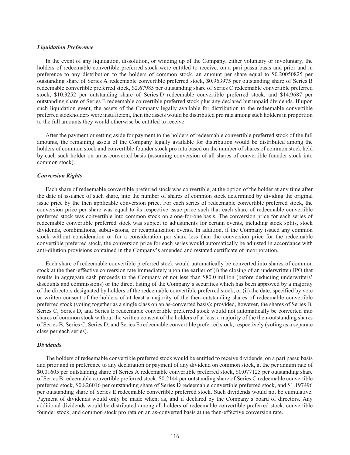# *Liquidation Preference*

In the event of any liquidation, dissolution, or winding up of the Company, either voluntary or involuntary, the holders of redeemable convertible preferred stock were entitled to receive, on a pari passu basis and prior and in preference to any distribution to the holders of common stock, an amount per share equal to \$0.20050825 per outstanding share of Series A redeemable convertible preferred stock, \$0.963975 per outstanding share of Series B redeemable convertible preferred stock, \$2.67985 per outstanding share of Series C redeemable convertible preferred stock, \$10.3252 per outstanding share of Series D redeemable convertible preferred stock, and \$14.9687 per outstanding share of Series E redeemable convertible preferred stock plus any declared but unpaid dividends. If upon such liquidation event, the assets of the Company legally available for distribution to the redeemable convertible preferred stockholders were insufficient, then the assets would be distributed pro rata among such holdersin proportion to the full amounts they would otherwise be entitled to receive.

After the payment or setting aside for payment to the holders of redeemable convertible preferred stock of the full amounts, the remaining assets of the Company legally available for distribution would be distributed among the holders of common stock and convertible founder stock pro rata based on the number of shares of common stock held by each such holder on an as-converted basis (assuming conversion of all shares of convertible founder stock into common stock).

# *Conversion Rights*

Each share of redeemable convertible preferred stock was convertible, at the option of the holder at any time after the date of issuance of such share, into the number of shares of common stock determined by dividing the original issue price by the then applicable conversion price. For each series of redeemable convertible preferred stock, the conversion price per share was equal to its respective issue price such that each share of redeemable convertible preferred stock was convertible into common stock on a one-for-one basis. The conversion price for each series of redeemable convertible preferred stock was subject to adjustments for certain events, including stock splits, stock dividends, combinations, subdivisions, or recapitalization events. In addition, if the Company issued any common stock without consideration or for a consideration per share less than the conversion price for the redeemable convertible preferred stock, the conversion price for each series would automatically be adjusted in accordance with anti-dilution provisions contained in the Company's amended and restated certificate of incorporation.

Each share of redeemable convertible preferred stock would automatically be converted into shares of common stock at the then-effective conversion rate immediately upon the earlier of (i) the closing of an underwritten IPO that results in aggregate cash proceeds to the Company of not less than \$80.0 million (before deducting underwriters' discounts and commissions) or the direct listing of the Company's securities which has been approved by a majority of the directors designated by holders of the redeemable convertible preferred stock; or (ii) the date, specified by vote or written consent of the holders of at least a majority of the then-outstanding shares of redeemable convertible preferred stock (voting together as a single class on an as-converted basis); provided, however, the shares of Series B, Series C, Series D, and Series E redeemable convertible preferred stock would not automatically be converted into shares of common stock without the written consent of the holders of at least a majority of the then-outstanding shares of Series B, Series C, Series D, and Series E redeemable convertible preferred stock, respectively (voting as a separate class per each series).

# *Dividends*

The holders of redeemable convertible preferred stock would be entitled to receive dividends, on a pari passu basis and prior and in preference to any declaration or payment of any dividend on common stock, at the per annum rate of \$0.01605 per outstanding share of Series A redeemable convertible preferred stock, \$0.077125 per outstanding share of Series B redeemable convertible preferred stock, \$0.2144 per outstanding share of Series C redeemable convertible preferred stock, \$0.826016 per outstanding share of Series D redeemable convertible preferred stock, and \$1.197496 per outstanding share of Series E redeemable convertible preferred stock. Such dividends would not be cumulative. Payment of dividends would only be made when, as, and if declared by the Company's board of directors. Any additional dividends would be distributed among all holders of redeemable convertible preferred stock, convertible founder stock, and common stock pro rata on an as-converted basis at the then-effective conversion rate.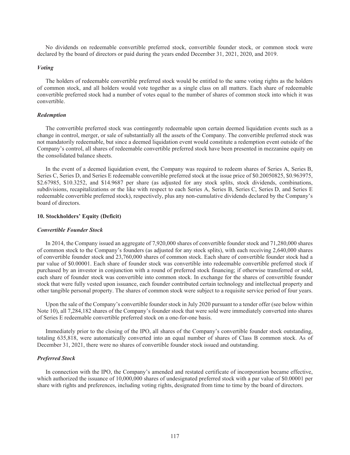No dividends on redeemable convertible preferred stock, convertible founder stock, or common stock were declared by the board of directors or paid during the years ended December 31, 2021, 2020, and 2019.

# *Voting*

The holders of redeemable convertible preferred stock would be entitled to the same voting rights as the holders of common stock, and all holders would vote together as a single class on all matters. Each share of redeemable convertible preferred stock had a number of votes equal to the number of shares of common stock into which it was convertible.

# *Redemption*

The convertible preferred stock was contingently redeemable upon certain deemed liquidation events such as a change in control, merger, or sale of substantially all the assets of the Company. The convertible preferred stock was not mandatorily redeemable, but since a deemed liquidation event would constitute a redemption event outside of the Company's control, all shares of redeemable convertible preferred stock have been presented in mezzanine equity on the consolidated balance sheets.

In the event of a deemed liquidation event, the Company was required to redeem shares of Series A, Series B, Series C, Series D, and Series E redeemable convertible preferred stock at the issue price of \$0.20050825, \$0.963975, \$2.67985, \$10.3252, and \$14.9687 per share (as adjusted for any stock splits, stock dividends, combinations, subdivisions, recapitalizations or the like with respect to each Series A, Series B, Series C, Series D, and Series E redeemable convertible preferred stock), respectively, plus any non-cumulative dividends declared by the Company's board of directors.

## **10. Stockholders' Equity (Deficit)**

#### *Convertible Founder Stock*

In 2014, the Company issued an aggregate of 7,920,000 shares of convertible founder stock and 71,280,000 shares of common stock to the Company's founders (as adjusted for any stock splits), with each receiving 2,640,000 shares of convertible founder stock and 23,760,000 shares of common stock. Each share of convertible founder stock had a par value of \$0.00001. Each share of founder stock was convertible into redeemable convertible preferred stock if purchased by an investor in conjunction with a round of preferred stock financing; if otherwise transferred or sold, each share of founder stock was convertible into common stock. In exchange for the shares of convertible founder stock that were fully vested upon issuance, each founder contributed certain technology and intellectual property and other tangible personal property. The shares of common stock were subject to a requisite service period of four years.

Upon the sale of the Company's convertible founder stock in July 2020 pursuant to a tender offer (see below within Note 10), all 7,284,182 shares of the Company's founder stock that were sold were immediately converted into shares of Series E redeemable convertible preferred stock on a one-for-one basis.

Immediately prior to the closing of the IPO, all shares of the Company's convertible founder stock outstanding, totaling 635,818, were automatically converted into an equal number of shares of Class B common stock. As of December 31, 2021, there were no shares of convertible founder stock issued and outstanding.

## *Preferred Stock*

In connection with the IPO, the Company's amended and restated certificate of incorporation became effective, which authorized the issuance of 10,000,000 shares of undesignated preferred stock with a par value of \$0.00001 per share with rights and preferences, including voting rights, designated from time to time by the board of directors.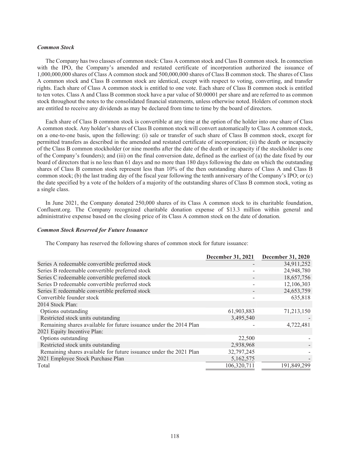### *Common Stock*

The Company has two classes of common stock: Class A common stock and Class B common stock. In connection with the IPO, the Company's amended and restated certificate of incorporation authorized the issuance of 1,000,000,000 shares of Class A common stock and 500,000,000 shares of Class B common stock. The shares of Class A common stock and Class B common stock are identical, except with respect to voting, converting, and transfer rights. Each share of Class A common stock is entitled to one vote. Each share of Class B common stock is entitled to ten votes. Class A and Class B common stock have a par value of \$0.00001 per share and are referred to as common stock throughout the notes to the consolidated financial statements, unless otherwise noted. Holders of common stock are entitled to receive any dividends as may be declared from time to time by the board of directors.

Each share of Class B common stock is convertible at any time at the option of the holder into one share of Class A common stock. Any holder's shares of Class B common stock will convert automatically to Class A common stock, on a one-to-one basis, upon the following: (i) sale or transfer of such share of Class B common stock, except for permitted transfers as described in the amended and restated certificate of incorporation; (ii) the death or incapacity of the Class B common stockholder (or nine months after the date of the death or incapacity if the stockholder is one of the Company's founders); and (iii) on the final conversion date, defined as the earliest of (a) the date fixed by our board of directors that is no less than 61 days and no more than 180 days following the date on which the outstanding shares of Class B common stock represent less than 10% of the then outstanding shares of Class A and Class B common stock; (b) the last trading day of the fiscal year following the tenth anniversary of the Company's IPO; or (c) the date specified by a vote of the holders of a majority of the outstanding shares of Class B common stock, voting as a single class.

In June 2021, the Company donated 250,000 shares of its Class A common stock to its charitable foundation, Confluent.org. The Company recognized charitable donation expense of \$13.3 million within general and administrative expense based on the closing price of its Class A common stock on the date of donation.

#### *Common Stock Reserved for Future Issuance*

The Company has reserved the following shares of common stock for future issuance:

|                                                                    | December 31, 2021 December 31, 2020 |             |
|--------------------------------------------------------------------|-------------------------------------|-------------|
| Series A redeemable convertible preferred stock                    |                                     | 34,911,252  |
| Series B redeemable convertible preferred stock                    |                                     | 24,948,780  |
| Series C redeemable convertible preferred stock                    |                                     | 18,657,756  |
| Series D redeemable convertible preferred stock                    |                                     | 12,106,303  |
| Series E redeemable convertible preferred stock                    |                                     | 24,653,759  |
| Convertible founder stock                                          |                                     | 635,818     |
| 2014 Stock Plan:                                                   |                                     |             |
| Options outstanding                                                | 61,903,883                          | 71,213,150  |
| Restricted stock units outstanding                                 | 3,495,540                           |             |
| Remaining shares available for future issuance under the 2014 Plan |                                     | 4,722,481   |
| 2021 Equity Incentive Plan:                                        |                                     |             |
| Options outstanding                                                | 22,500                              |             |
| Restricted stock units outstanding                                 | 2,938,968                           |             |
| Remaining shares available for future issuance under the 2021 Plan | 32,797,245                          |             |
| 2021 Employee Stock Purchase Plan                                  | 5,162,575                           |             |
| Total                                                              | 106,320,711                         | 191,849,299 |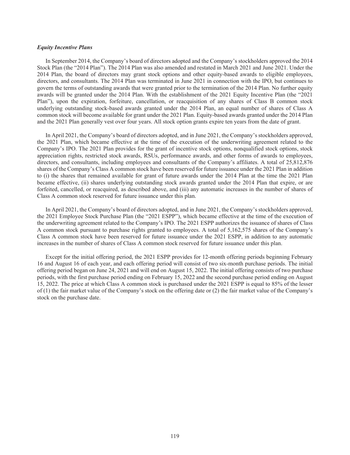## *Equity Incentive Plans*

In September 2014, the Company's board of directors adopted and the Company's stockholders approved the 2014 Stock Plan (the "2014 Plan"). The 2014 Plan was also amended and restated in March 2021 and June 2021. Under the 2014 Plan, the board of directors may grant stock options and other equity-based awards to eligible employees, directors, and consultants. The 2014 Plan was terminated in June 2021 in connection with the IPO, but continues to govern the terms of outstanding awards that were granted prior to the termination of the 2014 Plan. No further equity awards will be granted under the 2014 Plan. With the establishment of the 2021 Equity Incentive Plan (the "2021 Plan"), upon the expiration, forfeiture, cancellation, or reacquisition of any shares of Class B common stock underlying outstanding stock-based awards granted under the 2014 Plan, an equal number of shares of Class A common stock will become available for grant under the 2021 Plan. Equity-based awards granted under the 2014 Plan and the 2021 Plan generally vest over four years. All stock option grants expire ten years from the date of grant.

In April 2021, the Company's board of directors adopted, and in June 2021, the Company's stockholders approved, the 2021 Plan, which became effective at the time of the execution of the underwriting agreement related to the Company's IPO. The 2021 Plan provides for the grant of incentive stock options, nonqualified stock options, stock appreciation rights, restricted stock awards, RSUs, performance awards, and other forms of awards to employees, directors, and consultants, including employees and consultants of the Company's affiliates. A total of 25,812,876 shares of the Company's Class A common stock have been reserved for future issuance under the 2021 Plan in addition to (i) the shares that remained available for grant of future awards under the 2014 Plan at the time the 2021 Plan became effective, (ii) shares underlying outstanding stock awards granted under the 2014 Plan that expire, or are forfeited, cancelled, or reacquired, as described above, and (iii) any automatic increases in the number of shares of Class A common stock reserved for future issuance under this plan.

In April 2021, the Company's board of directors adopted, and in June 2021, the Company's stockholders approved, the 2021 Employee Stock Purchase Plan (the "2021 ESPP"), which became effective at the time of the execution of the underwriting agreement related to the Company's IPO. The 2021 ESPP authorizes the issuance of shares of Class A common stock pursuant to purchase rights granted to employees. A total of 5,162,575 shares of the Company's Class A common stock have been reserved for future issuance under the 2021 ESPP, in addition to any automatic increases in the number of shares of Class A common stock reserved for future issuance under this plan.

Except for the initial offering period, the 2021 ESPP provides for 12-month offering periods beginning February 16 and August 16 of each year, and each offering period will consist of two six-month purchase periods. The initial offering period began on June 24, 2021 and will end on August 15, 2022. The initial offering consists of two purchase periods, with the first purchase period ending on February 15, 2022 and the second purchase period ending on August 15, 2022. The price at which Class A common stock is purchased under the 2021 ESPP is equal to 85% of the lesser of (1) the fair market value of the Company's stock on the offering date or (2) the fair market value of the Company's stock on the purchase date.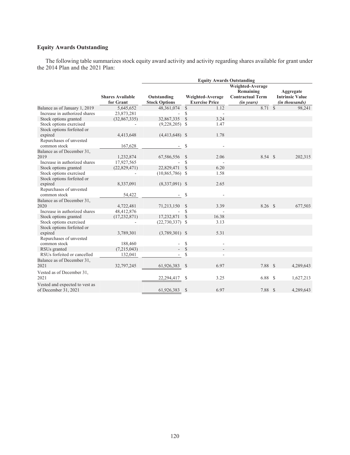# **Equity Awards Outstanding**

The following table summarizes stock equity award activity and activity regarding shares available for grant under the 2014 Plan and the 2021 Plan:

|                                                        |                                      | <b>Equity Awards Outstanding</b>    |               |                                           |                                                                        |  |                                                       |  |
|--------------------------------------------------------|--------------------------------------|-------------------------------------|---------------|-------------------------------------------|------------------------------------------------------------------------|--|-------------------------------------------------------|--|
|                                                        | <b>Shares Available</b><br>for Grant | Outstanding<br><b>Stock Options</b> |               | Weighted-Average<br><b>Exercise Price</b> | Weighted-Average<br>Remaining<br><b>Contractual Term</b><br>(in years) |  | Aggregate<br><b>Intrinsic Value</b><br>(in thousands) |  |
| Balance as of January 1, 2019                          | 5,645,652                            | 48,361,074                          | $\mathbb{S}$  | 1.12                                      | 8.71S                                                                  |  | 98,241                                                |  |
| Increase in authorized shares                          | 23,873,281                           |                                     | \$            | $\overline{\phantom{a}}$                  |                                                                        |  |                                                       |  |
| Stock options granted                                  | (32, 867, 335)                       | 32,867,335                          | $\mathcal{S}$ | 3.24                                      |                                                                        |  |                                                       |  |
| Stock options exercised                                |                                      | $(9,228,205)$ \$                    |               | 1.47                                      |                                                                        |  |                                                       |  |
| Stock options forfeited or<br>expired                  | 4,413,648                            | $(4,413,648)$ \$                    |               | 1.78                                      |                                                                        |  |                                                       |  |
| Repurchases of unvested<br>common stock                | 167,628                              |                                     | \$            |                                           |                                                                        |  |                                                       |  |
| Balance as of December 31,                             |                                      |                                     |               |                                           |                                                                        |  |                                                       |  |
| 2019                                                   | 1,232,874                            | 67,586,556                          | -S            | 2.06                                      | 8.54 \$                                                                |  | 202,315                                               |  |
| Increase in authorized shares                          | 17,927,565                           |                                     | \$            |                                           |                                                                        |  |                                                       |  |
| Stock options granted                                  | (22, 829, 471)                       | 22,829,471                          | $\mathcal{S}$ | 6.20                                      |                                                                        |  |                                                       |  |
| Stock options exercised                                |                                      | $(10,865,786)$ \$                   |               | 1.58                                      |                                                                        |  |                                                       |  |
| Stock options forfeited or                             |                                      |                                     |               |                                           |                                                                        |  |                                                       |  |
| expired                                                | 8,337,091                            | $(8,337,091)$ \$                    |               | 2.65                                      |                                                                        |  |                                                       |  |
| Repurchases of unvested                                |                                      |                                     |               |                                           |                                                                        |  |                                                       |  |
| common stock                                           | 54,422                               |                                     | \$            |                                           |                                                                        |  |                                                       |  |
| Balance as of December 31,                             |                                      |                                     |               |                                           |                                                                        |  |                                                       |  |
| 2020                                                   | 4,722,481                            | 71,213,150                          | <sup>\$</sup> | 3.39                                      | $8.26$ \$                                                              |  | 677,503                                               |  |
| Increase in authorized shares                          | 48,412,876                           |                                     | $\mathbb{S}$  | ÷,                                        |                                                                        |  |                                                       |  |
| Stock options granted                                  | (17, 232, 871)                       | 17,232,871                          | $\mathcal{S}$ | 16.38                                     |                                                                        |  |                                                       |  |
| Stock options exercised                                | $\overline{\phantom{a}}$             | $(22,730,337)$ \$                   |               | 3.13                                      |                                                                        |  |                                                       |  |
| Stock options forfeited or                             |                                      |                                     |               |                                           |                                                                        |  |                                                       |  |
| expired                                                | 3,789,301                            | $(3,789,301)$ \$                    |               | 5.31                                      |                                                                        |  |                                                       |  |
| Repurchases of unvested<br>common stock                | 188,460                              |                                     | <sup>\$</sup> |                                           |                                                                        |  |                                                       |  |
| RSUs granted                                           | (7,215,043)                          | $\sim$                              | $\mathcal{S}$ | $\overline{\phantom{a}}$                  |                                                                        |  |                                                       |  |
| RSUs forfeited or cancelled                            | 132,041                              | $\sim$                              | \$            | $\blacksquare$                            |                                                                        |  |                                                       |  |
| Balance as of December 31,<br>2021                     | 32,797,245                           | 61,926,383                          | $\mathcal{S}$ | 6.97                                      | 7.88 \$                                                                |  | 4,289,643                                             |  |
| Vested as of December 31,<br>2021                      |                                      | 22,294,417                          | S             | 3.25                                      | 6.88S                                                                  |  | 1,627,213                                             |  |
| Vested and expected to vest as<br>of December 31, 2021 |                                      | 61,926,383                          | $\mathcal{S}$ | 6.97                                      | 7.88 \$                                                                |  | 4,289,643                                             |  |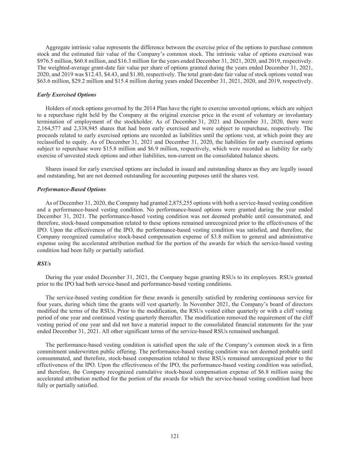Aggregate intrinsic value represents the difference between the exercise price of the options to purchase common stock and the estimated fair value of the Company's common stock. The intrinsic value of options exercised was \$976.5 million, \$60.8 million, and \$16.3 million for the years ended December 31, 2021, 2020, and 2019, respectively. The weighted-average grant-date fair value per share of options granted during the years ended December 31, 2021, 2020, and 2019 was \$12.43, \$4.43, and \$1.80, respectively. The total grant-date fair value of stock options vested was \$63.6 million, \$29.2 million and \$15.4 million during years ended December 31, 2021, 2020, and 2019, respectively.

# *Early Exercised Options*

Holders of stock options governed by the 2014 Plan have the right to exercise unvested options, which are subject to a repurchase right held by the Company at the original exercise price in the event of voluntary or involuntary termination of employment of the stockholder. As of December 31, 2021 and December 31, 2020, there were 2,164,577 and 2,338,945 shares that had been early exercised and were subject to repurchase, respectively. The proceeds related to early exercised options are recorded as liabilities until the options vest, at which point they are reclassified to equity. As of December 31, 2021 and December 31, 2020, the liabilities for early exercised options subject to repurchase were \$15.8 million and \$6.9 million, respectively, which were recorded as liability for early exercise of unvested stock options and other liabilities, non-current on the consolidated balance sheets.

Shares issued for early exercised options are included in issued and outstanding shares as they are legally issued and outstanding, but are not deemed outstanding for accounting purposes until the shares vest.

# *Performance-Based Options*

As of December 31, 2020, the Company had granted 2,875,255 options with both a service-based vesting condition and a performance-based vesting condition. No performance-based options were granted during the year ended December 31, 2021. The performance-based vesting condition was not deemed probable until consummated, and therefore, stock-based compensation related to these options remained unrecognized prior to the effectiveness of the IPO. Upon the effectiveness of the IPO, the performance-based vesting condition was satisfied, and therefore, the Company recognized cumulative stock-based compensation expense of \$3.8 million to general and administrative expense using the accelerated attribution method for the portion of the awards for which the service-based vesting condition had been fully or partially satisfied.

# *RSUs*

During the year ended December 31, 2021, the Company began granting RSUs to its employees. RSUs granted prior to the IPO had both service-based and performance-based vesting conditions.

The service-based vesting condition for these awards is generally satisfied by rendering continuous service for four years, during which time the grants will vest quarterly. In November 2021, the Company's board of directors modified the terms of the RSUs. Prior to the modification, the RSUs vested either quarterly or with a cliff vesting period of one year and continued vesting quarterly thereafter. The modification removed the requirement of the cliff vesting period of one year and did not have a material impact to the consolidated financial statements for the year ended December 31, 2021. All other significant terms of the service-based RSUs remained unchanged.

The performance-based vesting condition is satisfied upon the sale of the Company's common stock in a firm commitment underwritten public offering. The performance-based vesting condition was not deemed probable until consummated, and therefore, stock-based compensation related to these RSUs remained unrecognized prior to the effectiveness of the IPO. Upon the effectiveness of the IPO, the performance-based vesting condition was satisfied, and therefore, the Company recognized cumulative stock-based compensation expense of \$6.8 million using the accelerated attribution method for the portion of the awards for which the service-based vesting condition had been fully or partially satisfied.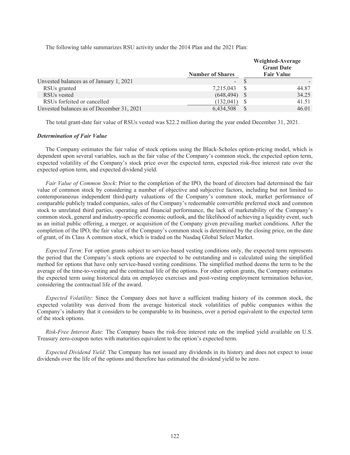The following table summarizes RSU activity under the 2014 Plan and the 2021 Plan:

|                                           | <b>Number of Shares</b> |    | Weighted-Average<br><b>Grant Date</b><br><b>Fair Value</b> |
|-------------------------------------------|-------------------------|----|------------------------------------------------------------|
| Unvested balances as of January 1, 2021   | -                       |    |                                                            |
| RSUs granted                              | 7,215,043               | -S | 44.87                                                      |
| RSU <sub>s</sub> vested                   | (648, 494)              |    | 34.25                                                      |
| RSUs forfeited or cancelled               | (132, 041)              |    | 41.51                                                      |
| Unvested balances as of December 31, 2021 | 6,434,508               |    | 46.01                                                      |

The total grant-date fair value of RSUs vested was \$22.2 million during the year ended December 31, 2021.

# *Determination of Fair Value*

The Company estimates the fair value of stock options using the Black-Scholes option-pricing model, which is dependent upon several variables, such as the fair value of the Company's common stock, the expected option term, expected volatility of the Company's stock price over the expected term, expected risk-free interest rate over the expected option term, and expected dividend yield.

*Fair Value of Common Stock*: Prior to the completion of the IPO, the board of directors had determined the fair value of common stock by considering a number of objective and subjective factors, including but not limited to contemporaneous independent third-party valuations of the Company's common stock, market performance of comparable publicly traded companies, sales of the Company's redeemable convertible preferred stock and common stock to unrelated third parties, operating and financial performance, the lack of marketability of the Company's common stock, general and industry-specific economic outlook, and the likelihood of achieving a liquidity event, such as an initial public offering, a merger, or acquisition of the Company given prevailing market conditions. After the completion of the IPO, the fair value of the Company's common stock is determined by the closing price, on the date of grant, of its Class A common stock, which is traded on the Nasdaq Global Select Market.

*Expected Term*: For option grants subject to service-based vesting conditions only, the expected term represents the period that the Company's stock options are expected to be outstanding and is calculated using the simplified method for options that have only service-based vesting conditions. The simplified method deems the term to be the average of the time-to-vesting and the contractual life of the options. For other option grants, the Company estimates the expected term using historical data on employee exercises and post-vesting employment termination behavior, considering the contractual life of the award.

*Expected Volatility*: Since the Company does not have a sufficient trading history of its common stock, the expected volatility was derived from the average historical stock volatilities of public companies within the Company's industry that it considers to be comparable to its business, over a period equivalent to the expected term of the stock options.

*Risk-Free Interest Rate*: The Company bases the risk-free interest rate on the implied yield available on U.S. Treasury zero-coupon notes with maturities equivalent to the option's expected term.

*Expected Dividend Yield*: The Company has not issued any dividends in its history and does not expect to issue dividends over the life of the options and therefore has estimated the dividend yield to be zero.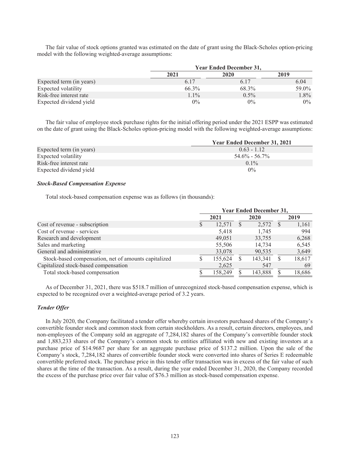The fair value of stock options granted was estimated on the date of grant using the Black-Scholes option-pricing model with the following weighted-average assumptions:

|                          |         | <b>Year Ended December 31,</b> |         |  |  |  |  |
|--------------------------|---------|--------------------------------|---------|--|--|--|--|
|                          | 2021    | 2020                           | 2019    |  |  |  |  |
| Expected term (in years) | 6.17    | 6.17                           | 6.04    |  |  |  |  |
| Expected volatility      | 66.3%   | 68.3%                          | 59.0%   |  |  |  |  |
| Risk-free interest rate  | $1.1\%$ | $0.5\%$                        | $1.8\%$ |  |  |  |  |
| Expected dividend yield  | $0\%$   | $0\%$                          | $0\%$   |  |  |  |  |

The fair value of employee stock purchase rights for the initial offering period under the 2021 ESPP was estimated on the date of grant using the Black-Scholes option-pricing model with the following weighted-average assumptions:

|                          | <b>Year Ended December 31, 2021</b> |
|--------------------------|-------------------------------------|
| Expected term (in years) | $0.63 - 1.12$                       |
| Expected volatility      | $54.6\% - 56.7\%$                   |
| Risk-free interest rate  | $0.1\%$                             |
| Expected dividend yield  | $0\%$                               |

## *Stock-Based Compensation Expense*

Total stock-based compensation expense was as follows (in thousands):

|                                                      | <b>Year Ended December 31,</b> |         |   |         |    |        |
|------------------------------------------------------|--------------------------------|---------|---|---------|----|--------|
|                                                      |                                | 2021    |   | 2020    |    | 2019   |
| Cost of revenue - subscription                       | S                              | 12.571  | S | 2,572   | -S | 1,161  |
| Cost of revenue - services                           |                                | 5,418   |   | 1,745   |    | 994    |
| Research and development                             |                                | 49.051  |   | 33,755  |    | 6,268  |
| Sales and marketing                                  |                                | 55,506  |   | 14,734  |    | 6,545  |
| General and administrative                           |                                | 33,078  |   | 90,535  |    | 3,649  |
| Stock-based compensation, net of amounts capitalized |                                | 155,624 |   | 143,341 |    | 18,617 |
| Capitalized stock-based compensation                 |                                | 2,625   |   | 547     |    | 69     |
| Total stock-based compensation                       |                                | 158,249 |   | 143,888 |    | 18,686 |

As of December 31, 2021, there was \$518.7 million of unrecognized stock-based compensation expense, which is expected to be recognized over a weighted-average period of 3.2 years.

# *Tender Offer*

In July 2020, the Company facilitated a tender offer whereby certain investors purchased shares of the Company's convertible founder stock and common stock from certain stockholders. As a result, certain directors, employees, and non-employees of the Company sold an aggregate of 7,284,182 shares of the Company's convertible founder stock and 1,883,233 shares of the Company's common stock to entities affiliated with new and existing investors at a purchase price of \$14.9687 per share for an aggregate purchase price of \$137.2 million. Upon the sale of the Company's stock, 7,284,182 shares of convertible founder stock were converted into shares of Series E redeemable convertible preferred stock. The purchase price in this tender offer transaction was in excess of the fair value of such shares at the time of the transaction. As a result, during the year ended December 31, 2020, the Company recorded the excess of the purchase price over fair value of \$76.3 million as stock-based compensation expense.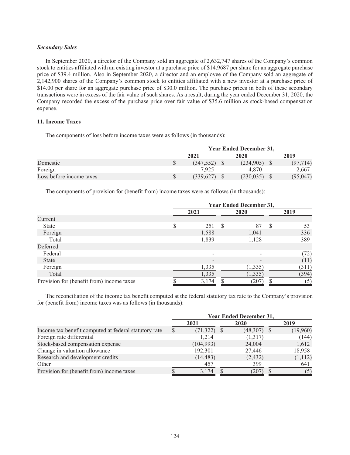## *Secondary Sales*

In September 2020, a director of the Company sold an aggregate of 2,632,747 shares of the Company's common stock to entities affiliated with an existing investor at a purchase price of \$14.9687 per share for an aggregate purchase price of \$39.4 million. Also in September 2020, a director and an employee of the Company sold an aggregate of 2,142,900 shares of the Company's common stock to entities affiliated with a new investor at a purchase price of \$14.00 per share for an aggregate purchase price of \$30.0 million. The purchase prices in both of these secondary transactions were in excess of the fair value of such shares. As a result, during the year ended December 31, 2020, the Company recorded the excess of the purchase price over fair value of \$35.6 million as stock-based compensation expense.

# **11. Income Taxes**

The components of loss before income taxes were as follows (in thousands):

|                          | <b>Year Ended December 31,</b> |  |            |  |          |  |  |  |
|--------------------------|--------------------------------|--|------------|--|----------|--|--|--|
|                          | 2021                           |  | 2020       |  | 2019     |  |  |  |
| Domestic                 | (347, 552)                     |  | (234, 905) |  | (97.714) |  |  |  |
| Foreign                  | 7.925                          |  | 4.870      |  | 2,667    |  |  |  |
| Loss before income taxes | 339.627                        |  | (230, 035) |  | (95,047) |  |  |  |

The components of provision for (benefit from) income taxes were as follows (in thousands):

|                                           | <b>Year Ended December 31,</b> |       |   |          |   |       |  |  |
|-------------------------------------------|--------------------------------|-------|---|----------|---|-------|--|--|
|                                           |                                | 2021  |   | 2020     |   | 2019  |  |  |
| Current                                   |                                |       |   |          |   |       |  |  |
| <b>State</b>                              | \$                             | 251   | S | 87       | S | 53    |  |  |
| Foreign                                   |                                | 1,588 |   | 1,041    |   | 336   |  |  |
| Total                                     |                                | 1,839 |   | 1,128    |   | 389   |  |  |
| Deferred                                  |                                |       |   |          |   |       |  |  |
| Federal                                   |                                |       |   |          |   | (72)  |  |  |
| State                                     |                                |       |   |          |   | (11)  |  |  |
| Foreign                                   |                                | 1,335 |   | (1,335)  |   | (311) |  |  |
| Total                                     |                                | 1,335 |   | (1, 335) |   | (394) |  |  |
| Provision for (benefit from) income taxes |                                | 3,174 |   | (207)    |   | (5)   |  |  |

The reconciliation of the income tax benefit computed at the federal statutory tax rate to the Company's provision for (benefit from) income taxes was as follows (in thousands):

|                                                       | <b>Year Ended December 31,</b> |            |  |          |  |          |  |
|-------------------------------------------------------|--------------------------------|------------|--|----------|--|----------|--|
|                                                       |                                | 2021       |  | 2020     |  | 2019     |  |
| Income tax benefit computed at federal statutory rate |                                | (71, 322)  |  | (48,307) |  | (19,960) |  |
| Foreign rate differential                             |                                | 1.214      |  | (1,317)  |  | (144)    |  |
| Stock-based compensation expense                      |                                | (104, 993) |  | 24,004   |  | 1,612    |  |
| Change in valuation allowance                         |                                | 192,301    |  | 27,446   |  | 18,958   |  |
| Research and development credits                      |                                | (14, 483)  |  | (2, 432) |  | (1,112)  |  |
| Other                                                 |                                | 457        |  | 399      |  | 641      |  |
| Provision for (benefit from) income taxes             |                                | 3,174      |  | ,207     |  | (5)      |  |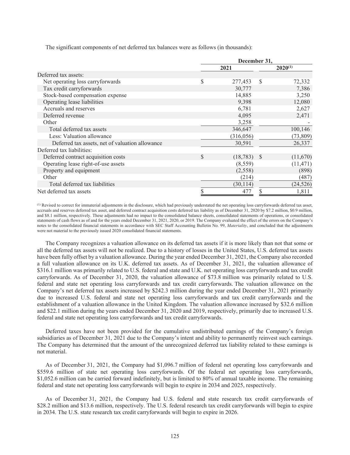The significant components of net deferred tax balances were as follows (in thousands):

|                                                 | December 31. |            |              |              |  |
|-------------------------------------------------|--------------|------------|--------------|--------------|--|
|                                                 |              | 2021       |              | $2020^{(1)}$ |  |
| Deferred tax assets:                            |              |            |              |              |  |
| Net operating loss carryforwards                | \$           | 277,453    | <sup>S</sup> | 72,332       |  |
| Tax credit carryforwards                        |              | 30,777     |              | 7,386        |  |
| Stock-based compensation expense                |              | 14,885     |              | 3,250        |  |
| Operating lease liabilities                     |              | 9,398      |              | 12,080       |  |
| Accruals and reserves                           |              | 6,781      |              | 2,627        |  |
| Deferred revenue                                |              | 4,095      |              | 2,471        |  |
| Other                                           |              | 3,258      |              |              |  |
| Total deferred tax assets                       |              | 346,647    |              | 100,146      |  |
| Less: Valuation allowance                       |              | (316, 056) |              | (73, 809)    |  |
| Deferred tax assets, net of valuation allowance |              | 30,591     |              | 26,337       |  |
| Deferred tax liabilities:                       |              |            |              |              |  |
| Deferred contract acquisition costs             | \$           | (18, 783)  | <b>S</b>     | (11,670)     |  |
| Operating lease right-of-use assets             |              | (8, 559)   |              | (11, 471)    |  |
| Property and equipment                          |              | (2,558)    |              | (898)        |  |
| Other                                           |              | (214)      |              | (487)        |  |
| Total deferred tax liabilities                  |              | (30, 114)  |              | (24, 526)    |  |
| Net deferred tax assets                         | \$           | 477        | S            | 1,811        |  |

(1) Revised to correct for immaterial adjustments in the disclosure, which had previously understated the net operating loss carryforwards deferred tax asset, accruals and reserves deferred tax asset, and deferred contract acquisition costs deferred tax liability as of December 31, 2020 by \$7.2 million, \$0.9 million, and \$8.1 million, respectively. These adjustments had no impact to the consolidated balance sheets, consolidated statements of operations, or consolidated statements of cash flows as of and for the years ended December 31, 2021, 2020, or 2019. The Company evaluated the effect of the errors on the Company's notes to the consolidated financial statements in accordance with SEC Staff Accounting Bulletin No. 99, *Materiality*, and concluded that the adjustments were not material to the previously issued 2020 consolidated financial statements.

The Company recognizes a valuation allowance on its deferred tax assets if it is more likely than not that some or all the deferred tax assets will not be realized. Due to a history of losses in the United States, U.S. deferred tax assets have been fully offset by a valuation allowance. During the year ended December 31, 2021, the Company also recorded a full valuation allowance on its U.K. deferred tax assets. As of December 31, 2021, the valuation allowance of \$316.1 million was primarily related to U.S. federal and state and U.K. net operating loss carryforwards and tax credit carryforwards. As of December 31, 2020, the valuation allowance of \$73.8 million was primarily related to U.S. federal and state net operating loss carryforwards and tax credit carryforwards. The valuation allowance on the Company's net deferred tax assets increased by \$242.3 million during the year ended December 31, 2021 primarily due to increased U.S. federal and state net operating loss carryforwards and tax credit carryforwards and the establishment of a valuation allowance in the United Kingdom. The valuation allowance increased by \$32.6 million and \$22.1 million during the years ended December 31, 2020 and 2019, respectively, primarily due to increased U.S. federal and state net operating loss carryforwards and tax credit carryforwards.

Deferred taxes have not been provided for the cumulative undistributed earnings of the Company's foreign subsidiaries as of December 31, 2021 due to the Company's intent and ability to permanently reinvest such earnings. The Company has determined that the amount of the unrecognized deferred tax liability related to these earnings is not material.

As of December 31, 2021, the Company had \$1,096.7 million of federal net operating loss carryforwards and \$559.6 million of state net operating loss carryforwards. Of the federal net operating loss carryforwards, \$1,052.6 million can be carried forward indefinitely, but is limited to 80% of annual taxable income. The remaining federal and state net operating loss carryforwards will begin to expire in 2034 and 2025, respectively.

As of December 31, 2021, the Company had U.S. federal and state research tax credit carryforwards of \$28.2 million and \$13.6 million, respectively. The U.S. federal research tax credit carryforwards will begin to expire in 2034. The U.S. state research tax credit carryforwards will begin to expire in 2026.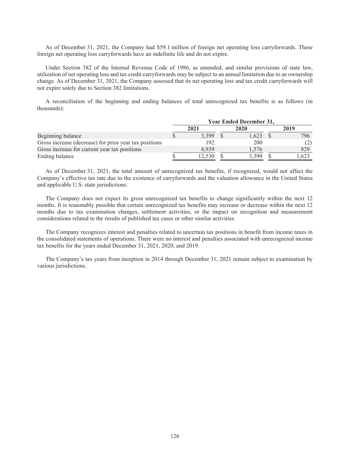As of December 31, 2021, the Company had \$59.1 million of foreign net operating loss carryforwards. These foreign net operating loss carryforwards have an indefinite life and do not expire.

Under Section 382 of the Internal Revenue Code of 1986, as amended, and similar provisions of state law, utilization of net operating loss and tax credit carryforwards may be subject to an annual limitation due to an ownership change. As of December 31, 2021, the Company assessed that its net operating loss and tax credit carryforwards will not expire solely due to Section 382 limitations.

A reconciliation of the beginning and ending balances of total unrecognized tax benefits is as follows (in thousands):

|                                                        |      |        | <b>Year Ended December 31.</b> |      |
|--------------------------------------------------------|------|--------|--------------------------------|------|
|                                                        | 2021 |        | 2020                           | 2019 |
| Beginning balance                                      |      | 3.399  | 1.623                          | 796  |
| Gross increase (decrease) for prior year tax positions |      | 192    | 200                            | (2)  |
| Gross increase for current year tax positions          |      | 8939   | 1.576                          | 829  |
| Ending balance                                         |      | 12.530 | 3.399                          | .623 |

As of December 31, 2021, the total amount of unrecognized tax benefits, if recognized, would not affect the Company's effective tax rate due to the existence of carryforwards and the valuation allowance in the United States and applicable U.S. state jurisdictions.

The Company does not expect its gross unrecognized tax benefits to change significantly within the next 12 months. It is reasonably possible that certain unrecognized tax benefits may increase or decrease within the next 12 months due to tax examination changes, settlement activities, or the impact on recognition and measurement considerations related to the results of published tax cases or other similar activities.

The Company recognizes interest and penalties related to uncertain tax positions in benefit from income taxes in the consolidated statements of operations. There were no interest and penalties associated with unrecognized income tax benefits for the years ended December 31, 2021, 2020, and 2019.

The Company's tax years from inception in 2014 through December 31, 2021 remain subject to examination by various jurisdictions.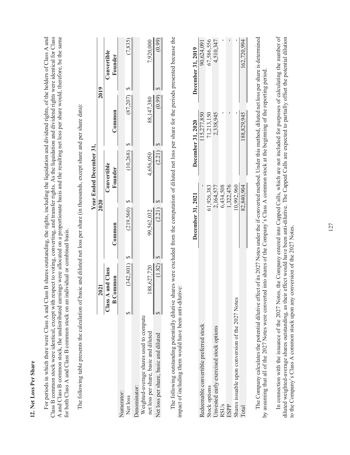| è<br>$\frac{1}{2}$ |
|--------------------|
| Í                  |
| 2                  |
|                    |
| Ò<br>י             |
| ër                 |
|                    |
|                    |
|                    |
| <b>OSS</b>         |
| ₹                  |
|                    |
|                    |
|                    |
|                    |
|                    |
|                    |
|                    |
|                    |
|                    |

Class B common stock were identical, except with respect to voting, converting, and transfer rights. As the liquidation and dividend rights were identical for Class A and Class B common stock, the undistributed earnings were allocated on a proportionate basis and the resulting net loss per share would, therefore, be the same For periods in which there were Class A and Class B shares outstanding, the rights, including the liquidation and dividend rights, of the holders of Class A and For periods in which there were Class A and Class B shares outstanding, the rights, including the liquidation and dividend rights, of the holders of Class A and Class B common stock were identical, except with respect to voting, converting, and transfer rights. As the liquidation and dividend rights were identical for Class A and Class B common stock, the undistributed earnings were allocated on a proportionate basis and the resulting net loss per share would, therefore, be the same for both Class A and Class B common stock on an individual or combined basis. for both Class A and Class B common stock on an individual or combined basis.

|                                         |                   |            | Year Ended December 31, |            |             |
|-----------------------------------------|-------------------|------------|-------------------------|------------|-------------|
|                                         | 2021              | 2020       |                         | 2019       |             |
|                                         | Class A and Class |            | Convertible             |            | Convertible |
|                                         | <b>B</b> Common   | Common     | Founder                 | Common     | Founder     |
| Vumerator:                              |                   |            |                         |            |             |
| Net loss                                | (342, 801)        | (219,560)  | (10, 268)               | (87,207)   | (7, 835)    |
| Jenominator:                            |                   |            |                         |            |             |
| Weighted-average shares used to compute |                   |            |                         |            |             |
| net loss per share, basic and diluted   | 188,627,720       | 99,562,032 | 4,656,050               | 88,147,380 | 7,920,000   |
| Net loss per share, basic and diluted   | (1.82)            | (2.21)     | (2.2)                   |            | (66)        |

 $\frac{35}{2}$ 

The following table presents the calculation of basic and diluted net loss per share (in thousands, except share and per share data): The following table presents the calculation of basic and diluted net loss per share (in thousands, except share and per share data): The following outstanding potentially dilutive shares were excluded from the computation of diluted net loss per share for the periods presented because the The following outstanding potentially dilutive shares were excluded from the computation of diluted net loss per share for the periods presented because the impact of including them would have been anti-dilutive: impact of including them would have been anti-dilutive:

|                                                  | December 31, 2021 | <b>December 31, 2020</b> | December 31, 2019 |
|--------------------------------------------------|-------------------|--------------------------|-------------------|
| cedeemable convertible preferred stock           |                   | 15,277,850               | 90,624,091        |
| stock options                                    | 51,926,383        | 71,213,150               | 67,586,556        |
| Jnvested early exercised stock options           | 2,164,577         | 2,338,945                | 4,510,347         |
| RSUs                                             | 6,434,508         |                          |                   |
| ESPP                                             | 1,322,476         |                          |                   |
| hares issuable upon conversion of the 2027 Notes | 0,992,960         |                          |                   |
| <b>Total</b>                                     | 82,840,904        | 188,829,94               | 162,720,994       |
|                                                  |                   |                          |                   |

The Company calculates the potential dilutive effect of its 2027 Notes under the if-converted method. Under this method, diluted net loss per share is determined The Company calculates the potential dilutive effect of its 2027 Notes under the if-converted method. Under this method, diluted net loss per share is determined by assuming that all of the 2027 Notes were converted into shares of the Company's Class A common stock at the beginning of the reporting period. by assuming that all of the 2027 Notes were converted into shares of the Company's Class A common stock at the beginning of the reporting period In connection with the issuance of the 2027 Notes, the Company entered into Capped Calls, which are not included for purposes of calculating the number of In connection with the issuance of the 2027 Notes, the Company entered into Capped Calls, which are not included for purposes of calculating the number of diluted weighted-average shares outstanding, as their effect would have been anti-dilutive. The Capped Calls are expected to partially offset the potential dilution diluted weighted-average shares outstanding, as their effect would have been anti-dilutive. The Capped Calls are expected to partially offset the potential dilution to the Company's Class A common stock upon any conversion of the 2027 Notes to the Company's Class A common stock upon any conversion of the 2027 Notes.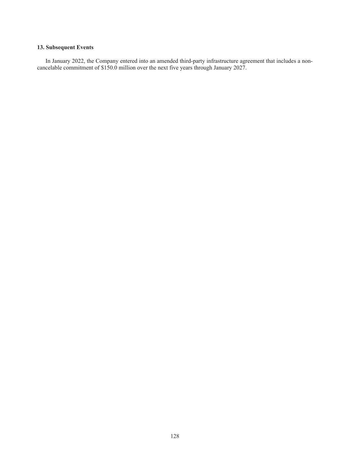# **13. Subsequent Events**

In January 2022, the Company entered into an amended third-party infrastructure agreement that includes a noncancelable commitment of \$150.0 million over the next five years through January 2027.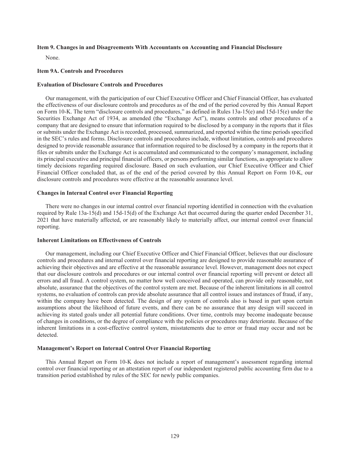## **Item 9. Changes in and Disagreements With Accountants on Accounting and Financial Disclosure**

None.

#### **Item 9A. Controls and Procedures**

### **Evaluation of Disclosure Controls and Procedures**

Our management, with the participation of our Chief Executive Officer and Chief Financial Officer, has evaluated the effectiveness of our disclosure controls and procedures as of the end of the period covered by this Annual Report on Form 10-K. The term "disclosure controls and procedures," as defined in Rules 13a-15(e) and 15d-15(e) under the Securities Exchange Act of 1934, as amended (the "Exchange Act"), means controls and other procedures of a company that are designed to ensure that information required to be disclosed by a company in the reports that it files or submits under the Exchange Act is recorded, processed, summarized, and reported within the time periods specified in the SEC's rules and forms. Disclosure controls and procedures include, without limitation, controls and procedures designed to provide reasonable assurance that information required to be disclosed by a company in the reports that it files or submits under the Exchange Act is accumulated and communicated to the company's management, including its principal executive and principal financial officers, or persons performing similar functions, as appropriate to allow timely decisions regarding required disclosure. Based on such evaluation, our Chief Executive Officer and Chief Financial Officer concluded that, as of the end of the period covered by this Annual Report on Form 10-K, our disclosure controls and procedures were effective at the reasonable assurance level.

# **Changes in Internal Control over Financial Reporting**

There were no changes in our internal control over financial reporting identified in connection with the evaluation required by Rule 13a-15(d) and 15d-15(d) of the Exchange Act that occurred during the quarter ended December 31, 2021 that have materially affected, or are reasonably likely to materially affect, our internal control over financial reporting.

#### **Inherent Limitations on Effectiveness of Controls**

Our management, including our Chief Executive Officer and Chief Financial Officer, believes that our disclosure controls and procedures and internal control over financial reporting are designed to provide reasonable assurance of achieving their objectives and are effective at the reasonable assurance level. However, management does not expect that our disclosure controls and procedures or our internal control over financial reporting will prevent or detect all errors and all fraud. A control system, no matter how well conceived and operated, can provide only reasonable, not absolute, assurance that the objectives of the control system are met. Because of the inherent limitations in all control systems, no evaluation of controls can provide absolute assurance that all control issues and instances of fraud, if any, within the company have been detected. The design of any system of controls also is based in part upon certain assumptions about the likelihood of future events, and there can be no assurance that any design will succeed in achieving its stated goals under all potential future conditions. Over time, controls may become inadequate because of changes in conditions, or the degree of compliance with the policies or procedures may deteriorate. Because of the inherent limitations in a cost-effective control system, misstatements due to error or fraud may occur and not be detected.

#### **Management's Report on Internal Control Over Financial Reporting**

This Annual Report on Form 10-K does not include a report of management's assessment regarding internal control over financial reporting or an attestation report of our independent registered public accounting firm due to a transition period established by rules of the SEC for newly public companies.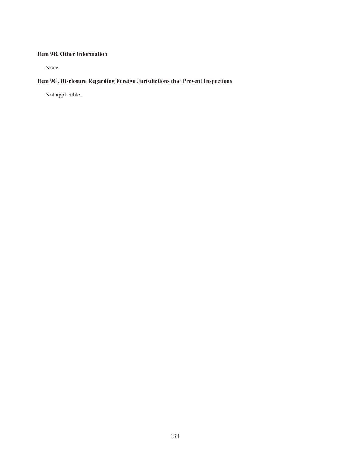# **Item 9B. Other Information**

None.

# **Item 9C. Disclosure Regarding Foreign Jurisdictions that Prevent Inspections**

Not applicable.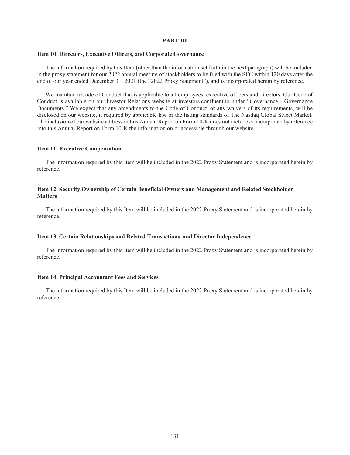### **PART III**

# **Item 10. Directors, Executive Officers, and Corporate Governance**

The information required by this Item (other than the information set forth in the next paragraph) will be included in the proxy statement for our 2022 annual meeting of stockholders to be filed with the SEC within 120 days after the end of our year ended December 31, 2021 (the "2022 Proxy Statement"), and is incorporated herein by reference.

We maintain a Code of Conduct that is applicable to all employees, executive officers and directors. Our Code of Conduct is available on our Investor Relations website at investors.confluent.io under "Governance - Governance Documents." We expect that any amendments to the Code of Conduct, or any waivers of its requirements, will be disclosed on our website, if required by applicable law or the listing standards of The Nasdaq Global Select Market. The inclusion of our website address in this Annual Report on Form 10-K does not include or incorporate by reference into this Annual Report on Form 10-K the information on or accessible through our website.

# **Item 11. Executive Compensation**

The information required by this Item will be included in the 2022 Proxy Statement and is incorporated herein by reference.

# **Item 12. Security Ownership of Certain Beneficial Owners and Management and Related Stockholder Matters**

The information required by this Item will be included in the 2022 Proxy Statement and is incorporated herein by reference.

## **Item 13. Certain Relationships and Related Transactions, and Director Independence**

The information required by this Item will be included in the 2022 Proxy Statement and is incorporated herein by reference.

#### **Item 14. Principal Accountant Fees and Services**

The information required by this Item will be included in the 2022 Proxy Statement and is incorporated herein by reference.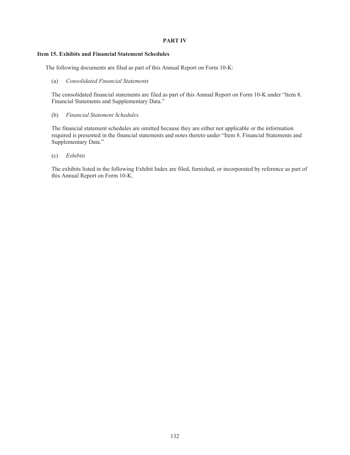# **PART IV**

# **Item 15. Exhibits and Financial Statement Schedules**

The following documents are filed as part of this Annual Report on Form 10-K:

(a) *Consolidated Financial Statements*

The consolidated financial statements are filed as part of this Annual Report on Form 10-K under "Item 8. Financial Statements and Supplementary Data."

(b) *Financial Statement Schedules*

The financial statement schedules are omitted because they are either not applicable or the information required is presented in the financial statements and notes thereto under "Item 8. Financial Statements and Supplementary Data."

(c) *Exhibits*

The exhibits listed in the following Exhibit Index are filed, furnished, or incorporated by reference as part of this Annual Report on Form 10-K.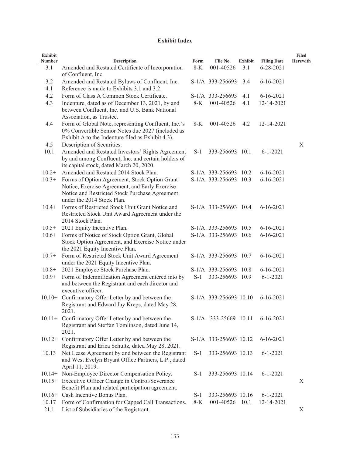# **Exhibit Index**

| <b>Exhibit</b> |                                                                                                                                                                                 |       |                        |                |                    | <b>Filed</b>    |
|----------------|---------------------------------------------------------------------------------------------------------------------------------------------------------------------------------|-------|------------------------|----------------|--------------------|-----------------|
| <b>Number</b>  | <b>Description</b>                                                                                                                                                              | Form  | File No.               | <b>Exhibit</b> | <b>Filing Date</b> | <b>Herewith</b> |
| 3.1            | Amended and Restated Certificate of Incorporation<br>of Confluent, Inc.                                                                                                         | $8-K$ | 001-40526              | 3.1            | $6 - 28 - 2021$    |                 |
| 3.2            | Amended and Restated Bylaws of Confluent, Inc.                                                                                                                                  |       | S-1/A 333-256693       | 3.4            | $6 - 16 - 2021$    |                 |
| 4.1            | Reference is made to Exhibits 3.1 and 3.2.                                                                                                                                      |       |                        |                |                    |                 |
| 4.2            | Form of Class A Common Stock Certificate.                                                                                                                                       |       | S-1/A 333-256693       | 4.1            | $6 - 16 - 2021$    |                 |
| 4.3            | Indenture, dated as of December 13, 2021, by and<br>between Confluent, Inc. and U.S. Bank National<br>Association, as Trustee.                                                  | $8-K$ | 001-40526              | 4.1            | 12-14-2021         |                 |
| 4.4            | Form of Global Note, representing Confluent, Inc.'s<br>0% Convertible Senior Notes due 2027 (included as<br>Exhibit A to the Indenture filed as Exhibit 4.3).                   | $8-K$ | 001-40526              | 4.2            | 12-14-2021         |                 |
| 4.5            | Description of Securities.                                                                                                                                                      |       |                        |                |                    | X               |
| 10.1           | Amended and Restated Investors' Rights Agreement<br>by and among Confluent, Inc. and certain holders of<br>its capital stock, dated March 20, 2020.                             | $S-1$ | 333-256693 10.1        |                | $6 - 1 - 2021$     |                 |
| $10.2+$        | Amended and Restated 2014 Stock Plan.                                                                                                                                           |       | S-1/A 333-256693 10.2  |                | $6 - 16 - 2021$    |                 |
| $10.3+$        | Forms of Option Agreement, Stock Option Grant<br>Notice, Exercise Agreement, and Early Exercise<br>Notice and Restricted Stock Purchase Agreement<br>under the 2014 Stock Plan. |       | S-1/A 333-256693 10.3  |                | $6 - 16 - 2021$    |                 |
| $10.4+$        | Forms of Restricted Stock Unit Grant Notice and<br>Restricted Stock Unit Award Agreement under the<br>2014 Stock Plan.                                                          |       | S-1/A 333-256693 10.4  |                | $6 - 16 - 2021$    |                 |
| $10.5+$        | 2021 Equity Incentive Plan.                                                                                                                                                     |       | S-1/A 333-256693 10.5  |                | $6 - 16 - 2021$    |                 |
| $10.6+$        | Forms of Notice of Stock Option Grant, Global<br>Stock Option Agreement, and Exercise Notice under<br>the 2021 Equity Incentive Plan.                                           |       | S-1/A 333-256693 10.6  |                | $6 - 16 - 2021$    |                 |
| $10.7+$        | Form of Restricted Stock Unit Award Agreement<br>under the 2021 Equity Incentive Plan.                                                                                          |       | S-1/A 333-256693 10.7  |                | $6 - 16 - 2021$    |                 |
| $10.8+$        | 2021 Employee Stock Purchase Plan.                                                                                                                                              |       | S-1/A 333-256693 10.8  |                | $6 - 16 - 2021$    |                 |
| $10.9+$        | Form of Indemnification Agreement entered into by<br>and between the Registrant and each director and<br>executive officer.                                                     | $S-1$ | 333-256693 10.9        |                | $6 - 1 - 2021$     |                 |
|                | 10.10+ Confirmatory Offer Letter by and between the<br>Registrant and Edward Jay Kreps, dated May 28,<br>2021.                                                                  |       | S-1/A 333-256693 10.10 |                | $6 - 16 - 2021$    |                 |
|                | 10.11+ Confirmatory Offer Letter by and between the<br>Registrant and Steffan Tomlinson, dated June 14,<br>2021.                                                                |       | S-1/A 333-25669 10.11  |                | $6 - 16 - 2021$    |                 |
|                | 10.12+ Confirmatory Offer Letter by and between the<br>Registrant and Erica Schultz, dated May 28, 2021.                                                                        |       | S-1/A 333-256693 10.12 |                | $6 - 16 - 2021$    |                 |
| 10.13          | Net Lease Agreement by and between the Registrant<br>and West Evelyn Bryant Office Partners, L.P., dated<br>April 11, 2019.                                                     | $S-1$ | 333-256693 10.13       |                | $6 - 1 - 2021$     |                 |
|                | 10.14+ Non-Employee Director Compensation Policy.                                                                                                                               | $S-1$ | 333-256693 10.14       |                | $6 - 1 - 2021$     |                 |
|                | 10.15+ Executive Officer Change in Control/Severance<br>Benefit Plan and related participation agreement.                                                                       |       |                        |                |                    | X               |
| $10.16+$       | Cash Incentive Bonus Plan.                                                                                                                                                      | $S-1$ | 333-256693 10.16       |                | $6 - 1 - 2021$     |                 |
| 10.17<br>21.1  | Form of Confirmation for Capped Call Transactions.<br>List of Subsidiaries of the Registrant.                                                                                   | $8-K$ | 001-40526              | 10.1           | 12-14-2021         | X               |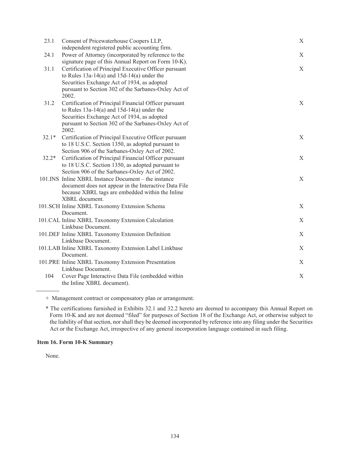| 23.1    | Consent of Pricewaterhouse Coopers LLP,<br>independent registered public accounting firm.               | X |
|---------|---------------------------------------------------------------------------------------------------------|---|
| 24.1    | Power of Attorney (incorporated by reference to the                                                     | X |
|         | signature page of this Annual Report on Form 10-K).                                                     |   |
| 31.1    | Certification of Principal Executive Officer pursuant                                                   | X |
|         | to Rules $13a-14(a)$ and $15d-14(a)$ under the                                                          |   |
|         | Securities Exchange Act of 1934, as adopted                                                             |   |
|         | pursuant to Section 302 of the Sarbanes-Oxley Act of                                                    |   |
|         | 2002.                                                                                                   |   |
| 31.2    | Certification of Principal Financial Officer pursuant<br>to Rules $13a-14(a)$ and $15d-14(a)$ under the | X |
|         | Securities Exchange Act of 1934, as adopted                                                             |   |
|         | pursuant to Section 302 of the Sarbanes-Oxley Act of                                                    |   |
|         | 2002.                                                                                                   |   |
| $32.1*$ | Certification of Principal Executive Officer pursuant                                                   | X |
|         | to 18 U.S.C. Section 1350, as adopted pursuant to                                                       |   |
|         | Section 906 of the Sarbanes-Oxley Act of 2002.                                                          |   |
| $32.2*$ | Certification of Principal Financial Officer pursuant                                                   | X |
|         | to 18 U.S.C. Section 1350, as adopted pursuant to                                                       |   |
|         | Section 906 of the Sarbanes-Oxley Act of 2002.                                                          |   |
|         | 101.INS Inline XBRL Instance Document - the instance                                                    | X |
|         | document does not appear in the Interactive Data File                                                   |   |
|         | because XBRL tags are embedded within the Inline<br>XBRL document.                                      |   |
|         | 101.SCH Inline XBRL Taxonomy Extension Schema                                                           | X |
|         | Document.                                                                                               |   |
|         | 101.CAL Inline XBRL Taxonomy Extension Calculation                                                      | X |
|         | Linkbase Document.                                                                                      |   |
|         | 101.DEF Inline XBRL Taxonomy Extension Definition                                                       | X |
|         | Linkbase Document.                                                                                      |   |
|         | 101.LAB Inline XBRL Taxonomy Extension Label Linkbase                                                   | X |
|         | Document.                                                                                               |   |
|         | 101.PRE Inline XBRL Taxonomy Extension Presentation                                                     | X |
|         | Linkbase Document.                                                                                      |   |
| 104     | Cover Page Interactive Data File (embedded within                                                       | X |
|         | the Inline XBRL document).                                                                              |   |

+ Management contract or compensatory plan or arrangement.

\* The certifications furnished in Exhibits 32.1 and 32.2 hereto are deemed to accompany this Annual Report on Form 10-K and are not deemed "filed" for purposes of Section 18 of the Exchange Act, or otherwise subject to the liability of that section, nor shall they be deemed incorporated by reference into any filing under the Securities Act or the Exchange Act, irrespective of any general incorporation language contained in such filing.

# **Item 16. Form 10-K Summary**

None.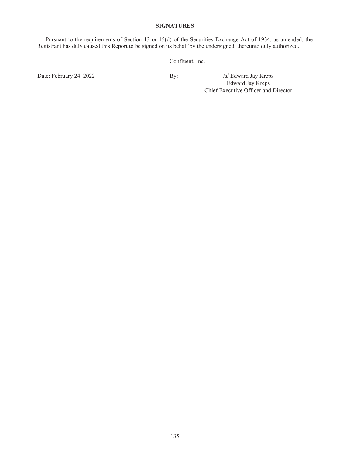## **SIGNATURES**

Pursuant to the requirements of Section 13 or 15(d) of the Securities Exchange Act of 1934, as amended, the Registrant has duly caused this Report to be signed on its behalf by the undersigned, thereunto duly authorized.

Confluent, Inc.

Date: February 24, 2022 By: By: /s/ Edward Jay Kreps

Edward Jay Kreps Chief Executive Officer and Director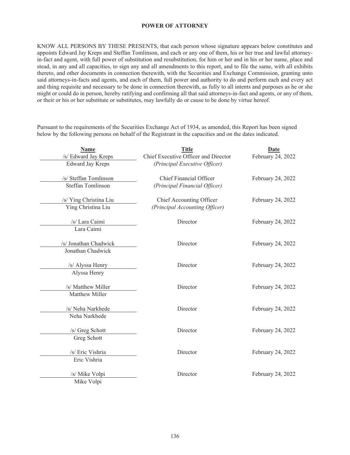## **POWER OF ATTORNEY**

KNOW ALL PERSONS BY THESE PRESENTS, that each person whose signature appears below constitutes and appoints Edward Jay Kreps and Steffan Tomlinson, and each or any one of them, his or her true and lawful attorneyin-fact and agent, with full power of substitution and resubstitution, for him or her and in his or her name, place and stead, in any and all capacities, to sign any and all amendments to this report, and to file the same, with all exhibits thereto, and other documents in connection therewith, with the Securities and Exchange Commission, granting unto said attorneys-in-facts and agents, and each of them, full power and authority to do and perform each and every act and thing requisite and necessary to be done in connection therewith, as fully to all intents and purposes as he or she might or could do in person, hereby ratifying and confirming all that said attorneys-in-fact and agents, or any of them, or their or his or her substitute or substitutes, may lawfully do or cause to be done by virtue hereof.

Pursuant to the requirements of the Securities Exchange Act of 1934, as amended, this Report has been signed below by the following persons on behalf of the Registrant in the capacities and on the dates indicated.

| <b>Title</b>                   | Date                                                                                                                                                          |
|--------------------------------|---------------------------------------------------------------------------------------------------------------------------------------------------------------|
|                                | February 24, 2022                                                                                                                                             |
|                                |                                                                                                                                                               |
| <b>Chief Financial Officer</b> | February 24, 2022                                                                                                                                             |
| (Principal Financial Officer)  |                                                                                                                                                               |
|                                | February 24, 2022                                                                                                                                             |
| (Principal Accounting Officer) |                                                                                                                                                               |
|                                | February 24, 2022                                                                                                                                             |
|                                |                                                                                                                                                               |
|                                |                                                                                                                                                               |
|                                | February 24, 2022                                                                                                                                             |
|                                |                                                                                                                                                               |
| Director                       | February 24, 2022                                                                                                                                             |
|                                |                                                                                                                                                               |
|                                | February 24, 2022                                                                                                                                             |
|                                |                                                                                                                                                               |
|                                |                                                                                                                                                               |
|                                | February 24, 2022                                                                                                                                             |
|                                |                                                                                                                                                               |
| Director                       | February 24, 2022                                                                                                                                             |
|                                |                                                                                                                                                               |
| Director                       | February 24, 2022                                                                                                                                             |
|                                |                                                                                                                                                               |
|                                | February 24, 2022                                                                                                                                             |
|                                |                                                                                                                                                               |
|                                | Chief Executive Officer and Director<br>(Principal Executive Officer)<br>Chief Accounting Officer<br>Director<br>Director<br>Director<br>Director<br>Director |